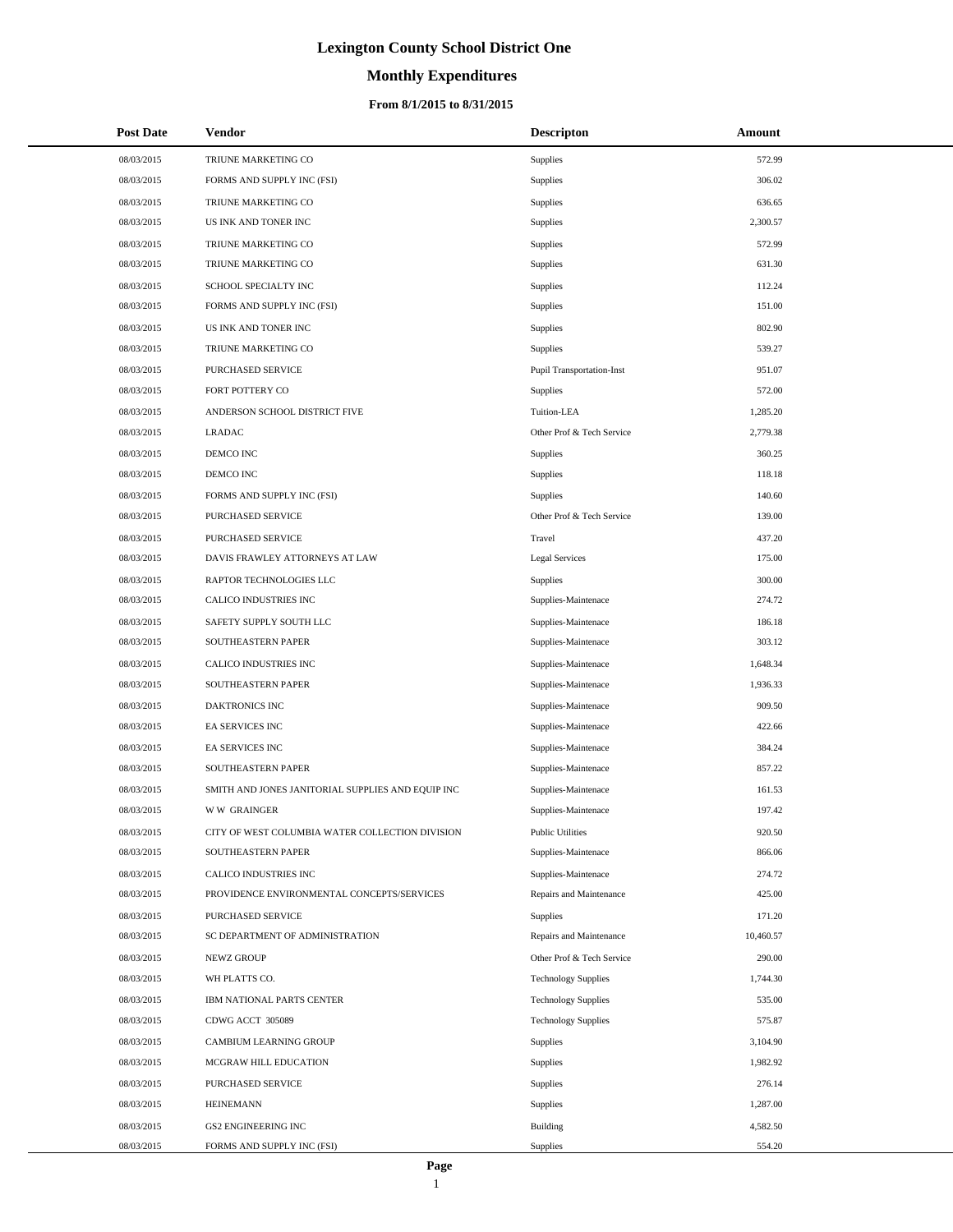# **Monthly Expenditures**

## **From 8/1/2015 to 8/31/2015**

| <b>Post Date</b> | Vendor                                            | <b>Descripton</b>                | Amount    |
|------------------|---------------------------------------------------|----------------------------------|-----------|
| 08/03/2015       | TRIUNE MARKETING CO                               | <b>Supplies</b>                  | 572.99    |
| 08/03/2015       | FORMS AND SUPPLY INC (FSI)                        | Supplies                         | 306.02    |
| 08/03/2015       | TRIUNE MARKETING CO                               | Supplies                         | 636.65    |
| 08/03/2015       | US INK AND TONER INC                              | Supplies                         | 2,300.57  |
| 08/03/2015       | TRIUNE MARKETING CO                               | Supplies                         | 572.99    |
| 08/03/2015       | TRIUNE MARKETING CO                               | Supplies                         | 631.30    |
| 08/03/2015       | SCHOOL SPECIALTY INC                              | Supplies                         | 112.24    |
| 08/03/2015       | FORMS AND SUPPLY INC (FSI)                        | Supplies                         | 151.00    |
| 08/03/2015       | US INK AND TONER INC                              | Supplies                         | 802.90    |
| 08/03/2015       | TRIUNE MARKETING CO                               | Supplies                         | 539.27    |
| 08/03/2015       | PURCHASED SERVICE                                 | <b>Pupil Transportation-Inst</b> | 951.07    |
| 08/03/2015       | FORT POTTERY CO                                   | Supplies                         | 572.00    |
| 08/03/2015       | ANDERSON SCHOOL DISTRICT FIVE                     | Tuition-LEA                      | 1,285.20  |
| 08/03/2015       | <b>LRADAC</b>                                     | Other Prof & Tech Service        | 2,779.38  |
| 08/03/2015       | DEMCO INC                                         | Supplies                         | 360.25    |
| 08/03/2015       | DEMCO INC                                         | Supplies                         | 118.18    |
| 08/03/2015       | FORMS AND SUPPLY INC (FSI)                        | Supplies                         | 140.60    |
| 08/03/2015       | PURCHASED SERVICE                                 | Other Prof & Tech Service        | 139.00    |
| 08/03/2015       | PURCHASED SERVICE                                 | Travel                           | 437.20    |
| 08/03/2015       | DAVIS FRAWLEY ATTORNEYS AT LAW                    | <b>Legal Services</b>            | 175.00    |
| 08/03/2015       | RAPTOR TECHNOLOGIES LLC                           | Supplies                         | 300.00    |
| 08/03/2015       | CALICO INDUSTRIES INC                             | Supplies-Maintenace              | 274.72    |
| 08/03/2015       | SAFETY SUPPLY SOUTH LLC                           | Supplies-Maintenace              | 186.18    |
| 08/03/2015       | SOUTHEASTERN PAPER                                | Supplies-Maintenace              | 303.12    |
| 08/03/2015       | CALICO INDUSTRIES INC                             | Supplies-Maintenace              | 1,648.34  |
| 08/03/2015       | SOUTHEASTERN PAPER                                | Supplies-Maintenace              | 1,936.33  |
| 08/03/2015       | DAKTRONICS INC                                    | Supplies-Maintenace              | 909.50    |
| 08/03/2015       | EA SERVICES INC                                   | Supplies-Maintenace              | 422.66    |
| 08/03/2015       | <b>EA SERVICES INC</b>                            | Supplies-Maintenace              | 384.24    |
| 08/03/2015       | SOUTHEASTERN PAPER                                | Supplies-Maintenace              | 857.22    |
| 08/03/2015       | SMITH AND JONES JANITORIAL SUPPLIES AND EQUIP INC | Supplies-Maintenace              | 161.53    |
| 08/03/2015       | <b>WW GRAINGER</b>                                | Supplies-Maintenace              | 197.42    |
| 08/03/2015       | CITY OF WEST COLUMBIA WATER COLLECTION DIVISION   | <b>Public Utilities</b>          | 920.50    |
| 08/03/2015       | SOUTHEASTERN PAPER                                | Supplies-Maintenace              | 866.06    |
| 08/03/2015       | CALICO INDUSTRIES INC                             | Supplies-Maintenace              | 274.72    |
| 08/03/2015       | PROVIDENCE ENVIRONMENTAL CONCEPTS/SERVICES        | Repairs and Maintenance          | 425.00    |
| 08/03/2015       | PURCHASED SERVICE                                 | <b>Supplies</b>                  | 171.20    |
| 08/03/2015       | SC DEPARTMENT OF ADMINISTRATION                   | Repairs and Maintenance          | 10,460.57 |
| 08/03/2015       | NEWZ GROUP                                        | Other Prof & Tech Service        | 290.00    |
| 08/03/2015       | WH PLATTS CO.                                     | <b>Technology Supplies</b>       | 1,744.30  |
| 08/03/2015       | IBM NATIONAL PARTS CENTER                         | <b>Technology Supplies</b>       | 535.00    |
| 08/03/2015       | CDWG ACCT 305089                                  | <b>Technology Supplies</b>       | 575.87    |
| 08/03/2015       | CAMBIUM LEARNING GROUP                            | Supplies                         | 3,104.90  |
| 08/03/2015       | MCGRAW HILL EDUCATION                             | Supplies                         | 1,982.92  |
| 08/03/2015       | PURCHASED SERVICE                                 | Supplies                         | 276.14    |
| 08/03/2015       | <b>HEINEMANN</b>                                  | Supplies                         | 1,287.00  |
| 08/03/2015       | <b>GS2 ENGINEERING INC</b>                        | Building                         | 4,582.50  |
| 08/03/2015       | FORMS AND SUPPLY INC (FSI)                        | Supplies                         | 554.20    |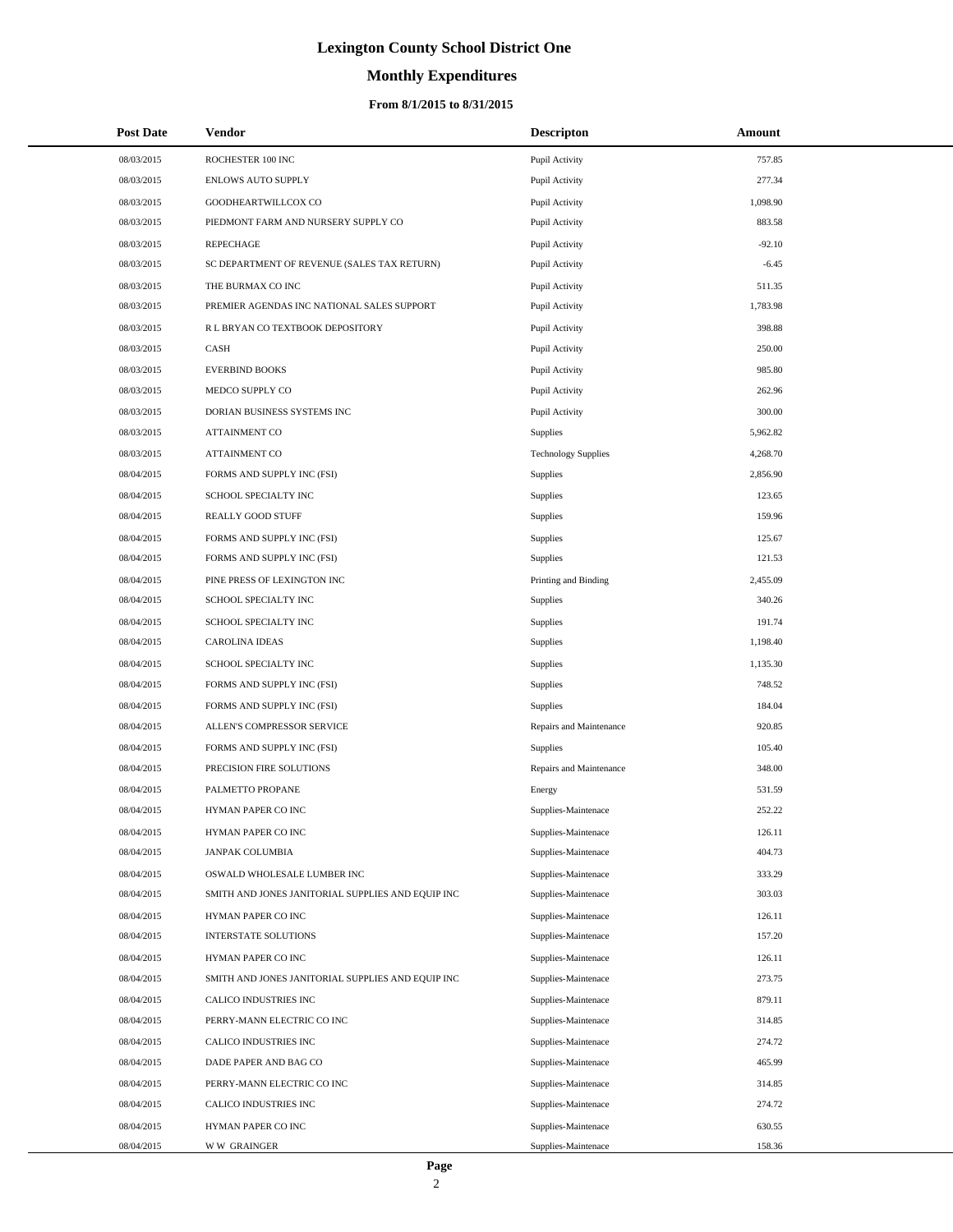# **Monthly Expenditures**

## **From 8/1/2015 to 8/31/2015**

| <b>Post Date</b> | Vendor                                            | <b>Descripton</b>          | Amount   |
|------------------|---------------------------------------------------|----------------------------|----------|
| 08/03/2015       | ROCHESTER 100 INC                                 | Pupil Activity             | 757.85   |
| 08/03/2015       | <b>ENLOWS AUTO SUPPLY</b>                         | Pupil Activity             | 277.34   |
| 08/03/2015       | GOODHEARTWILLCOX CO                               | Pupil Activity             | 1,098.90 |
| 08/03/2015       | PIEDMONT FARM AND NURSERY SUPPLY CO               | Pupil Activity             | 883.58   |
| 08/03/2015       | <b>REPECHAGE</b>                                  | Pupil Activity             | $-92.10$ |
| 08/03/2015       | SC DEPARTMENT OF REVENUE (SALES TAX RETURN)       | Pupil Activity             | $-6.45$  |
| 08/03/2015       | THE BURMAX CO INC                                 | Pupil Activity             | 511.35   |
| 08/03/2015       | PREMIER AGENDAS INC NATIONAL SALES SUPPORT        | Pupil Activity             | 1,783.98 |
| 08/03/2015       | R L BRYAN CO TEXTBOOK DEPOSITORY                  | Pupil Activity             | 398.88   |
| 08/03/2015       | CASH                                              | Pupil Activity             | 250.00   |
| 08/03/2015       | <b>EVERBIND BOOKS</b>                             | Pupil Activity             | 985.80   |
| 08/03/2015       | MEDCO SUPPLY CO                                   | Pupil Activity             | 262.96   |
| 08/03/2015       | DORIAN BUSINESS SYSTEMS INC                       | Pupil Activity             | 300.00   |
| 08/03/2015       | <b>ATTAINMENT CO</b>                              | <b>Supplies</b>            | 5,962.82 |
| 08/03/2015       | <b>ATTAINMENT CO</b>                              | <b>Technology Supplies</b> | 4,268.70 |
| 08/04/2015       | FORMS AND SUPPLY INC (FSI)                        | <b>Supplies</b>            | 2,856.90 |
| 08/04/2015       | SCHOOL SPECIALTY INC                              | Supplies                   | 123.65   |
| 08/04/2015       | REALLY GOOD STUFF                                 | Supplies                   | 159.96   |
| 08/04/2015       | FORMS AND SUPPLY INC (FSI)                        | Supplies                   | 125.67   |
| 08/04/2015       | FORMS AND SUPPLY INC (FSI)                        | <b>Supplies</b>            | 121.53   |
| 08/04/2015       | PINE PRESS OF LEXINGTON INC                       | Printing and Binding       | 2,455.09 |
| 08/04/2015       | SCHOOL SPECIALTY INC                              | <b>Supplies</b>            | 340.26   |
| 08/04/2015       | SCHOOL SPECIALTY INC                              | Supplies                   | 191.74   |
| 08/04/2015       | <b>CAROLINA IDEAS</b>                             | <b>Supplies</b>            | 1,198.40 |
| 08/04/2015       | SCHOOL SPECIALTY INC                              | Supplies                   | 1,135.30 |
| 08/04/2015       | FORMS AND SUPPLY INC (FSI)                        | Supplies                   | 748.52   |
| 08/04/2015       | FORMS AND SUPPLY INC (FSI)                        | Supplies                   | 184.04   |
| 08/04/2015       | ALLEN'S COMPRESSOR SERVICE                        | Repairs and Maintenance    | 920.85   |
| 08/04/2015       | FORMS AND SUPPLY INC (FSI)                        | Supplies                   | 105.40   |
| 08/04/2015       | PRECISION FIRE SOLUTIONS                          | Repairs and Maintenance    | 348.00   |
| 08/04/2015       | PALMETTO PROPANE                                  | Energy                     | 531.59   |
| 08/04/2015       | HYMAN PAPER CO INC                                | Supplies-Maintenace        | 252.22   |
| 08/04/2015       | HYMAN PAPER CO INC                                | Supplies-Maintenace        | 126.11   |
| 08/04/2015       | JANPAK COLUMBIA                                   | Supplies-Maintenace        | 404.73   |
| 08/04/2015       | OSWALD WHOLESALE LUMBER INC                       | Supplies-Maintenace        | 333.29   |
| 08/04/2015       | SMITH AND JONES JANITORIAL SUPPLIES AND EQUIP INC | Supplies-Maintenace        | 303.03   |
| 08/04/2015       | HYMAN PAPER CO INC                                | Supplies-Maintenace        | 126.11   |
| 08/04/2015       | INTERSTATE SOLUTIONS                              | Supplies-Maintenace        | 157.20   |
| 08/04/2015       | HYMAN PAPER CO INC                                | Supplies-Maintenace        | 126.11   |
| 08/04/2015       | SMITH AND JONES JANITORIAL SUPPLIES AND EQUIP INC | Supplies-Maintenace        | 273.75   |
| 08/04/2015       | CALICO INDUSTRIES INC                             | Supplies-Maintenace        | 879.11   |
| 08/04/2015       | PERRY-MANN ELECTRIC CO INC                        | Supplies-Maintenace        | 314.85   |
| 08/04/2015       | CALICO INDUSTRIES INC                             | Supplies-Maintenace        | 274.72   |
| 08/04/2015       | DADE PAPER AND BAG CO                             | Supplies-Maintenace        | 465.99   |
| 08/04/2015       | PERRY-MANN ELECTRIC CO INC                        | Supplies-Maintenace        | 314.85   |
| 08/04/2015       | CALICO INDUSTRIES INC                             | Supplies-Maintenace        | 274.72   |
| 08/04/2015       | HYMAN PAPER CO INC                                | Supplies-Maintenace        | 630.55   |
| 08/04/2015       | <b>WW GRAINGER</b>                                | Supplies-Maintenace        | 158.36   |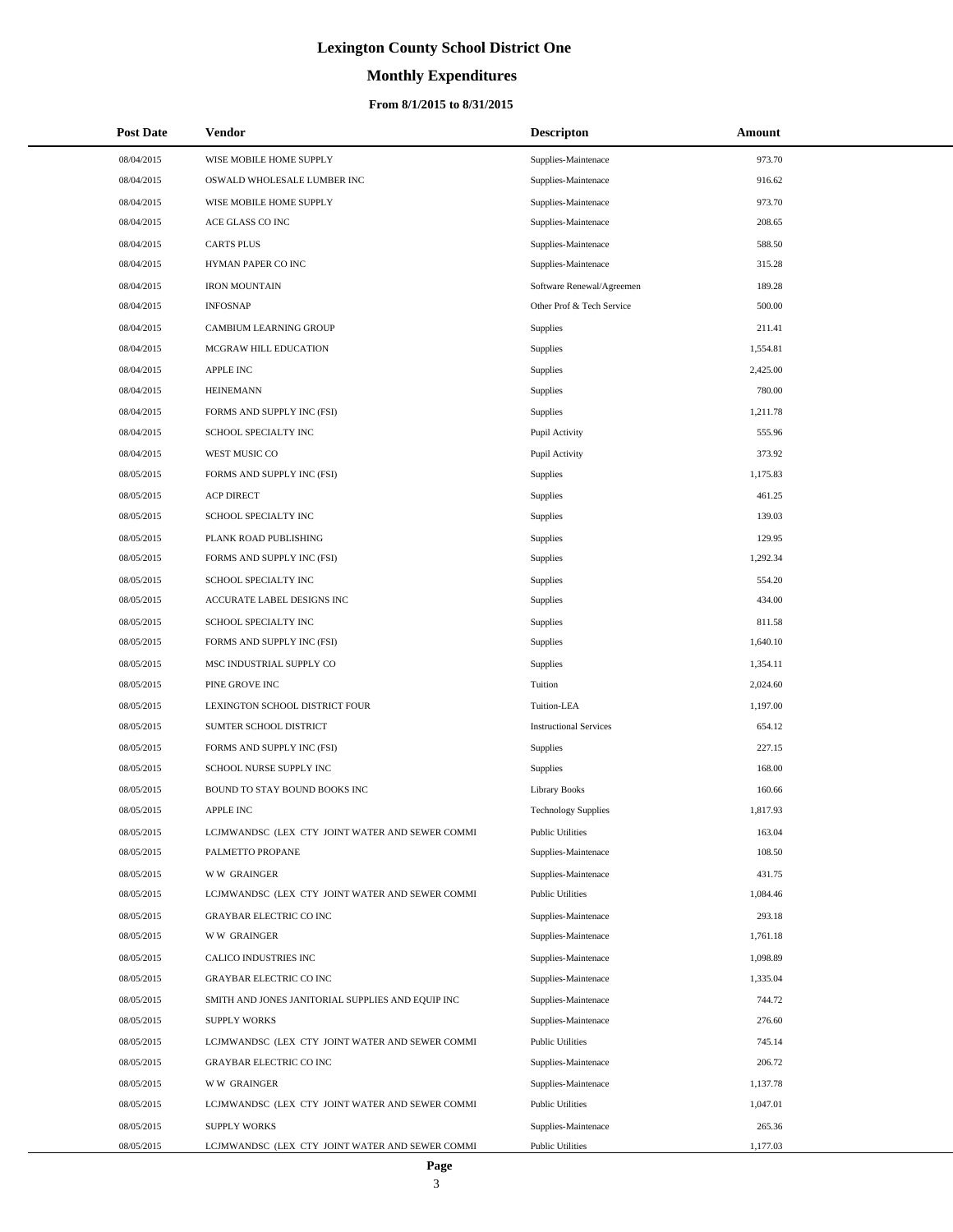# **Monthly Expenditures**

## **From 8/1/2015 to 8/31/2015**

| <b>Post Date</b> | Vendor                                            | <b>Descripton</b>             | Amount   |
|------------------|---------------------------------------------------|-------------------------------|----------|
| 08/04/2015       | WISE MOBILE HOME SUPPLY                           | Supplies-Maintenace           | 973.70   |
| 08/04/2015       | OSWALD WHOLESALE LUMBER INC                       | Supplies-Maintenace           | 916.62   |
| 08/04/2015       | WISE MOBILE HOME SUPPLY                           | Supplies-Maintenace           | 973.70   |
| 08/04/2015       | ACE GLASS CO INC                                  | Supplies-Maintenace           | 208.65   |
| 08/04/2015       | <b>CARTS PLUS</b>                                 | Supplies-Maintenace           | 588.50   |
| 08/04/2015       | HYMAN PAPER CO INC                                | Supplies-Maintenace           | 315.28   |
| 08/04/2015       | <b>IRON MOUNTAIN</b>                              | Software Renewal/Agreemen     | 189.28   |
| 08/04/2015       | <b>INFOSNAP</b>                                   | Other Prof & Tech Service     | 500.00   |
| 08/04/2015       | CAMBIUM LEARNING GROUP                            | Supplies                      | 211.41   |
| 08/04/2015       | MCGRAW HILL EDUCATION                             | Supplies                      | 1,554.81 |
| 08/04/2015       | <b>APPLE INC</b>                                  | Supplies                      | 2,425.00 |
| 08/04/2015       | <b>HEINEMANN</b>                                  | Supplies                      | 780.00   |
| 08/04/2015       | FORMS AND SUPPLY INC (FSI)                        | Supplies                      | 1,211.78 |
| 08/04/2015       | SCHOOL SPECIALTY INC                              | Pupil Activity                | 555.96   |
| 08/04/2015       | WEST MUSIC CO                                     | Pupil Activity                | 373.92   |
| 08/05/2015       | FORMS AND SUPPLY INC (FSI)                        | Supplies                      | 1,175.83 |
| 08/05/2015       | <b>ACP DIRECT</b>                                 | Supplies                      | 461.25   |
| 08/05/2015       | SCHOOL SPECIALTY INC                              | Supplies                      | 139.03   |
| 08/05/2015       | PLANK ROAD PUBLISHING                             | Supplies                      | 129.95   |
| 08/05/2015       | FORMS AND SUPPLY INC (FSI)                        | Supplies                      | 1,292.34 |
| 08/05/2015       | SCHOOL SPECIALTY INC                              | Supplies                      | 554.20   |
| 08/05/2015       | ACCURATE LABEL DESIGNS INC                        | Supplies                      | 434.00   |
| 08/05/2015       | SCHOOL SPECIALTY INC                              | Supplies                      | 811.58   |
| 08/05/2015       | FORMS AND SUPPLY INC (FSI)                        | Supplies                      | 1,640.10 |
| 08/05/2015       | MSC INDUSTRIAL SUPPLY CO                          | Supplies                      | 1,354.11 |
| 08/05/2015       | PINE GROVE INC                                    | Tuition                       | 2,024.60 |
| 08/05/2015       | LEXINGTON SCHOOL DISTRICT FOUR                    | Tuition-LEA                   | 1,197.00 |
| 08/05/2015       | SUMTER SCHOOL DISTRICT                            | <b>Instructional Services</b> | 654.12   |
| 08/05/2015       | FORMS AND SUPPLY INC (FSI)                        | Supplies                      | 227.15   |
| 08/05/2015       | SCHOOL NURSE SUPPLY INC                           | Supplies                      | 168.00   |
| 08/05/2015       | BOUND TO STAY BOUND BOOKS INC                     | <b>Library Books</b>          | 160.66   |
| 08/05/2015       | <b>APPLE INC</b>                                  | <b>Technology Supplies</b>    | 1,817.93 |
| 08/05/2015       | LCJMWANDSC (LEX CTY JOINT WATER AND SEWER COMMI   | <b>Public Utilities</b>       | 163.04   |
| 08/05/2015       | PALMETTO PROPANE                                  | Supplies-Maintenace           | 108.50   |
| 08/05/2015       | <b>WW GRAINGER</b>                                | Supplies-Maintenace           | 431.75   |
| 08/05/2015       | LCJMWANDSC (LEX CTY JOINT WATER AND SEWER COMMI   | <b>Public Utilities</b>       | 1,084.46 |
| 08/05/2015       | <b>GRAYBAR ELECTRIC CO INC</b>                    | Supplies-Maintenace           | 293.18   |
| 08/05/2015       | <b>WW GRAINGER</b>                                | Supplies-Maintenace           | 1,761.18 |
| 08/05/2015       | CALICO INDUSTRIES INC                             | Supplies-Maintenace           | 1,098.89 |
| 08/05/2015       | <b>GRAYBAR ELECTRIC CO INC</b>                    | Supplies-Maintenace           | 1,335.04 |
| 08/05/2015       | SMITH AND JONES JANITORIAL SUPPLIES AND EQUIP INC | Supplies-Maintenace           | 744.72   |
| 08/05/2015       | <b>SUPPLY WORKS</b>                               | Supplies-Maintenace           | 276.60   |
| 08/05/2015       | LCJMWANDSC (LEX CTY JOINT WATER AND SEWER COMMI   | <b>Public Utilities</b>       | 745.14   |
| 08/05/2015       | <b>GRAYBAR ELECTRIC CO INC</b>                    | Supplies-Maintenace           | 206.72   |
| 08/05/2015       | <b>WW GRAINGER</b>                                | Supplies-Maintenace           | 1,137.78 |
| 08/05/2015       | LCJMWANDSC (LEX CTY JOINT WATER AND SEWER COMMI   | <b>Public Utilities</b>       | 1,047.01 |
| 08/05/2015       | <b>SUPPLY WORKS</b>                               | Supplies-Maintenace           | 265.36   |
| 08/05/2015       | LCJMWANDSC (LEX CTY JOINT WATER AND SEWER COMMI   | <b>Public Utilities</b>       | 1,177.03 |

L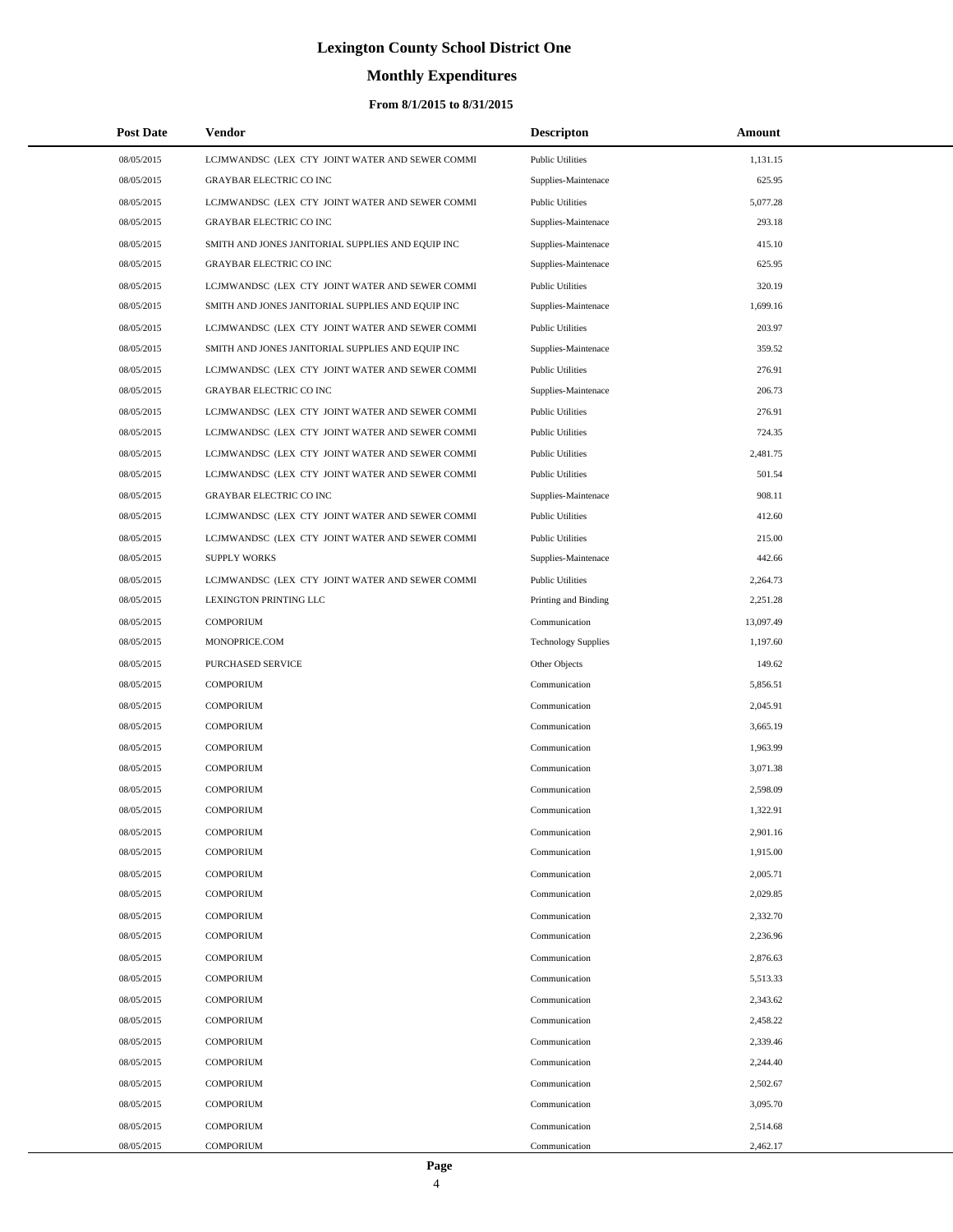## **Monthly Expenditures**

### **From 8/1/2015 to 8/31/2015**

| 08/05/2015<br>LCJMWANDSC (LEX CTY JOINT WATER AND SEWER COMMI<br><b>Public Utilities</b><br>1,131.15<br>625.95<br>08/05/2015<br><b>GRAYBAR ELECTRIC CO INC</b><br>Supplies-Maintenace<br>08/05/2015<br>LCJMWANDSC (LEX CTY JOINT WATER AND SEWER COMMI<br><b>Public Utilities</b><br>5.077.28<br><b>GRAYBAR ELECTRIC CO INC</b><br>293.18<br>08/05/2015<br>Supplies-Maintenace<br>415.10<br>08/05/2015<br>SMITH AND JONES JANITORIAL SUPPLIES AND EQUIP INC<br>Supplies-Maintenace<br>625.95<br>08/05/2015<br><b>GRAYBAR ELECTRIC CO INC</b><br>Supplies-Maintenace<br>320.19<br>08/05/2015<br>LCJMWANDSC (LEX CTY JOINT WATER AND SEWER COMMI<br><b>Public Utilities</b><br>08/05/2015<br>SMITH AND JONES JANITORIAL SUPPLIES AND EQUIP INC<br>Supplies-Maintenace<br>1,699.16<br>203.97<br>08/05/2015<br>LCJMWANDSC (LEX CTY JOINT WATER AND SEWER COMMI<br><b>Public Utilities</b><br>359.52<br>08/05/2015<br>SMITH AND JONES JANITORIAL SUPPLIES AND EQUIP INC<br>Supplies-Maintenace<br>08/05/2015<br>LCJMWANDSC (LEX CTY JOINT WATER AND SEWER COMMI<br><b>Public Utilities</b><br>276.91<br><b>GRAYBAR ELECTRIC CO INC</b><br>08/05/2015<br>206.73<br>Supplies-Maintenace<br>08/05/2015<br>LCJMWANDSC (LEX CTY JOINT WATER AND SEWER COMMI<br><b>Public Utilities</b><br>276.91<br>08/05/2015<br>LCJMWANDSC (LEX CTY JOINT WATER AND SEWER COMMI<br><b>Public Utilities</b><br>724.35<br>08/05/2015<br>LCJMWANDSC (LEX CTY JOINT WATER AND SEWER COMMI<br><b>Public Utilities</b><br>2,481.75<br>501.54<br>08/05/2015<br>LCJMWANDSC (LEX CTY JOINT WATER AND SEWER COMMI<br><b>Public Utilities</b><br>08/05/2015<br><b>GRAYBAR ELECTRIC CO INC</b><br>Supplies-Maintenace<br>908.11<br>412.60<br>08/05/2015<br>LCJMWANDSC (LEX CTY JOINT WATER AND SEWER COMMI<br><b>Public Utilities</b><br>08/05/2015<br>LCJMWANDSC (LEX CTY JOINT WATER AND SEWER COMMI<br><b>Public Utilities</b><br>215.00<br>442.66<br>08/05/2015<br><b>SUPPLY WORKS</b><br>Supplies-Maintenace<br>08/05/2015<br>LCJMWANDSC (LEX CTY JOINT WATER AND SEWER COMMI<br><b>Public Utilities</b><br>2,264.73<br>08/05/2015<br>LEXINGTON PRINTING LLC<br>Printing and Binding<br>2,251.28<br>08/05/2015<br>13,097.49<br><b>COMPORIUM</b><br>Communication<br>MONOPRICE.COM<br><b>Technology Supplies</b><br>1,197.60<br>08/05/2015<br>08/05/2015<br>PURCHASED SERVICE<br>Other Objects<br>149.62<br>08/05/2015<br><b>COMPORIUM</b><br>Communication<br>5,856.51<br>08/05/2015<br><b>COMPORIUM</b><br>Communication<br>2,045.91<br>08/05/2015<br><b>COMPORIUM</b><br>3,665.19<br>Communication<br>08/05/2015<br><b>COMPORIUM</b><br>Communication<br>1,963.99<br>08/05/2015<br><b>COMPORIUM</b><br>3,071.38<br>Communication<br>2,598.09<br>08/05/2015<br><b>COMPORIUM</b><br>Communication<br>08/05/2015<br><b>COMPORIUM</b><br>1,322.91<br>Communication<br>08/05/2015<br>2,901.16<br><b>COMPORIUM</b><br>Communication<br>08/05/2015<br><b>COMPORIUM</b><br>Communication<br>1,915.00<br>08/05/2015<br>2,005.71<br><b>COMPORIUM</b><br>Communication<br>08/05/2015<br><b>COMPORIUM</b><br>Communication<br>2,029.85<br>2,332.70<br>08/05/2015<br><b>COMPORIUM</b><br>Communication<br>08/05/2015<br><b>COMPORIUM</b><br>Communication<br>2,236.96<br>2,876.63<br>08/05/2015<br><b>COMPORIUM</b><br>Communication<br><b>COMPORIUM</b><br>5,513.33<br>08/05/2015<br>Communication<br>2,343.62<br>08/05/2015<br><b>COMPORIUM</b><br>Communication<br>08/05/2015<br><b>COMPORIUM</b><br>Communication<br>2,458.22<br>2,339.46<br>08/05/2015<br><b>COMPORIUM</b><br>Communication<br>08/05/2015<br><b>COMPORIUM</b><br>Communication<br>2,244.40<br>2,502.67<br>08/05/2015<br><b>COMPORIUM</b><br>Communication<br>08/05/2015<br><b>COMPORIUM</b><br>Communication<br>3,095.70<br>08/05/2015<br><b>COMPORIUM</b><br>Communication<br>2,514.68<br>08/05/2015<br><b>COMPORIUM</b><br>Communication<br>2,462.17 | <b>Post Date</b> | Vendor | <b>Descripton</b> | Amount |
|-----------------------------------------------------------------------------------------------------------------------------------------------------------------------------------------------------------------------------------------------------------------------------------------------------------------------------------------------------------------------------------------------------------------------------------------------------------------------------------------------------------------------------------------------------------------------------------------------------------------------------------------------------------------------------------------------------------------------------------------------------------------------------------------------------------------------------------------------------------------------------------------------------------------------------------------------------------------------------------------------------------------------------------------------------------------------------------------------------------------------------------------------------------------------------------------------------------------------------------------------------------------------------------------------------------------------------------------------------------------------------------------------------------------------------------------------------------------------------------------------------------------------------------------------------------------------------------------------------------------------------------------------------------------------------------------------------------------------------------------------------------------------------------------------------------------------------------------------------------------------------------------------------------------------------------------------------------------------------------------------------------------------------------------------------------------------------------------------------------------------------------------------------------------------------------------------------------------------------------------------------------------------------------------------------------------------------------------------------------------------------------------------------------------------------------------------------------------------------------------------------------------------------------------------------------------------------------------------------------------------------------------------------------------------------------------------------------------------------------------------------------------------------------------------------------------------------------------------------------------------------------------------------------------------------------------------------------------------------------------------------------------------------------------------------------------------------------------------------------------------------------------------------------------------------------------------------------------------------------------------------------------------------------------------------------------------------------------------------------------------------------------------------------------------------------------------------------------------------------------------------------------------------------------------------------------------------------------------------------------------------------------------------------------------------------------------------------------------------------------------------------------------------------------------------------------------------------------------------------------------------------|------------------|--------|-------------------|--------|
|                                                                                                                                                                                                                                                                                                                                                                                                                                                                                                                                                                                                                                                                                                                                                                                                                                                                                                                                                                                                                                                                                                                                                                                                                                                                                                                                                                                                                                                                                                                                                                                                                                                                                                                                                                                                                                                                                                                                                                                                                                                                                                                                                                                                                                                                                                                                                                                                                                                                                                                                                                                                                                                                                                                                                                                                                                                                                                                                                                                                                                                                                                                                                                                                                                                                                                                                                                                                                                                                                                                                                                                                                                                                                                                                                                                                                                                                                   |                  |        |                   |        |
|                                                                                                                                                                                                                                                                                                                                                                                                                                                                                                                                                                                                                                                                                                                                                                                                                                                                                                                                                                                                                                                                                                                                                                                                                                                                                                                                                                                                                                                                                                                                                                                                                                                                                                                                                                                                                                                                                                                                                                                                                                                                                                                                                                                                                                                                                                                                                                                                                                                                                                                                                                                                                                                                                                                                                                                                                                                                                                                                                                                                                                                                                                                                                                                                                                                                                                                                                                                                                                                                                                                                                                                                                                                                                                                                                                                                                                                                                   |                  |        |                   |        |
|                                                                                                                                                                                                                                                                                                                                                                                                                                                                                                                                                                                                                                                                                                                                                                                                                                                                                                                                                                                                                                                                                                                                                                                                                                                                                                                                                                                                                                                                                                                                                                                                                                                                                                                                                                                                                                                                                                                                                                                                                                                                                                                                                                                                                                                                                                                                                                                                                                                                                                                                                                                                                                                                                                                                                                                                                                                                                                                                                                                                                                                                                                                                                                                                                                                                                                                                                                                                                                                                                                                                                                                                                                                                                                                                                                                                                                                                                   |                  |        |                   |        |
|                                                                                                                                                                                                                                                                                                                                                                                                                                                                                                                                                                                                                                                                                                                                                                                                                                                                                                                                                                                                                                                                                                                                                                                                                                                                                                                                                                                                                                                                                                                                                                                                                                                                                                                                                                                                                                                                                                                                                                                                                                                                                                                                                                                                                                                                                                                                                                                                                                                                                                                                                                                                                                                                                                                                                                                                                                                                                                                                                                                                                                                                                                                                                                                                                                                                                                                                                                                                                                                                                                                                                                                                                                                                                                                                                                                                                                                                                   |                  |        |                   |        |
|                                                                                                                                                                                                                                                                                                                                                                                                                                                                                                                                                                                                                                                                                                                                                                                                                                                                                                                                                                                                                                                                                                                                                                                                                                                                                                                                                                                                                                                                                                                                                                                                                                                                                                                                                                                                                                                                                                                                                                                                                                                                                                                                                                                                                                                                                                                                                                                                                                                                                                                                                                                                                                                                                                                                                                                                                                                                                                                                                                                                                                                                                                                                                                                                                                                                                                                                                                                                                                                                                                                                                                                                                                                                                                                                                                                                                                                                                   |                  |        |                   |        |
|                                                                                                                                                                                                                                                                                                                                                                                                                                                                                                                                                                                                                                                                                                                                                                                                                                                                                                                                                                                                                                                                                                                                                                                                                                                                                                                                                                                                                                                                                                                                                                                                                                                                                                                                                                                                                                                                                                                                                                                                                                                                                                                                                                                                                                                                                                                                                                                                                                                                                                                                                                                                                                                                                                                                                                                                                                                                                                                                                                                                                                                                                                                                                                                                                                                                                                                                                                                                                                                                                                                                                                                                                                                                                                                                                                                                                                                                                   |                  |        |                   |        |
|                                                                                                                                                                                                                                                                                                                                                                                                                                                                                                                                                                                                                                                                                                                                                                                                                                                                                                                                                                                                                                                                                                                                                                                                                                                                                                                                                                                                                                                                                                                                                                                                                                                                                                                                                                                                                                                                                                                                                                                                                                                                                                                                                                                                                                                                                                                                                                                                                                                                                                                                                                                                                                                                                                                                                                                                                                                                                                                                                                                                                                                                                                                                                                                                                                                                                                                                                                                                                                                                                                                                                                                                                                                                                                                                                                                                                                                                                   |                  |        |                   |        |
|                                                                                                                                                                                                                                                                                                                                                                                                                                                                                                                                                                                                                                                                                                                                                                                                                                                                                                                                                                                                                                                                                                                                                                                                                                                                                                                                                                                                                                                                                                                                                                                                                                                                                                                                                                                                                                                                                                                                                                                                                                                                                                                                                                                                                                                                                                                                                                                                                                                                                                                                                                                                                                                                                                                                                                                                                                                                                                                                                                                                                                                                                                                                                                                                                                                                                                                                                                                                                                                                                                                                                                                                                                                                                                                                                                                                                                                                                   |                  |        |                   |        |
|                                                                                                                                                                                                                                                                                                                                                                                                                                                                                                                                                                                                                                                                                                                                                                                                                                                                                                                                                                                                                                                                                                                                                                                                                                                                                                                                                                                                                                                                                                                                                                                                                                                                                                                                                                                                                                                                                                                                                                                                                                                                                                                                                                                                                                                                                                                                                                                                                                                                                                                                                                                                                                                                                                                                                                                                                                                                                                                                                                                                                                                                                                                                                                                                                                                                                                                                                                                                                                                                                                                                                                                                                                                                                                                                                                                                                                                                                   |                  |        |                   |        |
|                                                                                                                                                                                                                                                                                                                                                                                                                                                                                                                                                                                                                                                                                                                                                                                                                                                                                                                                                                                                                                                                                                                                                                                                                                                                                                                                                                                                                                                                                                                                                                                                                                                                                                                                                                                                                                                                                                                                                                                                                                                                                                                                                                                                                                                                                                                                                                                                                                                                                                                                                                                                                                                                                                                                                                                                                                                                                                                                                                                                                                                                                                                                                                                                                                                                                                                                                                                                                                                                                                                                                                                                                                                                                                                                                                                                                                                                                   |                  |        |                   |        |
|                                                                                                                                                                                                                                                                                                                                                                                                                                                                                                                                                                                                                                                                                                                                                                                                                                                                                                                                                                                                                                                                                                                                                                                                                                                                                                                                                                                                                                                                                                                                                                                                                                                                                                                                                                                                                                                                                                                                                                                                                                                                                                                                                                                                                                                                                                                                                                                                                                                                                                                                                                                                                                                                                                                                                                                                                                                                                                                                                                                                                                                                                                                                                                                                                                                                                                                                                                                                                                                                                                                                                                                                                                                                                                                                                                                                                                                                                   |                  |        |                   |        |
|                                                                                                                                                                                                                                                                                                                                                                                                                                                                                                                                                                                                                                                                                                                                                                                                                                                                                                                                                                                                                                                                                                                                                                                                                                                                                                                                                                                                                                                                                                                                                                                                                                                                                                                                                                                                                                                                                                                                                                                                                                                                                                                                                                                                                                                                                                                                                                                                                                                                                                                                                                                                                                                                                                                                                                                                                                                                                                                                                                                                                                                                                                                                                                                                                                                                                                                                                                                                                                                                                                                                                                                                                                                                                                                                                                                                                                                                                   |                  |        |                   |        |
|                                                                                                                                                                                                                                                                                                                                                                                                                                                                                                                                                                                                                                                                                                                                                                                                                                                                                                                                                                                                                                                                                                                                                                                                                                                                                                                                                                                                                                                                                                                                                                                                                                                                                                                                                                                                                                                                                                                                                                                                                                                                                                                                                                                                                                                                                                                                                                                                                                                                                                                                                                                                                                                                                                                                                                                                                                                                                                                                                                                                                                                                                                                                                                                                                                                                                                                                                                                                                                                                                                                                                                                                                                                                                                                                                                                                                                                                                   |                  |        |                   |        |
|                                                                                                                                                                                                                                                                                                                                                                                                                                                                                                                                                                                                                                                                                                                                                                                                                                                                                                                                                                                                                                                                                                                                                                                                                                                                                                                                                                                                                                                                                                                                                                                                                                                                                                                                                                                                                                                                                                                                                                                                                                                                                                                                                                                                                                                                                                                                                                                                                                                                                                                                                                                                                                                                                                                                                                                                                                                                                                                                                                                                                                                                                                                                                                                                                                                                                                                                                                                                                                                                                                                                                                                                                                                                                                                                                                                                                                                                                   |                  |        |                   |        |
|                                                                                                                                                                                                                                                                                                                                                                                                                                                                                                                                                                                                                                                                                                                                                                                                                                                                                                                                                                                                                                                                                                                                                                                                                                                                                                                                                                                                                                                                                                                                                                                                                                                                                                                                                                                                                                                                                                                                                                                                                                                                                                                                                                                                                                                                                                                                                                                                                                                                                                                                                                                                                                                                                                                                                                                                                                                                                                                                                                                                                                                                                                                                                                                                                                                                                                                                                                                                                                                                                                                                                                                                                                                                                                                                                                                                                                                                                   |                  |        |                   |        |
|                                                                                                                                                                                                                                                                                                                                                                                                                                                                                                                                                                                                                                                                                                                                                                                                                                                                                                                                                                                                                                                                                                                                                                                                                                                                                                                                                                                                                                                                                                                                                                                                                                                                                                                                                                                                                                                                                                                                                                                                                                                                                                                                                                                                                                                                                                                                                                                                                                                                                                                                                                                                                                                                                                                                                                                                                                                                                                                                                                                                                                                                                                                                                                                                                                                                                                                                                                                                                                                                                                                                                                                                                                                                                                                                                                                                                                                                                   |                  |        |                   |        |
|                                                                                                                                                                                                                                                                                                                                                                                                                                                                                                                                                                                                                                                                                                                                                                                                                                                                                                                                                                                                                                                                                                                                                                                                                                                                                                                                                                                                                                                                                                                                                                                                                                                                                                                                                                                                                                                                                                                                                                                                                                                                                                                                                                                                                                                                                                                                                                                                                                                                                                                                                                                                                                                                                                                                                                                                                                                                                                                                                                                                                                                                                                                                                                                                                                                                                                                                                                                                                                                                                                                                                                                                                                                                                                                                                                                                                                                                                   |                  |        |                   |        |
|                                                                                                                                                                                                                                                                                                                                                                                                                                                                                                                                                                                                                                                                                                                                                                                                                                                                                                                                                                                                                                                                                                                                                                                                                                                                                                                                                                                                                                                                                                                                                                                                                                                                                                                                                                                                                                                                                                                                                                                                                                                                                                                                                                                                                                                                                                                                                                                                                                                                                                                                                                                                                                                                                                                                                                                                                                                                                                                                                                                                                                                                                                                                                                                                                                                                                                                                                                                                                                                                                                                                                                                                                                                                                                                                                                                                                                                                                   |                  |        |                   |        |
|                                                                                                                                                                                                                                                                                                                                                                                                                                                                                                                                                                                                                                                                                                                                                                                                                                                                                                                                                                                                                                                                                                                                                                                                                                                                                                                                                                                                                                                                                                                                                                                                                                                                                                                                                                                                                                                                                                                                                                                                                                                                                                                                                                                                                                                                                                                                                                                                                                                                                                                                                                                                                                                                                                                                                                                                                                                                                                                                                                                                                                                                                                                                                                                                                                                                                                                                                                                                                                                                                                                                                                                                                                                                                                                                                                                                                                                                                   |                  |        |                   |        |
|                                                                                                                                                                                                                                                                                                                                                                                                                                                                                                                                                                                                                                                                                                                                                                                                                                                                                                                                                                                                                                                                                                                                                                                                                                                                                                                                                                                                                                                                                                                                                                                                                                                                                                                                                                                                                                                                                                                                                                                                                                                                                                                                                                                                                                                                                                                                                                                                                                                                                                                                                                                                                                                                                                                                                                                                                                                                                                                                                                                                                                                                                                                                                                                                                                                                                                                                                                                                                                                                                                                                                                                                                                                                                                                                                                                                                                                                                   |                  |        |                   |        |
|                                                                                                                                                                                                                                                                                                                                                                                                                                                                                                                                                                                                                                                                                                                                                                                                                                                                                                                                                                                                                                                                                                                                                                                                                                                                                                                                                                                                                                                                                                                                                                                                                                                                                                                                                                                                                                                                                                                                                                                                                                                                                                                                                                                                                                                                                                                                                                                                                                                                                                                                                                                                                                                                                                                                                                                                                                                                                                                                                                                                                                                                                                                                                                                                                                                                                                                                                                                                                                                                                                                                                                                                                                                                                                                                                                                                                                                                                   |                  |        |                   |        |
|                                                                                                                                                                                                                                                                                                                                                                                                                                                                                                                                                                                                                                                                                                                                                                                                                                                                                                                                                                                                                                                                                                                                                                                                                                                                                                                                                                                                                                                                                                                                                                                                                                                                                                                                                                                                                                                                                                                                                                                                                                                                                                                                                                                                                                                                                                                                                                                                                                                                                                                                                                                                                                                                                                                                                                                                                                                                                                                                                                                                                                                                                                                                                                                                                                                                                                                                                                                                                                                                                                                                                                                                                                                                                                                                                                                                                                                                                   |                  |        |                   |        |
|                                                                                                                                                                                                                                                                                                                                                                                                                                                                                                                                                                                                                                                                                                                                                                                                                                                                                                                                                                                                                                                                                                                                                                                                                                                                                                                                                                                                                                                                                                                                                                                                                                                                                                                                                                                                                                                                                                                                                                                                                                                                                                                                                                                                                                                                                                                                                                                                                                                                                                                                                                                                                                                                                                                                                                                                                                                                                                                                                                                                                                                                                                                                                                                                                                                                                                                                                                                                                                                                                                                                                                                                                                                                                                                                                                                                                                                                                   |                  |        |                   |        |
|                                                                                                                                                                                                                                                                                                                                                                                                                                                                                                                                                                                                                                                                                                                                                                                                                                                                                                                                                                                                                                                                                                                                                                                                                                                                                                                                                                                                                                                                                                                                                                                                                                                                                                                                                                                                                                                                                                                                                                                                                                                                                                                                                                                                                                                                                                                                                                                                                                                                                                                                                                                                                                                                                                                                                                                                                                                                                                                                                                                                                                                                                                                                                                                                                                                                                                                                                                                                                                                                                                                                                                                                                                                                                                                                                                                                                                                                                   |                  |        |                   |        |
|                                                                                                                                                                                                                                                                                                                                                                                                                                                                                                                                                                                                                                                                                                                                                                                                                                                                                                                                                                                                                                                                                                                                                                                                                                                                                                                                                                                                                                                                                                                                                                                                                                                                                                                                                                                                                                                                                                                                                                                                                                                                                                                                                                                                                                                                                                                                                                                                                                                                                                                                                                                                                                                                                                                                                                                                                                                                                                                                                                                                                                                                                                                                                                                                                                                                                                                                                                                                                                                                                                                                                                                                                                                                                                                                                                                                                                                                                   |                  |        |                   |        |
|                                                                                                                                                                                                                                                                                                                                                                                                                                                                                                                                                                                                                                                                                                                                                                                                                                                                                                                                                                                                                                                                                                                                                                                                                                                                                                                                                                                                                                                                                                                                                                                                                                                                                                                                                                                                                                                                                                                                                                                                                                                                                                                                                                                                                                                                                                                                                                                                                                                                                                                                                                                                                                                                                                                                                                                                                                                                                                                                                                                                                                                                                                                                                                                                                                                                                                                                                                                                                                                                                                                                                                                                                                                                                                                                                                                                                                                                                   |                  |        |                   |        |
|                                                                                                                                                                                                                                                                                                                                                                                                                                                                                                                                                                                                                                                                                                                                                                                                                                                                                                                                                                                                                                                                                                                                                                                                                                                                                                                                                                                                                                                                                                                                                                                                                                                                                                                                                                                                                                                                                                                                                                                                                                                                                                                                                                                                                                                                                                                                                                                                                                                                                                                                                                                                                                                                                                                                                                                                                                                                                                                                                                                                                                                                                                                                                                                                                                                                                                                                                                                                                                                                                                                                                                                                                                                                                                                                                                                                                                                                                   |                  |        |                   |        |
|                                                                                                                                                                                                                                                                                                                                                                                                                                                                                                                                                                                                                                                                                                                                                                                                                                                                                                                                                                                                                                                                                                                                                                                                                                                                                                                                                                                                                                                                                                                                                                                                                                                                                                                                                                                                                                                                                                                                                                                                                                                                                                                                                                                                                                                                                                                                                                                                                                                                                                                                                                                                                                                                                                                                                                                                                                                                                                                                                                                                                                                                                                                                                                                                                                                                                                                                                                                                                                                                                                                                                                                                                                                                                                                                                                                                                                                                                   |                  |        |                   |        |
|                                                                                                                                                                                                                                                                                                                                                                                                                                                                                                                                                                                                                                                                                                                                                                                                                                                                                                                                                                                                                                                                                                                                                                                                                                                                                                                                                                                                                                                                                                                                                                                                                                                                                                                                                                                                                                                                                                                                                                                                                                                                                                                                                                                                                                                                                                                                                                                                                                                                                                                                                                                                                                                                                                                                                                                                                                                                                                                                                                                                                                                                                                                                                                                                                                                                                                                                                                                                                                                                                                                                                                                                                                                                                                                                                                                                                                                                                   |                  |        |                   |        |
|                                                                                                                                                                                                                                                                                                                                                                                                                                                                                                                                                                                                                                                                                                                                                                                                                                                                                                                                                                                                                                                                                                                                                                                                                                                                                                                                                                                                                                                                                                                                                                                                                                                                                                                                                                                                                                                                                                                                                                                                                                                                                                                                                                                                                                                                                                                                                                                                                                                                                                                                                                                                                                                                                                                                                                                                                                                                                                                                                                                                                                                                                                                                                                                                                                                                                                                                                                                                                                                                                                                                                                                                                                                                                                                                                                                                                                                                                   |                  |        |                   |        |
|                                                                                                                                                                                                                                                                                                                                                                                                                                                                                                                                                                                                                                                                                                                                                                                                                                                                                                                                                                                                                                                                                                                                                                                                                                                                                                                                                                                                                                                                                                                                                                                                                                                                                                                                                                                                                                                                                                                                                                                                                                                                                                                                                                                                                                                                                                                                                                                                                                                                                                                                                                                                                                                                                                                                                                                                                                                                                                                                                                                                                                                                                                                                                                                                                                                                                                                                                                                                                                                                                                                                                                                                                                                                                                                                                                                                                                                                                   |                  |        |                   |        |
|                                                                                                                                                                                                                                                                                                                                                                                                                                                                                                                                                                                                                                                                                                                                                                                                                                                                                                                                                                                                                                                                                                                                                                                                                                                                                                                                                                                                                                                                                                                                                                                                                                                                                                                                                                                                                                                                                                                                                                                                                                                                                                                                                                                                                                                                                                                                                                                                                                                                                                                                                                                                                                                                                                                                                                                                                                                                                                                                                                                                                                                                                                                                                                                                                                                                                                                                                                                                                                                                                                                                                                                                                                                                                                                                                                                                                                                                                   |                  |        |                   |        |
|                                                                                                                                                                                                                                                                                                                                                                                                                                                                                                                                                                                                                                                                                                                                                                                                                                                                                                                                                                                                                                                                                                                                                                                                                                                                                                                                                                                                                                                                                                                                                                                                                                                                                                                                                                                                                                                                                                                                                                                                                                                                                                                                                                                                                                                                                                                                                                                                                                                                                                                                                                                                                                                                                                                                                                                                                                                                                                                                                                                                                                                                                                                                                                                                                                                                                                                                                                                                                                                                                                                                                                                                                                                                                                                                                                                                                                                                                   |                  |        |                   |        |
|                                                                                                                                                                                                                                                                                                                                                                                                                                                                                                                                                                                                                                                                                                                                                                                                                                                                                                                                                                                                                                                                                                                                                                                                                                                                                                                                                                                                                                                                                                                                                                                                                                                                                                                                                                                                                                                                                                                                                                                                                                                                                                                                                                                                                                                                                                                                                                                                                                                                                                                                                                                                                                                                                                                                                                                                                                                                                                                                                                                                                                                                                                                                                                                                                                                                                                                                                                                                                                                                                                                                                                                                                                                                                                                                                                                                                                                                                   |                  |        |                   |        |
|                                                                                                                                                                                                                                                                                                                                                                                                                                                                                                                                                                                                                                                                                                                                                                                                                                                                                                                                                                                                                                                                                                                                                                                                                                                                                                                                                                                                                                                                                                                                                                                                                                                                                                                                                                                                                                                                                                                                                                                                                                                                                                                                                                                                                                                                                                                                                                                                                                                                                                                                                                                                                                                                                                                                                                                                                                                                                                                                                                                                                                                                                                                                                                                                                                                                                                                                                                                                                                                                                                                                                                                                                                                                                                                                                                                                                                                                                   |                  |        |                   |        |
|                                                                                                                                                                                                                                                                                                                                                                                                                                                                                                                                                                                                                                                                                                                                                                                                                                                                                                                                                                                                                                                                                                                                                                                                                                                                                                                                                                                                                                                                                                                                                                                                                                                                                                                                                                                                                                                                                                                                                                                                                                                                                                                                                                                                                                                                                                                                                                                                                                                                                                                                                                                                                                                                                                                                                                                                                                                                                                                                                                                                                                                                                                                                                                                                                                                                                                                                                                                                                                                                                                                                                                                                                                                                                                                                                                                                                                                                                   |                  |        |                   |        |
|                                                                                                                                                                                                                                                                                                                                                                                                                                                                                                                                                                                                                                                                                                                                                                                                                                                                                                                                                                                                                                                                                                                                                                                                                                                                                                                                                                                                                                                                                                                                                                                                                                                                                                                                                                                                                                                                                                                                                                                                                                                                                                                                                                                                                                                                                                                                                                                                                                                                                                                                                                                                                                                                                                                                                                                                                                                                                                                                                                                                                                                                                                                                                                                                                                                                                                                                                                                                                                                                                                                                                                                                                                                                                                                                                                                                                                                                                   |                  |        |                   |        |
|                                                                                                                                                                                                                                                                                                                                                                                                                                                                                                                                                                                                                                                                                                                                                                                                                                                                                                                                                                                                                                                                                                                                                                                                                                                                                                                                                                                                                                                                                                                                                                                                                                                                                                                                                                                                                                                                                                                                                                                                                                                                                                                                                                                                                                                                                                                                                                                                                                                                                                                                                                                                                                                                                                                                                                                                                                                                                                                                                                                                                                                                                                                                                                                                                                                                                                                                                                                                                                                                                                                                                                                                                                                                                                                                                                                                                                                                                   |                  |        |                   |        |
|                                                                                                                                                                                                                                                                                                                                                                                                                                                                                                                                                                                                                                                                                                                                                                                                                                                                                                                                                                                                                                                                                                                                                                                                                                                                                                                                                                                                                                                                                                                                                                                                                                                                                                                                                                                                                                                                                                                                                                                                                                                                                                                                                                                                                                                                                                                                                                                                                                                                                                                                                                                                                                                                                                                                                                                                                                                                                                                                                                                                                                                                                                                                                                                                                                                                                                                                                                                                                                                                                                                                                                                                                                                                                                                                                                                                                                                                                   |                  |        |                   |        |
|                                                                                                                                                                                                                                                                                                                                                                                                                                                                                                                                                                                                                                                                                                                                                                                                                                                                                                                                                                                                                                                                                                                                                                                                                                                                                                                                                                                                                                                                                                                                                                                                                                                                                                                                                                                                                                                                                                                                                                                                                                                                                                                                                                                                                                                                                                                                                                                                                                                                                                                                                                                                                                                                                                                                                                                                                                                                                                                                                                                                                                                                                                                                                                                                                                                                                                                                                                                                                                                                                                                                                                                                                                                                                                                                                                                                                                                                                   |                  |        |                   |        |
|                                                                                                                                                                                                                                                                                                                                                                                                                                                                                                                                                                                                                                                                                                                                                                                                                                                                                                                                                                                                                                                                                                                                                                                                                                                                                                                                                                                                                                                                                                                                                                                                                                                                                                                                                                                                                                                                                                                                                                                                                                                                                                                                                                                                                                                                                                                                                                                                                                                                                                                                                                                                                                                                                                                                                                                                                                                                                                                                                                                                                                                                                                                                                                                                                                                                                                                                                                                                                                                                                                                                                                                                                                                                                                                                                                                                                                                                                   |                  |        |                   |        |
|                                                                                                                                                                                                                                                                                                                                                                                                                                                                                                                                                                                                                                                                                                                                                                                                                                                                                                                                                                                                                                                                                                                                                                                                                                                                                                                                                                                                                                                                                                                                                                                                                                                                                                                                                                                                                                                                                                                                                                                                                                                                                                                                                                                                                                                                                                                                                                                                                                                                                                                                                                                                                                                                                                                                                                                                                                                                                                                                                                                                                                                                                                                                                                                                                                                                                                                                                                                                                                                                                                                                                                                                                                                                                                                                                                                                                                                                                   |                  |        |                   |        |
|                                                                                                                                                                                                                                                                                                                                                                                                                                                                                                                                                                                                                                                                                                                                                                                                                                                                                                                                                                                                                                                                                                                                                                                                                                                                                                                                                                                                                                                                                                                                                                                                                                                                                                                                                                                                                                                                                                                                                                                                                                                                                                                                                                                                                                                                                                                                                                                                                                                                                                                                                                                                                                                                                                                                                                                                                                                                                                                                                                                                                                                                                                                                                                                                                                                                                                                                                                                                                                                                                                                                                                                                                                                                                                                                                                                                                                                                                   |                  |        |                   |        |
|                                                                                                                                                                                                                                                                                                                                                                                                                                                                                                                                                                                                                                                                                                                                                                                                                                                                                                                                                                                                                                                                                                                                                                                                                                                                                                                                                                                                                                                                                                                                                                                                                                                                                                                                                                                                                                                                                                                                                                                                                                                                                                                                                                                                                                                                                                                                                                                                                                                                                                                                                                                                                                                                                                                                                                                                                                                                                                                                                                                                                                                                                                                                                                                                                                                                                                                                                                                                                                                                                                                                                                                                                                                                                                                                                                                                                                                                                   |                  |        |                   |        |
|                                                                                                                                                                                                                                                                                                                                                                                                                                                                                                                                                                                                                                                                                                                                                                                                                                                                                                                                                                                                                                                                                                                                                                                                                                                                                                                                                                                                                                                                                                                                                                                                                                                                                                                                                                                                                                                                                                                                                                                                                                                                                                                                                                                                                                                                                                                                                                                                                                                                                                                                                                                                                                                                                                                                                                                                                                                                                                                                                                                                                                                                                                                                                                                                                                                                                                                                                                                                                                                                                                                                                                                                                                                                                                                                                                                                                                                                                   |                  |        |                   |        |
|                                                                                                                                                                                                                                                                                                                                                                                                                                                                                                                                                                                                                                                                                                                                                                                                                                                                                                                                                                                                                                                                                                                                                                                                                                                                                                                                                                                                                                                                                                                                                                                                                                                                                                                                                                                                                                                                                                                                                                                                                                                                                                                                                                                                                                                                                                                                                                                                                                                                                                                                                                                                                                                                                                                                                                                                                                                                                                                                                                                                                                                                                                                                                                                                                                                                                                                                                                                                                                                                                                                                                                                                                                                                                                                                                                                                                                                                                   |                  |        |                   |        |
|                                                                                                                                                                                                                                                                                                                                                                                                                                                                                                                                                                                                                                                                                                                                                                                                                                                                                                                                                                                                                                                                                                                                                                                                                                                                                                                                                                                                                                                                                                                                                                                                                                                                                                                                                                                                                                                                                                                                                                                                                                                                                                                                                                                                                                                                                                                                                                                                                                                                                                                                                                                                                                                                                                                                                                                                                                                                                                                                                                                                                                                                                                                                                                                                                                                                                                                                                                                                                                                                                                                                                                                                                                                                                                                                                                                                                                                                                   |                  |        |                   |        |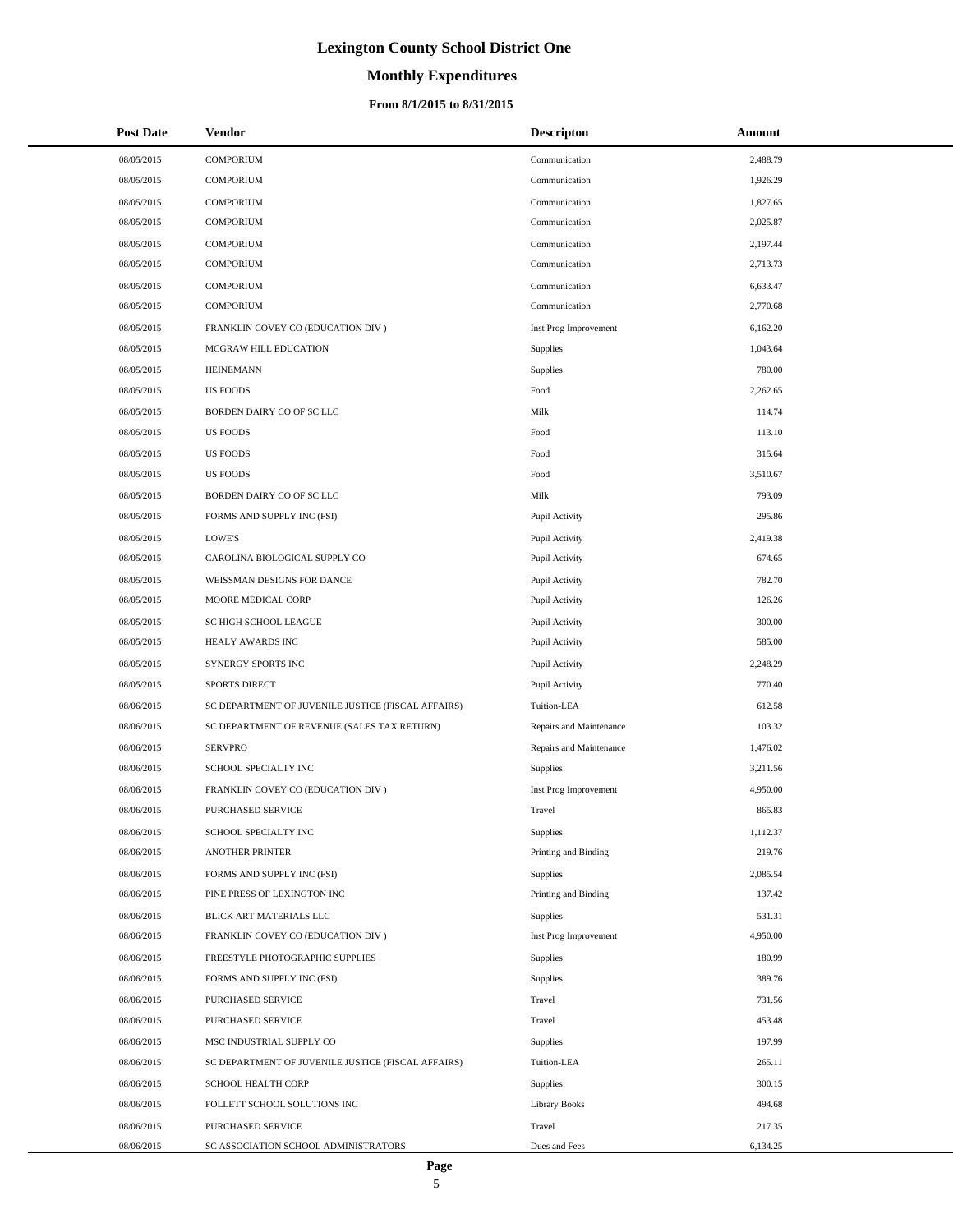# **Monthly Expenditures**

### **From 8/1/2015 to 8/31/2015**

| <b>Post Date</b> | <b>Vendor</b>                                      | <b>Descripton</b>       | Amount   |
|------------------|----------------------------------------------------|-------------------------|----------|
| 08/05/2015       | <b>COMPORIUM</b>                                   | Communication           | 2,488.79 |
| 08/05/2015       | <b>COMPORIUM</b>                                   | Communication           | 1,926.29 |
| 08/05/2015       | <b>COMPORIUM</b>                                   | Communication           | 1,827.65 |
| 08/05/2015       | <b>COMPORIUM</b>                                   | Communication           | 2,025.87 |
| 08/05/2015       | <b>COMPORIUM</b>                                   | Communication           | 2,197.44 |
| 08/05/2015       | <b>COMPORIUM</b>                                   | Communication           | 2,713.73 |
| 08/05/2015       | <b>COMPORIUM</b>                                   | Communication           | 6,633.47 |
| 08/05/2015       | <b>COMPORIUM</b>                                   | Communication           | 2,770.68 |
| 08/05/2015       | FRANKLIN COVEY CO (EDUCATION DIV)                  | Inst Prog Improvement   | 6,162.20 |
| 08/05/2015       | MCGRAW HILL EDUCATION                              | Supplies                | 1,043.64 |
| 08/05/2015       | <b>HEINEMANN</b>                                   | Supplies                | 780.00   |
| 08/05/2015       | <b>US FOODS</b>                                    | Food                    | 2,262.65 |
| 08/05/2015       | BORDEN DAIRY CO OF SC LLC                          | Milk                    | 114.74   |
| 08/05/2015       | <b>US FOODS</b>                                    | Food                    | 113.10   |
| 08/05/2015       | <b>US FOODS</b>                                    | Food                    | 315.64   |
| 08/05/2015       | <b>US FOODS</b>                                    | Food                    | 3,510.67 |
| 08/05/2015       | BORDEN DAIRY CO OF SC LLC                          | Milk                    | 793.09   |
| 08/05/2015       | FORMS AND SUPPLY INC (FSI)                         | Pupil Activity          | 295.86   |
| 08/05/2015       | LOWE'S                                             | Pupil Activity          | 2,419.38 |
| 08/05/2015       | CAROLINA BIOLOGICAL SUPPLY CO                      | Pupil Activity          | 674.65   |
| 08/05/2015       | WEISSMAN DESIGNS FOR DANCE                         | Pupil Activity          | 782.70   |
| 08/05/2015       | MOORE MEDICAL CORP                                 | Pupil Activity          | 126.26   |
| 08/05/2015       | SC HIGH SCHOOL LEAGUE                              | Pupil Activity          | 300.00   |
| 08/05/2015       | HEALY AWARDS INC                                   | Pupil Activity          | 585.00   |
| 08/05/2015       | SYNERGY SPORTS INC                                 | Pupil Activity          | 2,248.29 |
| 08/05/2015       | <b>SPORTS DIRECT</b>                               | Pupil Activity          | 770.40   |
| 08/06/2015       | SC DEPARTMENT OF JUVENILE JUSTICE (FISCAL AFFAIRS) | Tuition-LEA             | 612.58   |
| 08/06/2015       | SC DEPARTMENT OF REVENUE (SALES TAX RETURN)        | Repairs and Maintenance | 103.32   |
| 08/06/2015       | <b>SERVPRO</b>                                     | Repairs and Maintenance | 1,476.02 |
| 08/06/2015       | SCHOOL SPECIALTY INC                               | Supplies                | 3,211.56 |
| 08/06/2015       | FRANKLIN COVEY CO (EDUCATION DIV)                  | Inst Prog Improvement   | 4,950.00 |
| 08/06/2015       | <b>PURCHASED SERVICE</b>                           | Travel                  | 865.83   |
| 08/06/2015       | SCHOOL SPECIALTY INC                               | Supplies                | 1,112.37 |
| 08/06/2015       | <b>ANOTHER PRINTER</b>                             | Printing and Binding    | 219.76   |
| 08/06/2015       | FORMS AND SUPPLY INC (FSI)                         | Supplies                | 2,085.54 |
| 08/06/2015       | PINE PRESS OF LEXINGTON INC                        | Printing and Binding    | 137.42   |
| 08/06/2015       | BLICK ART MATERIALS LLC                            | Supplies                | 531.31   |
| 08/06/2015       | FRANKLIN COVEY CO (EDUCATION DIV)                  | Inst Prog Improvement   | 4,950.00 |
| 08/06/2015       | FREESTYLE PHOTOGRAPHIC SUPPLIES                    | Supplies                | 180.99   |
| 08/06/2015       | FORMS AND SUPPLY INC (FSI)                         | Supplies                | 389.76   |
| 08/06/2015       | PURCHASED SERVICE                                  | Travel                  | 731.56   |
| 08/06/2015       | PURCHASED SERVICE                                  | Travel                  | 453.48   |
| 08/06/2015       | MSC INDUSTRIAL SUPPLY CO                           | Supplies                | 197.99   |
| 08/06/2015       | SC DEPARTMENT OF JUVENILE JUSTICE (FISCAL AFFAIRS) | Tuition-LEA             | 265.11   |
| 08/06/2015       | SCHOOL HEALTH CORP                                 | Supplies                | 300.15   |
| 08/06/2015       | FOLLETT SCHOOL SOLUTIONS INC                       | <b>Library Books</b>    | 494.68   |
| 08/06/2015       | PURCHASED SERVICE                                  | Travel                  | 217.35   |
| 08/06/2015       | SC ASSOCIATION SCHOOL ADMINISTRATORS               | Dues and Fees           | 6,134.25 |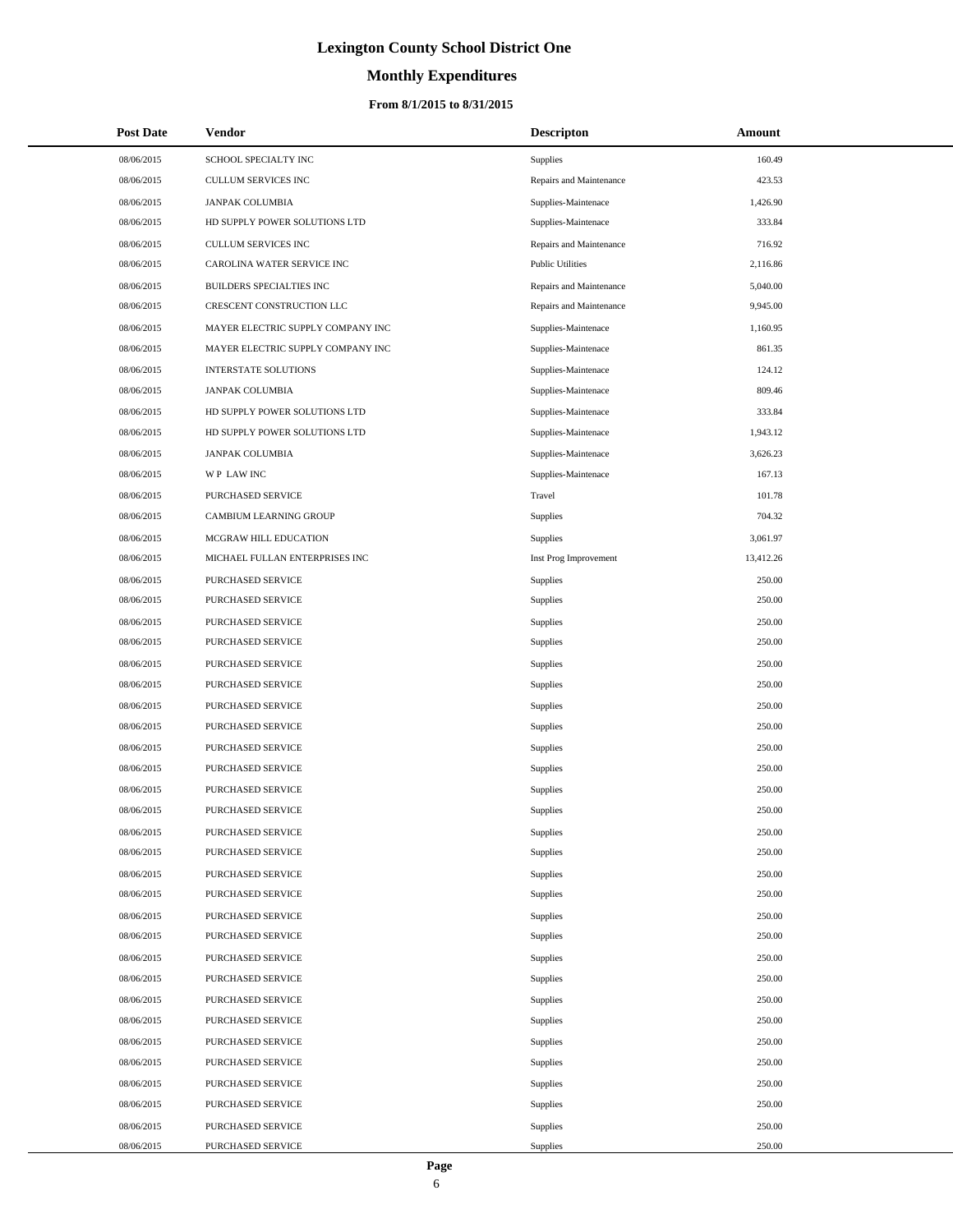# **Monthly Expenditures**

## **From 8/1/2015 to 8/31/2015**

| <b>Post Date</b> | Vendor                            | <b>Descripton</b>       | Amount    |
|------------------|-----------------------------------|-------------------------|-----------|
| 08/06/2015       | SCHOOL SPECIALTY INC              | Supplies                | 160.49    |
| 08/06/2015       | CULLUM SERVICES INC               | Repairs and Maintenance | 423.53    |
| 08/06/2015       | <b>JANPAK COLUMBIA</b>            | Supplies-Maintenace     | 1,426.90  |
| 08/06/2015       | HD SUPPLY POWER SOLUTIONS LTD     | Supplies-Maintenace     | 333.84    |
| 08/06/2015       | CULLUM SERVICES INC               | Repairs and Maintenance | 716.92    |
| 08/06/2015       | CAROLINA WATER SERVICE INC        | <b>Public Utilities</b> | 2,116.86  |
| 08/06/2015       | BUILDERS SPECIALTIES INC          | Repairs and Maintenance | 5,040.00  |
| 08/06/2015       | CRESCENT CONSTRUCTION LLC         | Repairs and Maintenance | 9,945.00  |
| 08/06/2015       | MAYER ELECTRIC SUPPLY COMPANY INC | Supplies-Maintenace     | 1,160.95  |
| 08/06/2015       | MAYER ELECTRIC SUPPLY COMPANY INC | Supplies-Maintenace     | 861.35    |
| 08/06/2015       | <b>INTERSTATE SOLUTIONS</b>       | Supplies-Maintenace     | 124.12    |
| 08/06/2015       | <b>JANPAK COLUMBIA</b>            | Supplies-Maintenace     | 809.46    |
| 08/06/2015       | HD SUPPLY POWER SOLUTIONS LTD     | Supplies-Maintenace     | 333.84    |
| 08/06/2015       | HD SUPPLY POWER SOLUTIONS LTD     | Supplies-Maintenace     | 1,943.12  |
| 08/06/2015       | <b>JANPAK COLUMBIA</b>            | Supplies-Maintenace     | 3,626.23  |
| 08/06/2015       | WP LAW INC                        | Supplies-Maintenace     | 167.13    |
| 08/06/2015       | PURCHASED SERVICE                 | Travel                  | 101.78    |
| 08/06/2015       | CAMBIUM LEARNING GROUP            | Supplies                | 704.32    |
| 08/06/2015       | MCGRAW HILL EDUCATION             | Supplies                | 3,061.97  |
| 08/06/2015       | MICHAEL FULLAN ENTERPRISES INC    | Inst Prog Improvement   | 13,412.26 |
| 08/06/2015       | PURCHASED SERVICE                 | Supplies                | 250.00    |
| 08/06/2015       | PURCHASED SERVICE                 | Supplies                | 250.00    |
| 08/06/2015       | PURCHASED SERVICE                 | Supplies                | 250.00    |
| 08/06/2015       | PURCHASED SERVICE                 | Supplies                | 250.00    |
| 08/06/2015       | PURCHASED SERVICE                 | Supplies                | 250.00    |
| 08/06/2015       | PURCHASED SERVICE                 | Supplies                | 250.00    |
| 08/06/2015       | PURCHASED SERVICE                 | Supplies                | 250.00    |
| 08/06/2015       | PURCHASED SERVICE                 | Supplies                | 250.00    |
| 08/06/2015       | PURCHASED SERVICE                 | Supplies                | 250.00    |
| 08/06/2015       | PURCHASED SERVICE                 | Supplies                | 250.00    |
| 08/06/2015       | PURCHASED SERVICE                 | Supplies                | 250.00    |
| 08/06/2015       | PURCHASED SERVICE                 | Supplies                | 250.00    |
| 08/06/2015       | PURCHASED SERVICE                 | Supplies                | 250.00    |
| 08/06/2015       | PURCHASED SERVICE                 | Supplies                | 250.00    |
| 08/06/2015       | PURCHASED SERVICE                 | Supplies                | 250.00    |
| 08/06/2015       | PURCHASED SERVICE                 | Supplies                | 250.00    |
| 08/06/2015       | PURCHASED SERVICE                 | Supplies                | 250.00    |
| 08/06/2015       | <b>PURCHASED SERVICE</b>          | Supplies                | 250.00    |
| 08/06/2015       | PURCHASED SERVICE                 | Supplies                | 250.00    |
| 08/06/2015       | PURCHASED SERVICE                 | Supplies                | 250.00    |
| 08/06/2015       | PURCHASED SERVICE                 | Supplies                | 250.00    |
| 08/06/2015       | PURCHASED SERVICE                 | Supplies                | 250.00    |
| 08/06/2015       | PURCHASED SERVICE                 | Supplies                | 250.00    |
| 08/06/2015       | PURCHASED SERVICE                 | Supplies                | 250.00    |
| 08/06/2015       | PURCHASED SERVICE                 | Supplies                | 250.00    |
| 08/06/2015       | PURCHASED SERVICE                 | Supplies                | 250.00    |
| 08/06/2015       | PURCHASED SERVICE                 | Supplies                | 250.00    |
| 08/06/2015       | PURCHASED SERVICE                 | Supplies                | 250.00    |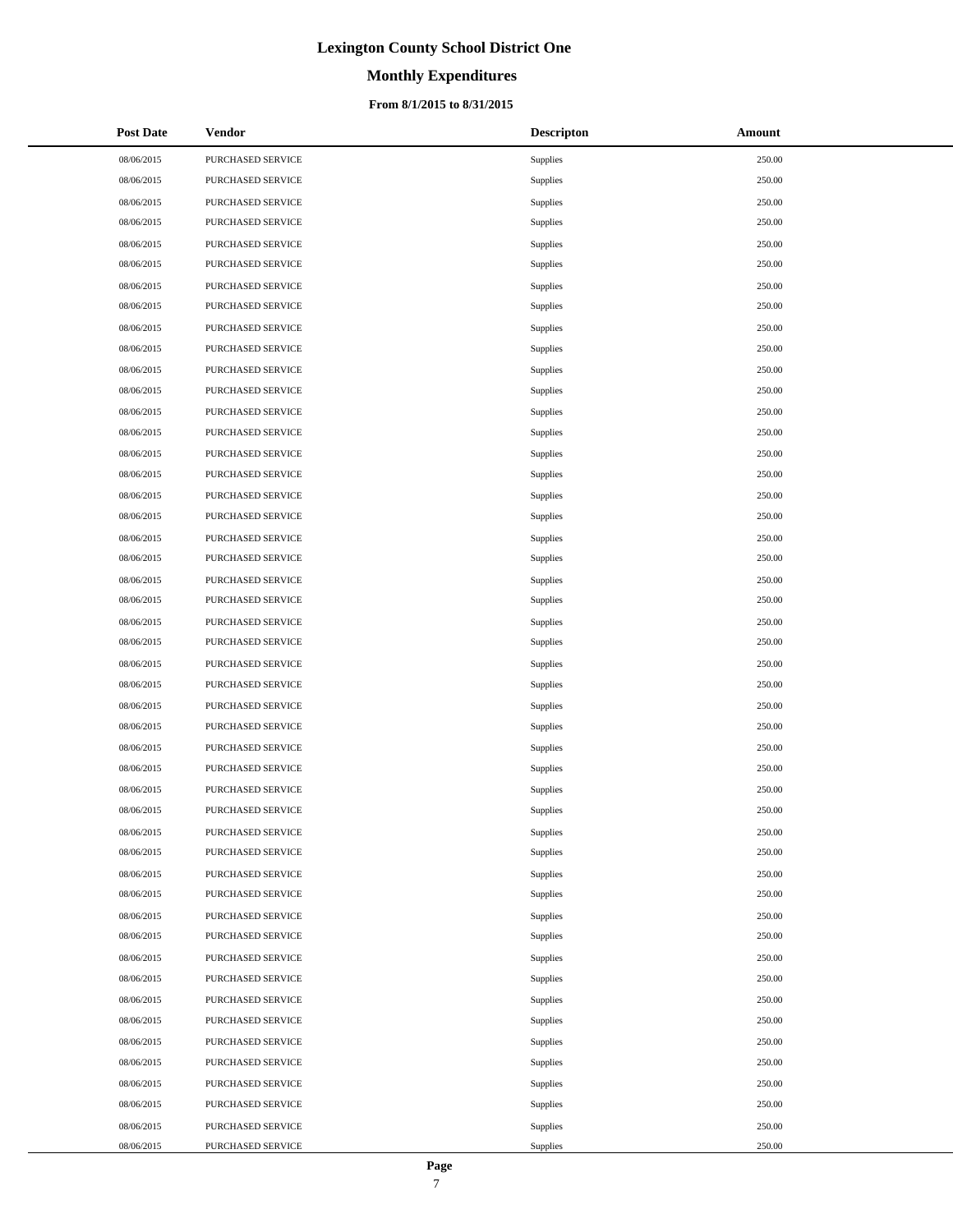# **Monthly Expenditures**

### **From 8/1/2015 to 8/31/2015**

| <b>Post Date</b> | Vendor            | <b>Descripton</b> | Amount |
|------------------|-------------------|-------------------|--------|
| 08/06/2015       | PURCHASED SERVICE | Supplies          | 250.00 |
| 08/06/2015       | PURCHASED SERVICE | <b>Supplies</b>   | 250.00 |
| 08/06/2015       | PURCHASED SERVICE | Supplies          | 250.00 |
| 08/06/2015       | PURCHASED SERVICE | <b>Supplies</b>   | 250.00 |
| 08/06/2015       | PURCHASED SERVICE | Supplies          | 250.00 |
| 08/06/2015       | PURCHASED SERVICE | <b>Supplies</b>   | 250.00 |
| 08/06/2015       | PURCHASED SERVICE | Supplies          | 250.00 |
| 08/06/2015       | PURCHASED SERVICE | <b>Supplies</b>   | 250.00 |
| 08/06/2015       | PURCHASED SERVICE | Supplies          | 250.00 |
| 08/06/2015       | PURCHASED SERVICE | <b>Supplies</b>   | 250.00 |
| 08/06/2015       | PURCHASED SERVICE | Supplies          | 250.00 |
| 08/06/2015       | PURCHASED SERVICE | <b>Supplies</b>   | 250.00 |
| 08/06/2015       | PURCHASED SERVICE | Supplies          | 250.00 |
| 08/06/2015       | PURCHASED SERVICE | <b>Supplies</b>   | 250.00 |
| 08/06/2015       | PURCHASED SERVICE | Supplies          | 250.00 |
| 08/06/2015       | PURCHASED SERVICE | <b>Supplies</b>   | 250.00 |
| 08/06/2015       | PURCHASED SERVICE | Supplies          | 250.00 |
| 08/06/2015       | PURCHASED SERVICE | <b>Supplies</b>   | 250.00 |
| 08/06/2015       | PURCHASED SERVICE | Supplies          | 250.00 |
| 08/06/2015       | PURCHASED SERVICE | <b>Supplies</b>   | 250.00 |
| 08/06/2015       | PURCHASED SERVICE | Supplies          | 250.00 |
| 08/06/2015       | PURCHASED SERVICE | <b>Supplies</b>   | 250.00 |
| 08/06/2015       | PURCHASED SERVICE | Supplies          | 250.00 |
| 08/06/2015       | PURCHASED SERVICE | Supplies          | 250.00 |
| 08/06/2015       | PURCHASED SERVICE | Supplies          | 250.00 |
| 08/06/2015       | PURCHASED SERVICE | <b>Supplies</b>   | 250.00 |
| 08/06/2015       | PURCHASED SERVICE | Supplies          | 250.00 |
| 08/06/2015       | PURCHASED SERVICE | <b>Supplies</b>   | 250.00 |
| 08/06/2015       | PURCHASED SERVICE | Supplies          | 250.00 |
| 08/06/2015       | PURCHASED SERVICE | <b>Supplies</b>   | 250.00 |
| 08/06/2015       | PURCHASED SERVICE | Supplies          | 250.00 |
| 08/06/2015       | PURCHASED SERVICE | Supplies          | 250.00 |
| 08/06/2015       | PURCHASED SERVICE | <b>Supplies</b>   | 250.00 |
| 08/06/2015       | PURCHASED SERVICE | <b>Supplies</b>   | 250.00 |
| 08/06/2015       | PURCHASED SERVICE | Supplies          | 250.00 |
| 08/06/2015       | PURCHASED SERVICE | Supplies          | 250.00 |
| 08/06/2015       | PURCHASED SERVICE | Supplies          | 250.00 |
| 08/06/2015       | PURCHASED SERVICE | <b>Supplies</b>   | 250.00 |
| 08/06/2015       | PURCHASED SERVICE | Supplies          | 250.00 |
| 08/06/2015       | PURCHASED SERVICE | Supplies          | 250.00 |
| 08/06/2015       | PURCHASED SERVICE | Supplies          | 250.00 |
| 08/06/2015       | PURCHASED SERVICE | <b>Supplies</b>   | 250.00 |
| 08/06/2015       | PURCHASED SERVICE | Supplies          | 250.00 |
| 08/06/2015       | PURCHASED SERVICE | Supplies          | 250.00 |
| 08/06/2015       | PURCHASED SERVICE | Supplies          | 250.00 |
| 08/06/2015       | PURCHASED SERVICE | <b>Supplies</b>   | 250.00 |
| 08/06/2015       | PURCHASED SERVICE | <b>Supplies</b>   | 250.00 |
| 08/06/2015       | PURCHASED SERVICE | Supplies          | 250.00 |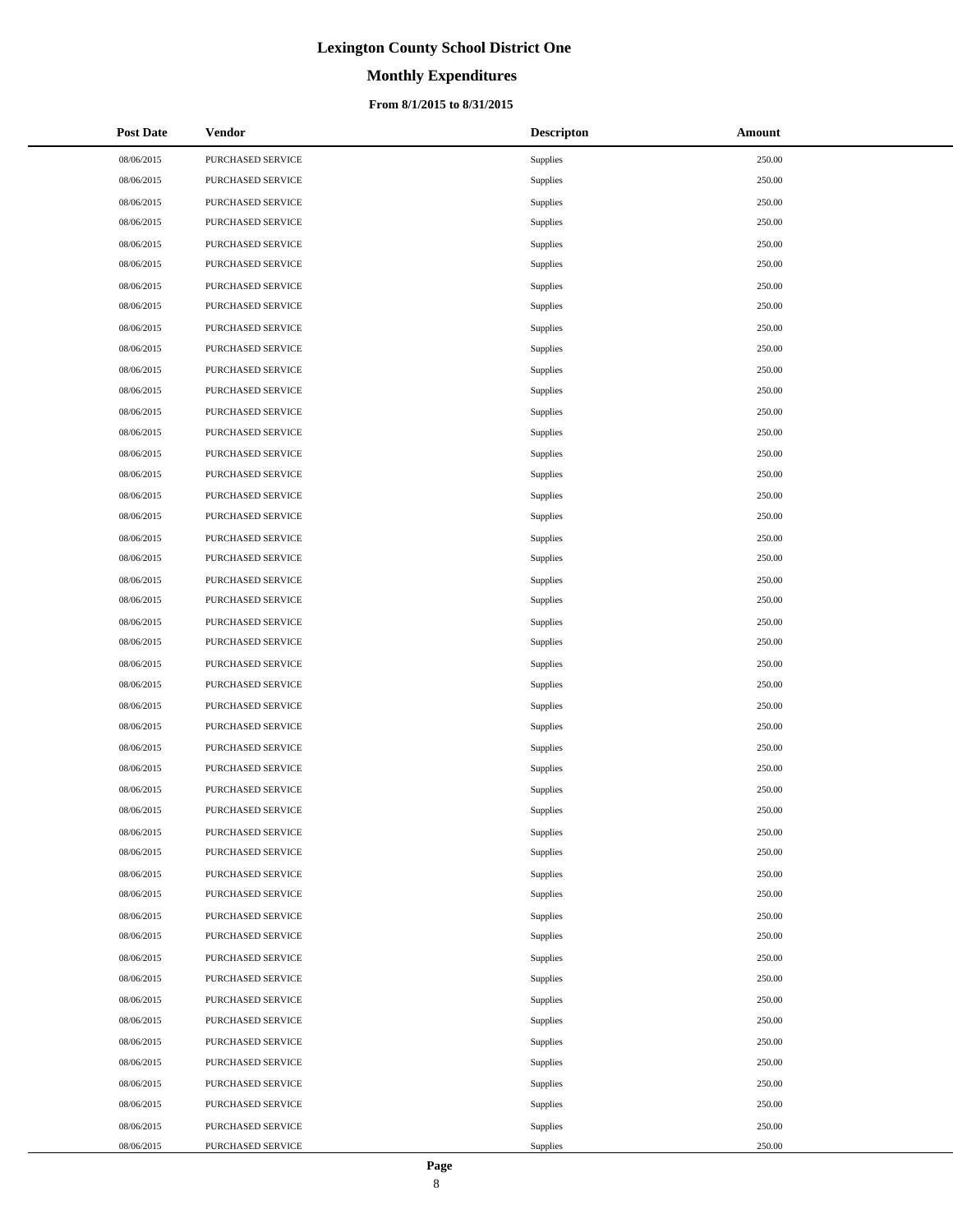# **Monthly Expenditures**

### **From 8/1/2015 to 8/31/2015**

| <b>Post Date</b> | <b>Vendor</b>     | <b>Descripton</b> | Amount |
|------------------|-------------------|-------------------|--------|
| 08/06/2015       | PURCHASED SERVICE | Supplies          | 250.00 |
| 08/06/2015       | PURCHASED SERVICE | Supplies          | 250.00 |
| 08/06/2015       | PURCHASED SERVICE | Supplies          | 250.00 |
| 08/06/2015       | PURCHASED SERVICE | Supplies          | 250.00 |
| 08/06/2015       | PURCHASED SERVICE | Supplies          | 250.00 |
| 08/06/2015       | PURCHASED SERVICE | Supplies          | 250.00 |
| 08/06/2015       | PURCHASED SERVICE | <b>Supplies</b>   | 250.00 |
| 08/06/2015       | PURCHASED SERVICE | Supplies          | 250.00 |
| 08/06/2015       | PURCHASED SERVICE | Supplies          | 250.00 |
| 08/06/2015       | PURCHASED SERVICE | <b>Supplies</b>   | 250.00 |
| 08/06/2015       | PURCHASED SERVICE | <b>Supplies</b>   | 250.00 |
| 08/06/2015       | PURCHASED SERVICE | Supplies          | 250.00 |
| 08/06/2015       | PURCHASED SERVICE | Supplies          | 250.00 |
| 08/06/2015       | PURCHASED SERVICE | Supplies          | 250.00 |
| 08/06/2015       | PURCHASED SERVICE | Supplies          | 250.00 |
| 08/06/2015       | PURCHASED SERVICE | Supplies          | 250.00 |
| 08/06/2015       | PURCHASED SERVICE | Supplies          | 250.00 |
| 08/06/2015       | PURCHASED SERVICE | Supplies          | 250.00 |
| 08/06/2015       | PURCHASED SERVICE | Supplies          | 250.00 |
| 08/06/2015       | PURCHASED SERVICE | Supplies          | 250.00 |
| 08/06/2015       | PURCHASED SERVICE | Supplies          | 250.00 |
| 08/06/2015       | PURCHASED SERVICE | Supplies          | 250.00 |
| 08/06/2015       | PURCHASED SERVICE | Supplies          | 250.00 |
| 08/06/2015       | PURCHASED SERVICE | Supplies          | 250.00 |
| 08/06/2015       | PURCHASED SERVICE | Supplies          | 250.00 |
| 08/06/2015       | PURCHASED SERVICE | Supplies          | 250.00 |
| 08/06/2015       | PURCHASED SERVICE | Supplies          | 250.00 |
| 08/06/2015       | PURCHASED SERVICE | Supplies          | 250.00 |
| 08/06/2015       | PURCHASED SERVICE | Supplies          | 250.00 |
| 08/06/2015       | PURCHASED SERVICE | Supplies          | 250.00 |
| 08/06/2015       | PURCHASED SERVICE | Supplies          | 250.00 |
| 08/06/2015       | PURCHASED SERVICE | Supplies          | 250.00 |
| 08/06/2015       | PURCHASED SERVICE | Supplies          | 250.00 |
| 08/06/2015       | PURCHASED SERVICE | Supplies          | 250.00 |
| 08/06/2015       | PURCHASED SERVICE | Supplies          | 250.00 |
| 08/06/2015       | PURCHASED SERVICE | Supplies          | 250.00 |
| 08/06/2015       | PURCHASED SERVICE | Supplies          | 250.00 |
| 08/06/2015       | PURCHASED SERVICE | Supplies          | 250.00 |
| 08/06/2015       | PURCHASED SERVICE | Supplies          | 250.00 |
| 08/06/2015       | PURCHASED SERVICE | Supplies          | 250.00 |
| 08/06/2015       | PURCHASED SERVICE | Supplies          | 250.00 |
| 08/06/2015       | PURCHASED SERVICE | Supplies          | 250.00 |
| 08/06/2015       | PURCHASED SERVICE | Supplies          | 250.00 |
| 08/06/2015       | PURCHASED SERVICE | Supplies          | 250.00 |
| 08/06/2015       | PURCHASED SERVICE | Supplies          | 250.00 |
| 08/06/2015       | PURCHASED SERVICE | Supplies          | 250.00 |
| 08/06/2015       | PURCHASED SERVICE | Supplies          | 250.00 |
| 08/06/2015       | PURCHASED SERVICE | Supplies          | 250.00 |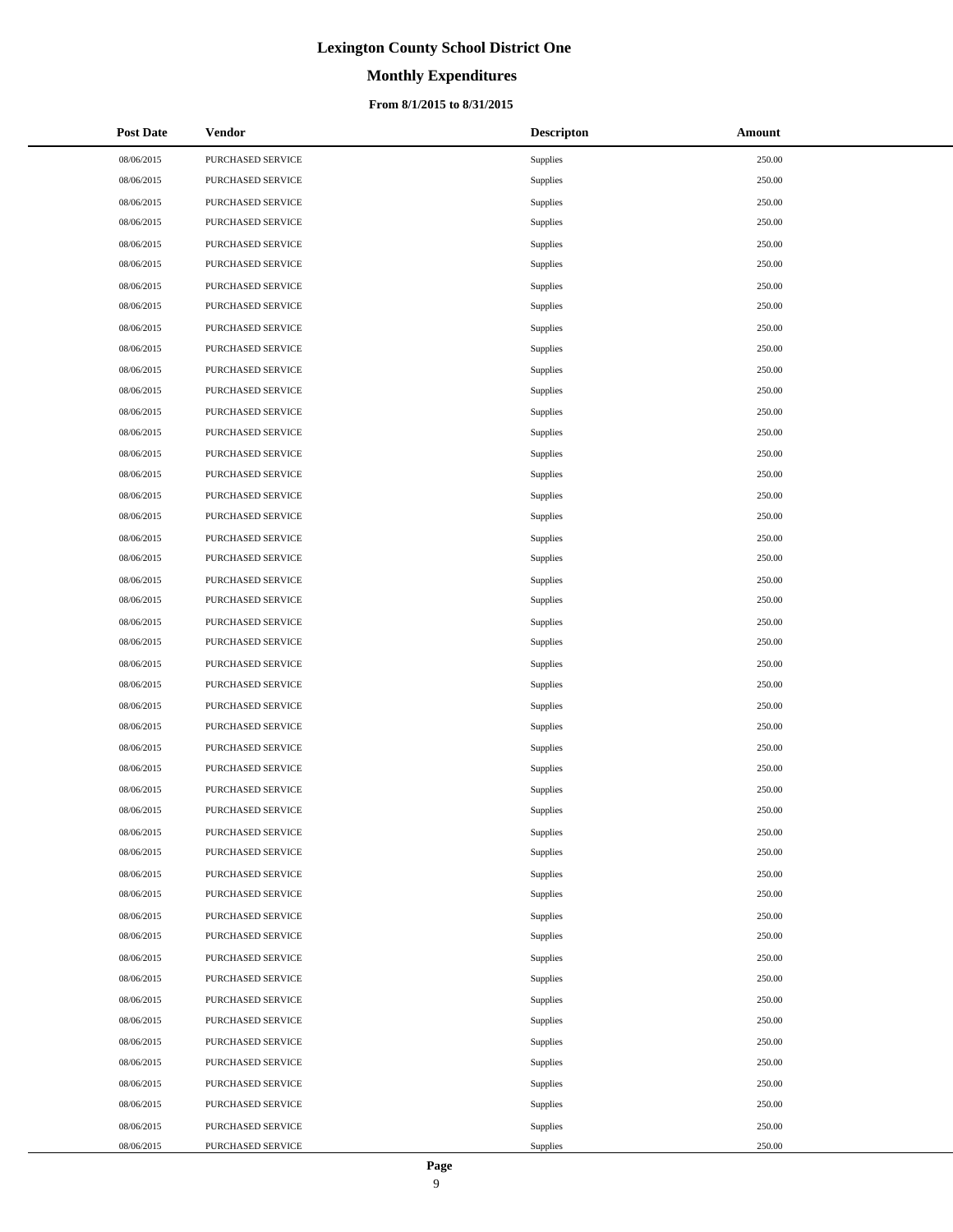## **Monthly Expenditures**

### **From 8/1/2015 to 8/31/2015**

| <b>Post Date</b> | Vendor            | <b>Descripton</b> | Amount |
|------------------|-------------------|-------------------|--------|
| 08/06/2015       | PURCHASED SERVICE | Supplies          | 250.00 |
| 08/06/2015       | PURCHASED SERVICE | Supplies          | 250.00 |
| 08/06/2015       | PURCHASED SERVICE | Supplies          | 250.00 |
| 08/06/2015       | PURCHASED SERVICE | Supplies          | 250.00 |
| 08/06/2015       | PURCHASED SERVICE | Supplies          | 250.00 |
| 08/06/2015       | PURCHASED SERVICE | Supplies          | 250.00 |
| 08/06/2015       | PURCHASED SERVICE | Supplies          | 250.00 |
| 08/06/2015       | PURCHASED SERVICE | Supplies          | 250.00 |
| 08/06/2015       | PURCHASED SERVICE | Supplies          | 250.00 |
| 08/06/2015       | PURCHASED SERVICE | Supplies          | 250.00 |
| 08/06/2015       | PURCHASED SERVICE | Supplies          | 250.00 |
| 08/06/2015       | PURCHASED SERVICE | Supplies          | 250.00 |
| 08/06/2015       | PURCHASED SERVICE | Supplies          | 250.00 |
| 08/06/2015       | PURCHASED SERVICE | Supplies          | 250.00 |
| 08/06/2015       | PURCHASED SERVICE | Supplies          | 250.00 |
| 08/06/2015       | PURCHASED SERVICE | Supplies          | 250.00 |
| 08/06/2015       | PURCHASED SERVICE | Supplies          | 250.00 |
| 08/06/2015       | PURCHASED SERVICE | Supplies          | 250.00 |
| 08/06/2015       | PURCHASED SERVICE | Supplies          | 250.00 |
| 08/06/2015       | PURCHASED SERVICE | Supplies          | 250.00 |
| 08/06/2015       | PURCHASED SERVICE | Supplies          | 250.00 |
| 08/06/2015       | PURCHASED SERVICE | Supplies          | 250.00 |
| 08/06/2015       | PURCHASED SERVICE | Supplies          | 250.00 |
| 08/06/2015       | PURCHASED SERVICE | Supplies          | 250.00 |
| 08/06/2015       | PURCHASED SERVICE | Supplies          | 250.00 |
| 08/06/2015       | PURCHASED SERVICE | Supplies          | 250.00 |
| 08/06/2015       | PURCHASED SERVICE | Supplies          | 250.00 |
| 08/06/2015       | PURCHASED SERVICE | Supplies          | 250.00 |
| 08/06/2015       | PURCHASED SERVICE | Supplies          | 250.00 |
| 08/06/2015       | PURCHASED SERVICE | Supplies          | 250.00 |
| 08/06/2015       | PURCHASED SERVICE | Supplies          | 250.00 |
| 08/06/2015       | PURCHASED SERVICE | Supplies          | 250.00 |
| 08/06/2015       | PURCHASED SERVICE | Supplies          | 250.00 |
| 08/06/2015       | PURCHASED SERVICE | Supplies          | 250.00 |
| 08/06/2015       | PURCHASED SERVICE | Supplies          | 250.00 |
| 08/06/2015       | PURCHASED SERVICE | Supplies          | 250.00 |
| 08/06/2015       | PURCHASED SERVICE | Supplies          | 250.00 |
| 08/06/2015       | PURCHASED SERVICE | Supplies          | 250.00 |
| 08/06/2015       | PURCHASED SERVICE | Supplies          | 250.00 |
| 08/06/2015       | PURCHASED SERVICE | Supplies          | 250.00 |
| 08/06/2015       | PURCHASED SERVICE | Supplies          | 250.00 |
| 08/06/2015       | PURCHASED SERVICE | Supplies          | 250.00 |
| 08/06/2015       | PURCHASED SERVICE | Supplies          | 250.00 |
| 08/06/2015       | PURCHASED SERVICE | Supplies          | 250.00 |
| 08/06/2015       | PURCHASED SERVICE | Supplies          | 250.00 |
| 08/06/2015       | PURCHASED SERVICE | Supplies          | 250.00 |
| 08/06/2015       | PURCHASED SERVICE | Supplies          | 250.00 |
| 08/06/2015       | PURCHASED SERVICE | Supplies          | 250.00 |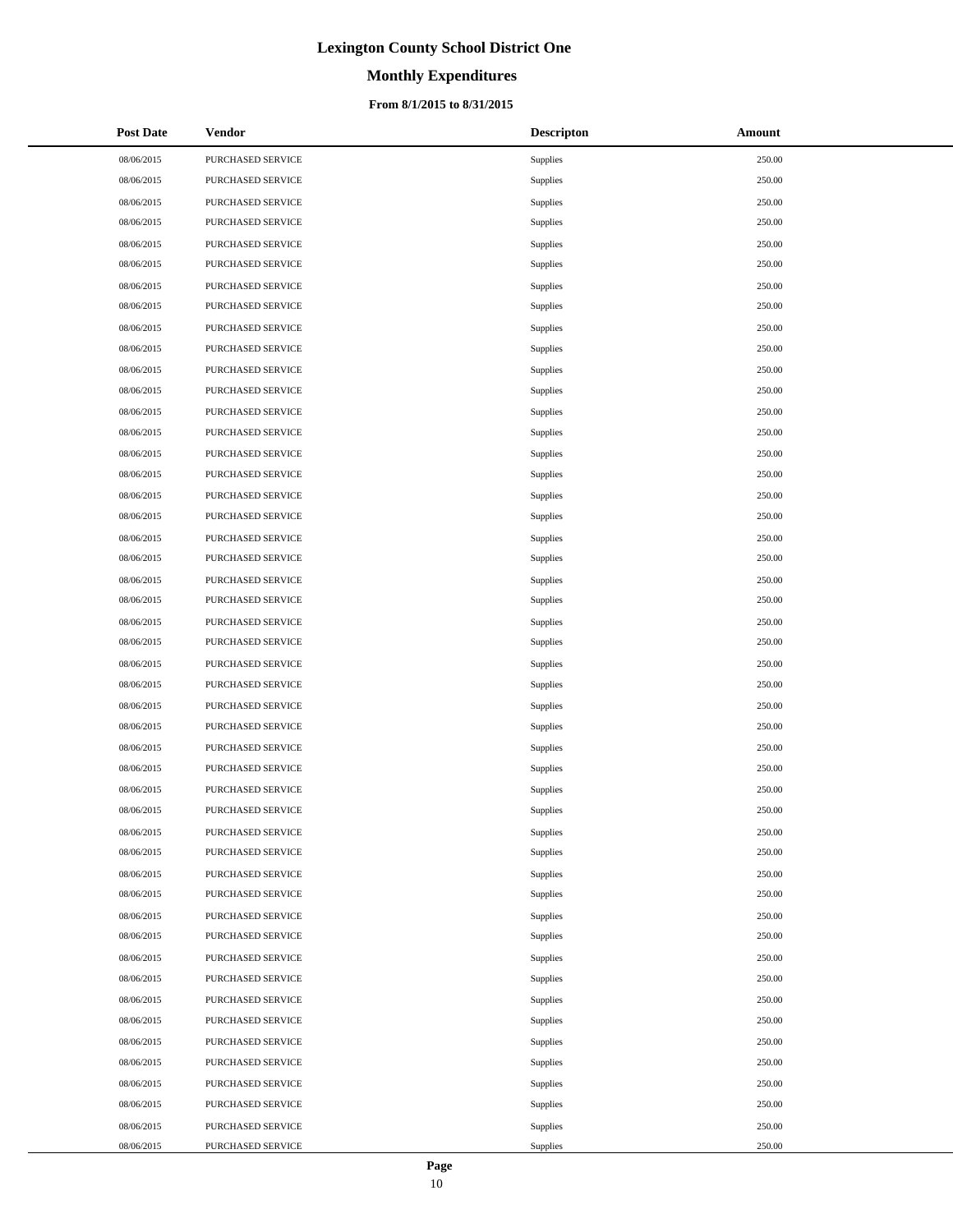# **Monthly Expenditures**

### **From 8/1/2015 to 8/31/2015**

| <b>Post Date</b> | Vendor            | <b>Descripton</b> | Amount |
|------------------|-------------------|-------------------|--------|
| 08/06/2015       | PURCHASED SERVICE | Supplies          | 250.00 |
| 08/06/2015       | PURCHASED SERVICE | Supplies          | 250.00 |
| 08/06/2015       | PURCHASED SERVICE | Supplies          | 250.00 |
| 08/06/2015       | PURCHASED SERVICE | Supplies          | 250.00 |
| 08/06/2015       | PURCHASED SERVICE | Supplies          | 250.00 |
| 08/06/2015       | PURCHASED SERVICE | Supplies          | 250.00 |
| 08/06/2015       | PURCHASED SERVICE | Supplies          | 250.00 |
| 08/06/2015       | PURCHASED SERVICE | Supplies          | 250.00 |
| 08/06/2015       | PURCHASED SERVICE | Supplies          | 250.00 |
| 08/06/2015       | PURCHASED SERVICE | Supplies          | 250.00 |
| 08/06/2015       | PURCHASED SERVICE | Supplies          | 250.00 |
| 08/06/2015       | PURCHASED SERVICE | Supplies          | 250.00 |
| 08/06/2015       | PURCHASED SERVICE | Supplies          | 250.00 |
| 08/06/2015       | PURCHASED SERVICE | Supplies          | 250.00 |
| 08/06/2015       | PURCHASED SERVICE | Supplies          | 250.00 |
| 08/06/2015       | PURCHASED SERVICE | Supplies          | 250.00 |
| 08/06/2015       | PURCHASED SERVICE | Supplies          | 250.00 |
| 08/06/2015       | PURCHASED SERVICE | Supplies          | 250.00 |
| 08/06/2015       | PURCHASED SERVICE | Supplies          | 250.00 |
| 08/06/2015       | PURCHASED SERVICE | Supplies          | 250.00 |
| 08/06/2015       | PURCHASED SERVICE | Supplies          | 250.00 |
| 08/06/2015       | PURCHASED SERVICE | Supplies          | 250.00 |
| 08/06/2015       | PURCHASED SERVICE | Supplies          | 250.00 |
| 08/06/2015       | PURCHASED SERVICE | Supplies          | 250.00 |
| 08/06/2015       | PURCHASED SERVICE | Supplies          | 250.00 |
| 08/06/2015       | PURCHASED SERVICE | Supplies          | 250.00 |
| 08/06/2015       | PURCHASED SERVICE | Supplies          | 250.00 |
| 08/06/2015       | PURCHASED SERVICE | Supplies          | 250.00 |
| 08/06/2015       | PURCHASED SERVICE | Supplies          | 250.00 |
| 08/06/2015       | PURCHASED SERVICE | Supplies          | 250.00 |
| 08/06/2015       | PURCHASED SERVICE | Supplies          | 250.00 |
| 08/06/2015       | PURCHASED SERVICE | Supplies          | 250.00 |
| 08/06/2015       | PURCHASED SERVICE | Supplies          | 250.00 |
| 08/06/2015       | PURCHASED SERVICE | Supplies          | 250.00 |
| 08/06/2015       | PURCHASED SERVICE | Supplies          | 250.00 |
| 08/06/2015       | PURCHASED SERVICE | Supplies          | 250.00 |
| 08/06/2015       | PURCHASED SERVICE | Supplies          | 250.00 |
| 08/06/2015       | PURCHASED SERVICE | Supplies          | 250.00 |
| 08/06/2015       | PURCHASED SERVICE | Supplies          | 250.00 |
| 08/06/2015       | PURCHASED SERVICE | Supplies          | 250.00 |
| 08/06/2015       | PURCHASED SERVICE | Supplies          | 250.00 |
| 08/06/2015       | PURCHASED SERVICE | Supplies          | 250.00 |
| 08/06/2015       | PURCHASED SERVICE | Supplies          | 250.00 |
| 08/06/2015       | PURCHASED SERVICE | Supplies          | 250.00 |
| 08/06/2015       | PURCHASED SERVICE | Supplies          | 250.00 |
| 08/06/2015       | PURCHASED SERVICE | Supplies          | 250.00 |
| 08/06/2015       | PURCHASED SERVICE | Supplies          | 250.00 |
| 08/06/2015       | PURCHASED SERVICE | Supplies          | 250.00 |

 $\overline{a}$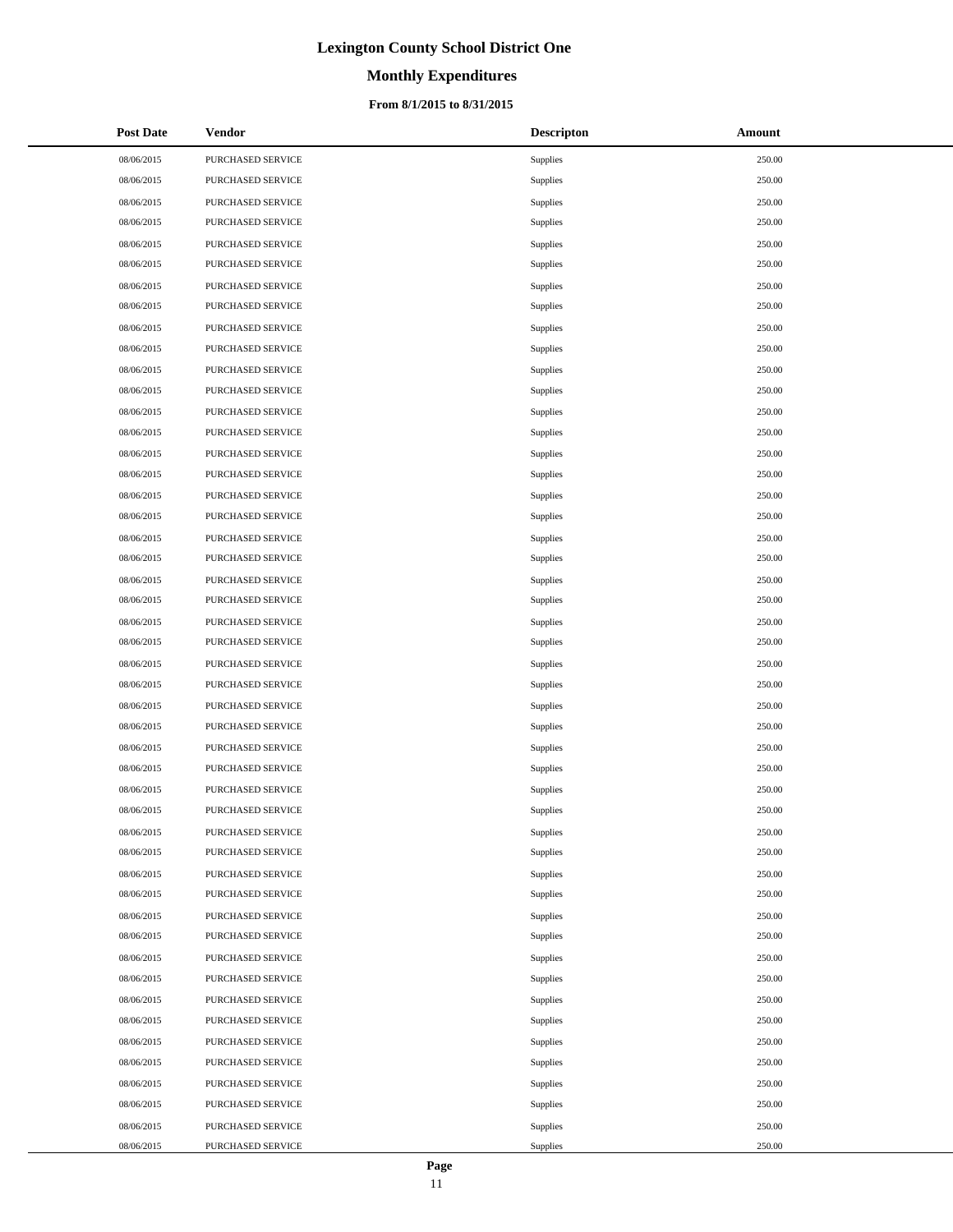# **Monthly Expenditures**

### **From 8/1/2015 to 8/31/2015**

| <b>Post Date</b> | Vendor            | <b>Descripton</b> | Amount |
|------------------|-------------------|-------------------|--------|
| 08/06/2015       | PURCHASED SERVICE | Supplies          | 250.00 |
| 08/06/2015       | PURCHASED SERVICE | Supplies          | 250.00 |
| 08/06/2015       | PURCHASED SERVICE | Supplies          | 250.00 |
| 08/06/2015       | PURCHASED SERVICE | Supplies          | 250.00 |
| 08/06/2015       | PURCHASED SERVICE | Supplies          | 250.00 |
| 08/06/2015       | PURCHASED SERVICE | Supplies          | 250.00 |
| 08/06/2015       | PURCHASED SERVICE | Supplies          | 250.00 |
| 08/06/2015       | PURCHASED SERVICE | Supplies          | 250.00 |
| 08/06/2015       | PURCHASED SERVICE | Supplies          | 250.00 |
| 08/06/2015       | PURCHASED SERVICE | Supplies          | 250.00 |
| 08/06/2015       | PURCHASED SERVICE | Supplies          | 250.00 |
| 08/06/2015       | PURCHASED SERVICE | Supplies          | 250.00 |
| 08/06/2015       | PURCHASED SERVICE | Supplies          | 250.00 |
| 08/06/2015       | PURCHASED SERVICE | Supplies          | 250.00 |
| 08/06/2015       | PURCHASED SERVICE | Supplies          | 250.00 |
| 08/06/2015       | PURCHASED SERVICE | Supplies          | 250.00 |
| 08/06/2015       | PURCHASED SERVICE | Supplies          | 250.00 |
| 08/06/2015       | PURCHASED SERVICE | Supplies          | 250.00 |
| 08/06/2015       | PURCHASED SERVICE | Supplies          | 250.00 |
| 08/06/2015       | PURCHASED SERVICE | Supplies          | 250.00 |
| 08/06/2015       | PURCHASED SERVICE | Supplies          | 250.00 |
| 08/06/2015       | PURCHASED SERVICE | Supplies          | 250.00 |
| 08/06/2015       | PURCHASED SERVICE | Supplies          | 250.00 |
| 08/06/2015       | PURCHASED SERVICE | Supplies          | 250.00 |
| 08/06/2015       | PURCHASED SERVICE | Supplies          | 250.00 |
| 08/06/2015       | PURCHASED SERVICE | Supplies          | 250.00 |
| 08/06/2015       | PURCHASED SERVICE | Supplies          | 250.00 |
| 08/06/2015       | PURCHASED SERVICE | Supplies          | 250.00 |
| 08/06/2015       | PURCHASED SERVICE | Supplies          | 250.00 |
| 08/06/2015       | PURCHASED SERVICE | Supplies          | 250.00 |
| 08/06/2015       | PURCHASED SERVICE | Supplies          | 250.00 |
| 08/06/2015       | PURCHASED SERVICE | Supplies          | 250.00 |
| 08/06/2015       | PURCHASED SERVICE | Supplies          | 250.00 |
| 08/06/2015       | PURCHASED SERVICE | Supplies          | 250.00 |
| 08/06/2015       | PURCHASED SERVICE | Supplies          | 250.00 |
| 08/06/2015       | PURCHASED SERVICE | Supplies          | 250.00 |
| 08/06/2015       | PURCHASED SERVICE | Supplies          | 250.00 |
| 08/06/2015       | PURCHASED SERVICE | Supplies          | 250.00 |
| 08/06/2015       | PURCHASED SERVICE | Supplies          | 250.00 |
| 08/06/2015       | PURCHASED SERVICE | Supplies          | 250.00 |
| 08/06/2015       | PURCHASED SERVICE | Supplies          | 250.00 |
| 08/06/2015       | PURCHASED SERVICE | Supplies          | 250.00 |
| 08/06/2015       | PURCHASED SERVICE | Supplies          | 250.00 |
| 08/06/2015       | PURCHASED SERVICE | Supplies          | 250.00 |
| 08/06/2015       | PURCHASED SERVICE | Supplies          | 250.00 |
| 08/06/2015       | PURCHASED SERVICE | Supplies          | 250.00 |
| 08/06/2015       | PURCHASED SERVICE | Supplies          | 250.00 |
| 08/06/2015       | PURCHASED SERVICE | Supplies          | 250.00 |

 $\overline{a}$ 

 $\overline{a}$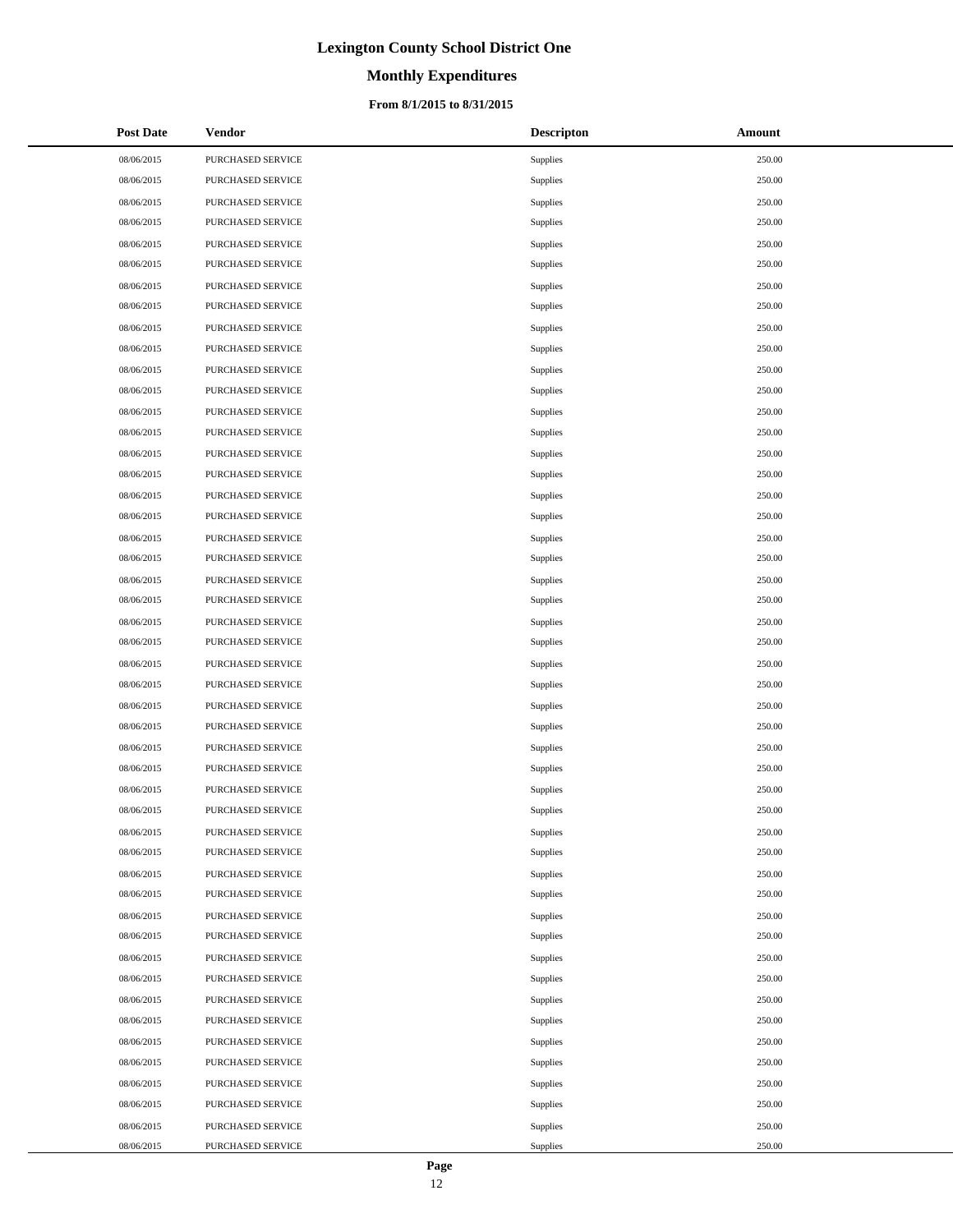# **Monthly Expenditures**

### **From 8/1/2015 to 8/31/2015**

| <b>Post Date</b> | <b>Vendor</b>     | <b>Descripton</b> | Amount |
|------------------|-------------------|-------------------|--------|
| 08/06/2015       | PURCHASED SERVICE | Supplies          | 250.00 |
| 08/06/2015       | PURCHASED SERVICE | Supplies          | 250.00 |
| 08/06/2015       | PURCHASED SERVICE | Supplies          | 250.00 |
| 08/06/2015       | PURCHASED SERVICE | Supplies          | 250.00 |
| 08/06/2015       | PURCHASED SERVICE | Supplies          | 250.00 |
| 08/06/2015       | PURCHASED SERVICE | Supplies          | 250.00 |
| 08/06/2015       | PURCHASED SERVICE | Supplies          | 250.00 |
| 08/06/2015       | PURCHASED SERVICE | Supplies          | 250.00 |
| 08/06/2015       | PURCHASED SERVICE | Supplies          | 250.00 |
| 08/06/2015       | PURCHASED SERVICE | Supplies          | 250.00 |
| 08/06/2015       | PURCHASED SERVICE | Supplies          | 250.00 |
| 08/06/2015       | PURCHASED SERVICE | Supplies          | 250.00 |
| 08/06/2015       | PURCHASED SERVICE | Supplies          | 250.00 |
| 08/06/2015       | PURCHASED SERVICE | Supplies          | 250.00 |
| 08/06/2015       | PURCHASED SERVICE | Supplies          | 250.00 |
| 08/06/2015       | PURCHASED SERVICE | Supplies          | 250.00 |
| 08/06/2015       | PURCHASED SERVICE | Supplies          | 250.00 |
| 08/06/2015       | PURCHASED SERVICE | Supplies          | 250.00 |
| 08/06/2015       | PURCHASED SERVICE | Supplies          | 250.00 |
| 08/06/2015       | PURCHASED SERVICE | Supplies          | 250.00 |
| 08/06/2015       | PURCHASED SERVICE | Supplies          | 250.00 |
| 08/06/2015       | PURCHASED SERVICE | Supplies          | 250.00 |
| 08/06/2015       | PURCHASED SERVICE | Supplies          | 250.00 |
| 08/06/2015       | PURCHASED SERVICE | Supplies          | 250.00 |
| 08/06/2015       | PURCHASED SERVICE | Supplies          | 250.00 |
| 08/06/2015       | PURCHASED SERVICE | Supplies          | 250.00 |
| 08/06/2015       | PURCHASED SERVICE | Supplies          | 250.00 |
| 08/06/2015       | PURCHASED SERVICE | Supplies          | 250.00 |
| 08/06/2015       | PURCHASED SERVICE | Supplies          | 250.00 |
| 08/06/2015       | PURCHASED SERVICE | Supplies          | 250.00 |
| 08/06/2015       | PURCHASED SERVICE | <b>Supplies</b>   | 250.00 |
| 08/06/2015       | PURCHASED SERVICE | Supplies          | 250.00 |
| 08/06/2015       | PURCHASED SERVICE | Supplies          | 250.00 |
| 08/06/2015       | PURCHASED SERVICE | Supplies          | 250.00 |
| 08/06/2015       | PURCHASED SERVICE | Supplies          | 250.00 |
| 08/06/2015       | PURCHASED SERVICE | Supplies          | 250.00 |
| 08/06/2015       | PURCHASED SERVICE | Supplies          | 250.00 |
| 08/06/2015       | PURCHASED SERVICE | Supplies          | 250.00 |
| 08/06/2015       | PURCHASED SERVICE | Supplies          | 250.00 |
| 08/06/2015       | PURCHASED SERVICE | Supplies          | 250.00 |
| 08/06/2015       | PURCHASED SERVICE | Supplies          | 250.00 |
| 08/06/2015       | PURCHASED SERVICE | Supplies          | 250.00 |
| 08/06/2015       | PURCHASED SERVICE | Supplies          | 250.00 |
| 08/06/2015       | PURCHASED SERVICE | Supplies          | 250.00 |
| 08/06/2015       | PURCHASED SERVICE | Supplies          | 250.00 |
| 08/06/2015       | PURCHASED SERVICE | Supplies          | 250.00 |
| 08/06/2015       | PURCHASED SERVICE | Supplies          | 250.00 |
| 08/06/2015       | PURCHASED SERVICE | Supplies          | 250.00 |

 $\overline{a}$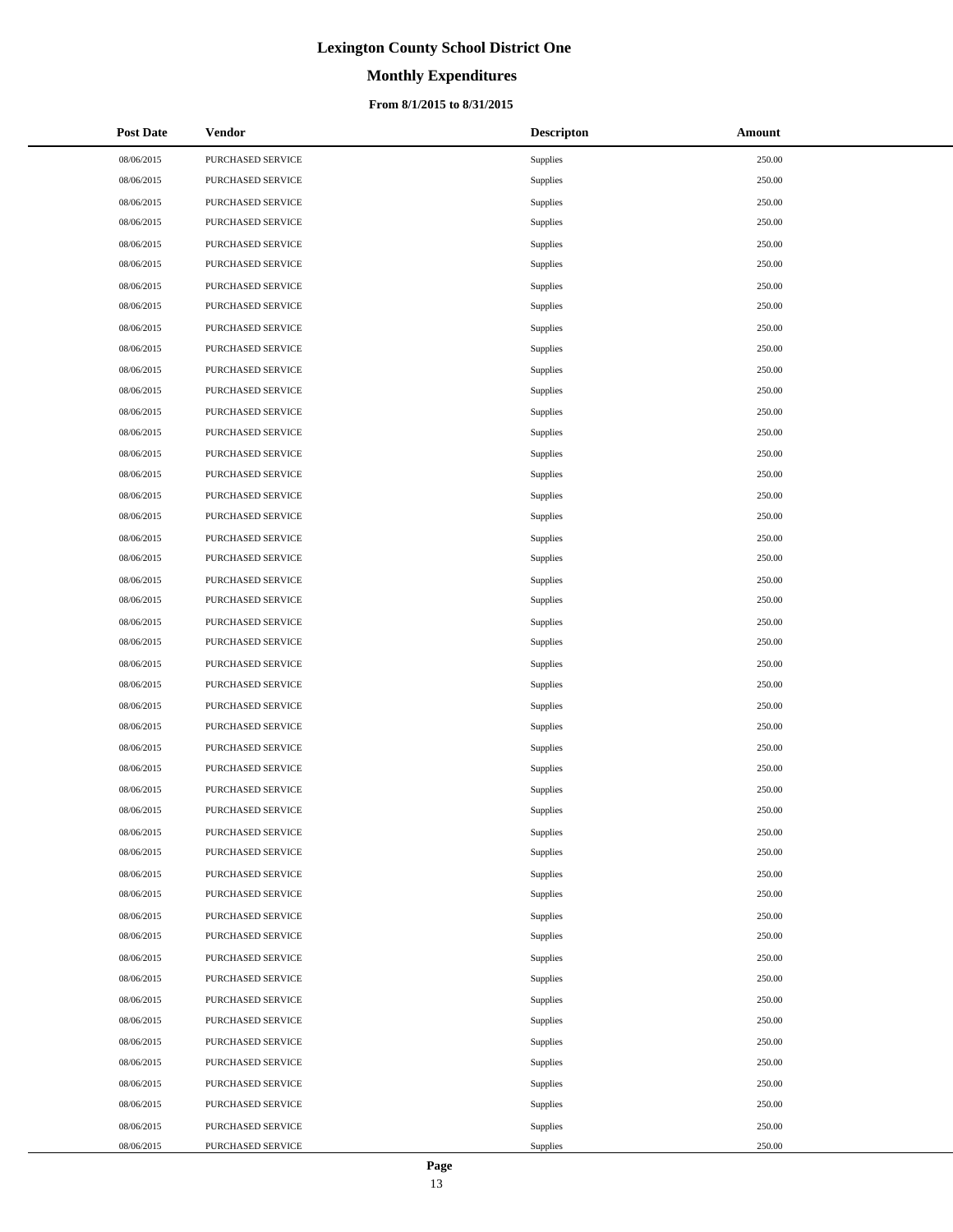# **Monthly Expenditures**

### **From 8/1/2015 to 8/31/2015**

| <b>Post Date</b> | Vendor            | <b>Descripton</b> | Amount |
|------------------|-------------------|-------------------|--------|
| 08/06/2015       | PURCHASED SERVICE | Supplies          | 250.00 |
| 08/06/2015       | PURCHASED SERVICE | Supplies          | 250.00 |
| 08/06/2015       | PURCHASED SERVICE | Supplies          | 250.00 |
| 08/06/2015       | PURCHASED SERVICE | Supplies          | 250.00 |
| 08/06/2015       | PURCHASED SERVICE | Supplies          | 250.00 |
| 08/06/2015       | PURCHASED SERVICE | Supplies          | 250.00 |
| 08/06/2015       | PURCHASED SERVICE | Supplies          | 250.00 |
| 08/06/2015       | PURCHASED SERVICE | Supplies          | 250.00 |
| 08/06/2015       | PURCHASED SERVICE | Supplies          | 250.00 |
| 08/06/2015       | PURCHASED SERVICE | Supplies          | 250.00 |
| 08/06/2015       | PURCHASED SERVICE | Supplies          | 250.00 |
| 08/06/2015       | PURCHASED SERVICE | Supplies          | 250.00 |
| 08/06/2015       | PURCHASED SERVICE | Supplies          | 250.00 |
| 08/06/2015       | PURCHASED SERVICE | Supplies          | 250.00 |
| 08/06/2015       | PURCHASED SERVICE | Supplies          | 250.00 |
| 08/06/2015       | PURCHASED SERVICE | Supplies          | 250.00 |
| 08/06/2015       | PURCHASED SERVICE | Supplies          | 250.00 |
| 08/06/2015       | PURCHASED SERVICE | Supplies          | 250.00 |
| 08/06/2015       | PURCHASED SERVICE | Supplies          | 250.00 |
| 08/06/2015       | PURCHASED SERVICE | Supplies          | 250.00 |
| 08/06/2015       | PURCHASED SERVICE | Supplies          | 250.00 |
| 08/06/2015       | PURCHASED SERVICE | Supplies          | 250.00 |
| 08/06/2015       | PURCHASED SERVICE | Supplies          | 250.00 |
| 08/06/2015       | PURCHASED SERVICE | Supplies          | 250.00 |
| 08/06/2015       | PURCHASED SERVICE | Supplies          | 250.00 |
| 08/06/2015       | PURCHASED SERVICE | Supplies          | 250.00 |
| 08/06/2015       | PURCHASED SERVICE | Supplies          | 250.00 |
| 08/06/2015       | PURCHASED SERVICE | Supplies          | 250.00 |
| 08/06/2015       | PURCHASED SERVICE | Supplies          | 250.00 |
| 08/06/2015       | PURCHASED SERVICE | Supplies          | 250.00 |
| 08/06/2015       | PURCHASED SERVICE | Supplies          | 250.00 |
| 08/06/2015       | PURCHASED SERVICE | Supplies          | 250.00 |
| 08/06/2015       | PURCHASED SERVICE | Supplies          | 250.00 |
| 08/06/2015       | PURCHASED SERVICE | Supplies          | 250.00 |
| 08/06/2015       | PURCHASED SERVICE | Supplies          | 250.00 |
| 08/06/2015       | PURCHASED SERVICE | Supplies          | 250.00 |
| 08/06/2015       | PURCHASED SERVICE | Supplies          | 250.00 |
| 08/06/2015       | PURCHASED SERVICE | Supplies          | 250.00 |
| 08/06/2015       | PURCHASED SERVICE | Supplies          | 250.00 |
| 08/06/2015       | PURCHASED SERVICE | Supplies          | 250.00 |
| 08/06/2015       | PURCHASED SERVICE | Supplies          | 250.00 |
| 08/06/2015       | PURCHASED SERVICE | Supplies          | 250.00 |
| 08/06/2015       | PURCHASED SERVICE | Supplies          | 250.00 |
| 08/06/2015       | PURCHASED SERVICE | Supplies          | 250.00 |
| 08/06/2015       | PURCHASED SERVICE | Supplies          | 250.00 |
| 08/06/2015       | PURCHASED SERVICE | Supplies          | 250.00 |
| 08/06/2015       | PURCHASED SERVICE | Supplies          | 250.00 |
| 08/06/2015       | PURCHASED SERVICE | Supplies          | 250.00 |

 $\overline{a}$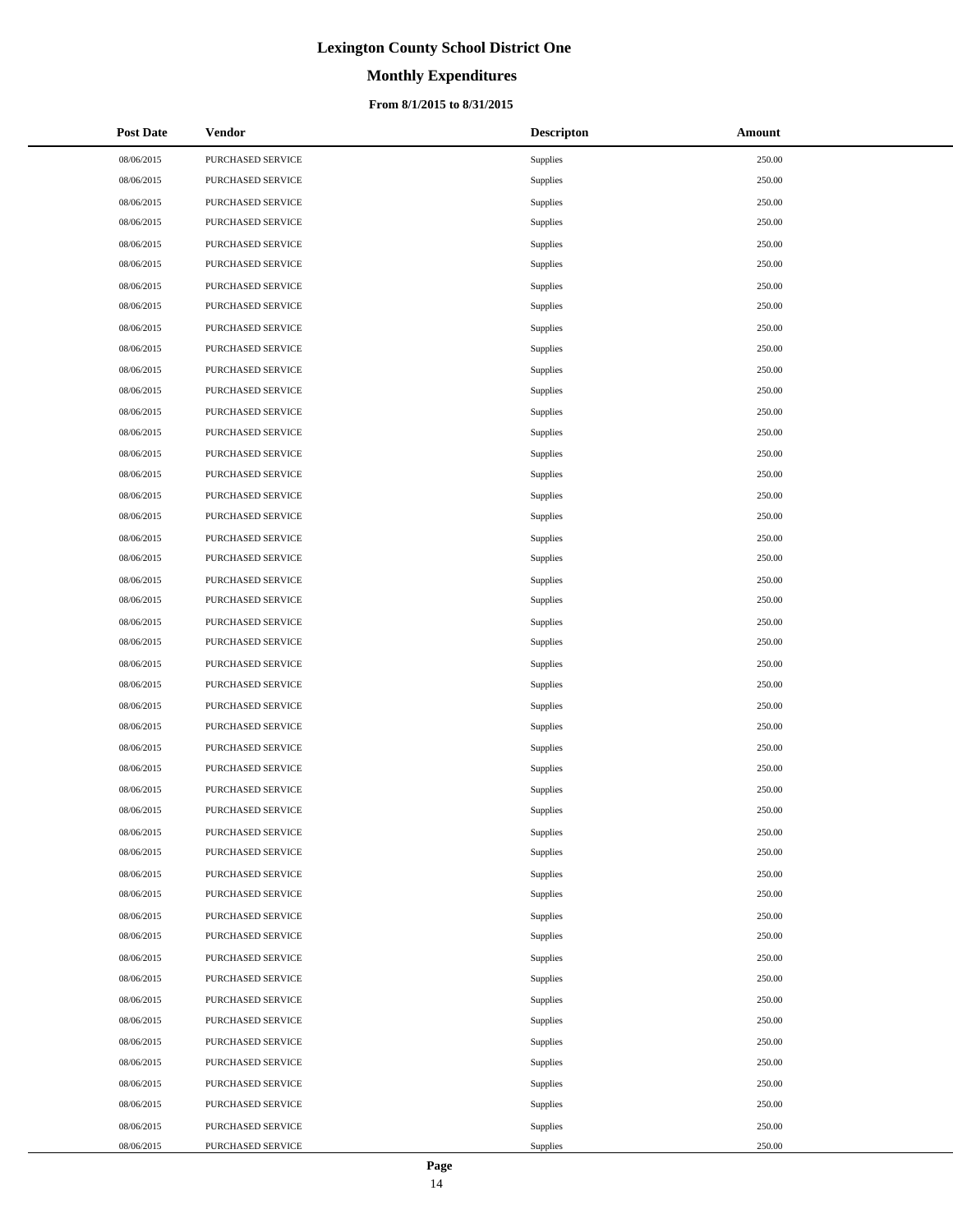# **Monthly Expenditures**

### **From 8/1/2015 to 8/31/2015**

| <b>Post Date</b> | <b>Vendor</b>     | <b>Descripton</b> | Amount |
|------------------|-------------------|-------------------|--------|
| 08/06/2015       | PURCHASED SERVICE | Supplies          | 250.00 |
| 08/06/2015       | PURCHASED SERVICE | Supplies          | 250.00 |
| 08/06/2015       | PURCHASED SERVICE | Supplies          | 250.00 |
| 08/06/2015       | PURCHASED SERVICE | Supplies          | 250.00 |
| 08/06/2015       | PURCHASED SERVICE | Supplies          | 250.00 |
| 08/06/2015       | PURCHASED SERVICE | Supplies          | 250.00 |
| 08/06/2015       | PURCHASED SERVICE | Supplies          | 250.00 |
| 08/06/2015       | PURCHASED SERVICE | Supplies          | 250.00 |
| 08/06/2015       | PURCHASED SERVICE | Supplies          | 250.00 |
| 08/06/2015       | PURCHASED SERVICE | Supplies          | 250.00 |
| 08/06/2015       | PURCHASED SERVICE | Supplies          | 250.00 |
| 08/06/2015       | PURCHASED SERVICE | Supplies          | 250.00 |
| 08/06/2015       | PURCHASED SERVICE | Supplies          | 250.00 |
| 08/06/2015       | PURCHASED SERVICE | Supplies          | 250.00 |
| 08/06/2015       | PURCHASED SERVICE | Supplies          | 250.00 |
| 08/06/2015       | PURCHASED SERVICE | Supplies          | 250.00 |
| 08/06/2015       | PURCHASED SERVICE | Supplies          | 250.00 |
| 08/06/2015       | PURCHASED SERVICE | Supplies          | 250.00 |
| 08/06/2015       | PURCHASED SERVICE | Supplies          | 250.00 |
| 08/06/2015       | PURCHASED SERVICE | Supplies          | 250.00 |
| 08/06/2015       | PURCHASED SERVICE | Supplies          | 250.00 |
| 08/06/2015       | PURCHASED SERVICE | Supplies          | 250.00 |
| 08/06/2015       | PURCHASED SERVICE | Supplies          | 250.00 |
| 08/06/2015       | PURCHASED SERVICE | Supplies          | 250.00 |
| 08/06/2015       | PURCHASED SERVICE | Supplies          | 250.00 |
| 08/06/2015       | PURCHASED SERVICE | Supplies          | 250.00 |
| 08/06/2015       | PURCHASED SERVICE | Supplies          | 250.00 |
| 08/06/2015       | PURCHASED SERVICE | Supplies          | 250.00 |
| 08/06/2015       | PURCHASED SERVICE | Supplies          | 250.00 |
| 08/06/2015       | PURCHASED SERVICE | Supplies          | 250.00 |
| 08/06/2015       | PURCHASED SERVICE | <b>Supplies</b>   | 250.00 |
| 08/06/2015       | PURCHASED SERVICE | Supplies          | 250.00 |
| 08/06/2015       | PURCHASED SERVICE | Supplies          | 250.00 |
| 08/06/2015       | PURCHASED SERVICE | Supplies          | 250.00 |
| 08/06/2015       | PURCHASED SERVICE | Supplies          | 250.00 |
| 08/06/2015       | PURCHASED SERVICE | Supplies          | 250.00 |
| 08/06/2015       | PURCHASED SERVICE | Supplies          | 250.00 |
| 08/06/2015       | PURCHASED SERVICE | Supplies          | 250.00 |
| 08/06/2015       | PURCHASED SERVICE | Supplies          | 250.00 |
| 08/06/2015       | PURCHASED SERVICE | Supplies          | 250.00 |
| 08/06/2015       | PURCHASED SERVICE | Supplies          | 250.00 |
| 08/06/2015       | PURCHASED SERVICE | Supplies          | 250.00 |
| 08/06/2015       | PURCHASED SERVICE | Supplies          | 250.00 |
| 08/06/2015       | PURCHASED SERVICE | Supplies          | 250.00 |
| 08/06/2015       | PURCHASED SERVICE | Supplies          | 250.00 |
| 08/06/2015       | PURCHASED SERVICE | Supplies          | 250.00 |
| 08/06/2015       | PURCHASED SERVICE | Supplies          | 250.00 |
| 08/06/2015       | PURCHASED SERVICE | Supplies          | 250.00 |

 $\overline{a}$ 

 $\overline{a}$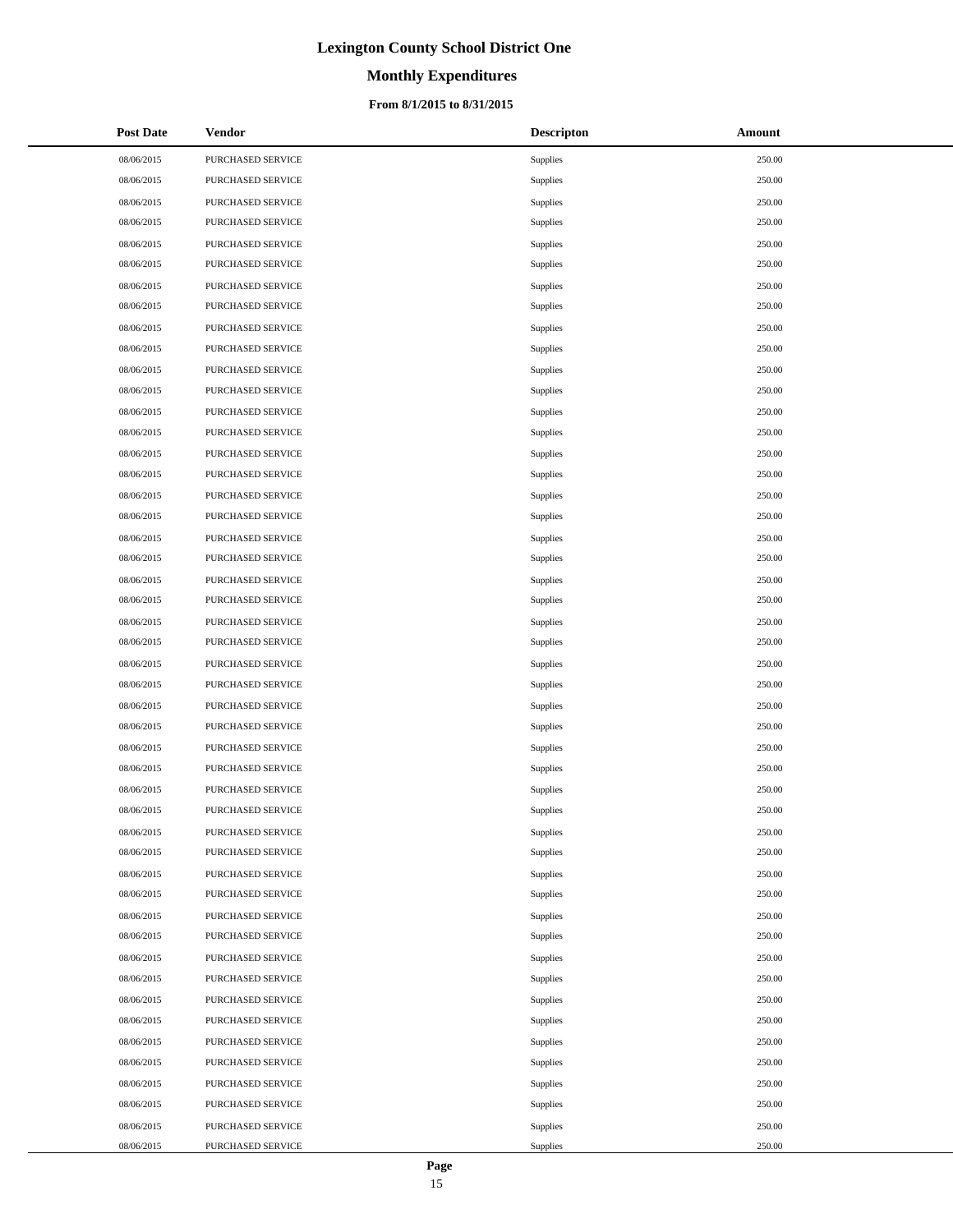# **Monthly Expenditures**

### **From 8/1/2015 to 8/31/2015**

| <b>Post Date</b> | Vendor            | <b>Descripton</b> | Amount |
|------------------|-------------------|-------------------|--------|
| 08/06/2015       | PURCHASED SERVICE | Supplies          | 250.00 |
| 08/06/2015       | PURCHASED SERVICE | Supplies          | 250.00 |
| 08/06/2015       | PURCHASED SERVICE | Supplies          | 250.00 |
| 08/06/2015       | PURCHASED SERVICE | Supplies          | 250.00 |
| 08/06/2015       | PURCHASED SERVICE | Supplies          | 250.00 |
| 08/06/2015       | PURCHASED SERVICE | Supplies          | 250.00 |
| 08/06/2015       | PURCHASED SERVICE | Supplies          | 250.00 |
| 08/06/2015       | PURCHASED SERVICE | Supplies          | 250.00 |
| 08/06/2015       | PURCHASED SERVICE | Supplies          | 250.00 |
| 08/06/2015       | PURCHASED SERVICE | Supplies          | 250.00 |
| 08/06/2015       | PURCHASED SERVICE | Supplies          | 250.00 |
| 08/06/2015       | PURCHASED SERVICE | Supplies          | 250.00 |
| 08/06/2015       | PURCHASED SERVICE | Supplies          | 250.00 |
| 08/06/2015       | PURCHASED SERVICE | Supplies          | 250.00 |
| 08/06/2015       | PURCHASED SERVICE | Supplies          | 250.00 |
| 08/06/2015       | PURCHASED SERVICE | Supplies          | 250.00 |
| 08/06/2015       | PURCHASED SERVICE | Supplies          | 250.00 |
| 08/06/2015       | PURCHASED SERVICE | Supplies          | 250.00 |
| 08/06/2015       | PURCHASED SERVICE | Supplies          | 250.00 |
| 08/06/2015       | PURCHASED SERVICE | Supplies          | 250.00 |
| 08/06/2015       | PURCHASED SERVICE | Supplies          | 250.00 |
| 08/06/2015       | PURCHASED SERVICE | Supplies          | 250.00 |
| 08/06/2015       | PURCHASED SERVICE | Supplies          | 250.00 |
| 08/06/2015       | PURCHASED SERVICE | Supplies          | 250.00 |
| 08/06/2015       | PURCHASED SERVICE | Supplies          | 250.00 |
| 08/06/2015       | PURCHASED SERVICE | Supplies          | 250.00 |
| 08/06/2015       | PURCHASED SERVICE | Supplies          | 250.00 |
| 08/06/2015       | PURCHASED SERVICE | Supplies          | 250.00 |
| 08/06/2015       | PURCHASED SERVICE | Supplies          | 250.00 |
| 08/06/2015       | PURCHASED SERVICE | Supplies          | 250.00 |
| 08/06/2015       | PURCHASED SERVICE | Supplies          | 250.00 |
| 08/06/2015       | PURCHASED SERVICE | Supplies          | 250.00 |
| 08/06/2015       | PURCHASED SERVICE | Supplies          | 250.00 |
| 08/06/2015       | PURCHASED SERVICE | Supplies          | 250.00 |
| 08/06/2015       | PURCHASED SERVICE | Supplies          | 250.00 |
| 08/06/2015       | PURCHASED SERVICE | Supplies          | 250.00 |
| 08/06/2015       | PURCHASED SERVICE | Supplies          | 250.00 |
| 08/06/2015       | PURCHASED SERVICE | Supplies          | 250.00 |
| 08/06/2015       | PURCHASED SERVICE | Supplies          | 250.00 |
| 08/06/2015       | PURCHASED SERVICE | Supplies          | 250.00 |
| 08/06/2015       | PURCHASED SERVICE | Supplies          | 250.00 |
| 08/06/2015       | PURCHASED SERVICE | Supplies          | 250.00 |
| 08/06/2015       | PURCHASED SERVICE | Supplies          | 250.00 |
| 08/06/2015       | PURCHASED SERVICE | Supplies          | 250.00 |
| 08/06/2015       | PURCHASED SERVICE | Supplies          | 250.00 |
| 08/06/2015       | PURCHASED SERVICE | Supplies          | 250.00 |
| 08/06/2015       | PURCHASED SERVICE | Supplies          | 250.00 |
| 08/06/2015       | PURCHASED SERVICE | Supplies          | 250.00 |

 $\overline{a}$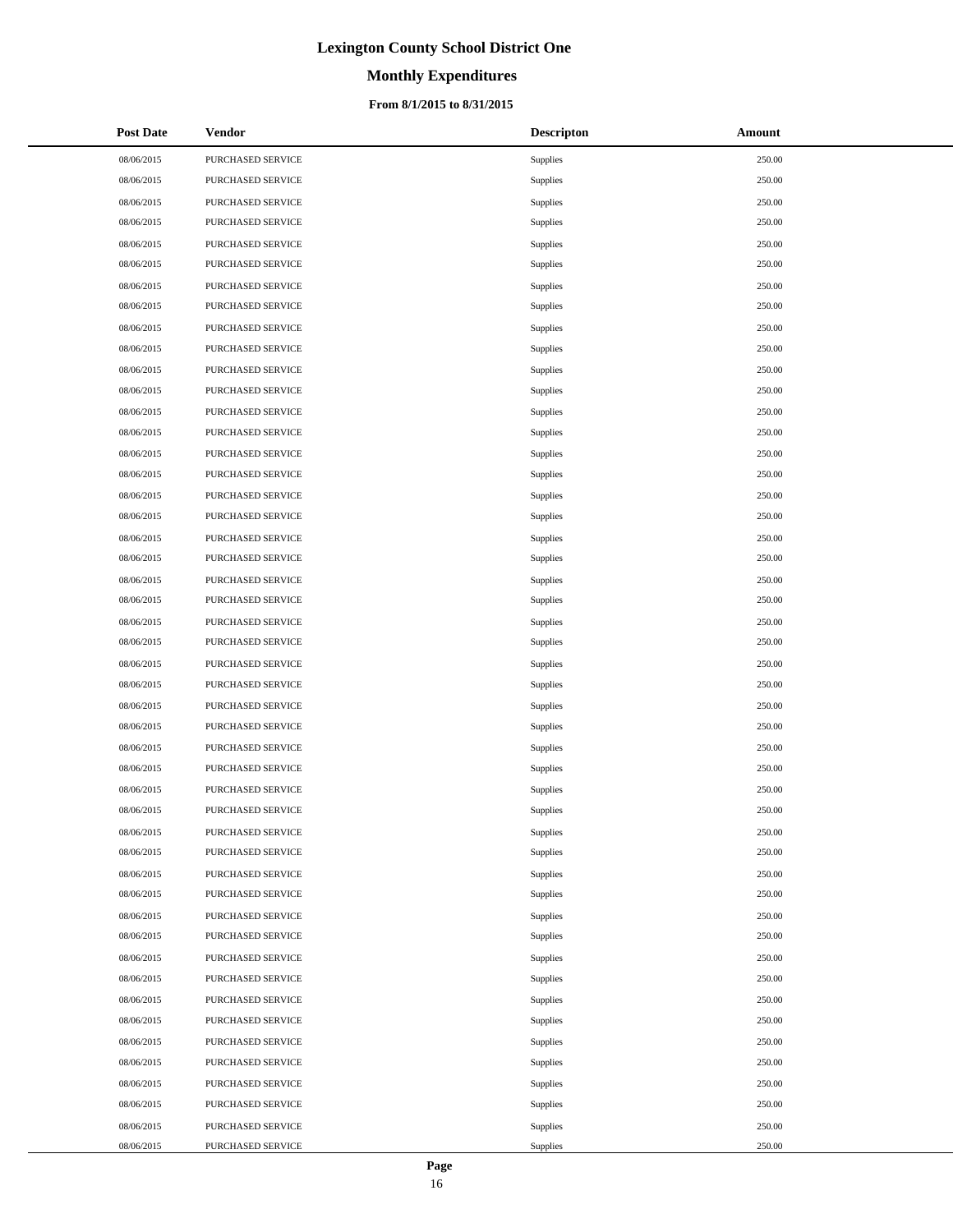# **Monthly Expenditures**

### **From 8/1/2015 to 8/31/2015**

| <b>Post Date</b> | Vendor            | <b>Descripton</b> | Amount |
|------------------|-------------------|-------------------|--------|
| 08/06/2015       | PURCHASED SERVICE | Supplies          | 250.00 |
| 08/06/2015       | PURCHASED SERVICE | Supplies          | 250.00 |
| 08/06/2015       | PURCHASED SERVICE | Supplies          | 250.00 |
| 08/06/2015       | PURCHASED SERVICE | Supplies          | 250.00 |
| 08/06/2015       | PURCHASED SERVICE | Supplies          | 250.00 |
| 08/06/2015       | PURCHASED SERVICE | Supplies          | 250.00 |
| 08/06/2015       | PURCHASED SERVICE | Supplies          | 250.00 |
| 08/06/2015       | PURCHASED SERVICE | Supplies          | 250.00 |
| 08/06/2015       | PURCHASED SERVICE | Supplies          | 250.00 |
| 08/06/2015       | PURCHASED SERVICE | Supplies          | 250.00 |
| 08/06/2015       | PURCHASED SERVICE | Supplies          | 250.00 |
| 08/06/2015       | PURCHASED SERVICE | Supplies          | 250.00 |
| 08/06/2015       | PURCHASED SERVICE | Supplies          | 250.00 |
| 08/06/2015       | PURCHASED SERVICE | Supplies          | 250.00 |
| 08/06/2015       | PURCHASED SERVICE | Supplies          | 250.00 |
| 08/06/2015       | PURCHASED SERVICE | Supplies          | 250.00 |
| 08/06/2015       | PURCHASED SERVICE | Supplies          | 250.00 |
| 08/06/2015       | PURCHASED SERVICE | Supplies          | 250.00 |
| 08/06/2015       | PURCHASED SERVICE | Supplies          | 250.00 |
| 08/06/2015       | PURCHASED SERVICE | Supplies          | 250.00 |
| 08/06/2015       | PURCHASED SERVICE | Supplies          | 250.00 |
| 08/06/2015       | PURCHASED SERVICE | Supplies          | 250.00 |
| 08/06/2015       | PURCHASED SERVICE | Supplies          | 250.00 |
| 08/06/2015       | PURCHASED SERVICE | Supplies          | 250.00 |
| 08/06/2015       | PURCHASED SERVICE | Supplies          | 250.00 |
| 08/06/2015       | PURCHASED SERVICE | Supplies          | 250.00 |
| 08/06/2015       | PURCHASED SERVICE | Supplies          | 250.00 |
| 08/06/2015       | PURCHASED SERVICE | Supplies          | 250.00 |
| 08/06/2015       | PURCHASED SERVICE | Supplies          | 250.00 |
| 08/06/2015       | PURCHASED SERVICE | Supplies          | 250.00 |
| 08/06/2015       | PURCHASED SERVICE | Supplies          | 250.00 |
| 08/06/2015       | PURCHASED SERVICE | Supplies          | 250.00 |
| 08/06/2015       | PURCHASED SERVICE | Supplies          | 250.00 |
| 08/06/2015       | PURCHASED SERVICE | Supplies          | 250.00 |
| 08/06/2015       | PURCHASED SERVICE | Supplies          | 250.00 |
| 08/06/2015       | PURCHASED SERVICE | Supplies          | 250.00 |
| 08/06/2015       | PURCHASED SERVICE | Supplies          | 250.00 |
| 08/06/2015       | PURCHASED SERVICE | Supplies          | 250.00 |
| 08/06/2015       | PURCHASED SERVICE | Supplies          | 250.00 |
| 08/06/2015       | PURCHASED SERVICE | Supplies          | 250.00 |
| 08/06/2015       | PURCHASED SERVICE | Supplies          | 250.00 |
| 08/06/2015       | PURCHASED SERVICE | Supplies          | 250.00 |
| 08/06/2015       | PURCHASED SERVICE | Supplies          | 250.00 |
| 08/06/2015       | PURCHASED SERVICE | Supplies          | 250.00 |
| 08/06/2015       | PURCHASED SERVICE | Supplies          | 250.00 |
| 08/06/2015       | PURCHASED SERVICE | Supplies          | 250.00 |
| 08/06/2015       | PURCHASED SERVICE | Supplies          | 250.00 |
| 08/06/2015       | PURCHASED SERVICE | Supplies          | 250.00 |

 $\overline{a}$ 

 $\overline{a}$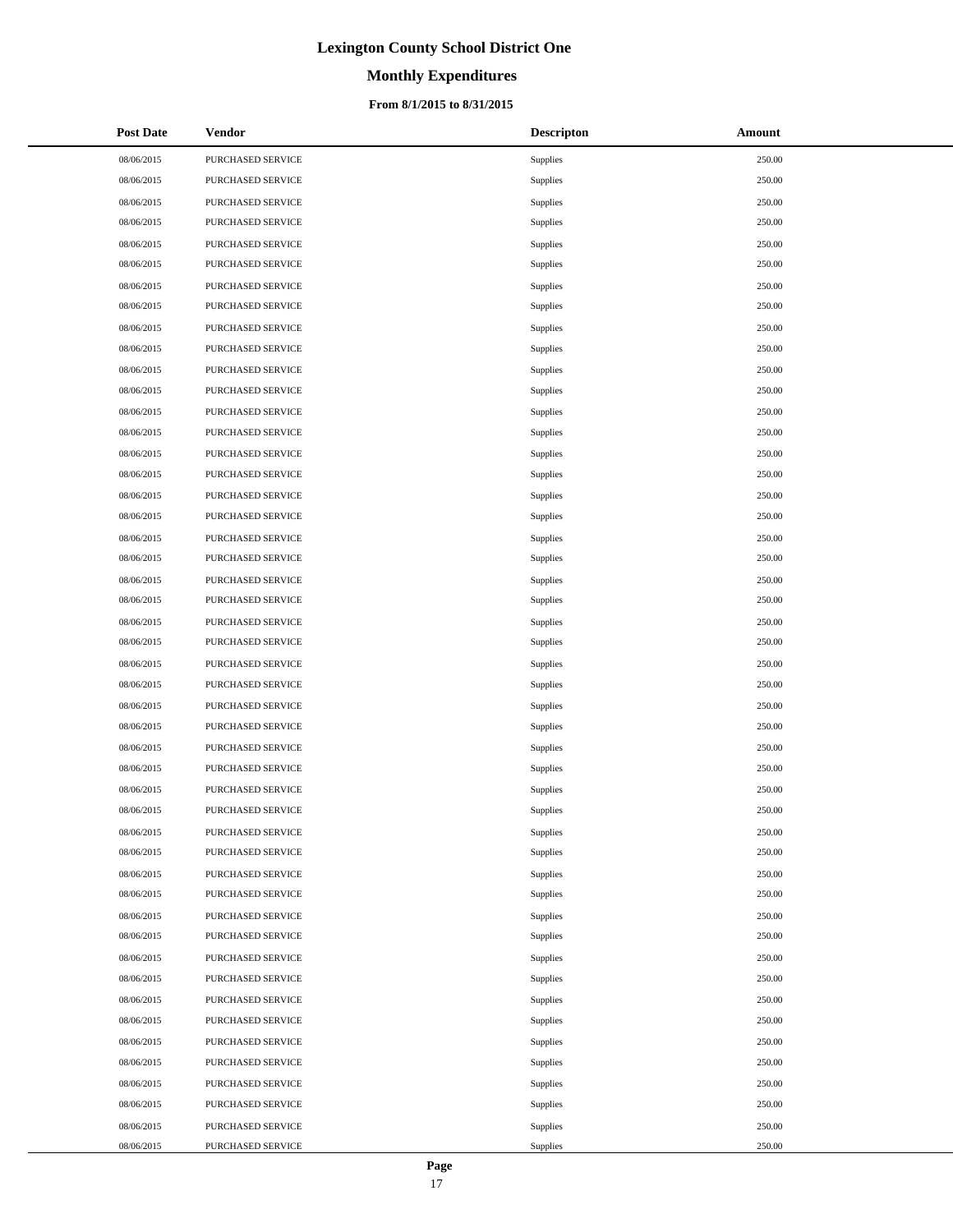# **Monthly Expenditures**

## **From 8/1/2015 to 8/31/2015**

| <b>Post Date</b> | Vendor            | <b>Descripton</b> | Amount |
|------------------|-------------------|-------------------|--------|
| 08/06/2015       | PURCHASED SERVICE | Supplies          | 250.00 |
| 08/06/2015       | PURCHASED SERVICE | Supplies          | 250.00 |
| 08/06/2015       | PURCHASED SERVICE | Supplies          | 250.00 |
| 08/06/2015       | PURCHASED SERVICE | Supplies          | 250.00 |
| 08/06/2015       | PURCHASED SERVICE | Supplies          | 250.00 |
| 08/06/2015       | PURCHASED SERVICE | Supplies          | 250.00 |
| 08/06/2015       | PURCHASED SERVICE | Supplies          | 250.00 |
| 08/06/2015       | PURCHASED SERVICE | Supplies          | 250.00 |
| 08/06/2015       | PURCHASED SERVICE | Supplies          | 250.00 |
| 08/06/2015       | PURCHASED SERVICE | Supplies          | 250.00 |
| 08/06/2015       | PURCHASED SERVICE | Supplies          | 250.00 |
| 08/06/2015       | PURCHASED SERVICE | Supplies          | 250.00 |
| 08/06/2015       | PURCHASED SERVICE | Supplies          | 250.00 |
| 08/06/2015       | PURCHASED SERVICE | Supplies          | 250.00 |
| 08/06/2015       | PURCHASED SERVICE | Supplies          | 250.00 |
| 08/06/2015       | PURCHASED SERVICE | Supplies          | 250.00 |
| 08/06/2015       | PURCHASED SERVICE | Supplies          | 250.00 |
| 08/06/2015       | PURCHASED SERVICE | Supplies          | 250.00 |
| 08/06/2015       | PURCHASED SERVICE | Supplies          | 250.00 |
| 08/06/2015       | PURCHASED SERVICE | Supplies          | 250.00 |
| 08/06/2015       | PURCHASED SERVICE | Supplies          | 250.00 |
| 08/06/2015       | PURCHASED SERVICE | Supplies          | 250.00 |
| 08/06/2015       | PURCHASED SERVICE | Supplies          | 250.00 |
| 08/06/2015       | PURCHASED SERVICE | Supplies          | 250.00 |
| 08/06/2015       | PURCHASED SERVICE | Supplies          | 250.00 |
| 08/06/2015       | PURCHASED SERVICE | Supplies          | 250.00 |
| 08/06/2015       | PURCHASED SERVICE | Supplies          | 250.00 |
| 08/06/2015       | PURCHASED SERVICE | Supplies          | 250.00 |
| 08/06/2015       | PURCHASED SERVICE | Supplies          | 250.00 |
| 08/06/2015       | PURCHASED SERVICE | Supplies          | 250.00 |
| 08/06/2015       | PURCHASED SERVICE | Supplies          | 250.00 |
| 08/06/2015       | PURCHASED SERVICE | Supplies          | 250.00 |
| 08/06/2015       | PURCHASED SERVICE | Supplies          | 250.00 |
| 08/06/2015       | PURCHASED SERVICE | Supplies          | 250.00 |
| 08/06/2015       | PURCHASED SERVICE | Supplies          | 250.00 |
| 08/06/2015       | PURCHASED SERVICE | Supplies          | 250.00 |
| 08/06/2015       | PURCHASED SERVICE | Supplies          | 250.00 |
| 08/06/2015       | PURCHASED SERVICE | Supplies          | 250.00 |
| 08/06/2015       | PURCHASED SERVICE | Supplies          | 250.00 |
| 08/06/2015       | PURCHASED SERVICE | Supplies          | 250.00 |
| 08/06/2015       | PURCHASED SERVICE | Supplies          | 250.00 |
| 08/06/2015       | PURCHASED SERVICE | Supplies          | 250.00 |
| 08/06/2015       | PURCHASED SERVICE | Supplies          | 250.00 |
| 08/06/2015       | PURCHASED SERVICE | Supplies          | 250.00 |
| 08/06/2015       | PURCHASED SERVICE | Supplies          | 250.00 |
| 08/06/2015       | PURCHASED SERVICE | Supplies          | 250.00 |
| 08/06/2015       | PURCHASED SERVICE | Supplies          | 250.00 |
| 08/06/2015       | PURCHASED SERVICE | Supplies          | 250.00 |

 $\overline{a}$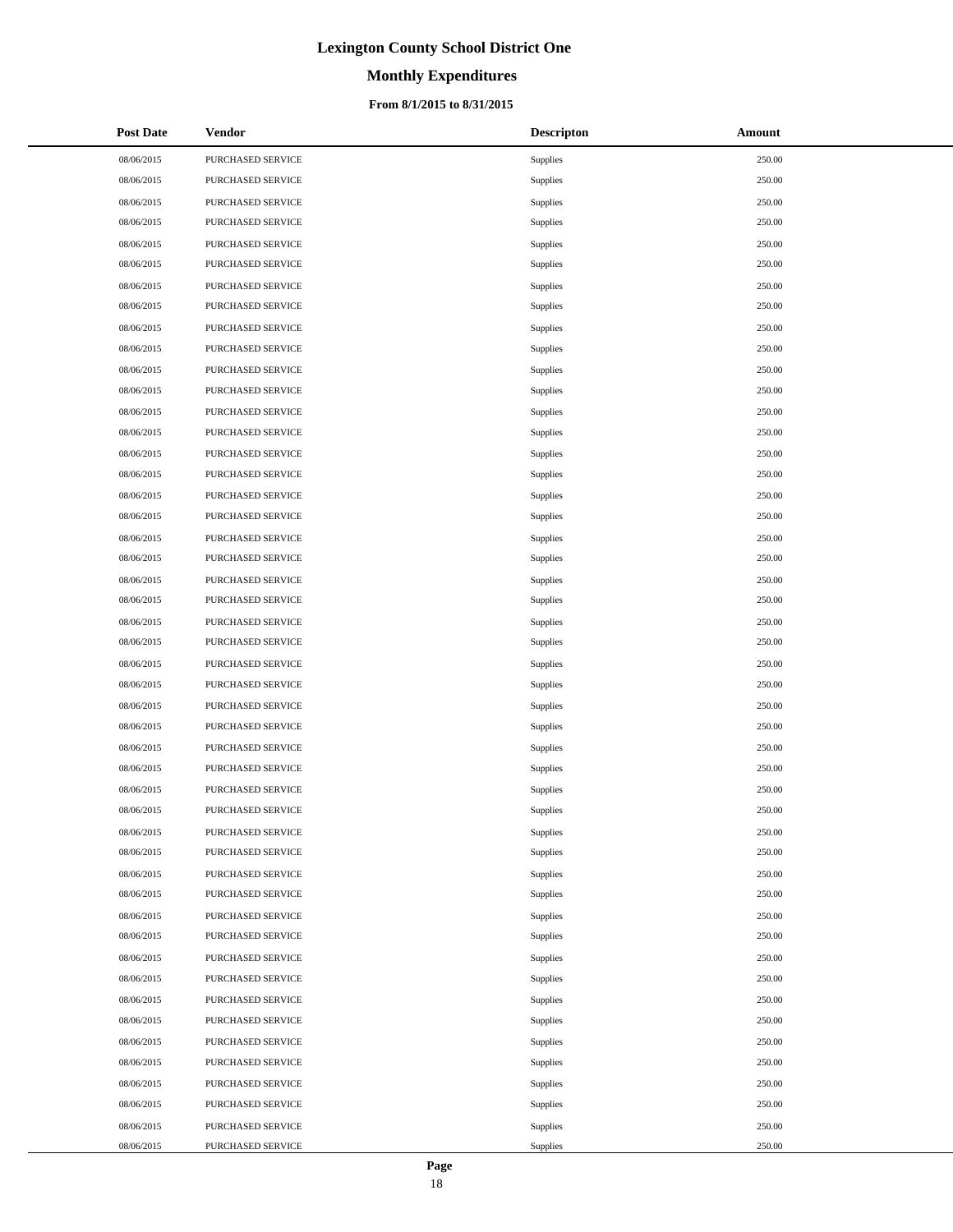# **Monthly Expenditures**

### **From 8/1/2015 to 8/31/2015**

| <b>Post Date</b> | <b>Vendor</b>     | <b>Descripton</b> | Amount |
|------------------|-------------------|-------------------|--------|
| 08/06/2015       | PURCHASED SERVICE | Supplies          | 250.00 |
| 08/06/2015       | PURCHASED SERVICE | Supplies          | 250.00 |
| 08/06/2015       | PURCHASED SERVICE | Supplies          | 250.00 |
| 08/06/2015       | PURCHASED SERVICE | Supplies          | 250.00 |
| 08/06/2015       | PURCHASED SERVICE | Supplies          | 250.00 |
| 08/06/2015       | PURCHASED SERVICE | Supplies          | 250.00 |
| 08/06/2015       | PURCHASED SERVICE | Supplies          | 250.00 |
| 08/06/2015       | PURCHASED SERVICE | Supplies          | 250.00 |
| 08/06/2015       | PURCHASED SERVICE | Supplies          | 250.00 |
| 08/06/2015       | PURCHASED SERVICE | Supplies          | 250.00 |
| 08/06/2015       | PURCHASED SERVICE | Supplies          | 250.00 |
| 08/06/2015       | PURCHASED SERVICE | Supplies          | 250.00 |
| 08/06/2015       | PURCHASED SERVICE | Supplies          | 250.00 |
| 08/06/2015       | PURCHASED SERVICE | Supplies          | 250.00 |
| 08/06/2015       | PURCHASED SERVICE | Supplies          | 250.00 |
| 08/06/2015       | PURCHASED SERVICE | Supplies          | 250.00 |
| 08/06/2015       | PURCHASED SERVICE | Supplies          | 250.00 |
| 08/06/2015       | PURCHASED SERVICE | Supplies          | 250.00 |
| 08/06/2015       | PURCHASED SERVICE | Supplies          | 250.00 |
| 08/06/2015       | PURCHASED SERVICE | Supplies          | 250.00 |
| 08/06/2015       | PURCHASED SERVICE | Supplies          | 250.00 |
| 08/06/2015       | PURCHASED SERVICE | Supplies          | 250.00 |
| 08/06/2015       | PURCHASED SERVICE | Supplies          | 250.00 |
| 08/06/2015       | PURCHASED SERVICE | Supplies          | 250.00 |
| 08/06/2015       | PURCHASED SERVICE | Supplies          | 250.00 |
| 08/06/2015       | PURCHASED SERVICE | Supplies          | 250.00 |
| 08/06/2015       | PURCHASED SERVICE | Supplies          | 250.00 |
| 08/06/2015       | PURCHASED SERVICE | Supplies          | 250.00 |
| 08/06/2015       | PURCHASED SERVICE | Supplies          | 250.00 |
| 08/06/2015       | PURCHASED SERVICE | Supplies          | 250.00 |
| 08/06/2015       | PURCHASED SERVICE | <b>Supplies</b>   | 250.00 |
| 08/06/2015       | PURCHASED SERVICE | Supplies          | 250.00 |
| 08/06/2015       | PURCHASED SERVICE | Supplies          | 250.00 |
| 08/06/2015       | PURCHASED SERVICE | Supplies          | 250.00 |
| 08/06/2015       | PURCHASED SERVICE | Supplies          | 250.00 |
| 08/06/2015       | PURCHASED SERVICE | Supplies          | 250.00 |
| 08/06/2015       | PURCHASED SERVICE | Supplies          | 250.00 |
| 08/06/2015       | PURCHASED SERVICE | Supplies          | 250.00 |
| 08/06/2015       | PURCHASED SERVICE | Supplies          | 250.00 |
| 08/06/2015       | PURCHASED SERVICE | Supplies          | 250.00 |
| 08/06/2015       | PURCHASED SERVICE | Supplies          | 250.00 |
| 08/06/2015       | PURCHASED SERVICE | Supplies          | 250.00 |
| 08/06/2015       | PURCHASED SERVICE | Supplies          | 250.00 |
| 08/06/2015       | PURCHASED SERVICE | Supplies          | 250.00 |
| 08/06/2015       | PURCHASED SERVICE | Supplies          | 250.00 |
| 08/06/2015       | PURCHASED SERVICE | Supplies          | 250.00 |
| 08/06/2015       | PURCHASED SERVICE | Supplies          | 250.00 |
| 08/06/2015       | PURCHASED SERVICE | Supplies          | 250.00 |

 $\overline{a}$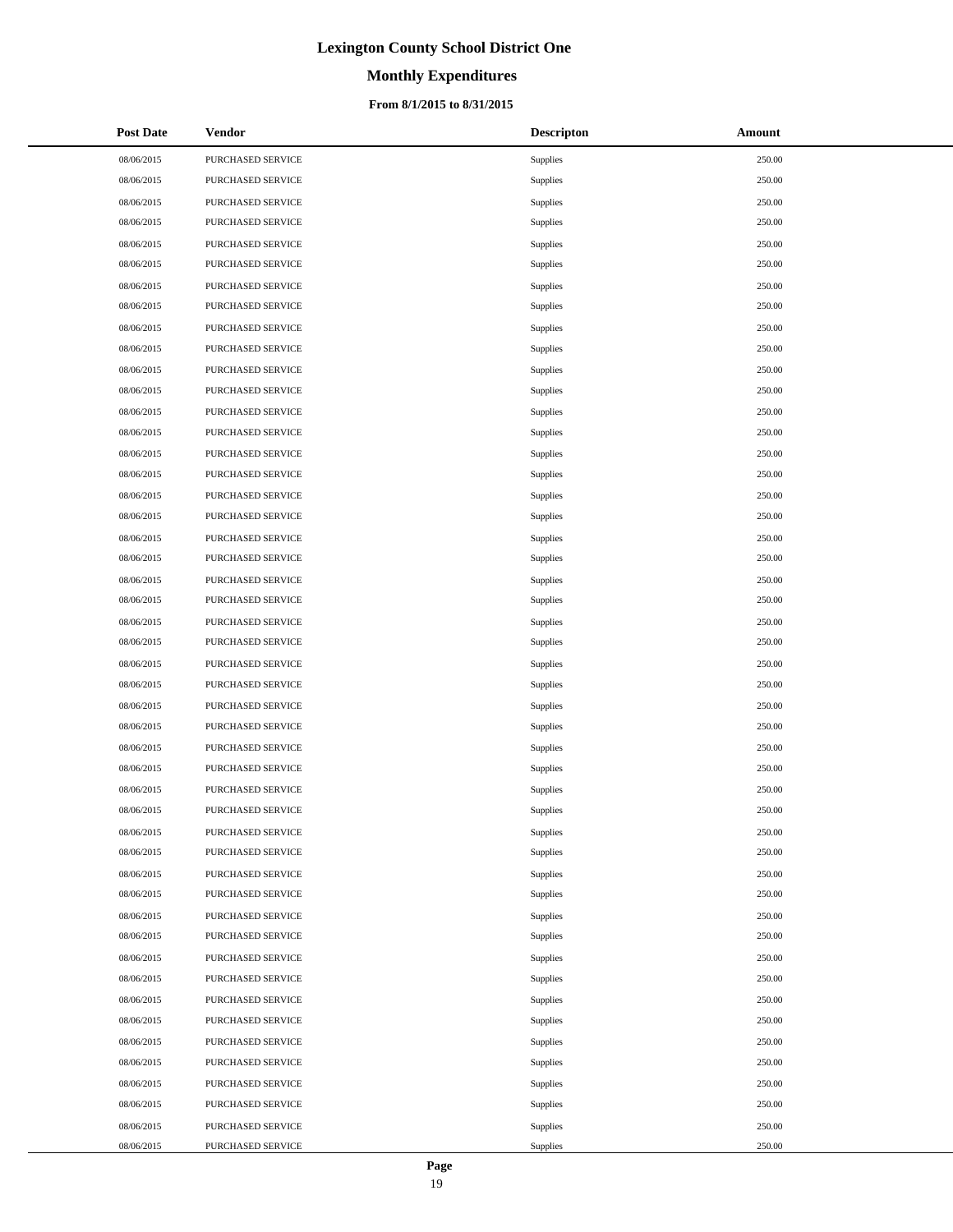# **Monthly Expenditures**

### **From 8/1/2015 to 8/31/2015**

| <b>Post Date</b> | Vendor            | <b>Descripton</b> | Amount |
|------------------|-------------------|-------------------|--------|
| 08/06/2015       | PURCHASED SERVICE | Supplies          | 250.00 |
| 08/06/2015       | PURCHASED SERVICE | Supplies          | 250.00 |
| 08/06/2015       | PURCHASED SERVICE | Supplies          | 250.00 |
| 08/06/2015       | PURCHASED SERVICE | Supplies          | 250.00 |
| 08/06/2015       | PURCHASED SERVICE | Supplies          | 250.00 |
| 08/06/2015       | PURCHASED SERVICE | Supplies          | 250.00 |
| 08/06/2015       | PURCHASED SERVICE | Supplies          | 250.00 |
| 08/06/2015       | PURCHASED SERVICE | Supplies          | 250.00 |
| 08/06/2015       | PURCHASED SERVICE | Supplies          | 250.00 |
| 08/06/2015       | PURCHASED SERVICE | Supplies          | 250.00 |
| 08/06/2015       | PURCHASED SERVICE | Supplies          | 250.00 |
| 08/06/2015       | PURCHASED SERVICE | Supplies          | 250.00 |
| 08/06/2015       | PURCHASED SERVICE | Supplies          | 250.00 |
| 08/06/2015       | PURCHASED SERVICE | Supplies          | 250.00 |
| 08/06/2015       | PURCHASED SERVICE | Supplies          | 250.00 |
| 08/06/2015       | PURCHASED SERVICE | Supplies          | 250.00 |
| 08/06/2015       | PURCHASED SERVICE | Supplies          | 250.00 |
| 08/06/2015       | PURCHASED SERVICE | Supplies          | 250.00 |
| 08/06/2015       | PURCHASED SERVICE | Supplies          | 250.00 |
| 08/06/2015       | PURCHASED SERVICE | Supplies          | 250.00 |
| 08/06/2015       | PURCHASED SERVICE | Supplies          | 250.00 |
| 08/06/2015       | PURCHASED SERVICE | Supplies          | 250.00 |
| 08/06/2015       | PURCHASED SERVICE | Supplies          | 250.00 |
| 08/06/2015       | PURCHASED SERVICE | Supplies          | 250.00 |
| 08/06/2015       | PURCHASED SERVICE | Supplies          | 250.00 |
| 08/06/2015       | PURCHASED SERVICE | Supplies          | 250.00 |
| 08/06/2015       | PURCHASED SERVICE | Supplies          | 250.00 |
| 08/06/2015       | PURCHASED SERVICE | Supplies          | 250.00 |
| 08/06/2015       | PURCHASED SERVICE | Supplies          | 250.00 |
| 08/06/2015       | PURCHASED SERVICE | Supplies          | 250.00 |
| 08/06/2015       | PURCHASED SERVICE | Supplies          | 250.00 |
| 08/06/2015       | PURCHASED SERVICE | Supplies          | 250.00 |
| 08/06/2015       | PURCHASED SERVICE | Supplies          | 250.00 |
| 08/06/2015       | PURCHASED SERVICE | Supplies          | 250.00 |
| 08/06/2015       | PURCHASED SERVICE | Supplies          | 250.00 |
| 08/06/2015       | PURCHASED SERVICE | Supplies          | 250.00 |
| 08/06/2015       | PURCHASED SERVICE | Supplies          | 250.00 |
| 08/06/2015       | PURCHASED SERVICE | Supplies          | 250.00 |
| 08/06/2015       | PURCHASED SERVICE | Supplies          | 250.00 |
| 08/06/2015       | PURCHASED SERVICE | Supplies          | 250.00 |
| 08/06/2015       | PURCHASED SERVICE | Supplies          | 250.00 |
| 08/06/2015       | PURCHASED SERVICE | Supplies          | 250.00 |
| 08/06/2015       | PURCHASED SERVICE | Supplies          | 250.00 |
| 08/06/2015       | PURCHASED SERVICE | Supplies          | 250.00 |
| 08/06/2015       | PURCHASED SERVICE | Supplies          | 250.00 |
| 08/06/2015       | PURCHASED SERVICE | Supplies          | 250.00 |
| 08/06/2015       | PURCHASED SERVICE | Supplies          | 250.00 |
| 08/06/2015       | PURCHASED SERVICE | Supplies          | 250.00 |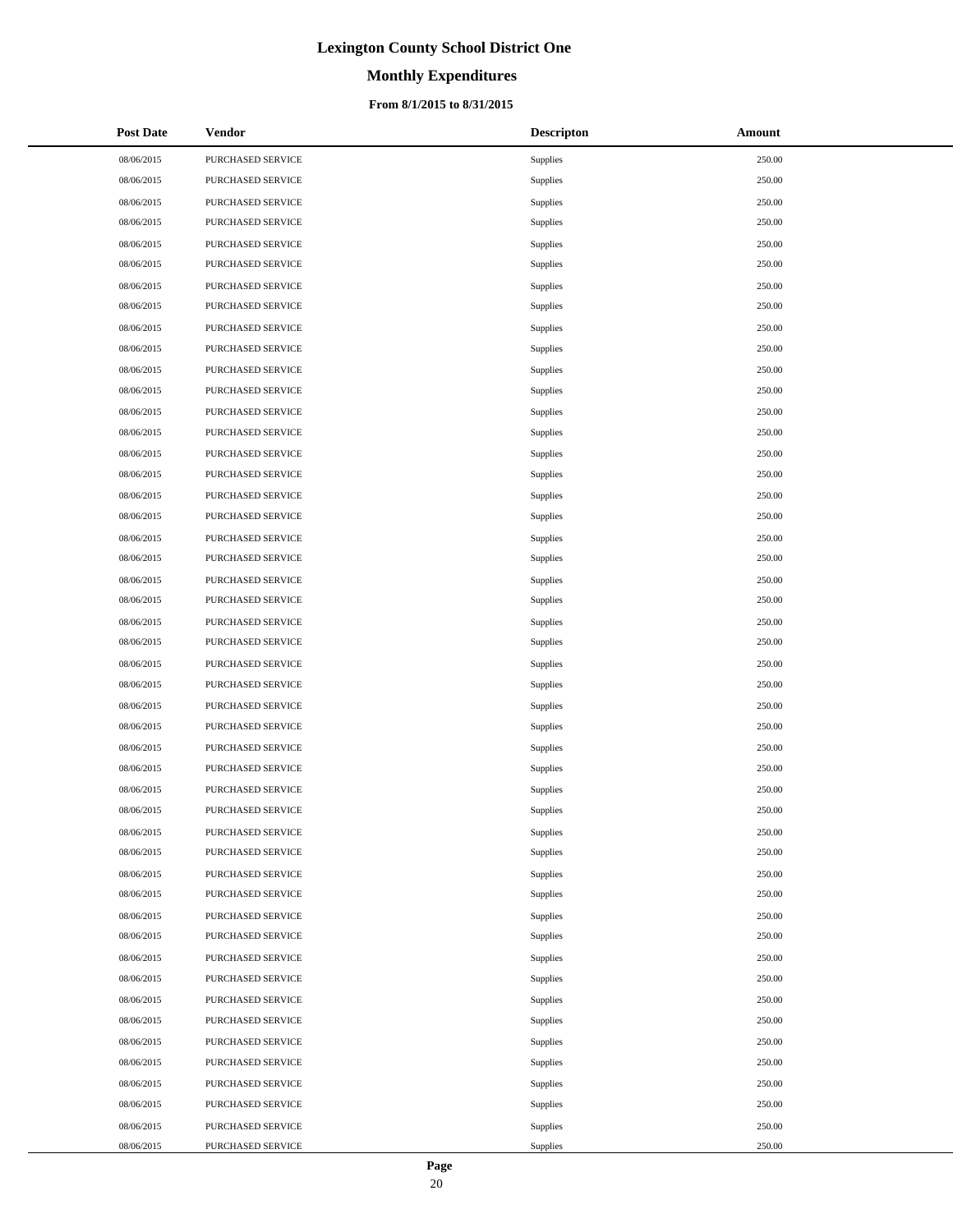# **Monthly Expenditures**

### **From 8/1/2015 to 8/31/2015**

| <b>Post Date</b> | Vendor            | <b>Descripton</b> | Amount |
|------------------|-------------------|-------------------|--------|
| 08/06/2015       | PURCHASED SERVICE | Supplies          | 250.00 |
| 08/06/2015       | PURCHASED SERVICE | Supplies          | 250.00 |
| 08/06/2015       | PURCHASED SERVICE | Supplies          | 250.00 |
| 08/06/2015       | PURCHASED SERVICE | Supplies          | 250.00 |
| 08/06/2015       | PURCHASED SERVICE | Supplies          | 250.00 |
| 08/06/2015       | PURCHASED SERVICE | Supplies          | 250.00 |
| 08/06/2015       | PURCHASED SERVICE | Supplies          | 250.00 |
| 08/06/2015       | PURCHASED SERVICE | Supplies          | 250.00 |
| 08/06/2015       | PURCHASED SERVICE | Supplies          | 250.00 |
| 08/06/2015       | PURCHASED SERVICE | Supplies          | 250.00 |
| 08/06/2015       | PURCHASED SERVICE | Supplies          | 250.00 |
| 08/06/2015       | PURCHASED SERVICE | Supplies          | 250.00 |
| 08/06/2015       | PURCHASED SERVICE | Supplies          | 250.00 |
| 08/06/2015       | PURCHASED SERVICE | Supplies          | 250.00 |
| 08/06/2015       | PURCHASED SERVICE | Supplies          | 250.00 |
| 08/06/2015       | PURCHASED SERVICE | Supplies          | 250.00 |
| 08/06/2015       | PURCHASED SERVICE | Supplies          | 250.00 |
| 08/06/2015       | PURCHASED SERVICE | Supplies          | 250.00 |
| 08/06/2015       | PURCHASED SERVICE | Supplies          | 250.00 |
| 08/06/2015       | PURCHASED SERVICE | Supplies          | 250.00 |
| 08/06/2015       | PURCHASED SERVICE | Supplies          | 250.00 |
| 08/06/2015       | PURCHASED SERVICE | Supplies          | 250.00 |
| 08/06/2015       | PURCHASED SERVICE | Supplies          | 250.00 |
| 08/06/2015       | PURCHASED SERVICE | Supplies          | 250.00 |
| 08/06/2015       | PURCHASED SERVICE | Supplies          | 250.00 |
| 08/06/2015       | PURCHASED SERVICE | Supplies          | 250.00 |
| 08/06/2015       | PURCHASED SERVICE | Supplies          | 250.00 |
| 08/06/2015       | PURCHASED SERVICE | Supplies          | 250.00 |
| 08/06/2015       | PURCHASED SERVICE | Supplies          | 250.00 |
| 08/06/2015       | PURCHASED SERVICE | Supplies          | 250.00 |
| 08/06/2015       | PURCHASED SERVICE | Supplies          | 250.00 |
| 08/06/2015       | PURCHASED SERVICE | Supplies          | 250.00 |
| 08/06/2015       | PURCHASED SERVICE | Supplies          | 250.00 |
| 08/06/2015       | PURCHASED SERVICE | Supplies          | 250.00 |
| 08/06/2015       | PURCHASED SERVICE | Supplies          | 250.00 |
| 08/06/2015       | PURCHASED SERVICE | Supplies          | 250.00 |
| 08/06/2015       | PURCHASED SERVICE | Supplies          | 250.00 |
| 08/06/2015       | PURCHASED SERVICE | Supplies          | 250.00 |
| 08/06/2015       | PURCHASED SERVICE | Supplies          | 250.00 |
| 08/06/2015       | PURCHASED SERVICE | Supplies          | 250.00 |
| 08/06/2015       | PURCHASED SERVICE | Supplies          | 250.00 |
| 08/06/2015       | PURCHASED SERVICE | Supplies          | 250.00 |
| 08/06/2015       | PURCHASED SERVICE | Supplies          | 250.00 |
| 08/06/2015       | PURCHASED SERVICE | Supplies          | 250.00 |
| 08/06/2015       | PURCHASED SERVICE | Supplies          | 250.00 |
| 08/06/2015       | PURCHASED SERVICE | Supplies          | 250.00 |
| 08/06/2015       | PURCHASED SERVICE | Supplies          | 250.00 |
| 08/06/2015       | PURCHASED SERVICE | Supplies          | 250.00 |

 $\overline{a}$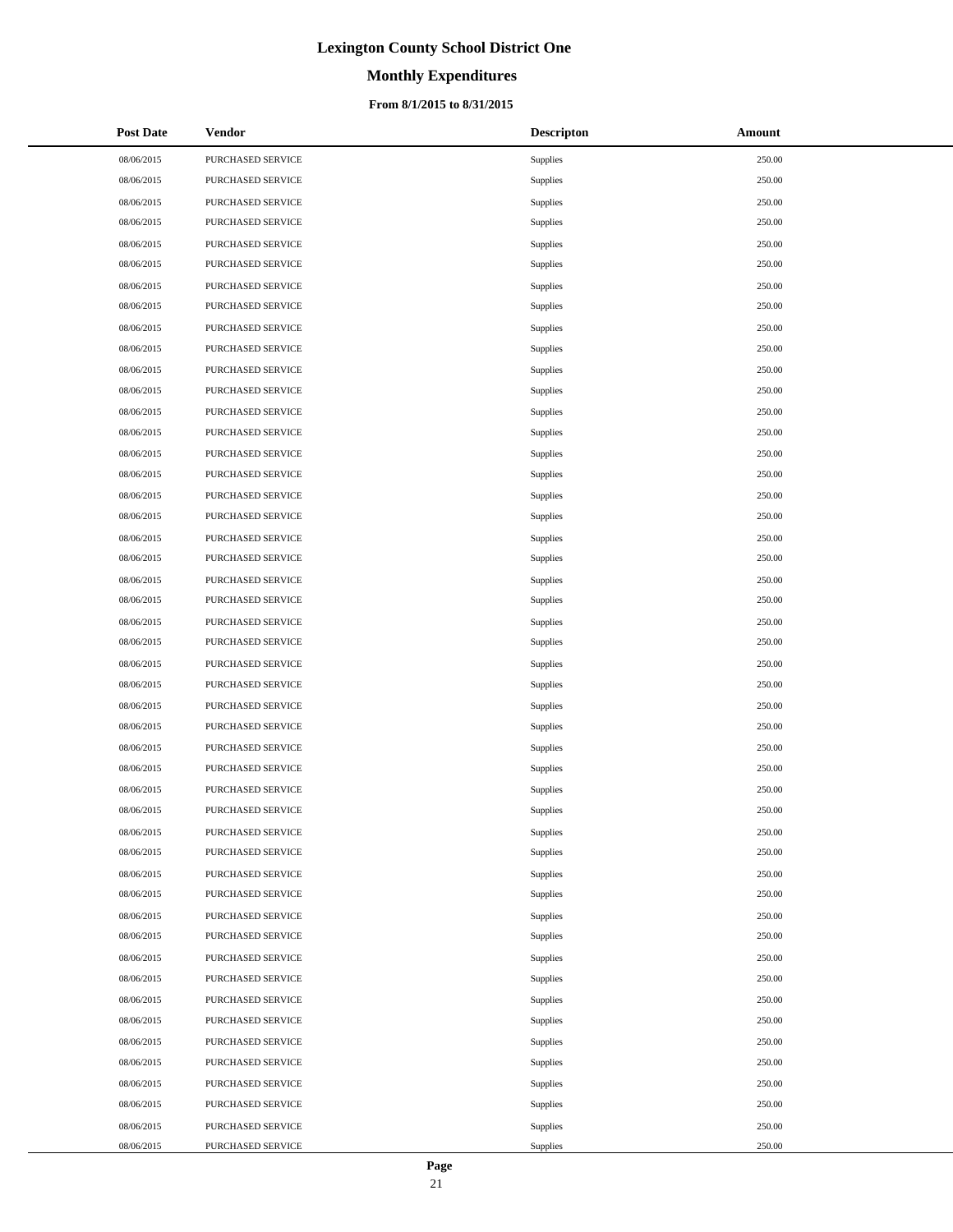# **Monthly Expenditures**

### **From 8/1/2015 to 8/31/2015**

| <b>Post Date</b> | Vendor            | <b>Descripton</b> | Amount |
|------------------|-------------------|-------------------|--------|
| 08/06/2015       | PURCHASED SERVICE | Supplies          | 250.00 |
| 08/06/2015       | PURCHASED SERVICE | Supplies          | 250.00 |
| 08/06/2015       | PURCHASED SERVICE | Supplies          | 250.00 |
| 08/06/2015       | PURCHASED SERVICE | Supplies          | 250.00 |
| 08/06/2015       | PURCHASED SERVICE | Supplies          | 250.00 |
| 08/06/2015       | PURCHASED SERVICE | Supplies          | 250.00 |
| 08/06/2015       | PURCHASED SERVICE | Supplies          | 250.00 |
| 08/06/2015       | PURCHASED SERVICE | Supplies          | 250.00 |
| 08/06/2015       | PURCHASED SERVICE | Supplies          | 250.00 |
| 08/06/2015       | PURCHASED SERVICE | Supplies          | 250.00 |
| 08/06/2015       | PURCHASED SERVICE | Supplies          | 250.00 |
| 08/06/2015       | PURCHASED SERVICE | Supplies          | 250.00 |
| 08/06/2015       | PURCHASED SERVICE | Supplies          | 250.00 |
| 08/06/2015       | PURCHASED SERVICE | Supplies          | 250.00 |
| 08/06/2015       | PURCHASED SERVICE | Supplies          | 250.00 |
| 08/06/2015       | PURCHASED SERVICE | Supplies          | 250.00 |
| 08/06/2015       | PURCHASED SERVICE | Supplies          | 250.00 |
| 08/06/2015       | PURCHASED SERVICE | Supplies          | 250.00 |
| 08/06/2015       | PURCHASED SERVICE | Supplies          | 250.00 |
| 08/06/2015       | PURCHASED SERVICE | Supplies          | 250.00 |
| 08/06/2015       | PURCHASED SERVICE | Supplies          | 250.00 |
| 08/06/2015       | PURCHASED SERVICE | Supplies          | 250.00 |
| 08/06/2015       | PURCHASED SERVICE | Supplies          | 250.00 |
| 08/06/2015       | PURCHASED SERVICE | Supplies          | 250.00 |
| 08/06/2015       | PURCHASED SERVICE | Supplies          | 250.00 |
| 08/06/2015       | PURCHASED SERVICE | Supplies          | 250.00 |
| 08/06/2015       | PURCHASED SERVICE | Supplies          | 250.00 |
| 08/06/2015       | PURCHASED SERVICE | Supplies          | 250.00 |
| 08/06/2015       | PURCHASED SERVICE | Supplies          | 250.00 |
| 08/06/2015       | PURCHASED SERVICE | Supplies          | 250.00 |
| 08/06/2015       | PURCHASED SERVICE | Supplies          | 250.00 |
| 08/06/2015       | PURCHASED SERVICE | Supplies          | 250.00 |
| 08/06/2015       | PURCHASED SERVICE | Supplies          | 250.00 |
| 08/06/2015       | PURCHASED SERVICE | Supplies          | 250.00 |
| 08/06/2015       | PURCHASED SERVICE | Supplies          | 250.00 |
| 08/06/2015       | PURCHASED SERVICE | Supplies          | 250.00 |
| 08/06/2015       | PURCHASED SERVICE | Supplies          | 250.00 |
| 08/06/2015       | PURCHASED SERVICE | Supplies          | 250.00 |
| 08/06/2015       | PURCHASED SERVICE | Supplies          | 250.00 |
| 08/06/2015       | PURCHASED SERVICE | Supplies          | 250.00 |
| 08/06/2015       | PURCHASED SERVICE | Supplies          | 250.00 |
| 08/06/2015       | PURCHASED SERVICE | Supplies          | 250.00 |
| 08/06/2015       | PURCHASED SERVICE | Supplies          | 250.00 |
| 08/06/2015       | PURCHASED SERVICE | Supplies          | 250.00 |
| 08/06/2015       | PURCHASED SERVICE | Supplies          | 250.00 |
| 08/06/2015       | PURCHASED SERVICE | Supplies          | 250.00 |
| 08/06/2015       | PURCHASED SERVICE | Supplies          | 250.00 |
| 08/06/2015       | PURCHASED SERVICE | Supplies          | 250.00 |

 $\overline{a}$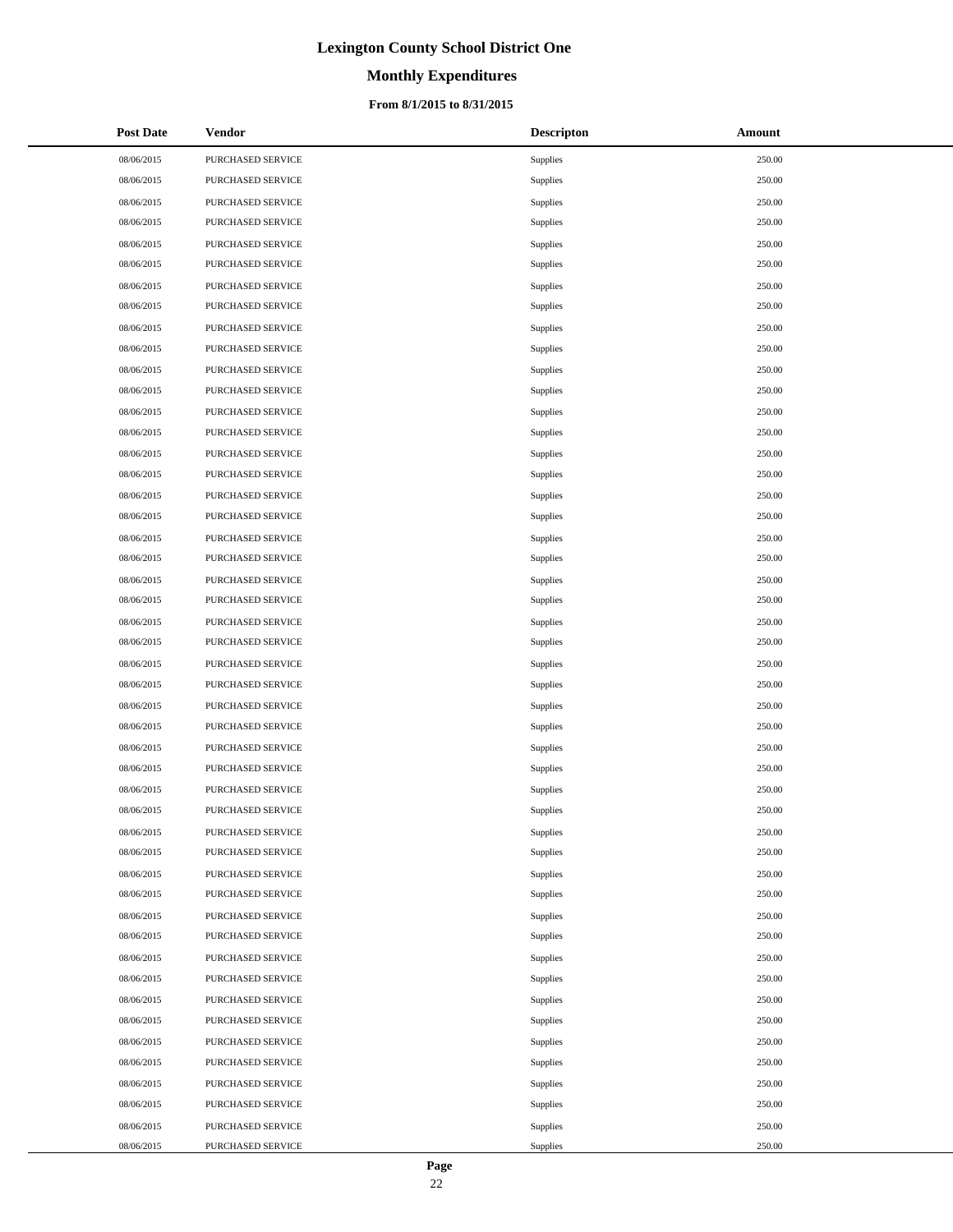# **Monthly Expenditures**

### **From 8/1/2015 to 8/31/2015**

| <b>Post Date</b> | <b>Vendor</b>     | <b>Descripton</b> | Amount |
|------------------|-------------------|-------------------|--------|
| 08/06/2015       | PURCHASED SERVICE | Supplies          | 250.00 |
| 08/06/2015       | PURCHASED SERVICE | Supplies          | 250.00 |
| 08/06/2015       | PURCHASED SERVICE | Supplies          | 250.00 |
| 08/06/2015       | PURCHASED SERVICE | Supplies          | 250.00 |
| 08/06/2015       | PURCHASED SERVICE | Supplies          | 250.00 |
| 08/06/2015       | PURCHASED SERVICE | Supplies          | 250.00 |
| 08/06/2015       | PURCHASED SERVICE | Supplies          | 250.00 |
| 08/06/2015       | PURCHASED SERVICE | Supplies          | 250.00 |
| 08/06/2015       | PURCHASED SERVICE | Supplies          | 250.00 |
| 08/06/2015       | PURCHASED SERVICE | Supplies          | 250.00 |
| 08/06/2015       | PURCHASED SERVICE | Supplies          | 250.00 |
| 08/06/2015       | PURCHASED SERVICE | Supplies          | 250.00 |
| 08/06/2015       | PURCHASED SERVICE | Supplies          | 250.00 |
| 08/06/2015       | PURCHASED SERVICE | Supplies          | 250.00 |
| 08/06/2015       | PURCHASED SERVICE | Supplies          | 250.00 |
| 08/06/2015       | PURCHASED SERVICE | Supplies          | 250.00 |
| 08/06/2015       | PURCHASED SERVICE | Supplies          | 250.00 |
| 08/06/2015       | PURCHASED SERVICE | Supplies          | 250.00 |
| 08/06/2015       | PURCHASED SERVICE | Supplies          | 250.00 |
| 08/06/2015       | PURCHASED SERVICE | Supplies          | 250.00 |
| 08/06/2015       | PURCHASED SERVICE | Supplies          | 250.00 |
| 08/06/2015       | PURCHASED SERVICE | Supplies          | 250.00 |
| 08/06/2015       | PURCHASED SERVICE | Supplies          | 250.00 |
| 08/06/2015       | PURCHASED SERVICE | Supplies          | 250.00 |
| 08/06/2015       | PURCHASED SERVICE | Supplies          | 250.00 |
| 08/06/2015       | PURCHASED SERVICE | Supplies          | 250.00 |
| 08/06/2015       | PURCHASED SERVICE | Supplies          | 250.00 |
| 08/06/2015       | PURCHASED SERVICE | Supplies          | 250.00 |
| 08/06/2015       | PURCHASED SERVICE | Supplies          | 250.00 |
| 08/06/2015       | PURCHASED SERVICE | Supplies          | 250.00 |
| 08/06/2015       | PURCHASED SERVICE | Supplies          | 250.00 |
| 08/06/2015       | PURCHASED SERVICE | Supplies          | 250.00 |
| 08/06/2015       | PURCHASED SERVICE | Supplies          | 250.00 |
| 08/06/2015       | PURCHASED SERVICE | Supplies          | 250.00 |
| 08/06/2015       | PURCHASED SERVICE | Supplies          | 250.00 |
| 08/06/2015       | PURCHASED SERVICE | Supplies          | 250.00 |
| 08/06/2015       | PURCHASED SERVICE | Supplies          | 250.00 |
| 08/06/2015       | PURCHASED SERVICE | Supplies          | 250.00 |
| 08/06/2015       | PURCHASED SERVICE | Supplies          | 250.00 |
| 08/06/2015       | PURCHASED SERVICE | Supplies          | 250.00 |
| 08/06/2015       | PURCHASED SERVICE | Supplies          | 250.00 |
| 08/06/2015       | PURCHASED SERVICE | Supplies          | 250.00 |
| 08/06/2015       | PURCHASED SERVICE | Supplies          | 250.00 |
| 08/06/2015       | PURCHASED SERVICE | Supplies          | 250.00 |
| 08/06/2015       | PURCHASED SERVICE | Supplies          | 250.00 |
| 08/06/2015       | PURCHASED SERVICE | Supplies          | 250.00 |
| 08/06/2015       | PURCHASED SERVICE | Supplies          | 250.00 |
| 08/06/2015       | PURCHASED SERVICE | Supplies          | 250.00 |

 $\overline{a}$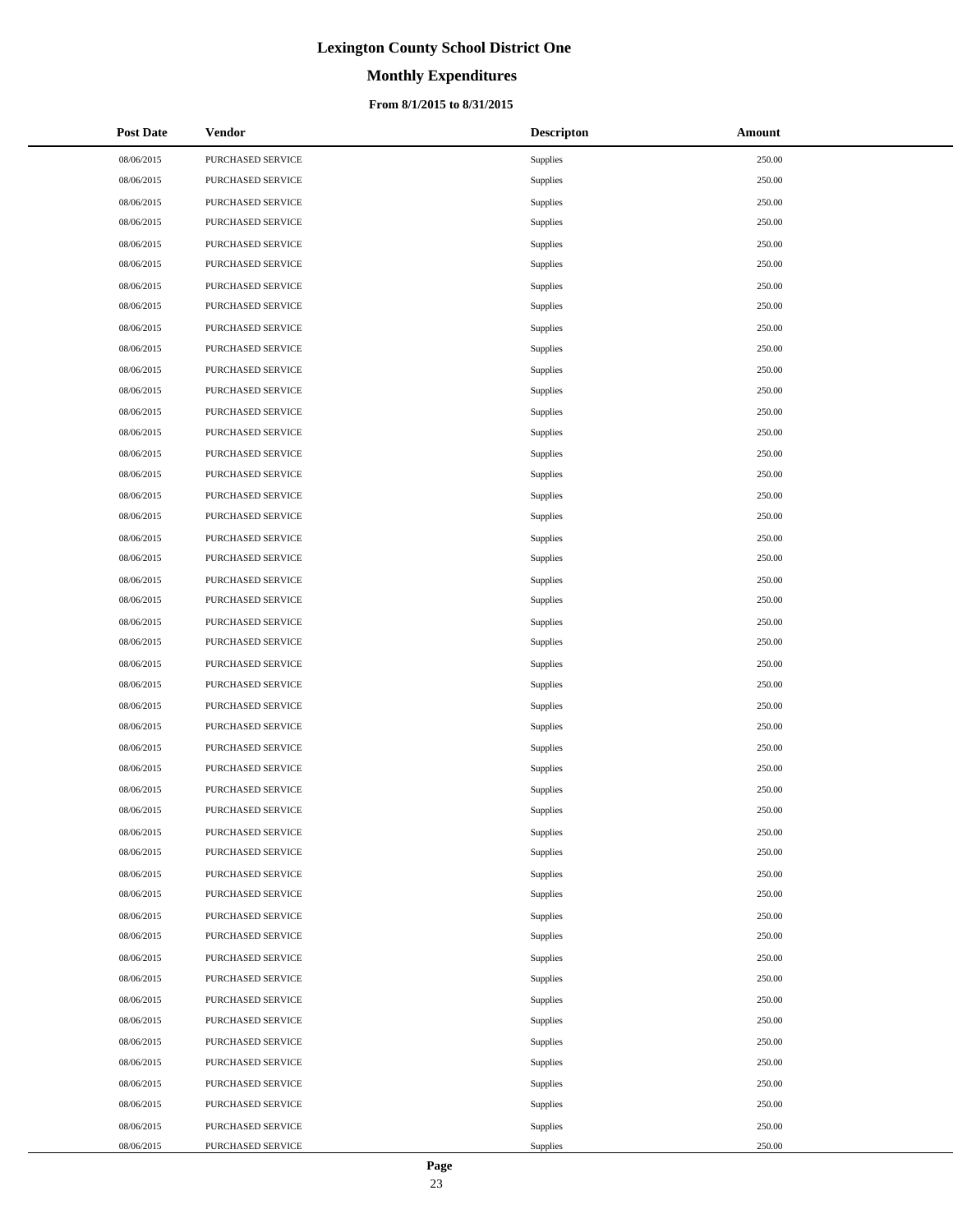# **Monthly Expenditures**

### **From 8/1/2015 to 8/31/2015**

| <b>Post Date</b> | <b>Vendor</b>     | <b>Descripton</b> | Amount |
|------------------|-------------------|-------------------|--------|
| 08/06/2015       | PURCHASED SERVICE | Supplies          | 250.00 |
| 08/06/2015       | PURCHASED SERVICE | Supplies          | 250.00 |
| 08/06/2015       | PURCHASED SERVICE | Supplies          | 250.00 |
| 08/06/2015       | PURCHASED SERVICE | Supplies          | 250.00 |
| 08/06/2015       | PURCHASED SERVICE | Supplies          | 250.00 |
| 08/06/2015       | PURCHASED SERVICE | Supplies          | 250.00 |
| 08/06/2015       | PURCHASED SERVICE | Supplies          | 250.00 |
| 08/06/2015       | PURCHASED SERVICE | Supplies          | 250.00 |
| 08/06/2015       | PURCHASED SERVICE | Supplies          | 250.00 |
| 08/06/2015       | PURCHASED SERVICE | Supplies          | 250.00 |
| 08/06/2015       | PURCHASED SERVICE | Supplies          | 250.00 |
| 08/06/2015       | PURCHASED SERVICE | Supplies          | 250.00 |
| 08/06/2015       | PURCHASED SERVICE | Supplies          | 250.00 |
| 08/06/2015       | PURCHASED SERVICE | Supplies          | 250.00 |
| 08/06/2015       | PURCHASED SERVICE | Supplies          | 250.00 |
| 08/06/2015       | PURCHASED SERVICE | Supplies          | 250.00 |
| 08/06/2015       | PURCHASED SERVICE | Supplies          | 250.00 |
| 08/06/2015       | PURCHASED SERVICE | Supplies          | 250.00 |
| 08/06/2015       | PURCHASED SERVICE | Supplies          | 250.00 |
| 08/06/2015       | PURCHASED SERVICE | Supplies          | 250.00 |
| 08/06/2015       | PURCHASED SERVICE | Supplies          | 250.00 |
| 08/06/2015       | PURCHASED SERVICE | Supplies          | 250.00 |
| 08/06/2015       | PURCHASED SERVICE | Supplies          | 250.00 |
| 08/06/2015       | PURCHASED SERVICE | Supplies          | 250.00 |
| 08/06/2015       | PURCHASED SERVICE | Supplies          | 250.00 |
| 08/06/2015       | PURCHASED SERVICE | Supplies          | 250.00 |
| 08/06/2015       | PURCHASED SERVICE | Supplies          | 250.00 |
| 08/06/2015       | PURCHASED SERVICE | Supplies          | 250.00 |
| 08/06/2015       | PURCHASED SERVICE | Supplies          | 250.00 |
| 08/06/2015       | PURCHASED SERVICE | Supplies          | 250.00 |
| 08/06/2015       | PURCHASED SERVICE | Supplies          | 250.00 |
| 08/06/2015       | PURCHASED SERVICE | Supplies          | 250.00 |
| 08/06/2015       | PURCHASED SERVICE | Supplies          | 250.00 |
| 08/06/2015       | PURCHASED SERVICE | Supplies          | 250.00 |
| 08/06/2015       | PURCHASED SERVICE | Supplies          | 250.00 |
| 08/06/2015       | PURCHASED SERVICE | Supplies          | 250.00 |
| 08/06/2015       | PURCHASED SERVICE | Supplies          | 250.00 |
| 08/06/2015       | PURCHASED SERVICE | Supplies          | 250.00 |
| 08/06/2015       | PURCHASED SERVICE | Supplies          | 250.00 |
| 08/06/2015       | PURCHASED SERVICE | Supplies          | 250.00 |
| 08/06/2015       | PURCHASED SERVICE | Supplies          | 250.00 |
| 08/06/2015       | PURCHASED SERVICE | Supplies          | 250.00 |
| 08/06/2015       | PURCHASED SERVICE | Supplies          | 250.00 |
| 08/06/2015       | PURCHASED SERVICE | Supplies          | 250.00 |
| 08/06/2015       | PURCHASED SERVICE | Supplies          | 250.00 |
| 08/06/2015       | PURCHASED SERVICE | Supplies          | 250.00 |
| 08/06/2015       | PURCHASED SERVICE | Supplies          | 250.00 |
| 08/06/2015       | PURCHASED SERVICE | Supplies          | 250.00 |

 $\overline{a}$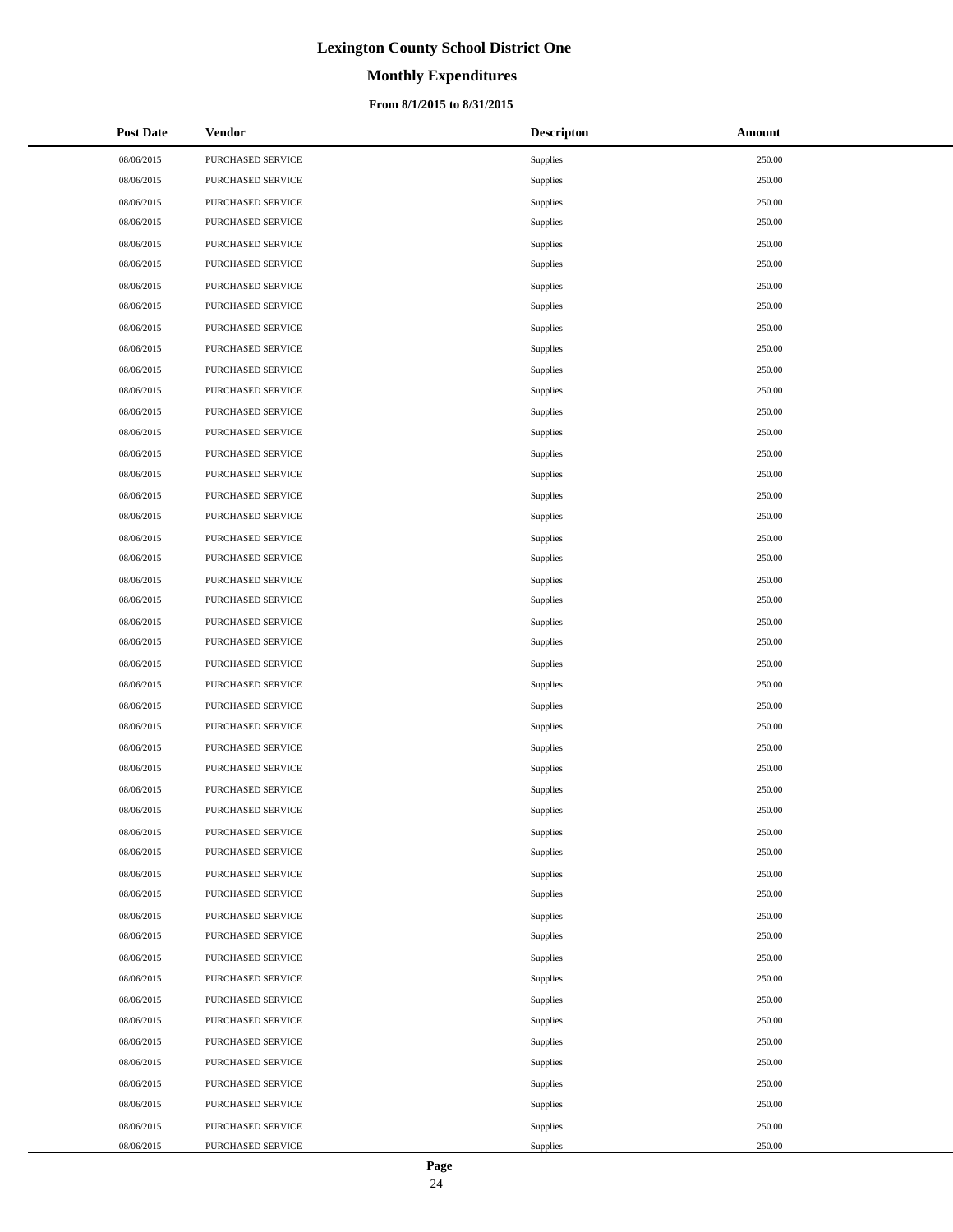# **Monthly Expenditures**

### **From 8/1/2015 to 8/31/2015**

| <b>Post Date</b> | <b>Vendor</b>     | <b>Descripton</b> | Amount |
|------------------|-------------------|-------------------|--------|
| 08/06/2015       | PURCHASED SERVICE | Supplies          | 250.00 |
| 08/06/2015       | PURCHASED SERVICE | Supplies          | 250.00 |
| 08/06/2015       | PURCHASED SERVICE | Supplies          | 250.00 |
| 08/06/2015       | PURCHASED SERVICE | Supplies          | 250.00 |
| 08/06/2015       | PURCHASED SERVICE | Supplies          | 250.00 |
| 08/06/2015       | PURCHASED SERVICE | Supplies          | 250.00 |
| 08/06/2015       | PURCHASED SERVICE | Supplies          | 250.00 |
| 08/06/2015       | PURCHASED SERVICE | Supplies          | 250.00 |
| 08/06/2015       | PURCHASED SERVICE | Supplies          | 250.00 |
| 08/06/2015       | PURCHASED SERVICE | Supplies          | 250.00 |
| 08/06/2015       | PURCHASED SERVICE | Supplies          | 250.00 |
| 08/06/2015       | PURCHASED SERVICE | Supplies          | 250.00 |
| 08/06/2015       | PURCHASED SERVICE | Supplies          | 250.00 |
| 08/06/2015       | PURCHASED SERVICE | Supplies          | 250.00 |
| 08/06/2015       | PURCHASED SERVICE | Supplies          | 250.00 |
| 08/06/2015       | PURCHASED SERVICE | Supplies          | 250.00 |
| 08/06/2015       | PURCHASED SERVICE | Supplies          | 250.00 |
| 08/06/2015       | PURCHASED SERVICE | Supplies          | 250.00 |
| 08/06/2015       | PURCHASED SERVICE | Supplies          | 250.00 |
| 08/06/2015       | PURCHASED SERVICE | Supplies          | 250.00 |
| 08/06/2015       | PURCHASED SERVICE | Supplies          | 250.00 |
| 08/06/2015       | PURCHASED SERVICE | Supplies          | 250.00 |
| 08/06/2015       | PURCHASED SERVICE | Supplies          | 250.00 |
| 08/06/2015       | PURCHASED SERVICE | Supplies          | 250.00 |
| 08/06/2015       | PURCHASED SERVICE | Supplies          | 250.00 |
| 08/06/2015       | PURCHASED SERVICE | Supplies          | 250.00 |
| 08/06/2015       | PURCHASED SERVICE | Supplies          | 250.00 |
| 08/06/2015       | PURCHASED SERVICE | Supplies          | 250.00 |
| 08/06/2015       | PURCHASED SERVICE | Supplies          | 250.00 |
| 08/06/2015       | PURCHASED SERVICE | Supplies          | 250.00 |
| 08/06/2015       | PURCHASED SERVICE | Supplies          | 250.00 |
| 08/06/2015       | PURCHASED SERVICE | Supplies          | 250.00 |
| 08/06/2015       | PURCHASED SERVICE | Supplies          | 250.00 |
| 08/06/2015       | PURCHASED SERVICE | Supplies          | 250.00 |
| 08/06/2015       | PURCHASED SERVICE | Supplies          | 250.00 |
| 08/06/2015       | PURCHASED SERVICE | Supplies          | 250.00 |
| 08/06/2015       | PURCHASED SERVICE | Supplies          | 250.00 |
| 08/06/2015       | PURCHASED SERVICE | Supplies          | 250.00 |
| 08/06/2015       | PURCHASED SERVICE | Supplies          | 250.00 |
| 08/06/2015       | PURCHASED SERVICE | Supplies          | 250.00 |
| 08/06/2015       | PURCHASED SERVICE | Supplies          | 250.00 |
| 08/06/2015       | PURCHASED SERVICE | Supplies          | 250.00 |
| 08/06/2015       | PURCHASED SERVICE | Supplies          | 250.00 |
| 08/06/2015       | PURCHASED SERVICE | Supplies          | 250.00 |
| 08/06/2015       | PURCHASED SERVICE | Supplies          | 250.00 |
| 08/06/2015       | PURCHASED SERVICE | Supplies          | 250.00 |
| 08/06/2015       | PURCHASED SERVICE | Supplies          | 250.00 |
| 08/06/2015       | PURCHASED SERVICE | Supplies          | 250.00 |

 $\overline{a}$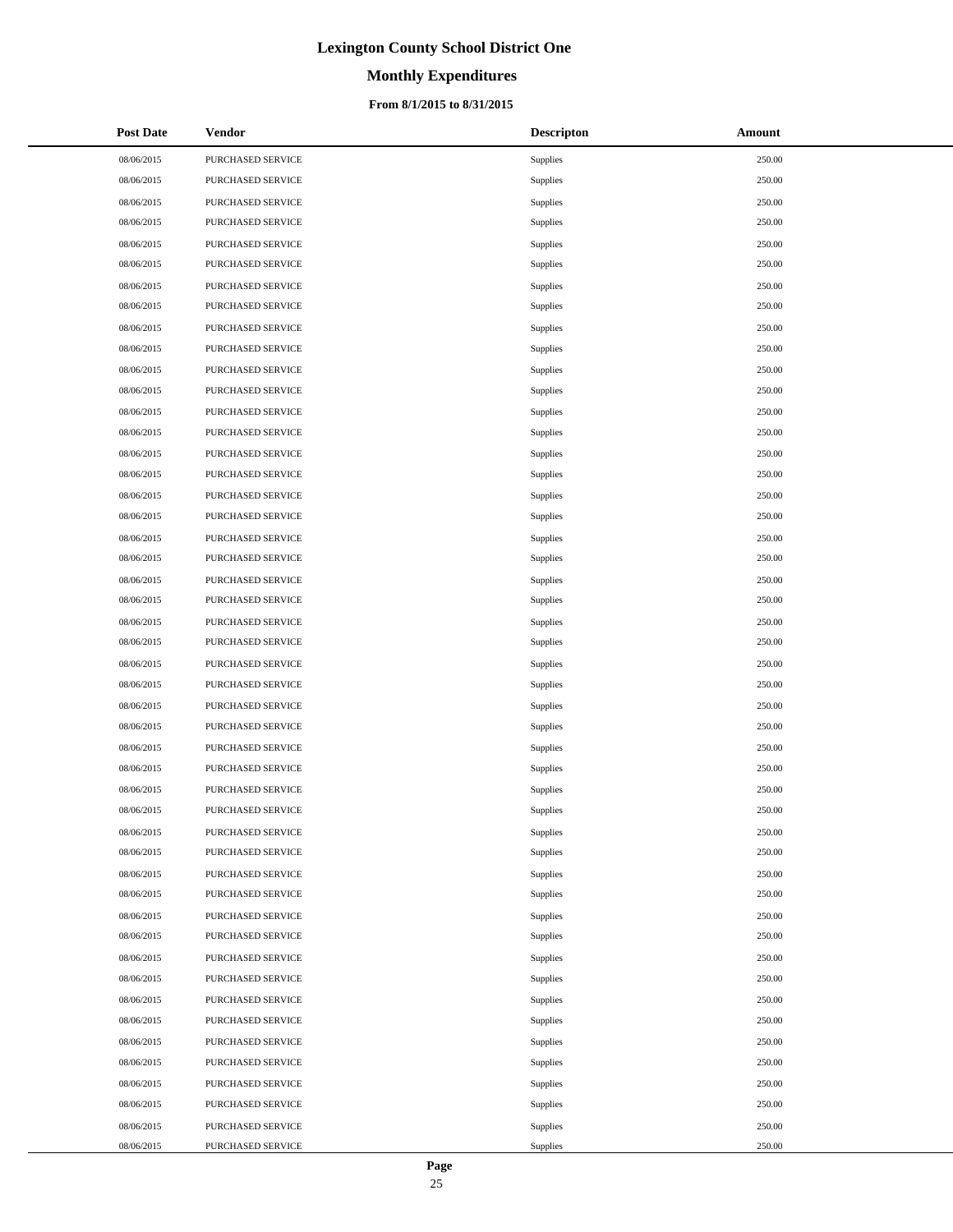# **Monthly Expenditures**

### **From 8/1/2015 to 8/31/2015**

| <b>Post Date</b> | <b>Vendor</b>     | <b>Descripton</b> | Amount |
|------------------|-------------------|-------------------|--------|
| 08/06/2015       | PURCHASED SERVICE | Supplies          | 250.00 |
| 08/06/2015       | PURCHASED SERVICE | Supplies          | 250.00 |
| 08/06/2015       | PURCHASED SERVICE | Supplies          | 250.00 |
| 08/06/2015       | PURCHASED SERVICE | Supplies          | 250.00 |
| 08/06/2015       | PURCHASED SERVICE | Supplies          | 250.00 |
| 08/06/2015       | PURCHASED SERVICE | Supplies          | 250.00 |
| 08/06/2015       | PURCHASED SERVICE | Supplies          | 250.00 |
| 08/06/2015       | PURCHASED SERVICE | Supplies          | 250.00 |
| 08/06/2015       | PURCHASED SERVICE | Supplies          | 250.00 |
| 08/06/2015       | PURCHASED SERVICE | Supplies          | 250.00 |
| 08/06/2015       | PURCHASED SERVICE | Supplies          | 250.00 |
| 08/06/2015       | PURCHASED SERVICE | Supplies          | 250.00 |
| 08/06/2015       | PURCHASED SERVICE | Supplies          | 250.00 |
| 08/06/2015       | PURCHASED SERVICE | Supplies          | 250.00 |
| 08/06/2015       | PURCHASED SERVICE | Supplies          | 250.00 |
| 08/06/2015       | PURCHASED SERVICE | Supplies          | 250.00 |
| 08/06/2015       | PURCHASED SERVICE | Supplies          | 250.00 |
| 08/06/2015       | PURCHASED SERVICE | Supplies          | 250.00 |
| 08/06/2015       | PURCHASED SERVICE | Supplies          | 250.00 |
| 08/06/2015       | PURCHASED SERVICE | Supplies          | 250.00 |
| 08/06/2015       | PURCHASED SERVICE | Supplies          | 250.00 |
| 08/06/2015       | PURCHASED SERVICE | Supplies          | 250.00 |
| 08/06/2015       | PURCHASED SERVICE | Supplies          | 250.00 |
| 08/06/2015       | PURCHASED SERVICE | Supplies          | 250.00 |
| 08/06/2015       | PURCHASED SERVICE | Supplies          | 250.00 |
| 08/06/2015       | PURCHASED SERVICE | Supplies          | 250.00 |
| 08/06/2015       | PURCHASED SERVICE | Supplies          | 250.00 |
| 08/06/2015       | PURCHASED SERVICE | Supplies          | 250.00 |
| 08/06/2015       | PURCHASED SERVICE | Supplies          | 250.00 |
| 08/06/2015       | PURCHASED SERVICE | Supplies          | 250.00 |
| 08/06/2015       | PURCHASED SERVICE | Supplies          | 250.00 |
| 08/06/2015       | PURCHASED SERVICE | Supplies          | 250.00 |
| 08/06/2015       | PURCHASED SERVICE | Supplies          | 250.00 |
| 08/06/2015       | PURCHASED SERVICE | Supplies          | 250.00 |
| 08/06/2015       | PURCHASED SERVICE | Supplies          | 250.00 |
| 08/06/2015       | PURCHASED SERVICE | Supplies          | 250.00 |
| 08/06/2015       | PURCHASED SERVICE | Supplies          | 250.00 |
| 08/06/2015       | PURCHASED SERVICE | Supplies          | 250.00 |
| 08/06/2015       | PURCHASED SERVICE | Supplies          | 250.00 |
| 08/06/2015       | PURCHASED SERVICE | Supplies          | 250.00 |
| 08/06/2015       | PURCHASED SERVICE | Supplies          | 250.00 |
| 08/06/2015       | PURCHASED SERVICE | Supplies          | 250.00 |
| 08/06/2015       | PURCHASED SERVICE | Supplies          | 250.00 |
| 08/06/2015       | PURCHASED SERVICE | Supplies          | 250.00 |
| 08/06/2015       | PURCHASED SERVICE | Supplies          | 250.00 |
| 08/06/2015       | PURCHASED SERVICE | Supplies          | 250.00 |
| 08/06/2015       | PURCHASED SERVICE | Supplies          | 250.00 |
| 08/06/2015       | PURCHASED SERVICE | Supplies          | 250.00 |

 $\overline{a}$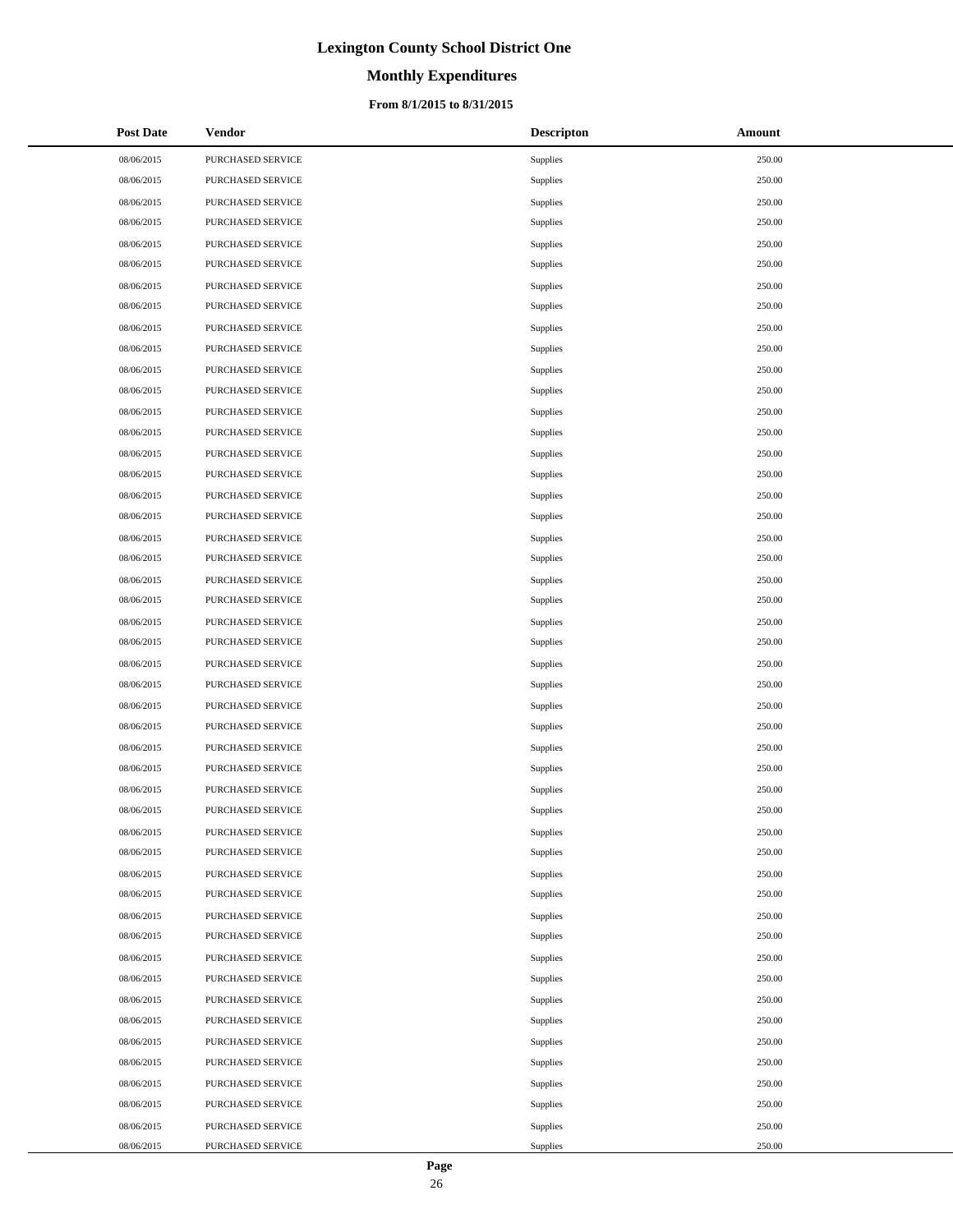# **Monthly Expenditures**

### **From 8/1/2015 to 8/31/2015**

| <b>Post Date</b> | Vendor            | <b>Descripton</b> | Amount |
|------------------|-------------------|-------------------|--------|
| 08/06/2015       | PURCHASED SERVICE | Supplies          | 250.00 |
| 08/06/2015       | PURCHASED SERVICE | Supplies          | 250.00 |
| 08/06/2015       | PURCHASED SERVICE | Supplies          | 250.00 |
| 08/06/2015       | PURCHASED SERVICE | Supplies          | 250.00 |
| 08/06/2015       | PURCHASED SERVICE | Supplies          | 250.00 |
| 08/06/2015       | PURCHASED SERVICE | Supplies          | 250.00 |
| 08/06/2015       | PURCHASED SERVICE | Supplies          | 250.00 |
| 08/06/2015       | PURCHASED SERVICE | Supplies          | 250.00 |
| 08/06/2015       | PURCHASED SERVICE | Supplies          | 250.00 |
| 08/06/2015       | PURCHASED SERVICE | Supplies          | 250.00 |
| 08/06/2015       | PURCHASED SERVICE | Supplies          | 250.00 |
| 08/06/2015       | PURCHASED SERVICE | Supplies          | 250.00 |
| 08/06/2015       | PURCHASED SERVICE | Supplies          | 250.00 |
| 08/06/2015       | PURCHASED SERVICE | Supplies          | 250.00 |
| 08/06/2015       | PURCHASED SERVICE | Supplies          | 250.00 |
| 08/06/2015       | PURCHASED SERVICE | Supplies          | 250.00 |
| 08/06/2015       | PURCHASED SERVICE | Supplies          | 250.00 |
| 08/06/2015       | PURCHASED SERVICE | Supplies          | 250.00 |
| 08/06/2015       | PURCHASED SERVICE | Supplies          | 250.00 |
| 08/06/2015       | PURCHASED SERVICE | Supplies          | 250.00 |
| 08/06/2015       | PURCHASED SERVICE | Supplies          | 250.00 |
| 08/06/2015       | PURCHASED SERVICE | Supplies          | 250.00 |
| 08/06/2015       | PURCHASED SERVICE | Supplies          | 250.00 |
| 08/06/2015       | PURCHASED SERVICE | Supplies          | 250.00 |
| 08/06/2015       | PURCHASED SERVICE | Supplies          | 250.00 |
| 08/06/2015       | PURCHASED SERVICE | Supplies          | 250.00 |
| 08/06/2015       | PURCHASED SERVICE | Supplies          | 250.00 |
| 08/06/2015       | PURCHASED SERVICE | Supplies          | 250.00 |
| 08/06/2015       | PURCHASED SERVICE | Supplies          | 250.00 |
| 08/06/2015       | PURCHASED SERVICE | Supplies          | 250.00 |
| 08/06/2015       | PURCHASED SERVICE | Supplies          | 250.00 |
| 08/06/2015       | PURCHASED SERVICE | Supplies          | 250.00 |
| 08/06/2015       | PURCHASED SERVICE | Supplies          | 250.00 |
| 08/06/2015       | PURCHASED SERVICE | Supplies          | 250.00 |
| 08/06/2015       | PURCHASED SERVICE | Supplies          | 250.00 |
| 08/06/2015       | PURCHASED SERVICE | Supplies          | 250.00 |
| 08/06/2015       | PURCHASED SERVICE | Supplies          | 250.00 |
| 08/06/2015       | PURCHASED SERVICE | Supplies          | 250.00 |
| 08/06/2015       | PURCHASED SERVICE | Supplies          | 250.00 |
| 08/06/2015       | PURCHASED SERVICE | Supplies          | 250.00 |
| 08/06/2015       | PURCHASED SERVICE | Supplies          | 250.00 |
| 08/06/2015       | PURCHASED SERVICE | Supplies          | 250.00 |
| 08/06/2015       | PURCHASED SERVICE | Supplies          | 250.00 |
| 08/06/2015       | PURCHASED SERVICE | Supplies          | 250.00 |
| 08/06/2015       | PURCHASED SERVICE | Supplies          | 250.00 |
| 08/06/2015       | PURCHASED SERVICE | Supplies          | 250.00 |
| 08/06/2015       | PURCHASED SERVICE | Supplies          | 250.00 |
| 08/06/2015       | PURCHASED SERVICE | Supplies          | 250.00 |

 $\overline{a}$ 

 $\overline{a}$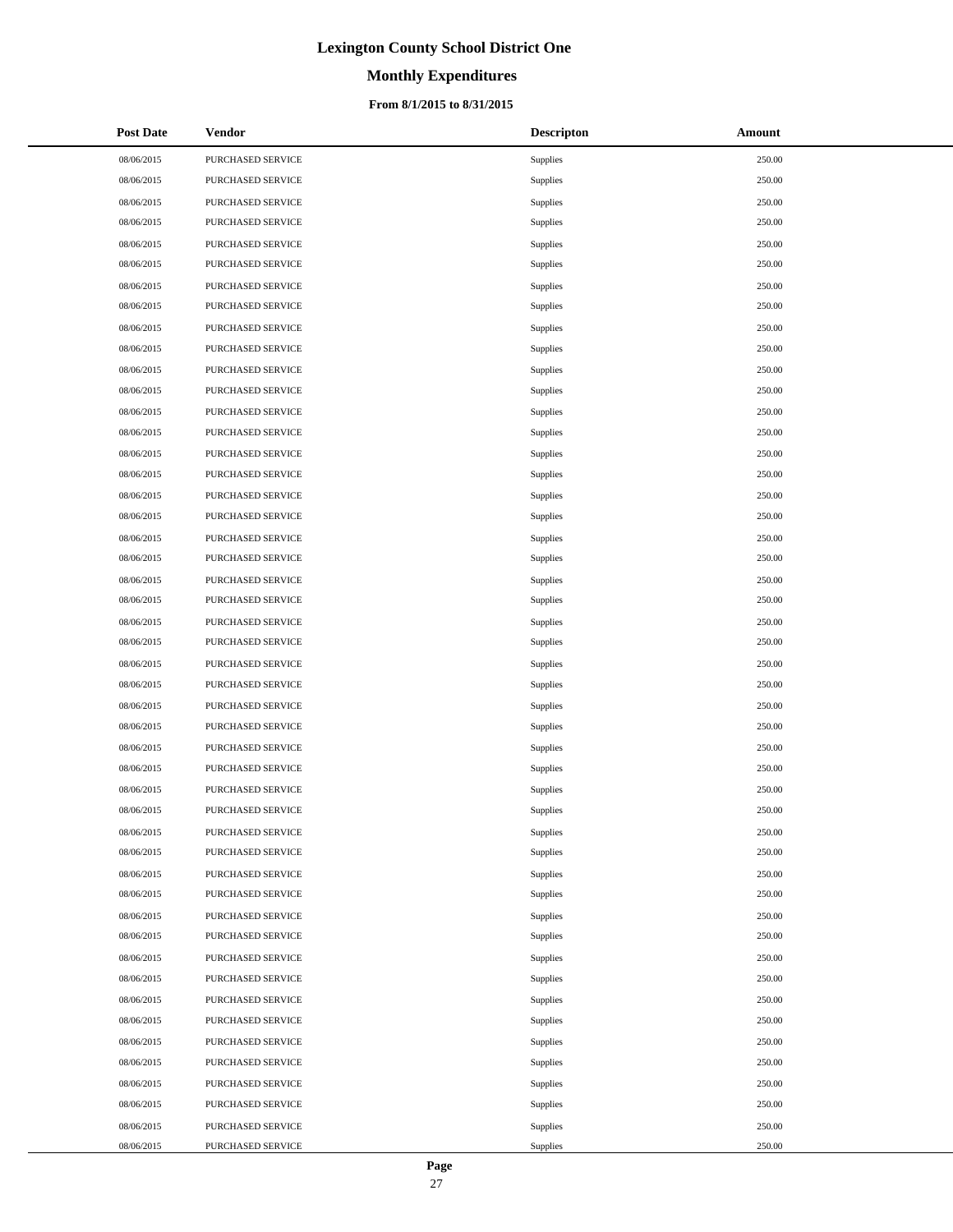# **Monthly Expenditures**

### **From 8/1/2015 to 8/31/2015**

| <b>Post Date</b> | <b>Vendor</b>     | <b>Descripton</b> | Amount |
|------------------|-------------------|-------------------|--------|
| 08/06/2015       | PURCHASED SERVICE | Supplies          | 250.00 |
| 08/06/2015       | PURCHASED SERVICE | Supplies          | 250.00 |
| 08/06/2015       | PURCHASED SERVICE | Supplies          | 250.00 |
| 08/06/2015       | PURCHASED SERVICE | Supplies          | 250.00 |
| 08/06/2015       | PURCHASED SERVICE | Supplies          | 250.00 |
| 08/06/2015       | PURCHASED SERVICE | Supplies          | 250.00 |
| 08/06/2015       | PURCHASED SERVICE | Supplies          | 250.00 |
| 08/06/2015       | PURCHASED SERVICE | Supplies          | 250.00 |
| 08/06/2015       | PURCHASED SERVICE | Supplies          | 250.00 |
| 08/06/2015       | PURCHASED SERVICE | Supplies          | 250.00 |
| 08/06/2015       | PURCHASED SERVICE | Supplies          | 250.00 |
| 08/06/2015       | PURCHASED SERVICE | Supplies          | 250.00 |
| 08/06/2015       | PURCHASED SERVICE | Supplies          | 250.00 |
| 08/06/2015       | PURCHASED SERVICE | Supplies          | 250.00 |
| 08/06/2015       | PURCHASED SERVICE | Supplies          | 250.00 |
| 08/06/2015       | PURCHASED SERVICE | Supplies          | 250.00 |
| 08/06/2015       | PURCHASED SERVICE | Supplies          | 250.00 |
| 08/06/2015       | PURCHASED SERVICE | Supplies          | 250.00 |
| 08/06/2015       | PURCHASED SERVICE | Supplies          | 250.00 |
| 08/06/2015       | PURCHASED SERVICE | Supplies          | 250.00 |
| 08/06/2015       | PURCHASED SERVICE | Supplies          | 250.00 |
| 08/06/2015       | PURCHASED SERVICE | Supplies          | 250.00 |
| 08/06/2015       | PURCHASED SERVICE | Supplies          | 250.00 |
| 08/06/2015       | PURCHASED SERVICE | Supplies          | 250.00 |
| 08/06/2015       | PURCHASED SERVICE | Supplies          | 250.00 |
| 08/06/2015       | PURCHASED SERVICE | Supplies          | 250.00 |
| 08/06/2015       | PURCHASED SERVICE | Supplies          | 250.00 |
| 08/06/2015       | PURCHASED SERVICE | Supplies          | 250.00 |
| 08/06/2015       | PURCHASED SERVICE | Supplies          | 250.00 |
| 08/06/2015       | PURCHASED SERVICE | Supplies          | 250.00 |
| 08/06/2015       | PURCHASED SERVICE | <b>Supplies</b>   | 250.00 |
| 08/06/2015       | PURCHASED SERVICE | Supplies          | 250.00 |
| 08/06/2015       | PURCHASED SERVICE | Supplies          | 250.00 |
| 08/06/2015       | PURCHASED SERVICE | Supplies          | 250.00 |
| 08/06/2015       | PURCHASED SERVICE | Supplies          | 250.00 |
| 08/06/2015       | PURCHASED SERVICE | Supplies          | 250.00 |
| 08/06/2015       | PURCHASED SERVICE | Supplies          | 250.00 |
| 08/06/2015       | PURCHASED SERVICE | Supplies          | 250.00 |
| 08/06/2015       | PURCHASED SERVICE | Supplies          | 250.00 |
| 08/06/2015       | PURCHASED SERVICE | Supplies          | 250.00 |
| 08/06/2015       | PURCHASED SERVICE | Supplies          | 250.00 |
| 08/06/2015       | PURCHASED SERVICE | Supplies          | 250.00 |
| 08/06/2015       | PURCHASED SERVICE | Supplies          | 250.00 |
| 08/06/2015       | PURCHASED SERVICE | Supplies          | 250.00 |
| 08/06/2015       | PURCHASED SERVICE | Supplies          | 250.00 |
| 08/06/2015       | PURCHASED SERVICE | Supplies          | 250.00 |
| 08/06/2015       | PURCHASED SERVICE | Supplies          | 250.00 |
| 08/06/2015       | PURCHASED SERVICE | Supplies          | 250.00 |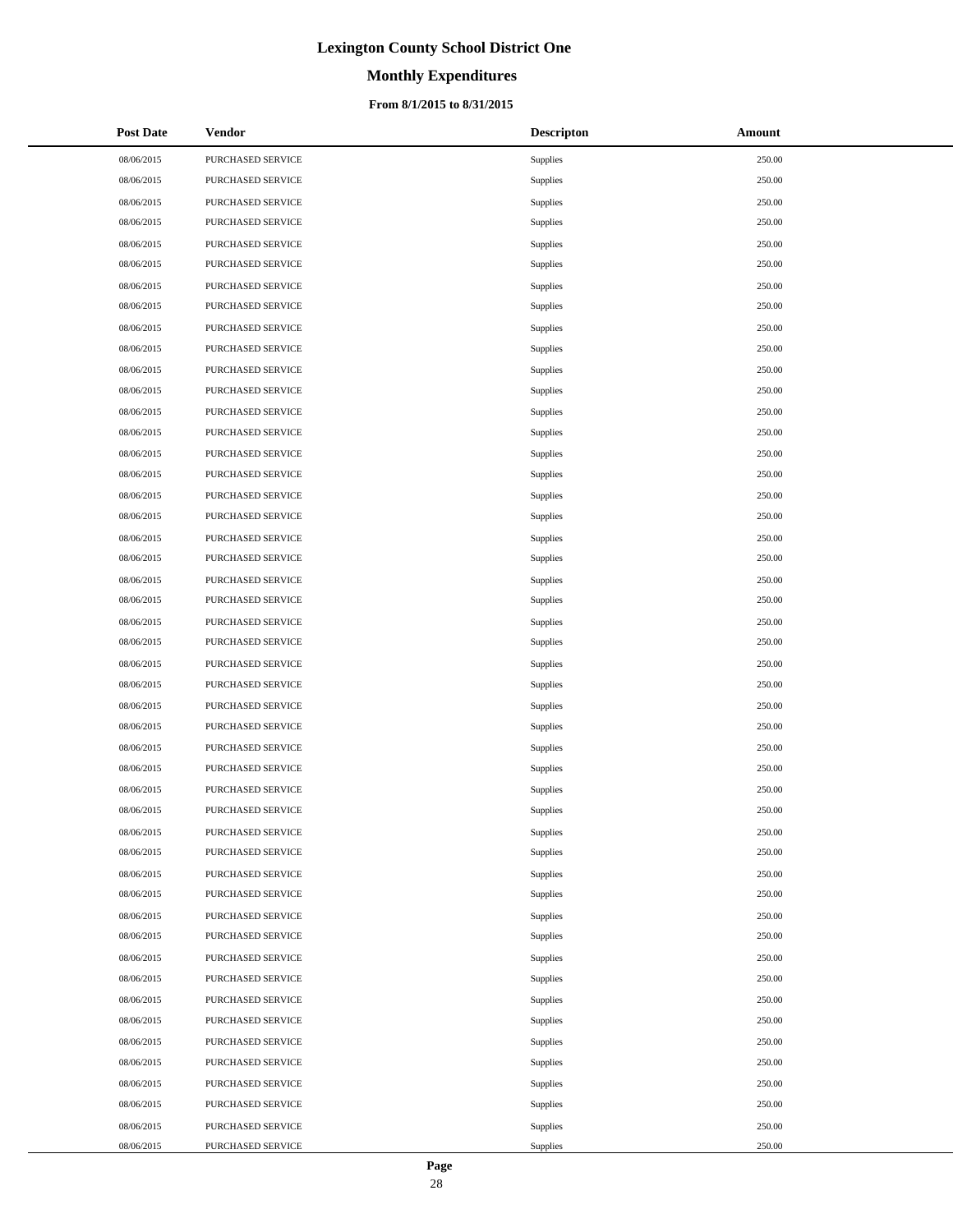# **Monthly Expenditures**

### **From 8/1/2015 to 8/31/2015**

| <b>Post Date</b> | <b>Vendor</b>     | <b>Descripton</b> | Amount |
|------------------|-------------------|-------------------|--------|
| 08/06/2015       | PURCHASED SERVICE | Supplies          | 250.00 |
| 08/06/2015       | PURCHASED SERVICE | Supplies          | 250.00 |
| 08/06/2015       | PURCHASED SERVICE | Supplies          | 250.00 |
| 08/06/2015       | PURCHASED SERVICE | Supplies          | 250.00 |
| 08/06/2015       | PURCHASED SERVICE | Supplies          | 250.00 |
| 08/06/2015       | PURCHASED SERVICE | Supplies          | 250.00 |
| 08/06/2015       | PURCHASED SERVICE | Supplies          | 250.00 |
| 08/06/2015       | PURCHASED SERVICE | Supplies          | 250.00 |
| 08/06/2015       | PURCHASED SERVICE | Supplies          | 250.00 |
| 08/06/2015       | PURCHASED SERVICE | Supplies          | 250.00 |
| 08/06/2015       | PURCHASED SERVICE | Supplies          | 250.00 |
| 08/06/2015       | PURCHASED SERVICE | Supplies          | 250.00 |
| 08/06/2015       | PURCHASED SERVICE | Supplies          | 250.00 |
| 08/06/2015       | PURCHASED SERVICE | Supplies          | 250.00 |
| 08/06/2015       | PURCHASED SERVICE | Supplies          | 250.00 |
| 08/06/2015       | PURCHASED SERVICE | Supplies          | 250.00 |
| 08/06/2015       | PURCHASED SERVICE | Supplies          | 250.00 |
| 08/06/2015       | PURCHASED SERVICE | Supplies          | 250.00 |
| 08/06/2015       | PURCHASED SERVICE | Supplies          | 250.00 |
| 08/06/2015       | PURCHASED SERVICE | Supplies          | 250.00 |
| 08/06/2015       | PURCHASED SERVICE | Supplies          | 250.00 |
| 08/06/2015       | PURCHASED SERVICE | Supplies          | 250.00 |
| 08/06/2015       | PURCHASED SERVICE | Supplies          | 250.00 |
| 08/06/2015       | PURCHASED SERVICE | Supplies          | 250.00 |
| 08/06/2015       | PURCHASED SERVICE | Supplies          | 250.00 |
| 08/06/2015       | PURCHASED SERVICE | Supplies          | 250.00 |
| 08/06/2015       | PURCHASED SERVICE | Supplies          | 250.00 |
| 08/06/2015       | PURCHASED SERVICE | Supplies          | 250.00 |
| 08/06/2015       | PURCHASED SERVICE | Supplies          | 250.00 |
| 08/06/2015       | PURCHASED SERVICE | Supplies          | 250.00 |
| 08/06/2015       | PURCHASED SERVICE | <b>Supplies</b>   | 250.00 |
| 08/06/2015       | PURCHASED SERVICE | Supplies          | 250.00 |
| 08/06/2015       | PURCHASED SERVICE | Supplies          | 250.00 |
| 08/06/2015       | PURCHASED SERVICE | Supplies          | 250.00 |
| 08/06/2015       | PURCHASED SERVICE | Supplies          | 250.00 |
| 08/06/2015       | PURCHASED SERVICE | Supplies          | 250.00 |
| 08/06/2015       | PURCHASED SERVICE | Supplies          | 250.00 |
| 08/06/2015       | PURCHASED SERVICE | Supplies          | 250.00 |
| 08/06/2015       | PURCHASED SERVICE | Supplies          | 250.00 |
| 08/06/2015       | PURCHASED SERVICE | Supplies          | 250.00 |
| 08/06/2015       | PURCHASED SERVICE | Supplies          | 250.00 |
| 08/06/2015       | PURCHASED SERVICE | Supplies          | 250.00 |
| 08/06/2015       | PURCHASED SERVICE | Supplies          | 250.00 |
| 08/06/2015       | PURCHASED SERVICE | Supplies          | 250.00 |
| 08/06/2015       | PURCHASED SERVICE | Supplies          | 250.00 |
| 08/06/2015       | PURCHASED SERVICE | Supplies          | 250.00 |
| 08/06/2015       | PURCHASED SERVICE | Supplies          | 250.00 |
| 08/06/2015       | PURCHASED SERVICE | Supplies          | 250.00 |

 $\overline{a}$ 

 $\overline{a}$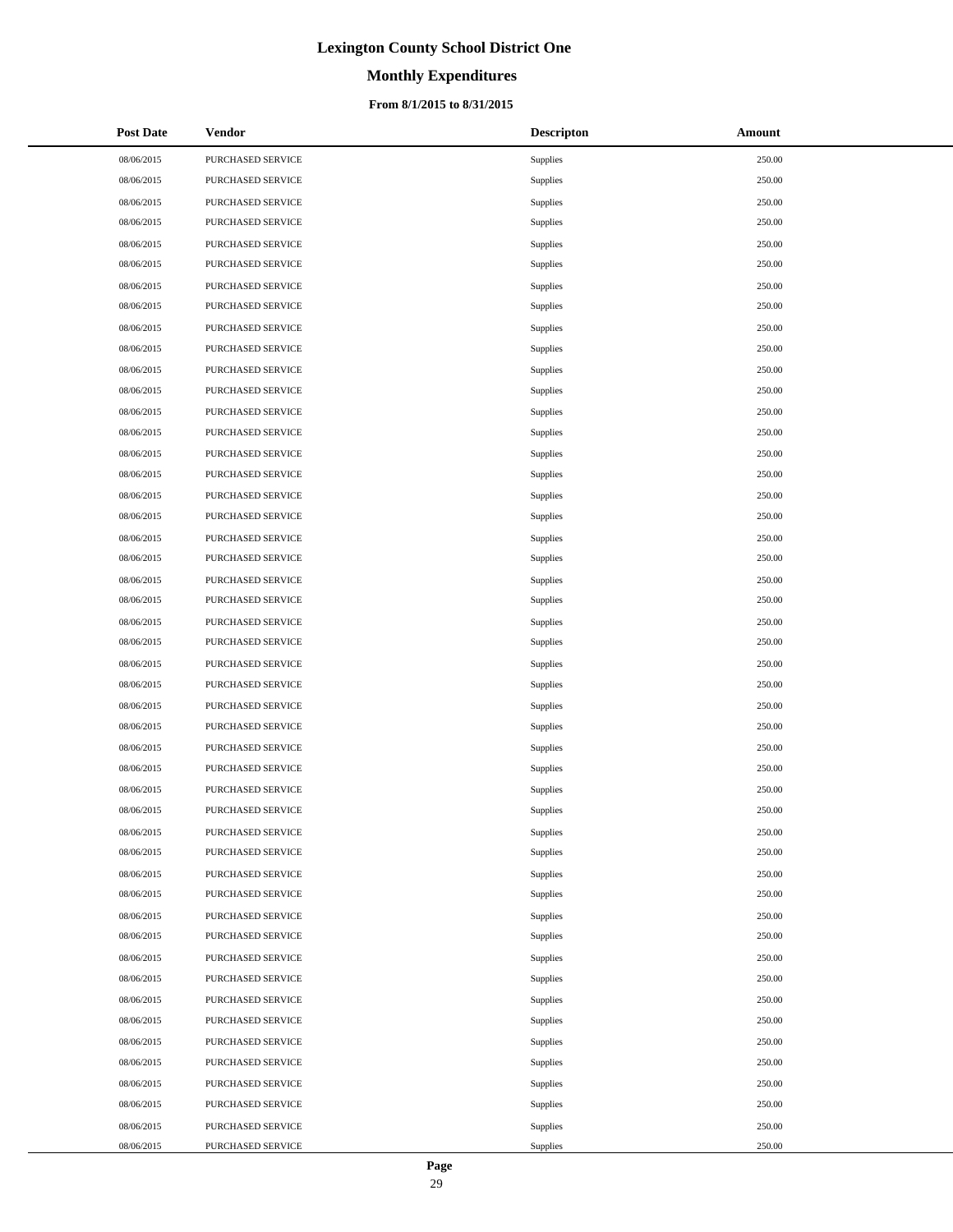# **Monthly Expenditures**

### **From 8/1/2015 to 8/31/2015**

| <b>Post Date</b> | <b>Vendor</b>     | <b>Descripton</b> | Amount |
|------------------|-------------------|-------------------|--------|
| 08/06/2015       | PURCHASED SERVICE | Supplies          | 250.00 |
| 08/06/2015       | PURCHASED SERVICE | Supplies          | 250.00 |
| 08/06/2015       | PURCHASED SERVICE | Supplies          | 250.00 |
| 08/06/2015       | PURCHASED SERVICE | Supplies          | 250.00 |
| 08/06/2015       | PURCHASED SERVICE | Supplies          | 250.00 |
| 08/06/2015       | PURCHASED SERVICE | Supplies          | 250.00 |
| 08/06/2015       | PURCHASED SERVICE | Supplies          | 250.00 |
| 08/06/2015       | PURCHASED SERVICE | Supplies          | 250.00 |
| 08/06/2015       | PURCHASED SERVICE | Supplies          | 250.00 |
| 08/06/2015       | PURCHASED SERVICE | Supplies          | 250.00 |
| 08/06/2015       | PURCHASED SERVICE | Supplies          | 250.00 |
| 08/06/2015       | PURCHASED SERVICE | Supplies          | 250.00 |
| 08/06/2015       | PURCHASED SERVICE | Supplies          | 250.00 |
| 08/06/2015       | PURCHASED SERVICE | Supplies          | 250.00 |
| 08/06/2015       | PURCHASED SERVICE | Supplies          | 250.00 |
| 08/06/2015       | PURCHASED SERVICE | Supplies          | 250.00 |
| 08/06/2015       | PURCHASED SERVICE | Supplies          | 250.00 |
| 08/06/2015       | PURCHASED SERVICE | Supplies          | 250.00 |
| 08/06/2015       | PURCHASED SERVICE | Supplies          | 250.00 |
| 08/06/2015       | PURCHASED SERVICE | Supplies          | 250.00 |
| 08/06/2015       | PURCHASED SERVICE | Supplies          | 250.00 |
| 08/06/2015       | PURCHASED SERVICE | Supplies          | 250.00 |
| 08/06/2015       | PURCHASED SERVICE | Supplies          | 250.00 |
| 08/06/2015       | PURCHASED SERVICE | Supplies          | 250.00 |
| 08/06/2015       | PURCHASED SERVICE | Supplies          | 250.00 |
| 08/06/2015       | PURCHASED SERVICE | Supplies          | 250.00 |
| 08/06/2015       | PURCHASED SERVICE | Supplies          | 250.00 |
| 08/06/2015       | PURCHASED SERVICE | Supplies          | 250.00 |
| 08/06/2015       | PURCHASED SERVICE | Supplies          | 250.00 |
| 08/06/2015       | PURCHASED SERVICE | Supplies          | 250.00 |
| 08/06/2015       | PURCHASED SERVICE | <b>Supplies</b>   | 250.00 |
| 08/06/2015       | PURCHASED SERVICE | Supplies          | 250.00 |
| 08/06/2015       | PURCHASED SERVICE | Supplies          | 250.00 |
| 08/06/2015       | PURCHASED SERVICE | Supplies          | 250.00 |
| 08/06/2015       | PURCHASED SERVICE | Supplies          | 250.00 |
| 08/06/2015       | PURCHASED SERVICE | Supplies          | 250.00 |
| 08/06/2015       | PURCHASED SERVICE | Supplies          | 250.00 |
| 08/06/2015       | PURCHASED SERVICE | Supplies          | 250.00 |
| 08/06/2015       | PURCHASED SERVICE | Supplies          | 250.00 |
| 08/06/2015       | PURCHASED SERVICE | Supplies          | 250.00 |
| 08/06/2015       | PURCHASED SERVICE | Supplies          | 250.00 |
| 08/06/2015       | PURCHASED SERVICE | Supplies          | 250.00 |
| 08/06/2015       | PURCHASED SERVICE | Supplies          | 250.00 |
| 08/06/2015       | PURCHASED SERVICE | Supplies          | 250.00 |
| 08/06/2015       | PURCHASED SERVICE | Supplies          | 250.00 |
| 08/06/2015       | PURCHASED SERVICE | Supplies          | 250.00 |
| 08/06/2015       | PURCHASED SERVICE | Supplies          | 250.00 |
| 08/06/2015       | PURCHASED SERVICE | Supplies          | 250.00 |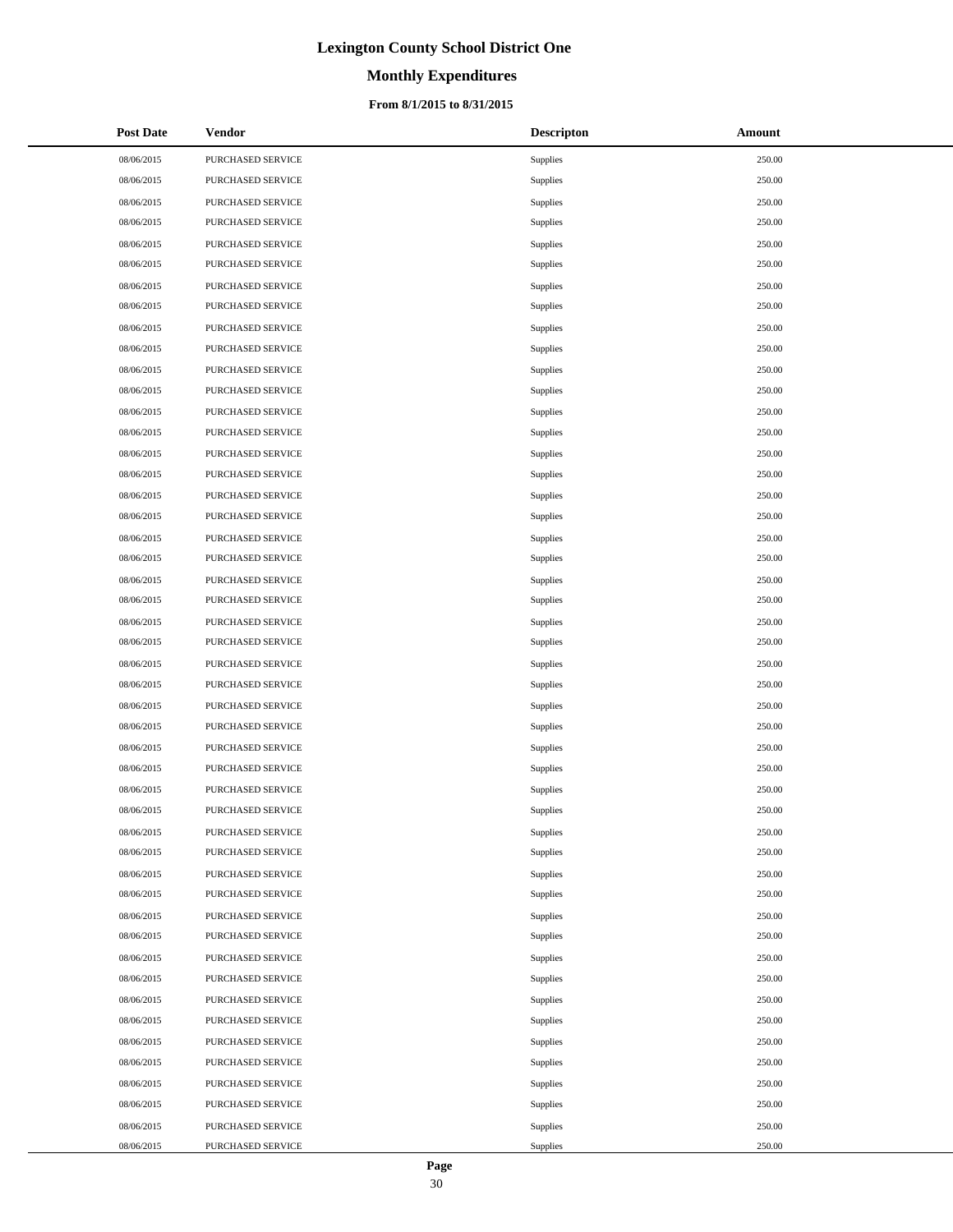# **Monthly Expenditures**

### **From 8/1/2015 to 8/31/2015**

| <b>Post Date</b> | Vendor            | <b>Descripton</b> | Amount |
|------------------|-------------------|-------------------|--------|
| 08/06/2015       | PURCHASED SERVICE | Supplies          | 250.00 |
| 08/06/2015       | PURCHASED SERVICE | Supplies          | 250.00 |
| 08/06/2015       | PURCHASED SERVICE | Supplies          | 250.00 |
| 08/06/2015       | PURCHASED SERVICE | Supplies          | 250.00 |
| 08/06/2015       | PURCHASED SERVICE | Supplies          | 250.00 |
| 08/06/2015       | PURCHASED SERVICE | Supplies          | 250.00 |
| 08/06/2015       | PURCHASED SERVICE | Supplies          | 250.00 |
| 08/06/2015       | PURCHASED SERVICE | Supplies          | 250.00 |
| 08/06/2015       | PURCHASED SERVICE | Supplies          | 250.00 |
| 08/06/2015       | PURCHASED SERVICE | Supplies          | 250.00 |
| 08/06/2015       | PURCHASED SERVICE | Supplies          | 250.00 |
| 08/06/2015       | PURCHASED SERVICE | Supplies          | 250.00 |
| 08/06/2015       | PURCHASED SERVICE | Supplies          | 250.00 |
| 08/06/2015       | PURCHASED SERVICE | Supplies          | 250.00 |
| 08/06/2015       | PURCHASED SERVICE | Supplies          | 250.00 |
| 08/06/2015       | PURCHASED SERVICE | Supplies          | 250.00 |
| 08/06/2015       | PURCHASED SERVICE | Supplies          | 250.00 |
| 08/06/2015       | PURCHASED SERVICE | Supplies          | 250.00 |
| 08/06/2015       | PURCHASED SERVICE | Supplies          | 250.00 |
| 08/06/2015       | PURCHASED SERVICE | Supplies          | 250.00 |
| 08/06/2015       | PURCHASED SERVICE | Supplies          | 250.00 |
| 08/06/2015       | PURCHASED SERVICE | Supplies          | 250.00 |
| 08/06/2015       | PURCHASED SERVICE | Supplies          | 250.00 |
| 08/06/2015       | PURCHASED SERVICE | Supplies          | 250.00 |
| 08/06/2015       | PURCHASED SERVICE | Supplies          | 250.00 |
| 08/06/2015       | PURCHASED SERVICE | Supplies          | 250.00 |
| 08/06/2015       | PURCHASED SERVICE | Supplies          | 250.00 |
| 08/06/2015       | PURCHASED SERVICE | Supplies          | 250.00 |
| 08/06/2015       | PURCHASED SERVICE | Supplies          | 250.00 |
| 08/06/2015       | PURCHASED SERVICE | Supplies          | 250.00 |
| 08/06/2015       | PURCHASED SERVICE | Supplies          | 250.00 |
| 08/06/2015       | PURCHASED SERVICE | Supplies          | 250.00 |
| 08/06/2015       | PURCHASED SERVICE | Supplies          | 250.00 |
| 08/06/2015       | PURCHASED SERVICE | Supplies          | 250.00 |
| 08/06/2015       | PURCHASED SERVICE | Supplies          | 250.00 |
| 08/06/2015       | PURCHASED SERVICE | Supplies          | 250.00 |
| 08/06/2015       | PURCHASED SERVICE | Supplies          | 250.00 |
| 08/06/2015       | PURCHASED SERVICE | Supplies          | 250.00 |
| 08/06/2015       | PURCHASED SERVICE | Supplies          | 250.00 |
| 08/06/2015       | PURCHASED SERVICE | Supplies          | 250.00 |
| 08/06/2015       | PURCHASED SERVICE | Supplies          | 250.00 |
| 08/06/2015       | PURCHASED SERVICE | Supplies          | 250.00 |
| 08/06/2015       | PURCHASED SERVICE | Supplies          | 250.00 |
| 08/06/2015       | PURCHASED SERVICE | Supplies          | 250.00 |
| 08/06/2015       | PURCHASED SERVICE | Supplies          | 250.00 |
| 08/06/2015       | PURCHASED SERVICE | Supplies          | 250.00 |
| 08/06/2015       | PURCHASED SERVICE | Supplies          | 250.00 |
| 08/06/2015       | PURCHASED SERVICE | Supplies          | 250.00 |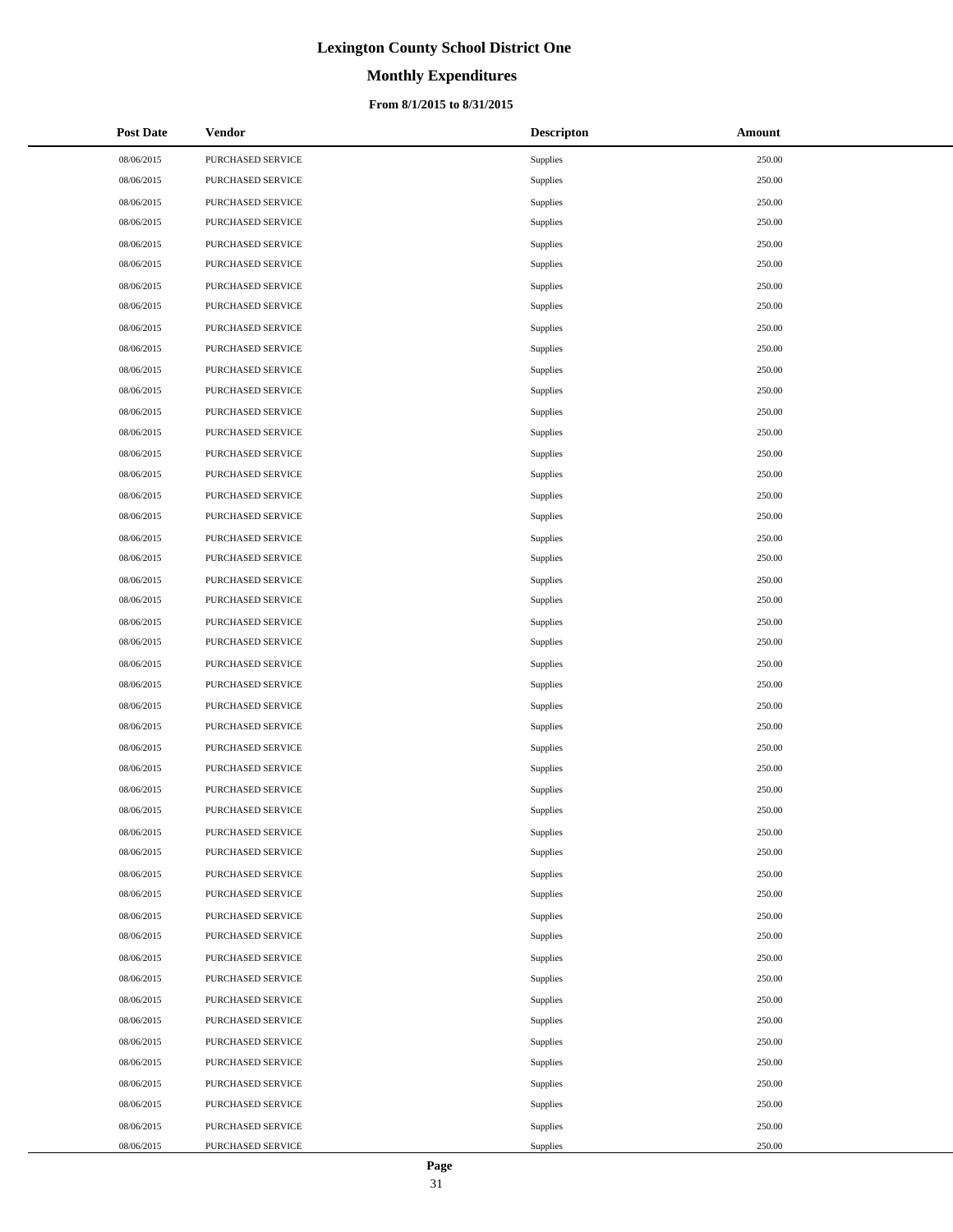# **Monthly Expenditures**

### **From 8/1/2015 to 8/31/2015**

| <b>Post Date</b> | Vendor            | <b>Descripton</b> | Amount |
|------------------|-------------------|-------------------|--------|
| 08/06/2015       | PURCHASED SERVICE | Supplies          | 250.00 |
| 08/06/2015       | PURCHASED SERVICE | Supplies          | 250.00 |
| 08/06/2015       | PURCHASED SERVICE | Supplies          | 250.00 |
| 08/06/2015       | PURCHASED SERVICE | Supplies          | 250.00 |
| 08/06/2015       | PURCHASED SERVICE | Supplies          | 250.00 |
| 08/06/2015       | PURCHASED SERVICE | Supplies          | 250.00 |
| 08/06/2015       | PURCHASED SERVICE | Supplies          | 250.00 |
| 08/06/2015       | PURCHASED SERVICE | Supplies          | 250.00 |
| 08/06/2015       | PURCHASED SERVICE | Supplies          | 250.00 |
| 08/06/2015       | PURCHASED SERVICE | Supplies          | 250.00 |
| 08/06/2015       | PURCHASED SERVICE | Supplies          | 250.00 |
| 08/06/2015       | PURCHASED SERVICE | Supplies          | 250.00 |
| 08/06/2015       | PURCHASED SERVICE | Supplies          | 250.00 |
| 08/06/2015       | PURCHASED SERVICE | Supplies          | 250.00 |
| 08/06/2015       | PURCHASED SERVICE | Supplies          | 250.00 |
| 08/06/2015       | PURCHASED SERVICE | Supplies          | 250.00 |
| 08/06/2015       | PURCHASED SERVICE | Supplies          | 250.00 |
| 08/06/2015       | PURCHASED SERVICE | Supplies          | 250.00 |
| 08/06/2015       | PURCHASED SERVICE | Supplies          | 250.00 |
| 08/06/2015       | PURCHASED SERVICE | Supplies          | 250.00 |
| 08/06/2015       | PURCHASED SERVICE | Supplies          | 250.00 |
| 08/06/2015       | PURCHASED SERVICE | Supplies          | 250.00 |
| 08/06/2015       | PURCHASED SERVICE | Supplies          | 250.00 |
| 08/06/2015       | PURCHASED SERVICE | Supplies          | 250.00 |
| 08/06/2015       | PURCHASED SERVICE | Supplies          | 250.00 |
| 08/06/2015       | PURCHASED SERVICE | Supplies          | 250.00 |
| 08/06/2015       | PURCHASED SERVICE | Supplies          | 250.00 |
| 08/06/2015       | PURCHASED SERVICE | Supplies          | 250.00 |
| 08/06/2015       | PURCHASED SERVICE | Supplies          | 250.00 |
| 08/06/2015       | PURCHASED SERVICE | Supplies          | 250.00 |
| 08/06/2015       | PURCHASED SERVICE | Supplies          | 250.00 |
| 08/06/2015       | PURCHASED SERVICE | Supplies          | 250.00 |
| 08/06/2015       | PURCHASED SERVICE | Supplies          | 250.00 |
| 08/06/2015       | PURCHASED SERVICE | Supplies          | 250.00 |
| 08/06/2015       | PURCHASED SERVICE | Supplies          | 250.00 |
| 08/06/2015       | PURCHASED SERVICE | Supplies          | 250.00 |
| 08/06/2015       | PURCHASED SERVICE | Supplies          | 250.00 |
| 08/06/2015       | PURCHASED SERVICE | Supplies          | 250.00 |
| 08/06/2015       | PURCHASED SERVICE | Supplies          | 250.00 |
| 08/06/2015       | PURCHASED SERVICE | Supplies          | 250.00 |
| 08/06/2015       | PURCHASED SERVICE | Supplies          | 250.00 |
| 08/06/2015       | PURCHASED SERVICE | Supplies          | 250.00 |
| 08/06/2015       | PURCHASED SERVICE | Supplies          | 250.00 |
| 08/06/2015       | PURCHASED SERVICE | Supplies          | 250.00 |
| 08/06/2015       | PURCHASED SERVICE | Supplies          | 250.00 |
| 08/06/2015       | PURCHASED SERVICE | Supplies          | 250.00 |
| 08/06/2015       | PURCHASED SERVICE | Supplies          | 250.00 |
| 08/06/2015       | PURCHASED SERVICE | Supplies          | 250.00 |

 $\overline{a}$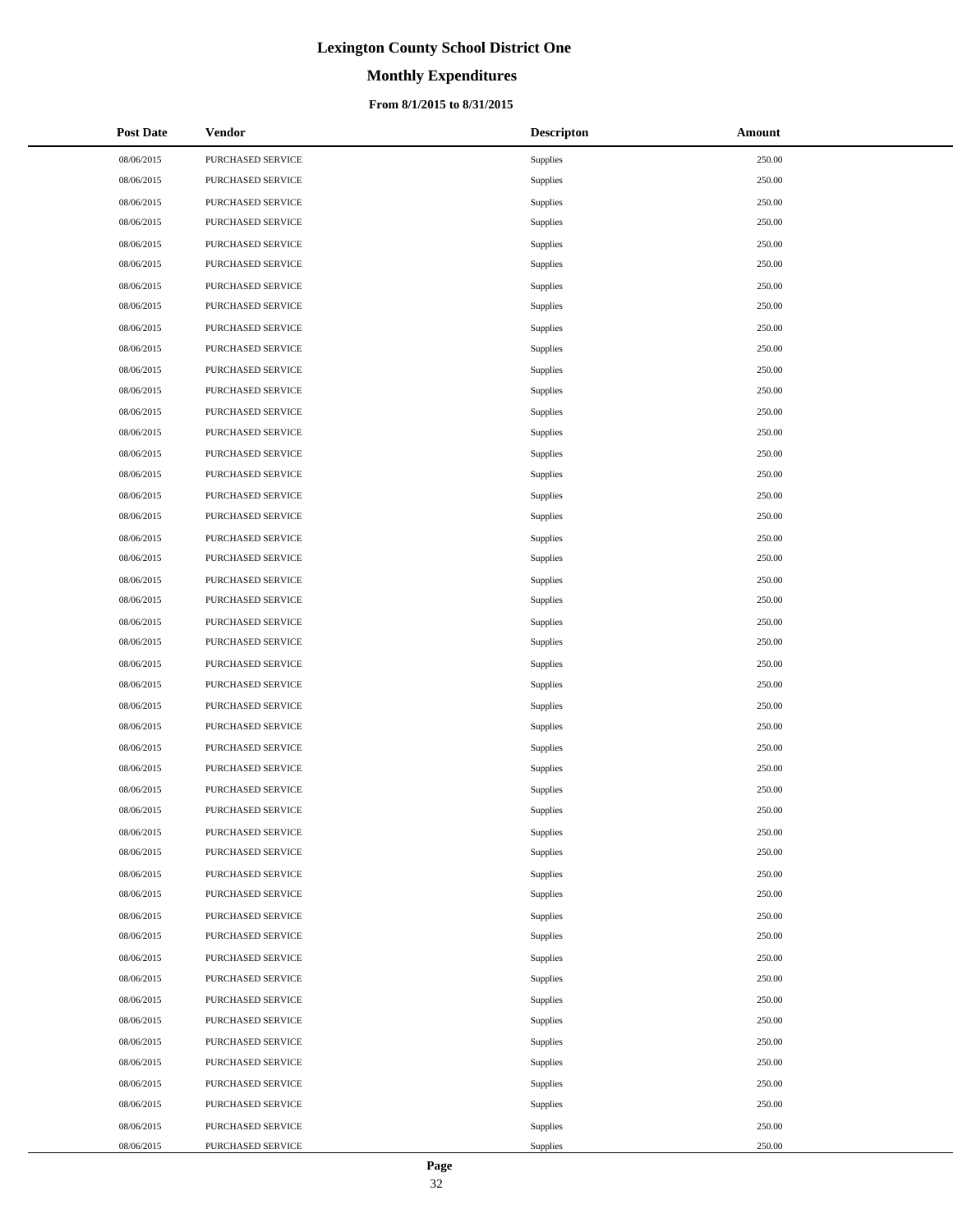# **Monthly Expenditures**

### **From 8/1/2015 to 8/31/2015**

| <b>Post Date</b> | <b>Vendor</b>     | <b>Descripton</b> | Amount |
|------------------|-------------------|-------------------|--------|
| 08/06/2015       | PURCHASED SERVICE | Supplies          | 250.00 |
| 08/06/2015       | PURCHASED SERVICE | Supplies          | 250.00 |
| 08/06/2015       | PURCHASED SERVICE | Supplies          | 250.00 |
| 08/06/2015       | PURCHASED SERVICE | Supplies          | 250.00 |
| 08/06/2015       | PURCHASED SERVICE | Supplies          | 250.00 |
| 08/06/2015       | PURCHASED SERVICE | Supplies          | 250.00 |
| 08/06/2015       | PURCHASED SERVICE | Supplies          | 250.00 |
| 08/06/2015       | PURCHASED SERVICE | Supplies          | 250.00 |
| 08/06/2015       | PURCHASED SERVICE | Supplies          | 250.00 |
| 08/06/2015       | PURCHASED SERVICE | Supplies          | 250.00 |
| 08/06/2015       | PURCHASED SERVICE | Supplies          | 250.00 |
| 08/06/2015       | PURCHASED SERVICE | Supplies          | 250.00 |
| 08/06/2015       | PURCHASED SERVICE | Supplies          | 250.00 |
| 08/06/2015       | PURCHASED SERVICE | Supplies          | 250.00 |
| 08/06/2015       | PURCHASED SERVICE | Supplies          | 250.00 |
| 08/06/2015       | PURCHASED SERVICE | Supplies          | 250.00 |
| 08/06/2015       | PURCHASED SERVICE | Supplies          | 250.00 |
| 08/06/2015       | PURCHASED SERVICE | Supplies          | 250.00 |
| 08/06/2015       | PURCHASED SERVICE | Supplies          | 250.00 |
| 08/06/2015       | PURCHASED SERVICE | Supplies          | 250.00 |
| 08/06/2015       | PURCHASED SERVICE | Supplies          | 250.00 |
| 08/06/2015       | PURCHASED SERVICE | Supplies          | 250.00 |
| 08/06/2015       | PURCHASED SERVICE | Supplies          | 250.00 |
| 08/06/2015       | PURCHASED SERVICE | Supplies          | 250.00 |
| 08/06/2015       | PURCHASED SERVICE | Supplies          | 250.00 |
| 08/06/2015       | PURCHASED SERVICE | Supplies          | 250.00 |
| 08/06/2015       | PURCHASED SERVICE | Supplies          | 250.00 |
| 08/06/2015       | PURCHASED SERVICE | Supplies          | 250.00 |
| 08/06/2015       | PURCHASED SERVICE | Supplies          | 250.00 |
| 08/06/2015       | PURCHASED SERVICE | Supplies          | 250.00 |
| 08/06/2015       | PURCHASED SERVICE | <b>Supplies</b>   | 250.00 |
| 08/06/2015       | PURCHASED SERVICE | Supplies          | 250.00 |
| 08/06/2015       | PURCHASED SERVICE | Supplies          | 250.00 |
| 08/06/2015       | PURCHASED SERVICE | Supplies          | 250.00 |
| 08/06/2015       | PURCHASED SERVICE | Supplies          | 250.00 |
| 08/06/2015       | PURCHASED SERVICE | Supplies          | 250.00 |
| 08/06/2015       | PURCHASED SERVICE | Supplies          | 250.00 |
| 08/06/2015       | PURCHASED SERVICE | Supplies          | 250.00 |
| 08/06/2015       | PURCHASED SERVICE | Supplies          | 250.00 |
| 08/06/2015       | PURCHASED SERVICE | Supplies          | 250.00 |
| 08/06/2015       | PURCHASED SERVICE | Supplies          | 250.00 |
| 08/06/2015       | PURCHASED SERVICE | Supplies          | 250.00 |
| 08/06/2015       | PURCHASED SERVICE | Supplies          | 250.00 |
| 08/06/2015       | PURCHASED SERVICE | Supplies          | 250.00 |
| 08/06/2015       | PURCHASED SERVICE | Supplies          | 250.00 |
| 08/06/2015       | PURCHASED SERVICE | Supplies          | 250.00 |
| 08/06/2015       | PURCHASED SERVICE | Supplies          | 250.00 |
| 08/06/2015       | PURCHASED SERVICE | Supplies          | 250.00 |

 $\overline{a}$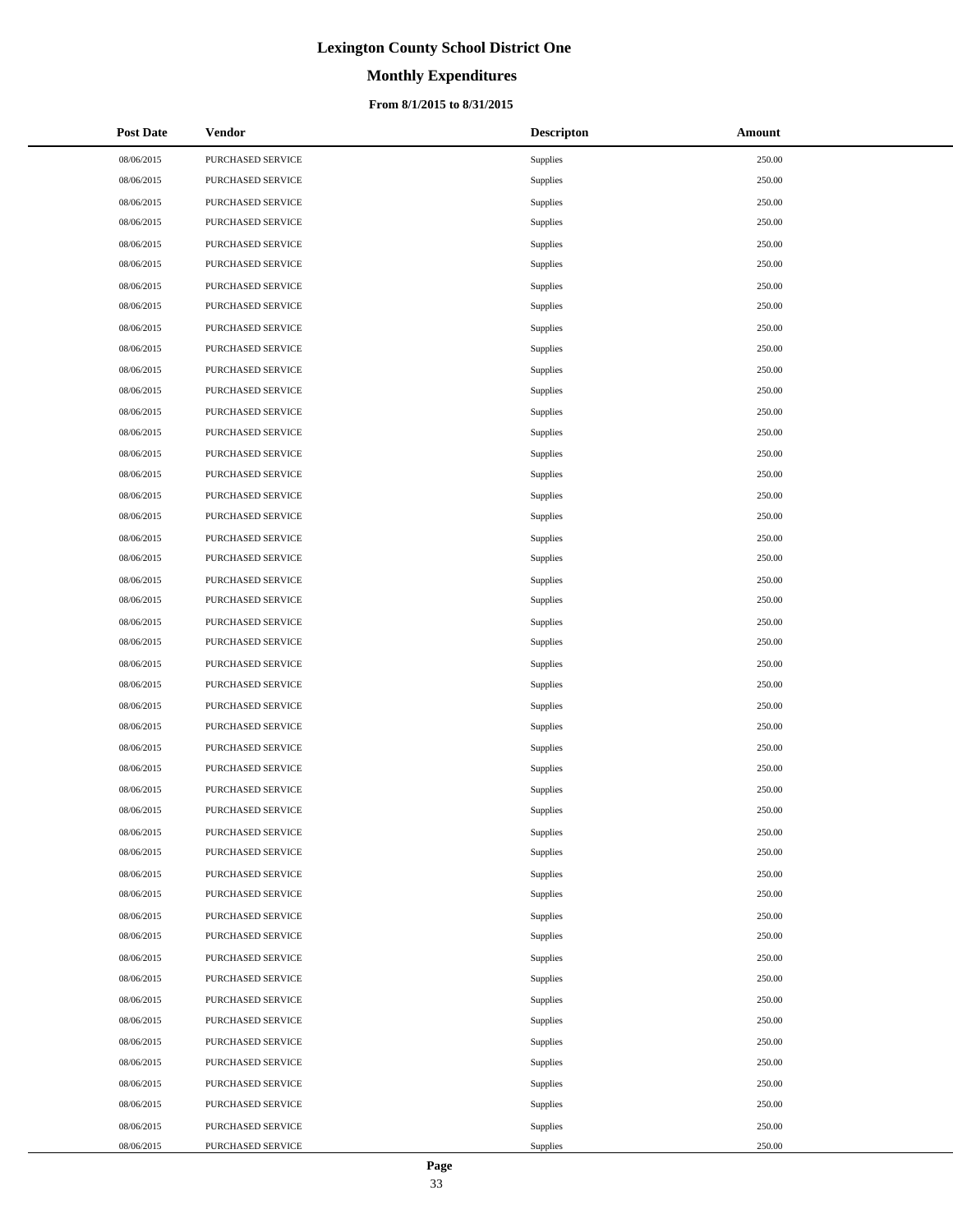# **Monthly Expenditures**

### **From 8/1/2015 to 8/31/2015**

| <b>Post Date</b> | Vendor            | <b>Descripton</b> | Amount |
|------------------|-------------------|-------------------|--------|
| 08/06/2015       | PURCHASED SERVICE | Supplies          | 250.00 |
| 08/06/2015       | PURCHASED SERVICE | Supplies          | 250.00 |
| 08/06/2015       | PURCHASED SERVICE | Supplies          | 250.00 |
| 08/06/2015       | PURCHASED SERVICE | Supplies          | 250.00 |
| 08/06/2015       | PURCHASED SERVICE | Supplies          | 250.00 |
| 08/06/2015       | PURCHASED SERVICE | Supplies          | 250.00 |
| 08/06/2015       | PURCHASED SERVICE | Supplies          | 250.00 |
| 08/06/2015       | PURCHASED SERVICE | Supplies          | 250.00 |
| 08/06/2015       | PURCHASED SERVICE | Supplies          | 250.00 |
| 08/06/2015       | PURCHASED SERVICE | Supplies          | 250.00 |
| 08/06/2015       | PURCHASED SERVICE | Supplies          | 250.00 |
| 08/06/2015       | PURCHASED SERVICE | Supplies          | 250.00 |
| 08/06/2015       | PURCHASED SERVICE | Supplies          | 250.00 |
| 08/06/2015       | PURCHASED SERVICE | Supplies          | 250.00 |
| 08/06/2015       | PURCHASED SERVICE | Supplies          | 250.00 |
| 08/06/2015       | PURCHASED SERVICE | Supplies          | 250.00 |
| 08/06/2015       | PURCHASED SERVICE | Supplies          | 250.00 |
| 08/06/2015       | PURCHASED SERVICE | Supplies          | 250.00 |
| 08/06/2015       | PURCHASED SERVICE | Supplies          | 250.00 |
| 08/06/2015       | PURCHASED SERVICE | Supplies          | 250.00 |
| 08/06/2015       | PURCHASED SERVICE | Supplies          | 250.00 |
| 08/06/2015       | PURCHASED SERVICE | Supplies          | 250.00 |
| 08/06/2015       | PURCHASED SERVICE | Supplies          | 250.00 |
| 08/06/2015       | PURCHASED SERVICE | Supplies          | 250.00 |
| 08/06/2015       | PURCHASED SERVICE | Supplies          | 250.00 |
| 08/06/2015       | PURCHASED SERVICE | Supplies          | 250.00 |
| 08/06/2015       | PURCHASED SERVICE | Supplies          | 250.00 |
| 08/06/2015       | PURCHASED SERVICE | Supplies          | 250.00 |
| 08/06/2015       | PURCHASED SERVICE | Supplies          | 250.00 |
| 08/06/2015       | PURCHASED SERVICE | Supplies          | 250.00 |
| 08/06/2015       | PURCHASED SERVICE | Supplies          | 250.00 |
| 08/06/2015       | PURCHASED SERVICE | Supplies          | 250.00 |
| 08/06/2015       | PURCHASED SERVICE | Supplies          | 250.00 |
| 08/06/2015       | PURCHASED SERVICE | Supplies          | 250.00 |
| 08/06/2015       | PURCHASED SERVICE | Supplies          | 250.00 |
| 08/06/2015       | PURCHASED SERVICE | Supplies          | 250.00 |
| 08/06/2015       | PURCHASED SERVICE | Supplies          | 250.00 |
| 08/06/2015       | PURCHASED SERVICE | Supplies          | 250.00 |
| 08/06/2015       | PURCHASED SERVICE | Supplies          | 250.00 |
| 08/06/2015       | PURCHASED SERVICE | Supplies          | 250.00 |
| 08/06/2015       | PURCHASED SERVICE | Supplies          | 250.00 |
| 08/06/2015       | PURCHASED SERVICE | Supplies          | 250.00 |
| 08/06/2015       | PURCHASED SERVICE | Supplies          | 250.00 |
| 08/06/2015       | PURCHASED SERVICE | Supplies          | 250.00 |
| 08/06/2015       | PURCHASED SERVICE | Supplies          | 250.00 |
| 08/06/2015       | PURCHASED SERVICE | Supplies          | 250.00 |
| 08/06/2015       | PURCHASED SERVICE | Supplies          | 250.00 |
| 08/06/2015       | PURCHASED SERVICE | Supplies          | 250.00 |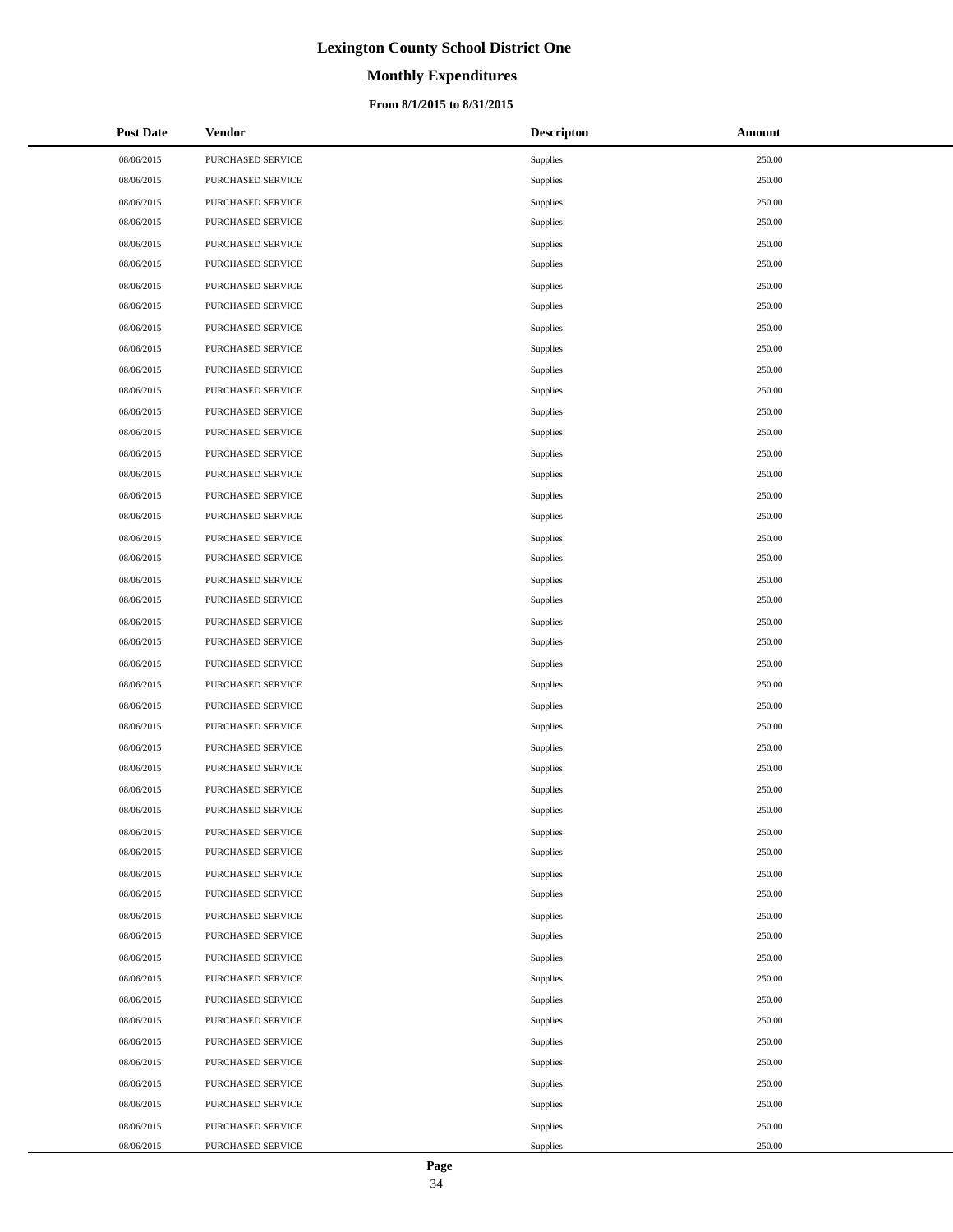# **Monthly Expenditures**

### **From 8/1/2015 to 8/31/2015**

| <b>Post Date</b> | Vendor            | <b>Descripton</b> | Amount |
|------------------|-------------------|-------------------|--------|
| 08/06/2015       | PURCHASED SERVICE | Supplies          | 250.00 |
| 08/06/2015       | PURCHASED SERVICE | Supplies          | 250.00 |
| 08/06/2015       | PURCHASED SERVICE | Supplies          | 250.00 |
| 08/06/2015       | PURCHASED SERVICE | Supplies          | 250.00 |
| 08/06/2015       | PURCHASED SERVICE | Supplies          | 250.00 |
| 08/06/2015       | PURCHASED SERVICE | Supplies          | 250.00 |
| 08/06/2015       | PURCHASED SERVICE | Supplies          | 250.00 |
| 08/06/2015       | PURCHASED SERVICE | Supplies          | 250.00 |
| 08/06/2015       | PURCHASED SERVICE | Supplies          | 250.00 |
| 08/06/2015       | PURCHASED SERVICE | Supplies          | 250.00 |
| 08/06/2015       | PURCHASED SERVICE | Supplies          | 250.00 |
| 08/06/2015       | PURCHASED SERVICE | Supplies          | 250.00 |
| 08/06/2015       | PURCHASED SERVICE | Supplies          | 250.00 |
| 08/06/2015       | PURCHASED SERVICE | Supplies          | 250.00 |
| 08/06/2015       | PURCHASED SERVICE | Supplies          | 250.00 |
| 08/06/2015       | PURCHASED SERVICE | Supplies          | 250.00 |
| 08/06/2015       | PURCHASED SERVICE | Supplies          | 250.00 |
| 08/06/2015       | PURCHASED SERVICE | Supplies          | 250.00 |
| 08/06/2015       | PURCHASED SERVICE | Supplies          | 250.00 |
| 08/06/2015       | PURCHASED SERVICE | Supplies          | 250.00 |
| 08/06/2015       | PURCHASED SERVICE | Supplies          | 250.00 |
| 08/06/2015       | PURCHASED SERVICE | Supplies          | 250.00 |
| 08/06/2015       | PURCHASED SERVICE | Supplies          | 250.00 |
| 08/06/2015       | PURCHASED SERVICE | Supplies          | 250.00 |
| 08/06/2015       | PURCHASED SERVICE | Supplies          | 250.00 |
| 08/06/2015       | PURCHASED SERVICE | Supplies          | 250.00 |
| 08/06/2015       | PURCHASED SERVICE | Supplies          | 250.00 |
| 08/06/2015       | PURCHASED SERVICE | Supplies          | 250.00 |
| 08/06/2015       | PURCHASED SERVICE | Supplies          | 250.00 |
| 08/06/2015       | PURCHASED SERVICE | Supplies          | 250.00 |
| 08/06/2015       | PURCHASED SERVICE | Supplies          | 250.00 |
| 08/06/2015       | PURCHASED SERVICE | Supplies          | 250.00 |
| 08/06/2015       | PURCHASED SERVICE | Supplies          | 250.00 |
| 08/06/2015       | PURCHASED SERVICE | Supplies          | 250.00 |
| 08/06/2015       | PURCHASED SERVICE | Supplies          | 250.00 |
| 08/06/2015       | PURCHASED SERVICE | Supplies          | 250.00 |
| 08/06/2015       | PURCHASED SERVICE | Supplies          | 250.00 |
| 08/06/2015       | PURCHASED SERVICE | Supplies          | 250.00 |
| 08/06/2015       | PURCHASED SERVICE | Supplies          | 250.00 |
| 08/06/2015       | PURCHASED SERVICE | Supplies          | 250.00 |
| 08/06/2015       | PURCHASED SERVICE | Supplies          | 250.00 |
| 08/06/2015       | PURCHASED SERVICE | Supplies          | 250.00 |
| 08/06/2015       | PURCHASED SERVICE | Supplies          | 250.00 |
| 08/06/2015       | PURCHASED SERVICE | Supplies          | 250.00 |
| 08/06/2015       | PURCHASED SERVICE | Supplies          | 250.00 |
| 08/06/2015       | PURCHASED SERVICE | Supplies          | 250.00 |
| 08/06/2015       | PURCHASED SERVICE | Supplies          | 250.00 |
| 08/06/2015       | PURCHASED SERVICE | Supplies          | 250.00 |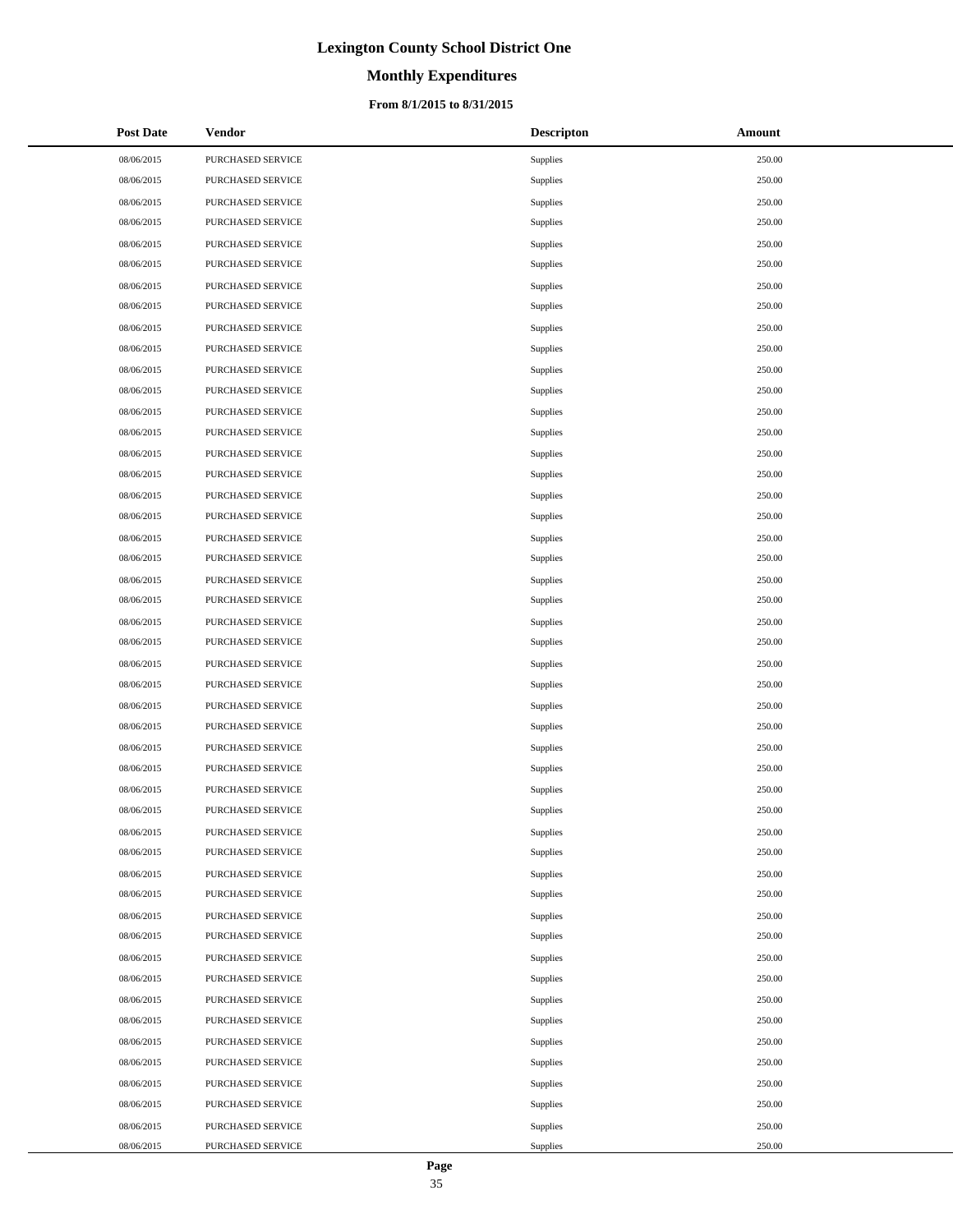# **Monthly Expenditures**

### **From 8/1/2015 to 8/31/2015**

| <b>Post Date</b> | Vendor            | <b>Descripton</b> | Amount |
|------------------|-------------------|-------------------|--------|
| 08/06/2015       | PURCHASED SERVICE | Supplies          | 250.00 |
| 08/06/2015       | PURCHASED SERVICE | Supplies          | 250.00 |
| 08/06/2015       | PURCHASED SERVICE | Supplies          | 250.00 |
| 08/06/2015       | PURCHASED SERVICE | Supplies          | 250.00 |
| 08/06/2015       | PURCHASED SERVICE | Supplies          | 250.00 |
| 08/06/2015       | PURCHASED SERVICE | Supplies          | 250.00 |
| 08/06/2015       | PURCHASED SERVICE | Supplies          | 250.00 |
| 08/06/2015       | PURCHASED SERVICE | Supplies          | 250.00 |
| 08/06/2015       | PURCHASED SERVICE | Supplies          | 250.00 |
| 08/06/2015       | PURCHASED SERVICE | Supplies          | 250.00 |
| 08/06/2015       | PURCHASED SERVICE | Supplies          | 250.00 |
| 08/06/2015       | PURCHASED SERVICE | Supplies          | 250.00 |
| 08/06/2015       | PURCHASED SERVICE | Supplies          | 250.00 |
| 08/06/2015       | PURCHASED SERVICE | Supplies          | 250.00 |
| 08/06/2015       | PURCHASED SERVICE | Supplies          | 250.00 |
| 08/06/2015       | PURCHASED SERVICE | Supplies          | 250.00 |
| 08/06/2015       | PURCHASED SERVICE | Supplies          | 250.00 |
| 08/06/2015       | PURCHASED SERVICE | Supplies          | 250.00 |
| 08/06/2015       | PURCHASED SERVICE | Supplies          | 250.00 |
| 08/06/2015       | PURCHASED SERVICE | Supplies          | 250.00 |
| 08/06/2015       | PURCHASED SERVICE | Supplies          | 250.00 |
| 08/06/2015       | PURCHASED SERVICE | Supplies          | 250.00 |
| 08/06/2015       | PURCHASED SERVICE | Supplies          | 250.00 |
| 08/06/2015       | PURCHASED SERVICE | Supplies          | 250.00 |
| 08/06/2015       | PURCHASED SERVICE | Supplies          | 250.00 |
| 08/06/2015       | PURCHASED SERVICE | Supplies          | 250.00 |
| 08/06/2015       | PURCHASED SERVICE | Supplies          | 250.00 |
| 08/06/2015       | PURCHASED SERVICE | Supplies          | 250.00 |
| 08/06/2015       | PURCHASED SERVICE | Supplies          | 250.00 |
| 08/06/2015       | PURCHASED SERVICE | Supplies          | 250.00 |
| 08/06/2015       | PURCHASED SERVICE | Supplies          | 250.00 |
| 08/06/2015       | PURCHASED SERVICE | Supplies          | 250.00 |
| 08/06/2015       | PURCHASED SERVICE | Supplies          | 250.00 |
| 08/06/2015       | PURCHASED SERVICE | Supplies          | 250.00 |
| 08/06/2015       | PURCHASED SERVICE | Supplies          | 250.00 |
| 08/06/2015       | PURCHASED SERVICE | Supplies          | 250.00 |
| 08/06/2015       | PURCHASED SERVICE | Supplies          | 250.00 |
| 08/06/2015       | PURCHASED SERVICE | Supplies          | 250.00 |
| 08/06/2015       | PURCHASED SERVICE | Supplies          | 250.00 |
| 08/06/2015       | PURCHASED SERVICE | Supplies          | 250.00 |
| 08/06/2015       | PURCHASED SERVICE | Supplies          | 250.00 |
| 08/06/2015       | PURCHASED SERVICE | Supplies          | 250.00 |
| 08/06/2015       | PURCHASED SERVICE | Supplies          | 250.00 |
| 08/06/2015       | PURCHASED SERVICE | Supplies          | 250.00 |
| 08/06/2015       | PURCHASED SERVICE | Supplies          | 250.00 |
| 08/06/2015       | PURCHASED SERVICE | Supplies          | 250.00 |
| 08/06/2015       | PURCHASED SERVICE | Supplies          | 250.00 |
| 08/06/2015       | PURCHASED SERVICE | Supplies          | 250.00 |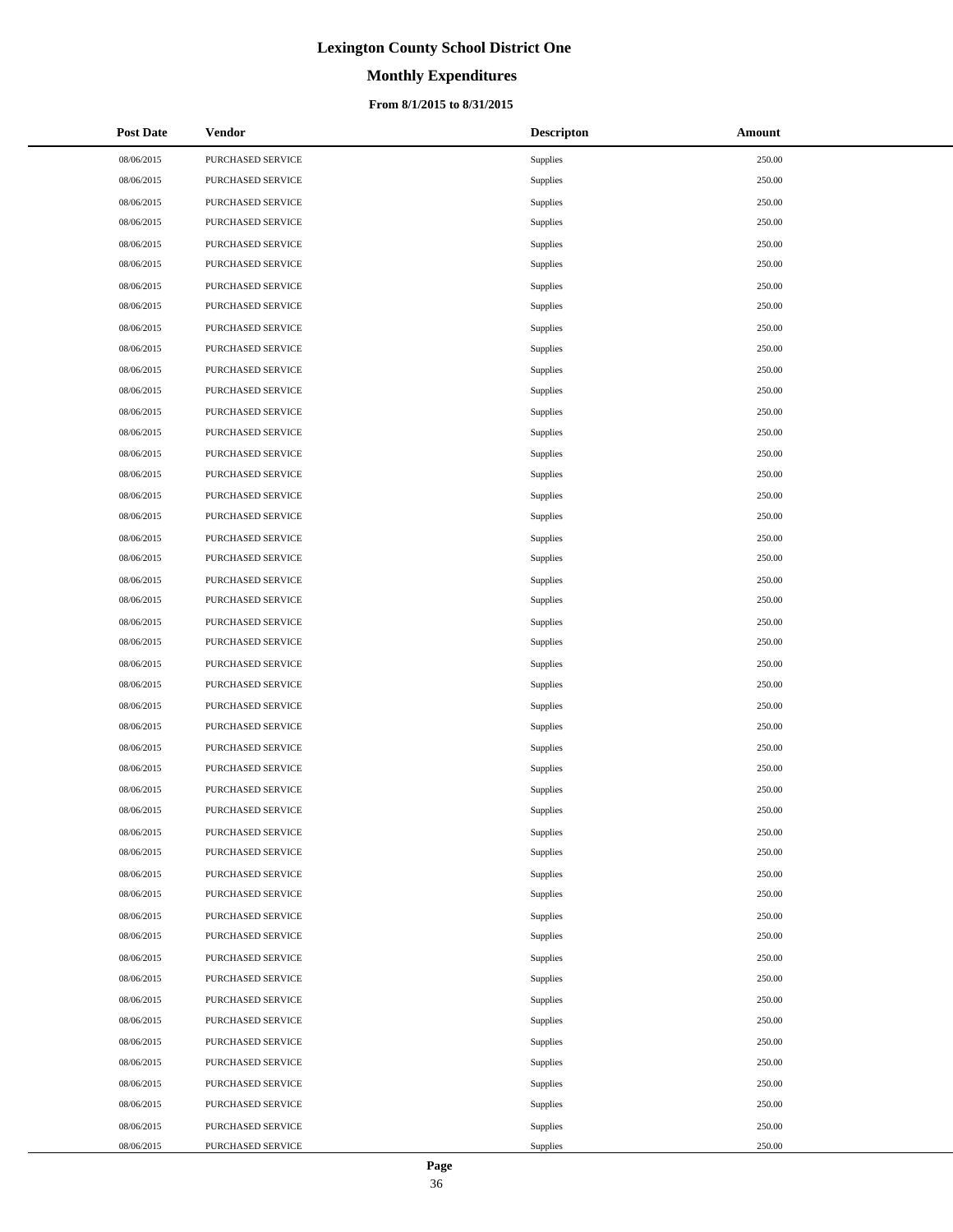# **Monthly Expenditures**

### **From 8/1/2015 to 8/31/2015**

| <b>Post Date</b> | Vendor            | <b>Descripton</b> | Amount |
|------------------|-------------------|-------------------|--------|
| 08/06/2015       | PURCHASED SERVICE | Supplies          | 250.00 |
| 08/06/2015       | PURCHASED SERVICE | Supplies          | 250.00 |
| 08/06/2015       | PURCHASED SERVICE | Supplies          | 250.00 |
| 08/06/2015       | PURCHASED SERVICE | Supplies          | 250.00 |
| 08/06/2015       | PURCHASED SERVICE | Supplies          | 250.00 |
| 08/06/2015       | PURCHASED SERVICE | Supplies          | 250.00 |
| 08/06/2015       | PURCHASED SERVICE | Supplies          | 250.00 |
| 08/06/2015       | PURCHASED SERVICE | Supplies          | 250.00 |
| 08/06/2015       | PURCHASED SERVICE | Supplies          | 250.00 |
| 08/06/2015       | PURCHASED SERVICE | Supplies          | 250.00 |
| 08/06/2015       | PURCHASED SERVICE | Supplies          | 250.00 |
| 08/06/2015       | PURCHASED SERVICE | Supplies          | 250.00 |
| 08/06/2015       | PURCHASED SERVICE | Supplies          | 250.00 |
| 08/06/2015       | PURCHASED SERVICE | Supplies          | 250.00 |
| 08/06/2015       | PURCHASED SERVICE | Supplies          | 250.00 |
| 08/06/2015       | PURCHASED SERVICE | Supplies          | 250.00 |
| 08/06/2015       | PURCHASED SERVICE | Supplies          | 250.00 |
| 08/06/2015       | PURCHASED SERVICE | Supplies          | 250.00 |
| 08/06/2015       | PURCHASED SERVICE | Supplies          | 250.00 |
| 08/06/2015       | PURCHASED SERVICE | Supplies          | 250.00 |
| 08/06/2015       | PURCHASED SERVICE | Supplies          | 250.00 |
| 08/06/2015       | PURCHASED SERVICE | Supplies          | 250.00 |
| 08/06/2015       | PURCHASED SERVICE | Supplies          | 250.00 |
| 08/06/2015       | PURCHASED SERVICE | Supplies          | 250.00 |
| 08/06/2015       | PURCHASED SERVICE | Supplies          | 250.00 |
| 08/06/2015       | PURCHASED SERVICE | Supplies          | 250.00 |
| 08/06/2015       | PURCHASED SERVICE | Supplies          | 250.00 |
| 08/06/2015       | PURCHASED SERVICE | Supplies          | 250.00 |
| 08/06/2015       | PURCHASED SERVICE | Supplies          | 250.00 |
| 08/06/2015       | PURCHASED SERVICE | Supplies          | 250.00 |
| 08/06/2015       | PURCHASED SERVICE | Supplies          | 250.00 |
| 08/06/2015       | PURCHASED SERVICE | Supplies          | 250.00 |
| 08/06/2015       | PURCHASED SERVICE | Supplies          | 250.00 |
| 08/06/2015       | PURCHASED SERVICE | Supplies          | 250.00 |
| 08/06/2015       | PURCHASED SERVICE | Supplies          | 250.00 |
| 08/06/2015       | PURCHASED SERVICE | Supplies          | 250.00 |
| 08/06/2015       | PURCHASED SERVICE | Supplies          | 250.00 |
| 08/06/2015       | PURCHASED SERVICE | Supplies          | 250.00 |
| 08/06/2015       | PURCHASED SERVICE | Supplies          | 250.00 |
| 08/06/2015       | PURCHASED SERVICE | Supplies          | 250.00 |
| 08/06/2015       | PURCHASED SERVICE | Supplies          | 250.00 |
| 08/06/2015       | PURCHASED SERVICE | Supplies          | 250.00 |
| 08/06/2015       | PURCHASED SERVICE | Supplies          | 250.00 |
| 08/06/2015       | PURCHASED SERVICE | Supplies          | 250.00 |
| 08/06/2015       | PURCHASED SERVICE | Supplies          | 250.00 |
| 08/06/2015       | PURCHASED SERVICE | Supplies          | 250.00 |
| 08/06/2015       | PURCHASED SERVICE | Supplies          | 250.00 |
| 08/06/2015       | PURCHASED SERVICE | Supplies          | 250.00 |

 $\overline{a}$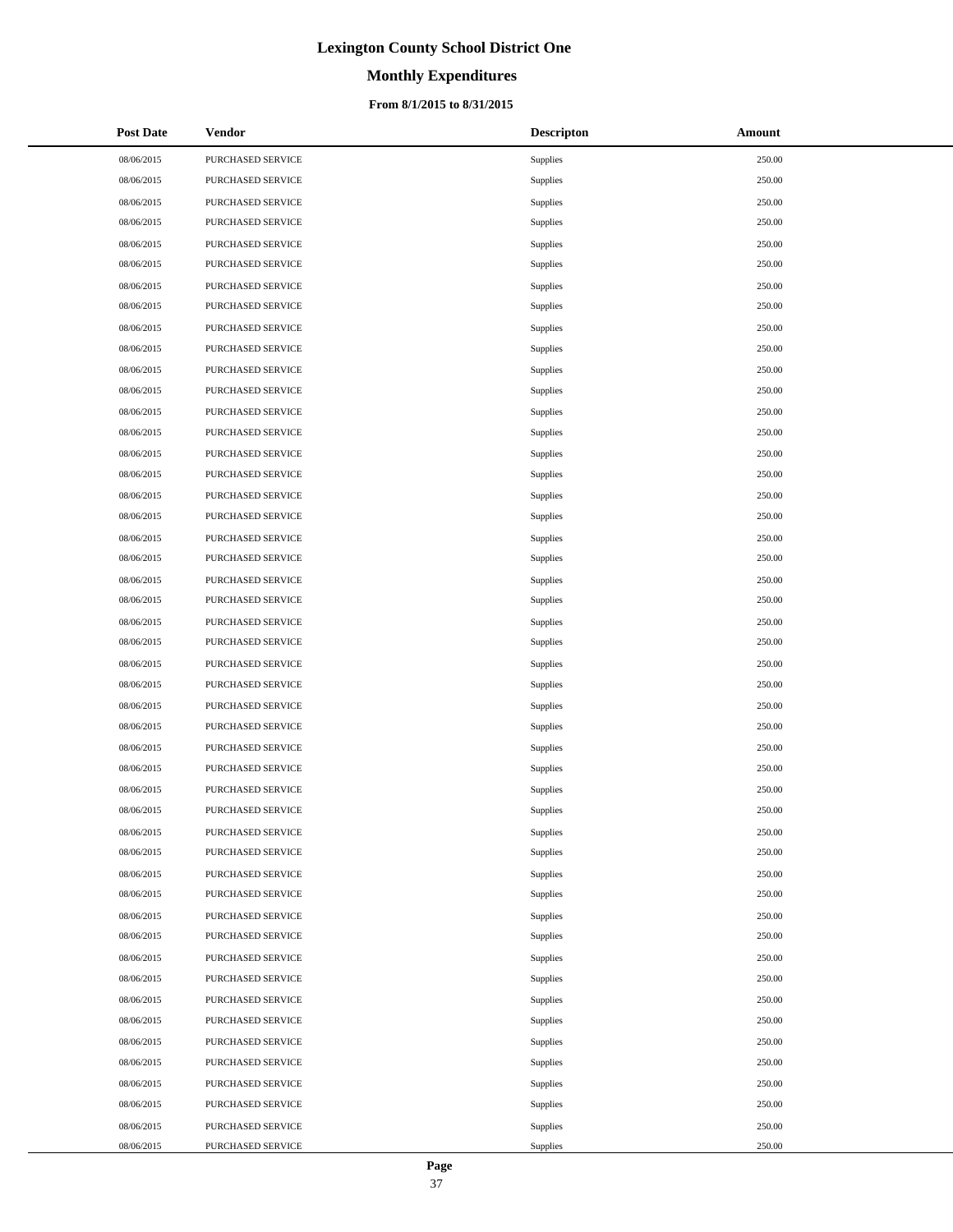# **Monthly Expenditures**

## **From 8/1/2015 to 8/31/2015**

| <b>Post Date</b> | Vendor            | <b>Descripton</b> | Amount |
|------------------|-------------------|-------------------|--------|
| 08/06/2015       | PURCHASED SERVICE | Supplies          | 250.00 |
| 08/06/2015       | PURCHASED SERVICE | Supplies          | 250.00 |
| 08/06/2015       | PURCHASED SERVICE | Supplies          | 250.00 |
| 08/06/2015       | PURCHASED SERVICE | Supplies          | 250.00 |
| 08/06/2015       | PURCHASED SERVICE | Supplies          | 250.00 |
| 08/06/2015       | PURCHASED SERVICE | Supplies          | 250.00 |
| 08/06/2015       | PURCHASED SERVICE | Supplies          | 250.00 |
| 08/06/2015       | PURCHASED SERVICE | Supplies          | 250.00 |
| 08/06/2015       | PURCHASED SERVICE | Supplies          | 250.00 |
| 08/06/2015       | PURCHASED SERVICE | Supplies          | 250.00 |
| 08/06/2015       | PURCHASED SERVICE | Supplies          | 250.00 |
| 08/06/2015       | PURCHASED SERVICE | Supplies          | 250.00 |
| 08/06/2015       | PURCHASED SERVICE | Supplies          | 250.00 |
| 08/06/2015       | PURCHASED SERVICE | Supplies          | 250.00 |
| 08/06/2015       | PURCHASED SERVICE | Supplies          | 250.00 |
| 08/06/2015       | PURCHASED SERVICE | Supplies          | 250.00 |
| 08/06/2015       | PURCHASED SERVICE | Supplies          | 250.00 |
| 08/06/2015       | PURCHASED SERVICE | Supplies          | 250.00 |
| 08/06/2015       | PURCHASED SERVICE | Supplies          | 250.00 |
| 08/06/2015       | PURCHASED SERVICE | Supplies          | 250.00 |
| 08/06/2015       | PURCHASED SERVICE | Supplies          | 250.00 |
| 08/06/2015       | PURCHASED SERVICE | Supplies          | 250.00 |
| 08/06/2015       | PURCHASED SERVICE | Supplies          | 250.00 |
| 08/06/2015       | PURCHASED SERVICE | Supplies          | 250.00 |
| 08/06/2015       | PURCHASED SERVICE | Supplies          | 250.00 |
| 08/06/2015       | PURCHASED SERVICE | Supplies          | 250.00 |
| 08/06/2015       | PURCHASED SERVICE | Supplies          | 250.00 |
| 08/06/2015       | PURCHASED SERVICE | Supplies          | 250.00 |
| 08/06/2015       | PURCHASED SERVICE | Supplies          | 250.00 |
| 08/06/2015       | PURCHASED SERVICE | Supplies          | 250.00 |
| 08/06/2015       | PURCHASED SERVICE | Supplies          | 250.00 |
| 08/06/2015       | PURCHASED SERVICE | Supplies          | 250.00 |
| 08/06/2015       | PURCHASED SERVICE | Supplies          | 250.00 |
| 08/06/2015       | PURCHASED SERVICE | Supplies          | 250.00 |
| 08/06/2015       | PURCHASED SERVICE | Supplies          | 250.00 |
| 08/06/2015       | PURCHASED SERVICE | Supplies          | 250.00 |
| 08/06/2015       | PURCHASED SERVICE | Supplies          | 250.00 |
| 08/06/2015       | PURCHASED SERVICE | Supplies          | 250.00 |
| 08/06/2015       | PURCHASED SERVICE | Supplies          | 250.00 |
| 08/06/2015       | PURCHASED SERVICE | Supplies          | 250.00 |
| 08/06/2015       | PURCHASED SERVICE | Supplies          | 250.00 |
| 08/06/2015       | PURCHASED SERVICE | Supplies          | 250.00 |
| 08/06/2015       | PURCHASED SERVICE | Supplies          | 250.00 |
| 08/06/2015       | PURCHASED SERVICE | Supplies          | 250.00 |
| 08/06/2015       | PURCHASED SERVICE | Supplies          | 250.00 |
| 08/06/2015       | PURCHASED SERVICE | Supplies          | 250.00 |
| 08/06/2015       | PURCHASED SERVICE | Supplies          | 250.00 |
| 08/06/2015       | PURCHASED SERVICE | Supplies          | 250.00 |

÷.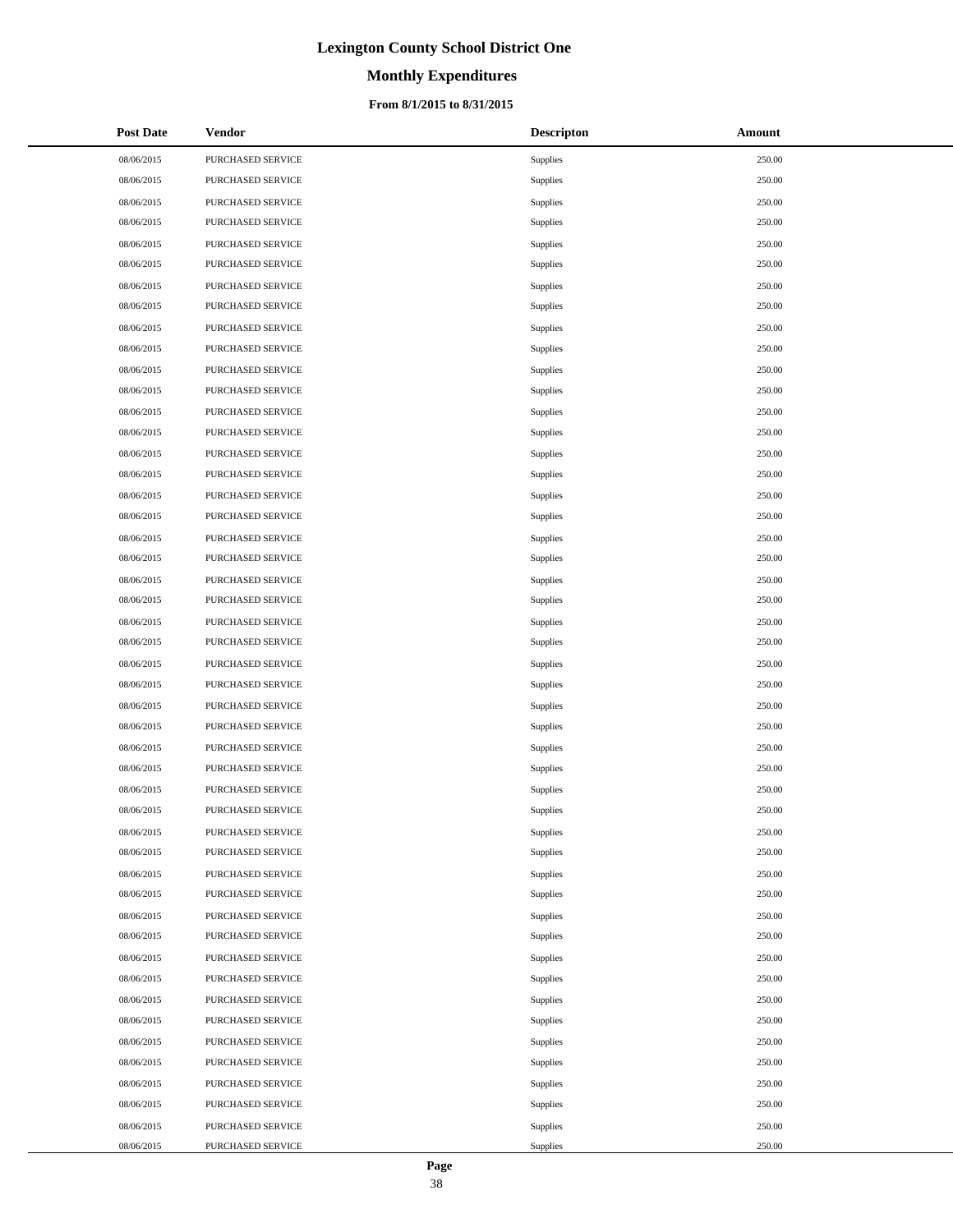# **Monthly Expenditures**

### **From 8/1/2015 to 8/31/2015**

| <b>Post Date</b> | Vendor            | <b>Descripton</b> | Amount |
|------------------|-------------------|-------------------|--------|
| 08/06/2015       | PURCHASED SERVICE | Supplies          | 250.00 |
| 08/06/2015       | PURCHASED SERVICE | Supplies          | 250.00 |
| 08/06/2015       | PURCHASED SERVICE | Supplies          | 250.00 |
| 08/06/2015       | PURCHASED SERVICE | Supplies          | 250.00 |
| 08/06/2015       | PURCHASED SERVICE | Supplies          | 250.00 |
| 08/06/2015       | PURCHASED SERVICE | Supplies          | 250.00 |
| 08/06/2015       | PURCHASED SERVICE | Supplies          | 250.00 |
| 08/06/2015       | PURCHASED SERVICE | Supplies          | 250.00 |
| 08/06/2015       | PURCHASED SERVICE | Supplies          | 250.00 |
| 08/06/2015       | PURCHASED SERVICE | Supplies          | 250.00 |
| 08/06/2015       | PURCHASED SERVICE | Supplies          | 250.00 |
| 08/06/2015       | PURCHASED SERVICE | Supplies          | 250.00 |
| 08/06/2015       | PURCHASED SERVICE | Supplies          | 250.00 |
| 08/06/2015       | PURCHASED SERVICE | Supplies          | 250.00 |
| 08/06/2015       | PURCHASED SERVICE | Supplies          | 250.00 |
| 08/06/2015       | PURCHASED SERVICE | Supplies          | 250.00 |
| 08/06/2015       | PURCHASED SERVICE | Supplies          | 250.00 |
| 08/06/2015       | PURCHASED SERVICE | Supplies          | 250.00 |
| 08/06/2015       | PURCHASED SERVICE | Supplies          | 250.00 |
| 08/06/2015       | PURCHASED SERVICE | Supplies          | 250.00 |
| 08/06/2015       | PURCHASED SERVICE | Supplies          | 250.00 |
| 08/06/2015       | PURCHASED SERVICE | Supplies          | 250.00 |
| 08/06/2015       | PURCHASED SERVICE | Supplies          | 250.00 |
| 08/06/2015       | PURCHASED SERVICE | Supplies          | 250.00 |
| 08/06/2015       | PURCHASED SERVICE | Supplies          | 250.00 |
| 08/06/2015       | PURCHASED SERVICE | Supplies          | 250.00 |
| 08/06/2015       | PURCHASED SERVICE | Supplies          | 250.00 |
| 08/06/2015       | PURCHASED SERVICE | Supplies          | 250.00 |
| 08/06/2015       | PURCHASED SERVICE | Supplies          | 250.00 |
| 08/06/2015       | PURCHASED SERVICE | Supplies          | 250.00 |
| 08/06/2015       | PURCHASED SERVICE | Supplies          | 250.00 |
| 08/06/2015       | PURCHASED SERVICE | Supplies          | 250.00 |
| 08/06/2015       | PURCHASED SERVICE | Supplies          | 250.00 |
| 08/06/2015       | PURCHASED SERVICE | Supplies          | 250.00 |
| 08/06/2015       | PURCHASED SERVICE | Supplies          | 250.00 |
| 08/06/2015       | PURCHASED SERVICE | Supplies          | 250.00 |
| 08/06/2015       | PURCHASED SERVICE | Supplies          | 250.00 |
| 08/06/2015       | PURCHASED SERVICE | Supplies          | 250.00 |
| 08/06/2015       | PURCHASED SERVICE | Supplies          | 250.00 |
| 08/06/2015       | PURCHASED SERVICE | Supplies          | 250.00 |
| 08/06/2015       | PURCHASED SERVICE | Supplies          | 250.00 |
| 08/06/2015       | PURCHASED SERVICE | Supplies          | 250.00 |
| 08/06/2015       | PURCHASED SERVICE | Supplies          | 250.00 |
| 08/06/2015       | PURCHASED SERVICE | Supplies          | 250.00 |
| 08/06/2015       | PURCHASED SERVICE | Supplies          | 250.00 |
| 08/06/2015       | PURCHASED SERVICE | Supplies          | 250.00 |
| 08/06/2015       | PURCHASED SERVICE | Supplies          | 250.00 |
| 08/06/2015       | PURCHASED SERVICE | Supplies          | 250.00 |

 $\overline{a}$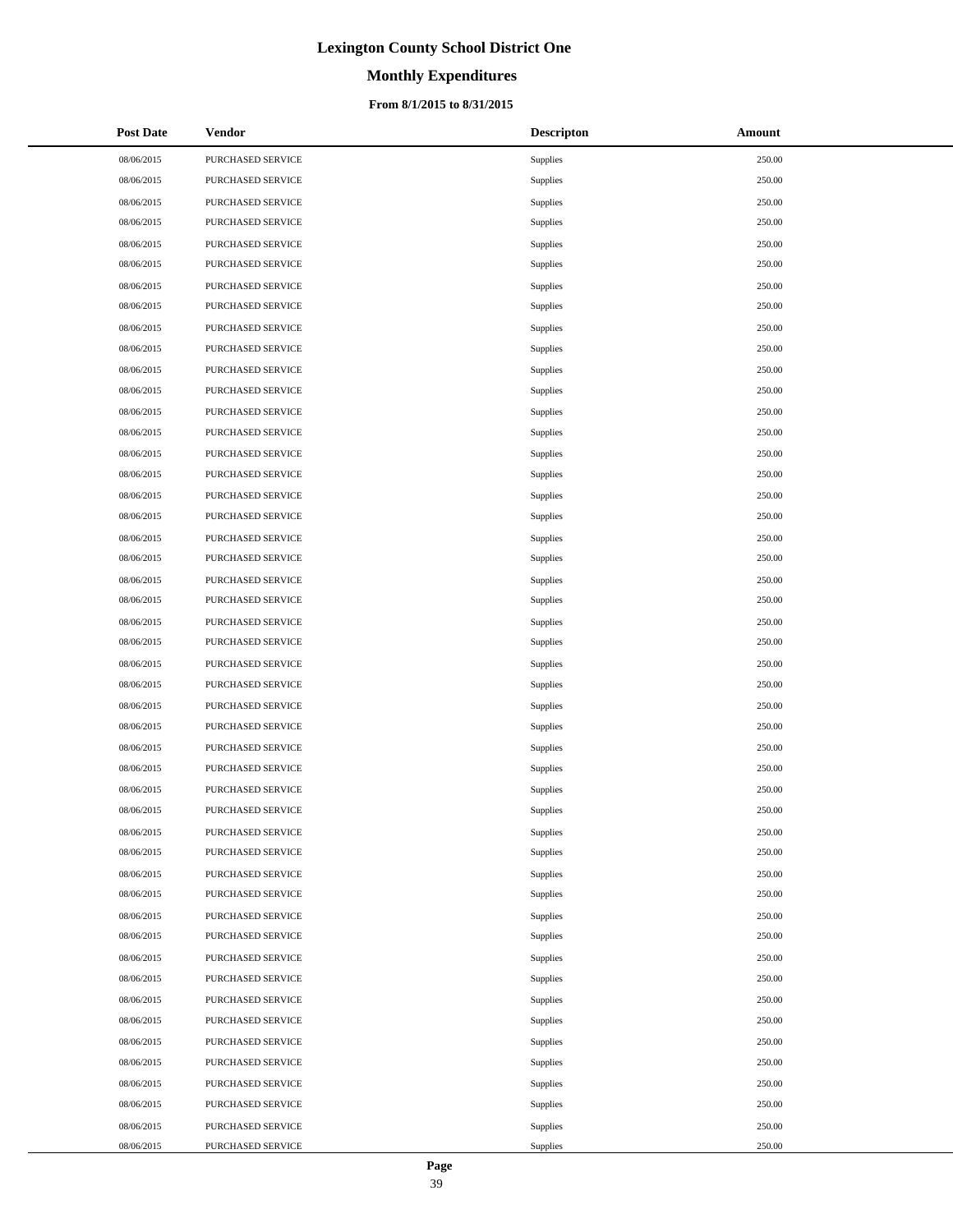# **Monthly Expenditures**

### **From 8/1/2015 to 8/31/2015**

| <b>Post Date</b> | Vendor            | <b>Descripton</b> | Amount |
|------------------|-------------------|-------------------|--------|
| 08/06/2015       | PURCHASED SERVICE | Supplies          | 250.00 |
| 08/06/2015       | PURCHASED SERVICE | Supplies          | 250.00 |
| 08/06/2015       | PURCHASED SERVICE | Supplies          | 250.00 |
| 08/06/2015       | PURCHASED SERVICE | Supplies          | 250.00 |
| 08/06/2015       | PURCHASED SERVICE | Supplies          | 250.00 |
| 08/06/2015       | PURCHASED SERVICE | Supplies          | 250.00 |
| 08/06/2015       | PURCHASED SERVICE | Supplies          | 250.00 |
| 08/06/2015       | PURCHASED SERVICE | Supplies          | 250.00 |
| 08/06/2015       | PURCHASED SERVICE | Supplies          | 250.00 |
| 08/06/2015       | PURCHASED SERVICE | Supplies          | 250.00 |
| 08/06/2015       | PURCHASED SERVICE | Supplies          | 250.00 |
| 08/06/2015       | PURCHASED SERVICE | Supplies          | 250.00 |
| 08/06/2015       | PURCHASED SERVICE | Supplies          | 250.00 |
| 08/06/2015       | PURCHASED SERVICE | Supplies          | 250.00 |
| 08/06/2015       | PURCHASED SERVICE | Supplies          | 250.00 |
| 08/06/2015       | PURCHASED SERVICE | Supplies          | 250.00 |
| 08/06/2015       | PURCHASED SERVICE | Supplies          | 250.00 |
| 08/06/2015       | PURCHASED SERVICE | Supplies          | 250.00 |
| 08/06/2015       | PURCHASED SERVICE | Supplies          | 250.00 |
| 08/06/2015       | PURCHASED SERVICE | Supplies          | 250.00 |
| 08/06/2015       | PURCHASED SERVICE | Supplies          | 250.00 |
| 08/06/2015       | PURCHASED SERVICE | Supplies          | 250.00 |
| 08/06/2015       | PURCHASED SERVICE | Supplies          | 250.00 |
| 08/06/2015       | PURCHASED SERVICE | Supplies          | 250.00 |
| 08/06/2015       | PURCHASED SERVICE | Supplies          | 250.00 |
| 08/06/2015       | PURCHASED SERVICE | Supplies          | 250.00 |
| 08/06/2015       | PURCHASED SERVICE | Supplies          | 250.00 |
| 08/06/2015       | PURCHASED SERVICE | Supplies          | 250.00 |
| 08/06/2015       | PURCHASED SERVICE | Supplies          | 250.00 |
| 08/06/2015       | PURCHASED SERVICE | Supplies          | 250.00 |
| 08/06/2015       | PURCHASED SERVICE | Supplies          | 250.00 |
| 08/06/2015       | PURCHASED SERVICE | Supplies          | 250.00 |
| 08/06/2015       | PURCHASED SERVICE | Supplies          | 250.00 |
| 08/06/2015       | PURCHASED SERVICE | Supplies          | 250.00 |
| 08/06/2015       | PURCHASED SERVICE | Supplies          | 250.00 |
| 08/06/2015       | PURCHASED SERVICE | Supplies          | 250.00 |
| 08/06/2015       | PURCHASED SERVICE | Supplies          | 250.00 |
| 08/06/2015       | PURCHASED SERVICE | Supplies          | 250.00 |
| 08/06/2015       | PURCHASED SERVICE | Supplies          | 250.00 |
| 08/06/2015       | PURCHASED SERVICE | Supplies          | 250.00 |
| 08/06/2015       | PURCHASED SERVICE | Supplies          | 250.00 |
| 08/06/2015       | PURCHASED SERVICE | Supplies          | 250.00 |
| 08/06/2015       | PURCHASED SERVICE | Supplies          | 250.00 |
| 08/06/2015       | PURCHASED SERVICE | Supplies          | 250.00 |
| 08/06/2015       | PURCHASED SERVICE | Supplies          | 250.00 |
| 08/06/2015       | PURCHASED SERVICE | Supplies          | 250.00 |
| 08/06/2015       | PURCHASED SERVICE | Supplies          | 250.00 |
| 08/06/2015       | PURCHASED SERVICE | Supplies          | 250.00 |

÷.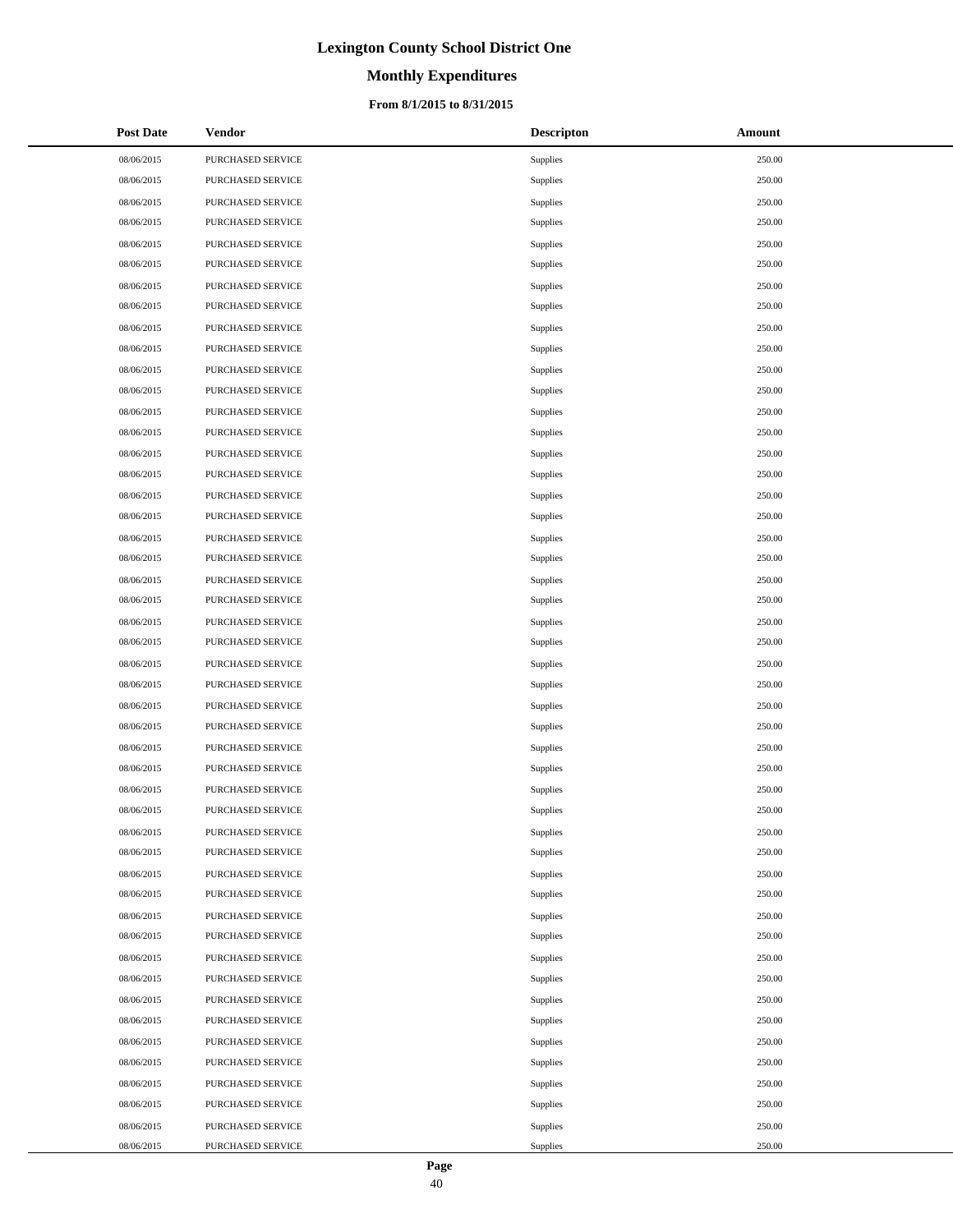# **Monthly Expenditures**

### **From 8/1/2015 to 8/31/2015**

| <b>Post Date</b> | Vendor            | <b>Descripton</b> | Amount |
|------------------|-------------------|-------------------|--------|
| 08/06/2015       | PURCHASED SERVICE | Supplies          | 250.00 |
| 08/06/2015       | PURCHASED SERVICE | Supplies          | 250.00 |
| 08/06/2015       | PURCHASED SERVICE | Supplies          | 250.00 |
| 08/06/2015       | PURCHASED SERVICE | Supplies          | 250.00 |
| 08/06/2015       | PURCHASED SERVICE | Supplies          | 250.00 |
| 08/06/2015       | PURCHASED SERVICE | Supplies          | 250.00 |
| 08/06/2015       | PURCHASED SERVICE | Supplies          | 250.00 |
| 08/06/2015       | PURCHASED SERVICE | Supplies          | 250.00 |
| 08/06/2015       | PURCHASED SERVICE | Supplies          | 250.00 |
| 08/06/2015       | PURCHASED SERVICE | Supplies          | 250.00 |
| 08/06/2015       | PURCHASED SERVICE | Supplies          | 250.00 |
| 08/06/2015       | PURCHASED SERVICE | Supplies          | 250.00 |
| 08/06/2015       | PURCHASED SERVICE | Supplies          | 250.00 |
| 08/06/2015       | PURCHASED SERVICE | Supplies          | 250.00 |
| 08/06/2015       | PURCHASED SERVICE | Supplies          | 250.00 |
| 08/06/2015       | PURCHASED SERVICE | Supplies          | 250.00 |
| 08/06/2015       | PURCHASED SERVICE | Supplies          | 250.00 |
| 08/06/2015       | PURCHASED SERVICE | Supplies          | 250.00 |
| 08/06/2015       | PURCHASED SERVICE | Supplies          | 250.00 |
| 08/06/2015       | PURCHASED SERVICE | Supplies          | 250.00 |
| 08/06/2015       | PURCHASED SERVICE | Supplies          | 250.00 |
| 08/06/2015       | PURCHASED SERVICE | Supplies          | 250.00 |
| 08/06/2015       | PURCHASED SERVICE | Supplies          | 250.00 |
| 08/06/2015       | PURCHASED SERVICE | Supplies          | 250.00 |
| 08/06/2015       | PURCHASED SERVICE | Supplies          | 250.00 |
| 08/06/2015       | PURCHASED SERVICE | Supplies          | 250.00 |
| 08/06/2015       | PURCHASED SERVICE | Supplies          | 250.00 |
| 08/06/2015       | PURCHASED SERVICE | Supplies          | 250.00 |
| 08/06/2015       | PURCHASED SERVICE | Supplies          | 250.00 |
| 08/06/2015       | PURCHASED SERVICE | Supplies          | 250.00 |
| 08/06/2015       | PURCHASED SERVICE | Supplies          | 250.00 |
| 08/06/2015       | PURCHASED SERVICE | Supplies          | 250.00 |
| 08/06/2015       | PURCHASED SERVICE | Supplies          | 250.00 |
| 08/06/2015       | PURCHASED SERVICE | Supplies          | 250.00 |
| 08/06/2015       | PURCHASED SERVICE | Supplies          | 250.00 |
| 08/06/2015       | PURCHASED SERVICE | Supplies          | 250.00 |
| 08/06/2015       | PURCHASED SERVICE | Supplies          | 250.00 |
| 08/06/2015       | PURCHASED SERVICE | Supplies          | 250.00 |
| 08/06/2015       | PURCHASED SERVICE | Supplies          | 250.00 |
| 08/06/2015       | PURCHASED SERVICE | Supplies          | 250.00 |
| 08/06/2015       | PURCHASED SERVICE | Supplies          | 250.00 |
| 08/06/2015       | PURCHASED SERVICE | Supplies          | 250.00 |
| 08/06/2015       | PURCHASED SERVICE | Supplies          | 250.00 |
| 08/06/2015       | PURCHASED SERVICE | Supplies          | 250.00 |
| 08/06/2015       | PURCHASED SERVICE | Supplies          | 250.00 |
| 08/06/2015       | PURCHASED SERVICE | Supplies          | 250.00 |
| 08/06/2015       | PURCHASED SERVICE | Supplies          | 250.00 |
| 08/06/2015       | PURCHASED SERVICE | Supplies          | 250.00 |

 $\overline{a}$ 

÷.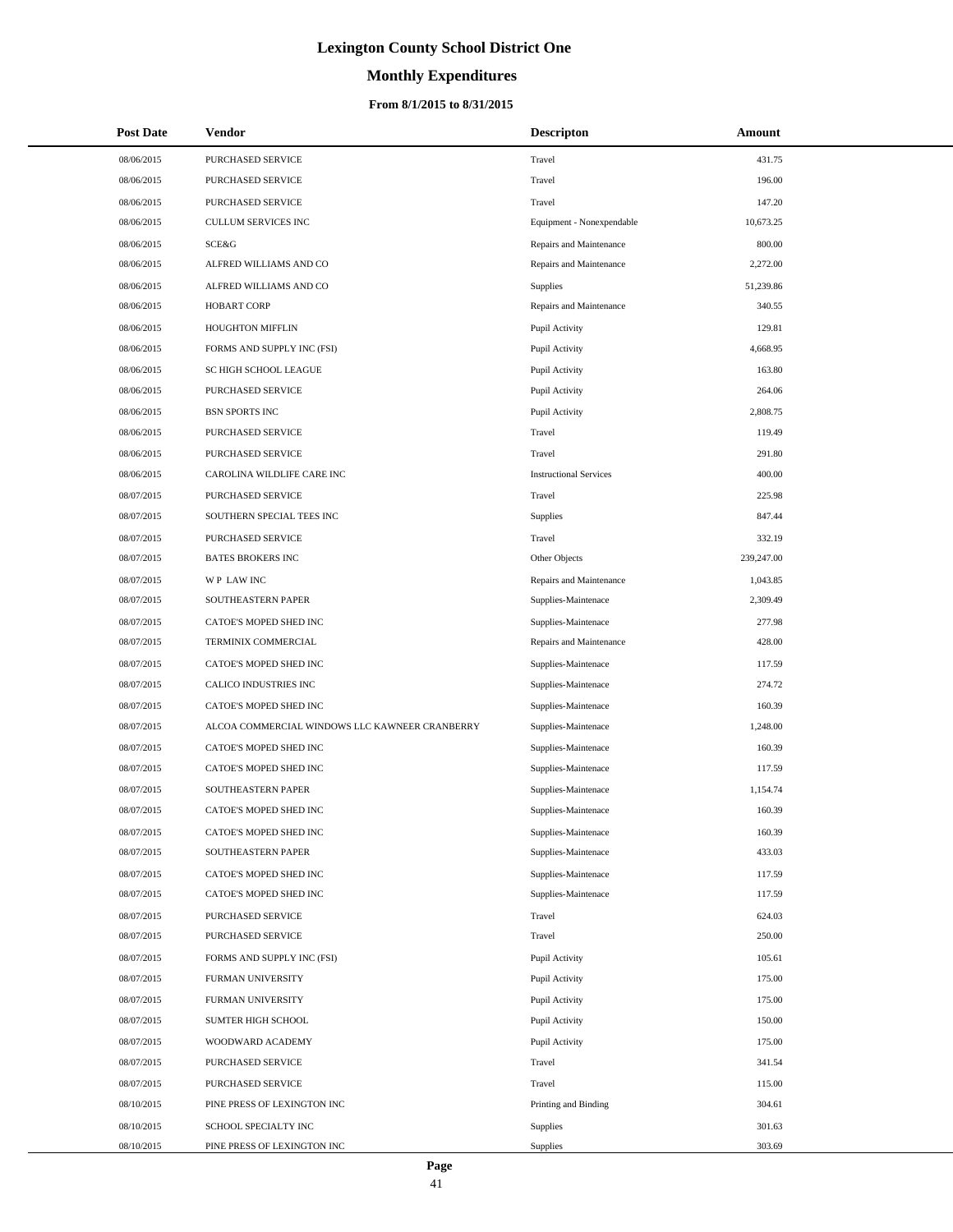# **Monthly Expenditures**

### **From 8/1/2015 to 8/31/2015**

| <b>Post Date</b> | Vendor                                         | <b>Descripton</b>             | Amount     |
|------------------|------------------------------------------------|-------------------------------|------------|
| 08/06/2015       | PURCHASED SERVICE                              | Travel                        | 431.75     |
| 08/06/2015       | PURCHASED SERVICE                              | Travel                        | 196.00     |
| 08/06/2015       | PURCHASED SERVICE                              | Travel                        | 147.20     |
| 08/06/2015       | <b>CULLUM SERVICES INC</b>                     | Equipment - Nonexpendable     | 10,673.25  |
| 08/06/2015       | SCE&G                                          | Repairs and Maintenance       | 800.00     |
| 08/06/2015       | ALFRED WILLIAMS AND CO                         | Repairs and Maintenance       | 2,272.00   |
| 08/06/2015       | ALFRED WILLIAMS AND CO                         | Supplies                      | 51,239.86  |
| 08/06/2015       | <b>HOBART CORP</b>                             | Repairs and Maintenance       | 340.55     |
| 08/06/2015       | HOUGHTON MIFFLIN                               | Pupil Activity                | 129.81     |
| 08/06/2015       | FORMS AND SUPPLY INC (FSI)                     | Pupil Activity                | 4,668.95   |
| 08/06/2015       | SC HIGH SCHOOL LEAGUE                          | Pupil Activity                | 163.80     |
| 08/06/2015       | PURCHASED SERVICE                              | Pupil Activity                | 264.06     |
| 08/06/2015       | <b>BSN SPORTS INC</b>                          | Pupil Activity                | 2,808.75   |
| 08/06/2015       | PURCHASED SERVICE                              | Travel                        | 119.49     |
| 08/06/2015       | PURCHASED SERVICE                              | Travel                        | 291.80     |
| 08/06/2015       | CAROLINA WILDLIFE CARE INC                     | <b>Instructional Services</b> | 400.00     |
| 08/07/2015       | PURCHASED SERVICE                              | Travel                        | 225.98     |
| 08/07/2015       | SOUTHERN SPECIAL TEES INC                      | Supplies                      | 847.44     |
| 08/07/2015       | PURCHASED SERVICE                              | Travel                        | 332.19     |
| 08/07/2015       | <b>BATES BROKERS INC</b>                       | Other Objects                 | 239,247.00 |
| 08/07/2015       | WP LAW INC                                     | Repairs and Maintenance       | 1,043.85   |
| 08/07/2015       | SOUTHEASTERN PAPER                             | Supplies-Maintenace           | 2,309.49   |
| 08/07/2015       | CATOE'S MOPED SHED INC                         | Supplies-Maintenace           | 277.98     |
| 08/07/2015       | TERMINIX COMMERCIAL                            | Repairs and Maintenance       | 428.00     |
| 08/07/2015       | CATOE'S MOPED SHED INC                         | Supplies-Maintenace           | 117.59     |
| 08/07/2015       | CALICO INDUSTRIES INC                          | Supplies-Maintenace           | 274.72     |
| 08/07/2015       | CATOE'S MOPED SHED INC                         | Supplies-Maintenace           | 160.39     |
| 08/07/2015       | ALCOA COMMERCIAL WINDOWS LLC KAWNEER CRANBERRY | Supplies-Maintenace           | 1,248.00   |
| 08/07/2015       | CATOE'S MOPED SHED INC                         | Supplies-Maintenace           | 160.39     |
| 08/07/2015       | CATOE'S MOPED SHED INC                         | Supplies-Maintenace           | 117.59     |
| 08/07/2015       | SOUTHEASTERN PAPER                             | Supplies-Maintenace           | 1,154.74   |
| 08/07/2015       | CATOE'S MOPED SHED INC                         | Supplies-Maintenace           | 160.39     |
| 08/07/2015       | CATOE'S MOPED SHED INC                         | Supplies-Maintenace           | 160.39     |
| 08/07/2015       | SOUTHEASTERN PAPER                             | Supplies-Maintenace           | 433.03     |
| 08/07/2015       | CATOE'S MOPED SHED INC                         | Supplies-Maintenace           | 117.59     |
| 08/07/2015       | CATOE'S MOPED SHED INC                         | Supplies-Maintenace           | 117.59     |
| 08/07/2015       | PURCHASED SERVICE                              | Travel                        | 624.03     |
| 08/07/2015       | PURCHASED SERVICE                              | Travel                        | 250.00     |
| 08/07/2015       | FORMS AND SUPPLY INC (FSI)                     | Pupil Activity                | 105.61     |
| 08/07/2015       | FURMAN UNIVERSITY                              | Pupil Activity                | 175.00     |
| 08/07/2015       | FURMAN UNIVERSITY                              | Pupil Activity                | 175.00     |
| 08/07/2015       | SUMTER HIGH SCHOOL                             | Pupil Activity                | 150.00     |
| 08/07/2015       | WOODWARD ACADEMY                               | Pupil Activity                | 175.00     |
| 08/07/2015       | PURCHASED SERVICE                              | Travel                        | 341.54     |
| 08/07/2015       | PURCHASED SERVICE                              | Travel                        | 115.00     |
| 08/10/2015       | PINE PRESS OF LEXINGTON INC                    | Printing and Binding          | 304.61     |
| 08/10/2015       | SCHOOL SPECIALTY INC                           | Supplies                      | 301.63     |
| 08/10/2015       | PINE PRESS OF LEXINGTON INC                    | Supplies                      | 303.69     |

L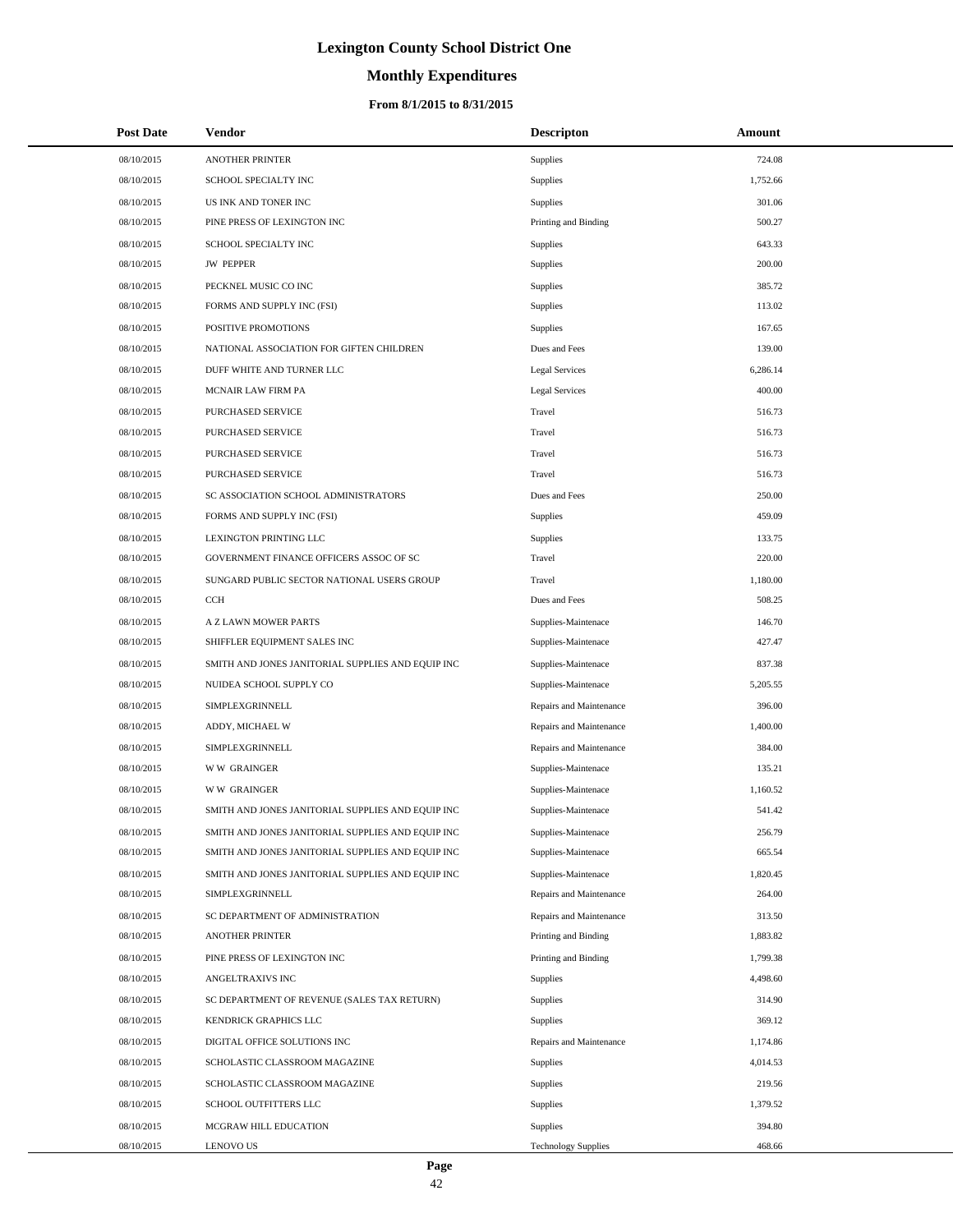# **Monthly Expenditures**

## **From 8/1/2015 to 8/31/2015**

| <b>Post Date</b> | Vendor                                            | <b>Descripton</b>          | Amount   |  |
|------------------|---------------------------------------------------|----------------------------|----------|--|
| 08/10/2015       | <b>ANOTHER PRINTER</b>                            | Supplies                   | 724.08   |  |
| 08/10/2015       | SCHOOL SPECIALTY INC                              | Supplies                   | 1,752.66 |  |
| 08/10/2015       | US INK AND TONER INC                              | Supplies                   | 301.06   |  |
| 08/10/2015       | PINE PRESS OF LEXINGTON INC                       | Printing and Binding       | 500.27   |  |
| 08/10/2015       | SCHOOL SPECIALTY INC                              | <b>Supplies</b>            | 643.33   |  |
| 08/10/2015       | <b>JW PEPPER</b>                                  | Supplies                   | 200.00   |  |
| 08/10/2015       | PECKNEL MUSIC CO INC                              | Supplies                   | 385.72   |  |
| 08/10/2015       | FORMS AND SUPPLY INC (FSI)                        | Supplies                   | 113.02   |  |
| 08/10/2015       | POSITIVE PROMOTIONS                               | Supplies                   | 167.65   |  |
| 08/10/2015       | NATIONAL ASSOCIATION FOR GIFTEN CHILDREN          | Dues and Fees              | 139.00   |  |
| 08/10/2015       | DUFF WHITE AND TURNER LLC                         | Legal Services             | 6,286.14 |  |
| 08/10/2015       | <b>MCNAIR LAW FIRM PA</b>                         | Legal Services             | 400.00   |  |
| 08/10/2015       | PURCHASED SERVICE                                 | Travel                     | 516.73   |  |
| 08/10/2015       | PURCHASED SERVICE                                 | Travel                     | 516.73   |  |
| 08/10/2015       | PURCHASED SERVICE                                 | Travel                     | 516.73   |  |
| 08/10/2015       | PURCHASED SERVICE                                 | Travel                     | 516.73   |  |
| 08/10/2015       | SC ASSOCIATION SCHOOL ADMINISTRATORS              | Dues and Fees              | 250.00   |  |
| 08/10/2015       | FORMS AND SUPPLY INC (FSI)                        | Supplies                   | 459.09   |  |
| 08/10/2015       | <b>LEXINGTON PRINTING LLC</b>                     | Supplies                   | 133.75   |  |
| 08/10/2015       | GOVERNMENT FINANCE OFFICERS ASSOC OF SC           | Travel                     | 220.00   |  |
| 08/10/2015       | SUNGARD PUBLIC SECTOR NATIONAL USERS GROUP        | Travel                     | 1,180.00 |  |
| 08/10/2015       | <b>CCH</b>                                        | Dues and Fees              | 508.25   |  |
| 08/10/2015       | A Z LAWN MOWER PARTS                              | Supplies-Maintenace        | 146.70   |  |
| 08/10/2015       | SHIFFLER EQUIPMENT SALES INC                      | Supplies-Maintenace        | 427.47   |  |
| 08/10/2015       | SMITH AND JONES JANITORIAL SUPPLIES AND EQUIP INC | Supplies-Maintenace        | 837.38   |  |
| 08/10/2015       | NUIDEA SCHOOL SUPPLY CO                           | Supplies-Maintenace        | 5,205.55 |  |
| 08/10/2015       | SIMPLEXGRINNELL                                   | Repairs and Maintenance    | 396.00   |  |
| 08/10/2015       | ADDY, MICHAEL W                                   | Repairs and Maintenance    | 1,400.00 |  |
| 08/10/2015       | <b>SIMPLEXGRINNELL</b>                            | Repairs and Maintenance    | 384.00   |  |
| 08/10/2015       | <b>WW GRAINGER</b>                                | Supplies-Maintenace        | 135.21   |  |
| 08/10/2015       | <b>WW GRAINGER</b>                                | Supplies-Maintenace        | 1,160.52 |  |
| 08/10/2015       | SMITH AND JONES JANITORIAL SUPPLIES AND EQUIP INC | Supplies-Maintenace        | 541.42   |  |
| 08/10/2015       | SMITH AND JONES JANITORIAL SUPPLIES AND EQUIP INC | Supplies-Maintenace        | 256.79   |  |
| 08/10/2015       | SMITH AND JONES JANITORIAL SUPPLIES AND EQUIP INC | Supplies-Maintenace        | 665.54   |  |
| 08/10/2015       | SMITH AND JONES JANITORIAL SUPPLIES AND EQUIP INC | Supplies-Maintenace        | 1,820.45 |  |
| 08/10/2015       | SIMPLEXGRINNELL                                   | Repairs and Maintenance    | 264.00   |  |
| 08/10/2015       | SC DEPARTMENT OF ADMINISTRATION                   | Repairs and Maintenance    | 313.50   |  |
| 08/10/2015       | ANOTHER PRINTER                                   | Printing and Binding       | 1,883.82 |  |
| 08/10/2015       | PINE PRESS OF LEXINGTON INC                       | Printing and Binding       | 1,799.38 |  |
| 08/10/2015       | ANGELTRAXIVS INC                                  | <b>Supplies</b>            | 4,498.60 |  |
| 08/10/2015       | SC DEPARTMENT OF REVENUE (SALES TAX RETURN)       | <b>Supplies</b>            | 314.90   |  |
| 08/10/2015       | KENDRICK GRAPHICS LLC                             | Supplies                   | 369.12   |  |
| 08/10/2015       | DIGITAL OFFICE SOLUTIONS INC                      | Repairs and Maintenance    | 1,174.86 |  |
| 08/10/2015       | SCHOLASTIC CLASSROOM MAGAZINE                     | Supplies                   | 4,014.53 |  |
| 08/10/2015       | SCHOLASTIC CLASSROOM MAGAZINE                     | <b>Supplies</b>            | 219.56   |  |
| 08/10/2015       | SCHOOL OUTFITTERS LLC                             | Supplies                   | 1,379.52 |  |
| 08/10/2015       | MCGRAW HILL EDUCATION                             | <b>Supplies</b>            | 394.80   |  |
| 08/10/2015       | LENOVO US                                         | <b>Technology Supplies</b> | 468.66   |  |

 $\overline{a}$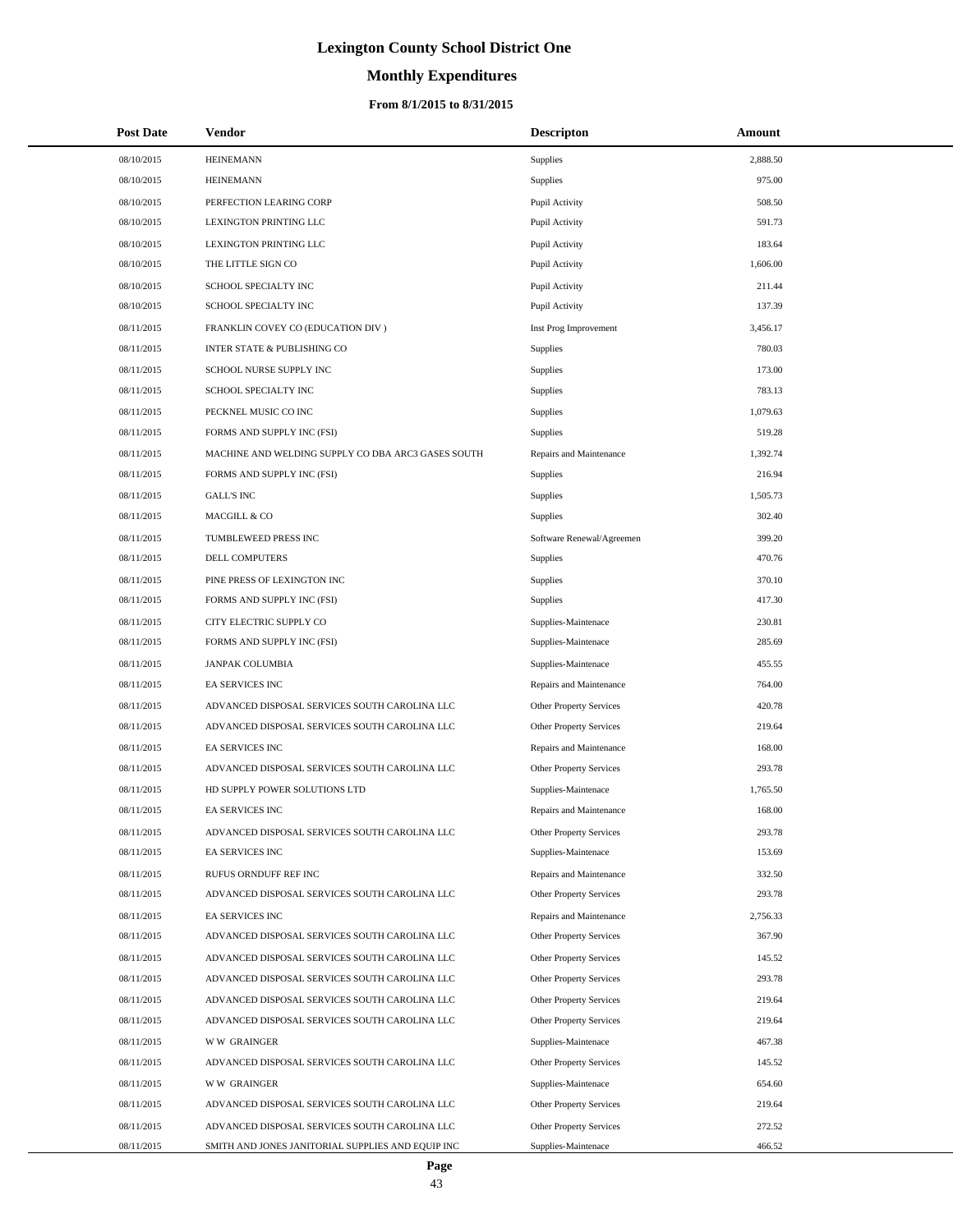# **Monthly Expenditures**

| <b>Post Date</b>         | <b>Vendor</b>                                                       | <b>Descripton</b>                              | Amount           |
|--------------------------|---------------------------------------------------------------------|------------------------------------------------|------------------|
| 08/10/2015               | <b>HEINEMANN</b>                                                    | Supplies                                       | 2,888.50         |
| 08/10/2015               | <b>HEINEMANN</b>                                                    | Supplies                                       | 975.00           |
| 08/10/2015               | PERFECTION LEARING CORP                                             | Pupil Activity                                 | 508.50           |
| 08/10/2015               | LEXINGTON PRINTING LLC                                              | Pupil Activity                                 | 591.73           |
| 08/10/2015               | LEXINGTON PRINTING LLC                                              | Pupil Activity                                 | 183.64           |
| 08/10/2015               | THE LITTLE SIGN CO                                                  | Pupil Activity                                 | 1,606.00         |
| 08/10/2015               | SCHOOL SPECIALTY INC                                                | Pupil Activity                                 | 211.44           |
| 08/10/2015               | SCHOOL SPECIALTY INC                                                | Pupil Activity                                 | 137.39           |
| 08/11/2015               | FRANKLIN COVEY CO (EDUCATION DIV)                                   | Inst Prog Improvement                          | 3,456.17         |
| 08/11/2015               | <b>INTER STATE &amp; PUBLISHING CO</b>                              | Supplies                                       | 780.03           |
| 08/11/2015               | SCHOOL NURSE SUPPLY INC                                             | Supplies                                       | 173.00           |
| 08/11/2015               | SCHOOL SPECIALTY INC                                                | Supplies                                       | 783.13           |
| 08/11/2015               | PECKNEL MUSIC CO INC                                                | Supplies                                       | 1,079.63         |
| 08/11/2015               | FORMS AND SUPPLY INC (FSI)                                          | Supplies                                       | 519.28           |
| 08/11/2015               | MACHINE AND WELDING SUPPLY CO DBA ARC3 GASES SOUTH                  | Repairs and Maintenance                        | 1,392.74         |
| 08/11/2015               | FORMS AND SUPPLY INC (FSI)                                          | Supplies                                       | 216.94           |
| 08/11/2015               | <b>GALL'S INC</b>                                                   | Supplies                                       | 1,505.73         |
| 08/11/2015               | MACGILL & CO                                                        | Supplies                                       | 302.40           |
| 08/11/2015               | TUMBLEWEED PRESS INC                                                | Software Renewal/Agreemen                      | 399.20           |
| 08/11/2015               | <b>DELL COMPUTERS</b>                                               | <b>Supplies</b>                                | 470.76           |
| 08/11/2015               | PINE PRESS OF LEXINGTON INC                                         | Supplies                                       | 370.10           |
| 08/11/2015               | FORMS AND SUPPLY INC (FSI)                                          | Supplies                                       | 417.30           |
| 08/11/2015               | CITY ELECTRIC SUPPLY CO                                             | Supplies-Maintenace                            | 230.81           |
| 08/11/2015               | FORMS AND SUPPLY INC (FSI)                                          | Supplies-Maintenace                            | 285.69           |
| 08/11/2015               | <b>JANPAK COLUMBIA</b>                                              | Supplies-Maintenace                            | 455.55           |
| 08/11/2015               | EA SERVICES INC                                                     | Repairs and Maintenance                        | 764.00           |
| 08/11/2015               | ADVANCED DISPOSAL SERVICES SOUTH CAROLINA LLC                       | Other Property Services                        | 420.78           |
| 08/11/2015               | ADVANCED DISPOSAL SERVICES SOUTH CAROLINA LLC                       | Other Property Services                        | 219.64           |
| 08/11/2015               | EA SERVICES INC                                                     | Repairs and Maintenance                        | 168.00           |
| 08/11/2015               | ADVANCED DISPOSAL SERVICES SOUTH CAROLINA LLC                       | <b>Other Property Services</b>                 | 293.78           |
| 08/11/2015               | HD SUPPLY POWER SOLUTIONS LTD                                       | Supplies-Maintenace                            | 1,765.50         |
| 08/11/2015               | EA SERVICES INC                                                     | Repairs and Maintenance                        | 168.00           |
| 08/11/2015               | ADVANCED DISPOSAL SERVICES SOUTH CAROLINA LLC                       | Other Property Services                        | 293.78           |
| 08/11/2015               | EA SERVICES INC                                                     | Supplies-Maintenace                            | 153.69           |
| 08/11/2015               | RUFUS ORNDUFF REF INC                                               | Repairs and Maintenance                        | 332.50           |
| 08/11/2015               | ADVANCED DISPOSAL SERVICES SOUTH CAROLINA LLC                       | Other Property Services                        | 293.78           |
| 08/11/2015               | EA SERVICES INC                                                     | Repairs and Maintenance                        | 2,756.33         |
| 08/11/2015               | ADVANCED DISPOSAL SERVICES SOUTH CAROLINA LLC                       | Other Property Services                        | 367.90           |
| 08/11/2015               | ADVANCED DISPOSAL SERVICES SOUTH CAROLINA LLC                       | Other Property Services                        | 145.52           |
| 08/11/2015               | ADVANCED DISPOSAL SERVICES SOUTH CAROLINA LLC                       | Other Property Services                        | 293.78           |
| 08/11/2015               | ADVANCED DISPOSAL SERVICES SOUTH CAROLINA LLC                       | <b>Other Property Services</b>                 | 219.64           |
| 08/11/2015               | ADVANCED DISPOSAL SERVICES SOUTH CAROLINA LLC                       | Other Property Services                        | 219.64           |
| 08/11/2015<br>08/11/2015 | <b>WW GRAINGER</b><br>ADVANCED DISPOSAL SERVICES SOUTH CAROLINA LLC | Supplies-Maintenace<br>Other Property Services | 467.38<br>145.52 |
| 08/11/2015               | <b>WW GRAINGER</b>                                                  | Supplies-Maintenace                            | 654.60           |
| 08/11/2015               | ADVANCED DISPOSAL SERVICES SOUTH CAROLINA LLC                       | Other Property Services                        | 219.64           |
| 08/11/2015               | ADVANCED DISPOSAL SERVICES SOUTH CAROLINA LLC                       | Other Property Services                        | 272.52           |
| 08/11/2015               | SMITH AND JONES JANITORIAL SUPPLIES AND EQUIP INC                   | Supplies-Maintenace                            | 466.52           |
|                          |                                                                     |                                                |                  |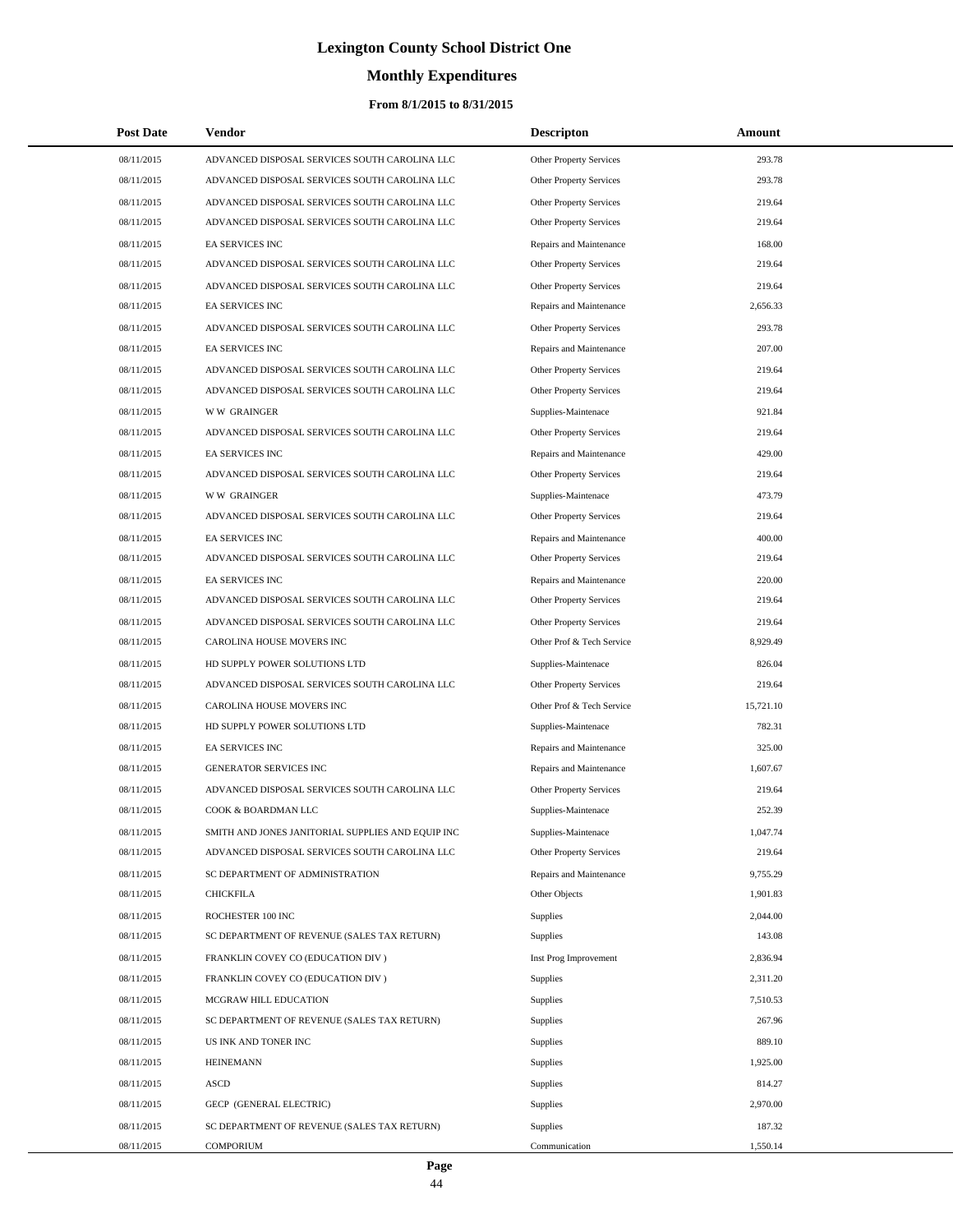# **Monthly Expenditures**

## **From 8/1/2015 to 8/31/2015**

| <b>Post Date</b> | Vendor                                            | <b>Descripton</b>              | Amount    |  |
|------------------|---------------------------------------------------|--------------------------------|-----------|--|
| 08/11/2015       | ADVANCED DISPOSAL SERVICES SOUTH CAROLINA LLC     | Other Property Services        | 293.78    |  |
| 08/11/2015       | ADVANCED DISPOSAL SERVICES SOUTH CAROLINA LLC     | Other Property Services        | 293.78    |  |
| 08/11/2015       | ADVANCED DISPOSAL SERVICES SOUTH CAROLINA LLC     | Other Property Services        | 219.64    |  |
| 08/11/2015       | ADVANCED DISPOSAL SERVICES SOUTH CAROLINA LLC     | <b>Other Property Services</b> | 219.64    |  |
| 08/11/2015       | <b>EA SERVICES INC</b>                            | Repairs and Maintenance        | 168.00    |  |
| 08/11/2015       | ADVANCED DISPOSAL SERVICES SOUTH CAROLINA LLC     | Other Property Services        | 219.64    |  |
| 08/11/2015       | ADVANCED DISPOSAL SERVICES SOUTH CAROLINA LLC     | Other Property Services        | 219.64    |  |
| 08/11/2015       | <b>EA SERVICES INC</b>                            | Repairs and Maintenance        | 2,656.33  |  |
| 08/11/2015       | ADVANCED DISPOSAL SERVICES SOUTH CAROLINA LLC     | Other Property Services        | 293.78    |  |
| 08/11/2015       | EA SERVICES INC                                   | Repairs and Maintenance        | 207.00    |  |
| 08/11/2015       | ADVANCED DISPOSAL SERVICES SOUTH CAROLINA LLC     | Other Property Services        | 219.64    |  |
| 08/11/2015       | ADVANCED DISPOSAL SERVICES SOUTH CAROLINA LLC     | Other Property Services        | 219.64    |  |
| 08/11/2015       | <b>WW GRAINGER</b>                                | Supplies-Maintenace            | 921.84    |  |
| 08/11/2015       | ADVANCED DISPOSAL SERVICES SOUTH CAROLINA LLC     | Other Property Services        | 219.64    |  |
| 08/11/2015       | <b>EA SERVICES INC</b>                            | Repairs and Maintenance        | 429.00    |  |
| 08/11/2015       | ADVANCED DISPOSAL SERVICES SOUTH CAROLINA LLC     | Other Property Services        | 219.64    |  |
| 08/11/2015       | <b>WW GRAINGER</b>                                | Supplies-Maintenace            | 473.79    |  |
| 08/11/2015       | ADVANCED DISPOSAL SERVICES SOUTH CAROLINA LLC     | Other Property Services        | 219.64    |  |
| 08/11/2015       | <b>EA SERVICES INC</b>                            | Repairs and Maintenance        | 400.00    |  |
| 08/11/2015       | ADVANCED DISPOSAL SERVICES SOUTH CAROLINA LLC     | Other Property Services        | 219.64    |  |
| 08/11/2015       | <b>EA SERVICES INC</b>                            | Repairs and Maintenance        | 220.00    |  |
| 08/11/2015       | ADVANCED DISPOSAL SERVICES SOUTH CAROLINA LLC     | Other Property Services        | 219.64    |  |
| 08/11/2015       | ADVANCED DISPOSAL SERVICES SOUTH CAROLINA LLC     | Other Property Services        | 219.64    |  |
| 08/11/2015       | CAROLINA HOUSE MOVERS INC                         | Other Prof & Tech Service      | 8,929.49  |  |
| 08/11/2015       | HD SUPPLY POWER SOLUTIONS LTD                     | Supplies-Maintenace            | 826.04    |  |
| 08/11/2015       | ADVANCED DISPOSAL SERVICES SOUTH CAROLINA LLC     | Other Property Services        | 219.64    |  |
| 08/11/2015       | CAROLINA HOUSE MOVERS INC                         | Other Prof & Tech Service      | 15,721.10 |  |
| 08/11/2015       | HD SUPPLY POWER SOLUTIONS LTD                     | Supplies-Maintenace            | 782.31    |  |
| 08/11/2015       | <b>EA SERVICES INC</b>                            | Repairs and Maintenance        | 325.00    |  |
| 08/11/2015       | <b>GENERATOR SERVICES INC</b>                     | Repairs and Maintenance        | 1,607.67  |  |
| 08/11/2015       | ADVANCED DISPOSAL SERVICES SOUTH CAROLINA LLC     | Other Property Services        | 219.64    |  |
| 08/11/2015       | COOK & BOARDMAN LLC                               | Supplies-Maintenace            | 252.39    |  |
| 08/11/2015       | SMITH AND JONES JANITORIAL SUPPLIES AND EQUIP INC | Supplies-Maintenace            | 1,047.74  |  |
| 08/11/2015       | ADVANCED DISPOSAL SERVICES SOUTH CAROLINA LLC     | Other Property Services        | 219.64    |  |
| 08/11/2015       | SC DEPARTMENT OF ADMINISTRATION                   | Repairs and Maintenance        | 9,755.29  |  |
| 08/11/2015       | <b>CHICKFILA</b>                                  | Other Objects                  | 1,901.83  |  |
| 08/11/2015       | ROCHESTER 100 INC                                 | Supplies                       | 2,044.00  |  |
| 08/11/2015       | SC DEPARTMENT OF REVENUE (SALES TAX RETURN)       | Supplies                       | 143.08    |  |
| 08/11/2015       | FRANKLIN COVEY CO (EDUCATION DIV)                 | Inst Prog Improvement          | 2,836.94  |  |
| 08/11/2015       | FRANKLIN COVEY CO (EDUCATION DIV)                 | Supplies                       | 2,311.20  |  |
| 08/11/2015       | MCGRAW HILL EDUCATION                             | Supplies                       | 7,510.53  |  |
| 08/11/2015       | SC DEPARTMENT OF REVENUE (SALES TAX RETURN)       | Supplies                       | 267.96    |  |
| 08/11/2015       | US INK AND TONER INC                              | Supplies                       | 889.10    |  |
| 08/11/2015       | <b>HEINEMANN</b>                                  | Supplies                       | 1,925.00  |  |
| 08/11/2015       | <b>ASCD</b>                                       | Supplies                       | 814.27    |  |
| 08/11/2015       | GECP (GENERAL ELECTRIC)                           | Supplies                       | 2,970.00  |  |
| 08/11/2015       | SC DEPARTMENT OF REVENUE (SALES TAX RETURN)       | Supplies                       | 187.32    |  |
| 08/11/2015       | COMPORIUM                                         | Communication                  | 1,550.14  |  |

 $\overline{a}$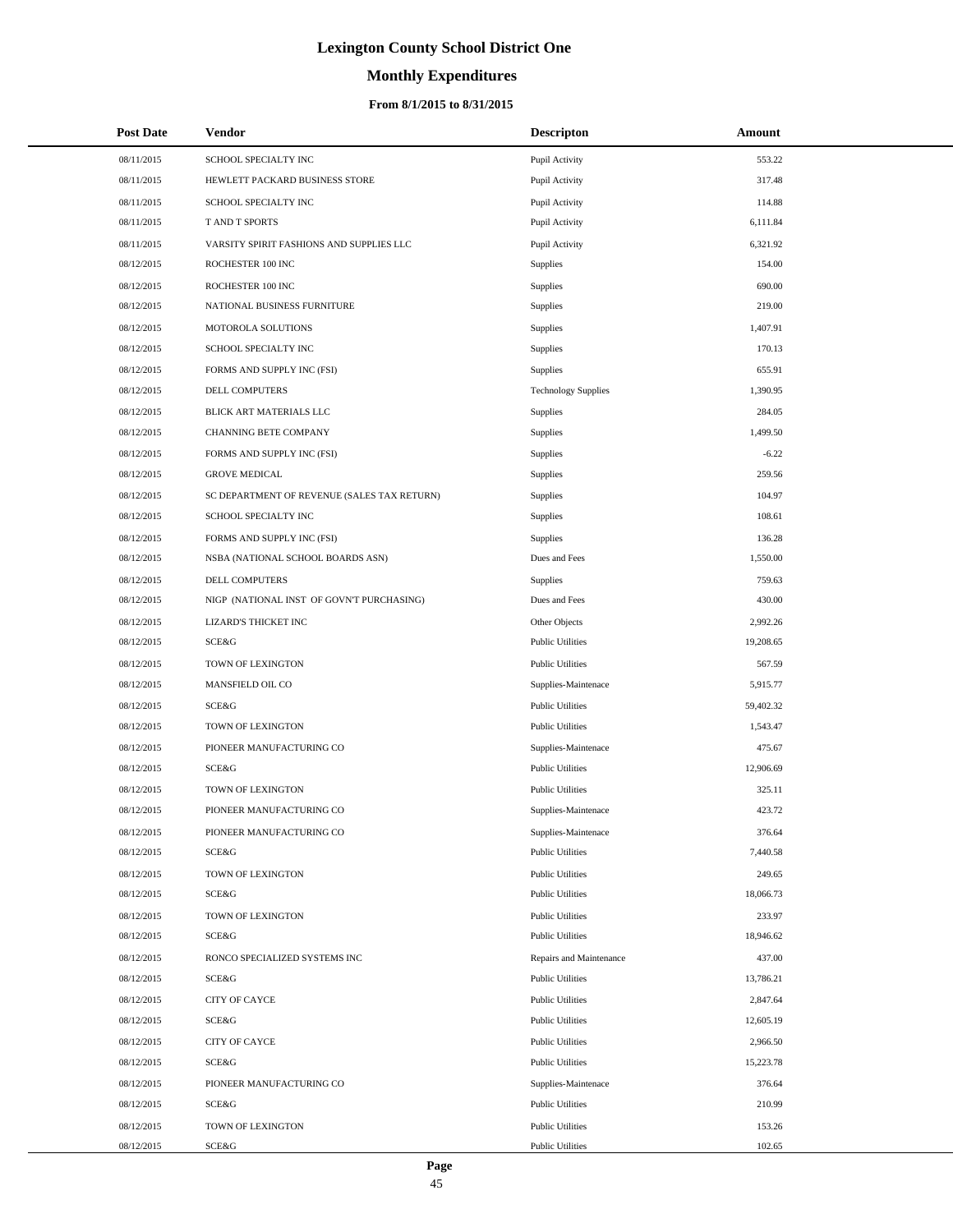# **Monthly Expenditures**

| <b>Post Date</b> | Vendor                                      | <b>Descripton</b>          | Amount    |
|------------------|---------------------------------------------|----------------------------|-----------|
| 08/11/2015       | SCHOOL SPECIALTY INC                        | Pupil Activity             | 553.22    |
| 08/11/2015       | HEWLETT PACKARD BUSINESS STORE              | Pupil Activity             | 317.48    |
| 08/11/2015       | SCHOOL SPECIALTY INC                        | Pupil Activity             | 114.88    |
| 08/11/2015       | <b>TAND T SPORTS</b>                        | Pupil Activity             | 6,111.84  |
| 08/11/2015       | VARSITY SPIRIT FASHIONS AND SUPPLIES LLC    | Pupil Activity             | 6,321.92  |
| 08/12/2015       | ROCHESTER 100 INC                           | Supplies                   | 154.00    |
| 08/12/2015       | ROCHESTER 100 INC                           | Supplies                   | 690.00    |
| 08/12/2015       | NATIONAL BUSINESS FURNITURE                 | Supplies                   | 219.00    |
| 08/12/2015       | MOTOROLA SOLUTIONS                          | Supplies                   | 1,407.91  |
| 08/12/2015       | SCHOOL SPECIALTY INC                        | Supplies                   | 170.13    |
| 08/12/2015       | FORMS AND SUPPLY INC (FSI)                  | Supplies                   | 655.91    |
| 08/12/2015       | <b>DELL COMPUTERS</b>                       | <b>Technology Supplies</b> | 1,390.95  |
| 08/12/2015       | BLICK ART MATERIALS LLC                     | Supplies                   | 284.05    |
| 08/12/2015       | <b>CHANNING BETE COMPANY</b>                | Supplies                   | 1,499.50  |
| 08/12/2015       | FORMS AND SUPPLY INC (FSI)                  | Supplies                   | $-6.22$   |
| 08/12/2015       | <b>GROVE MEDICAL</b>                        | Supplies                   | 259.56    |
| 08/12/2015       | SC DEPARTMENT OF REVENUE (SALES TAX RETURN) | Supplies                   | 104.97    |
| 08/12/2015       | SCHOOL SPECIALTY INC                        | Supplies                   | 108.61    |
| 08/12/2015       | FORMS AND SUPPLY INC (FSI)                  | Supplies                   | 136.28    |
| 08/12/2015       | NSBA (NATIONAL SCHOOL BOARDS ASN)           | Dues and Fees              | 1,550.00  |
| 08/12/2015       | DELL COMPUTERS                              | Supplies                   | 759.63    |
| 08/12/2015       | NIGP (NATIONAL INST OF GOVN'T PURCHASING)   | Dues and Fees              | 430.00    |
| 08/12/2015       | LIZARD'S THICKET INC                        | Other Objects              | 2,992.26  |
| 08/12/2015       | SCE&G                                       | <b>Public Utilities</b>    | 19,208.65 |
| 08/12/2015       | TOWN OF LEXINGTON                           | <b>Public Utilities</b>    | 567.59    |
| 08/12/2015       | MANSFIELD OIL CO                            | Supplies-Maintenace        | 5,915.77  |
| 08/12/2015       | SCE&G                                       | <b>Public Utilities</b>    | 59,402.32 |
| 08/12/2015       | TOWN OF LEXINGTON                           | <b>Public Utilities</b>    | 1,543.47  |
| 08/12/2015       | PIONEER MANUFACTURING CO                    | Supplies-Maintenace        | 475.67    |
| 08/12/2015       | SCE&G                                       | <b>Public Utilities</b>    | 12,906.69 |
| 08/12/2015       | TOWN OF LEXINGTON                           | <b>Public Utilities</b>    | 325.11    |
| 08/12/2015       | PIONEER MANUFACTURING CO                    | Supplies-Maintenace        | 423.72    |
| 08/12/2015       | PIONEER MANUFACTURING CO                    | Supplies-Maintenace        | 376.64    |
| 08/12/2015       | SCE&G                                       | <b>Public Utilities</b>    | 7,440.58  |
| 08/12/2015       | TOWN OF LEXINGTON                           | <b>Public Utilities</b>    | 249.65    |
| 08/12/2015       | SCE&G                                       | <b>Public Utilities</b>    | 18,066.73 |
| 08/12/2015       | TOWN OF LEXINGTON                           | <b>Public Utilities</b>    | 233.97    |
| 08/12/2015       | SCE&G                                       | <b>Public Utilities</b>    | 18,946.62 |
| 08/12/2015       | RONCO SPECIALIZED SYSTEMS INC               | Repairs and Maintenance    | 437.00    |
| 08/12/2015       | SCE&G                                       | <b>Public Utilities</b>    | 13,786.21 |
| 08/12/2015       | CITY OF CAYCE                               | <b>Public Utilities</b>    | 2,847.64  |
| 08/12/2015       | SCE&G                                       | <b>Public Utilities</b>    | 12,605.19 |
| 08/12/2015       | CITY OF CAYCE                               | <b>Public Utilities</b>    | 2,966.50  |
| 08/12/2015       | SCE&G                                       | <b>Public Utilities</b>    | 15,223.78 |
| 08/12/2015       | PIONEER MANUFACTURING CO                    | Supplies-Maintenace        | 376.64    |
| 08/12/2015       | SCE&G                                       | <b>Public Utilities</b>    | 210.99    |
| 08/12/2015       | TOWN OF LEXINGTON                           | <b>Public Utilities</b>    | 153.26    |
| 08/12/2015       | SCE&G                                       | <b>Public Utilities</b>    | 102.65    |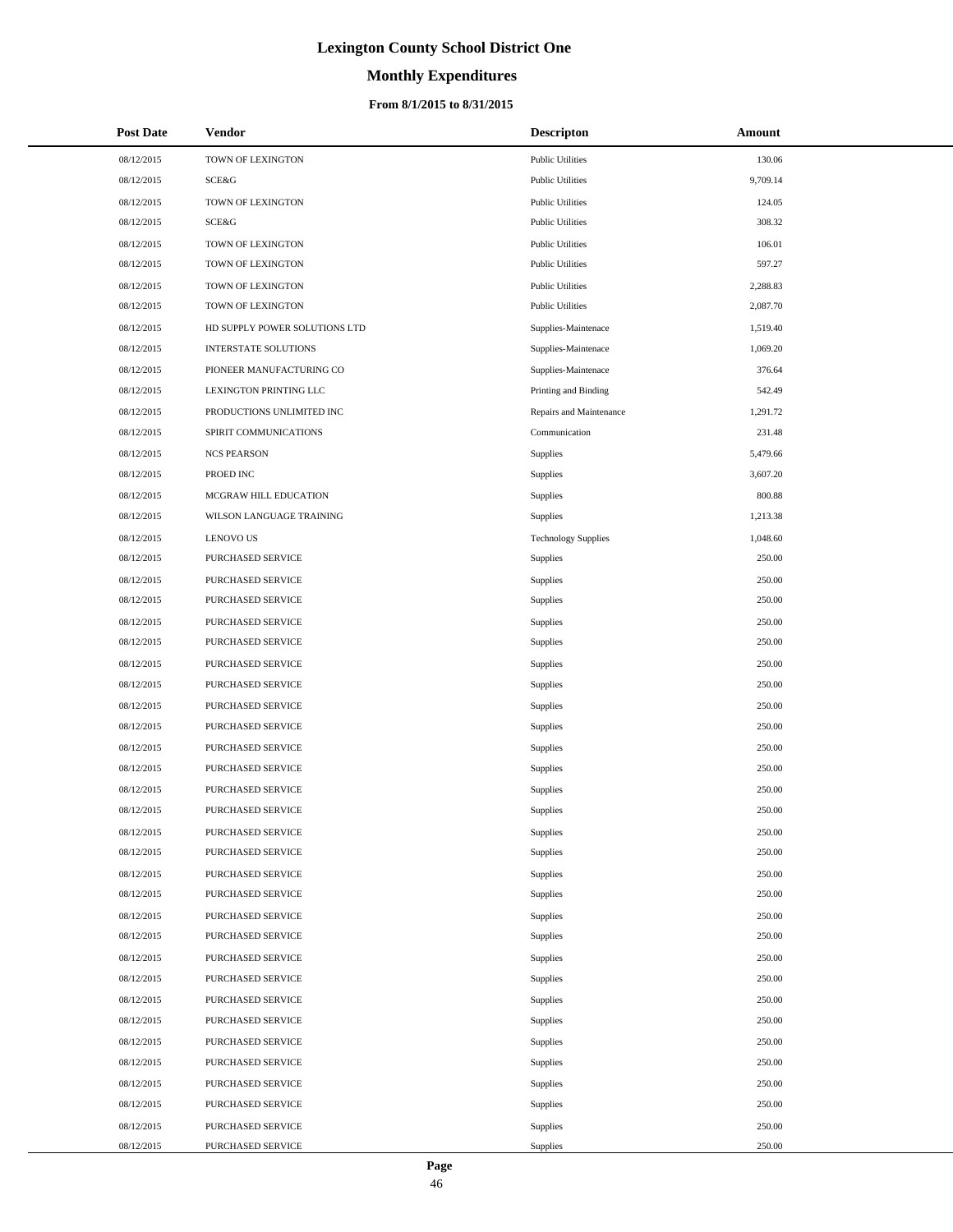# **Monthly Expenditures**

### **From 8/1/2015 to 8/31/2015**

| <b>Post Date</b> | Vendor                        | <b>Descripton</b>          | Amount   |
|------------------|-------------------------------|----------------------------|----------|
| 08/12/2015       | TOWN OF LEXINGTON             | <b>Public Utilities</b>    | 130.06   |
| 08/12/2015       | SCE&G                         | <b>Public Utilities</b>    | 9,709.14 |
| 08/12/2015       | TOWN OF LEXINGTON             | <b>Public Utilities</b>    | 124.05   |
| 08/12/2015       | SCE&G                         | <b>Public Utilities</b>    | 308.32   |
| 08/12/2015       | TOWN OF LEXINGTON             | <b>Public Utilities</b>    | 106.01   |
| 08/12/2015       | TOWN OF LEXINGTON             | <b>Public Utilities</b>    | 597.27   |
| 08/12/2015       | TOWN OF LEXINGTON             | <b>Public Utilities</b>    | 2,288.83 |
| 08/12/2015       | TOWN OF LEXINGTON             | <b>Public Utilities</b>    | 2,087.70 |
| 08/12/2015       | HD SUPPLY POWER SOLUTIONS LTD | Supplies-Maintenace        | 1,519.40 |
| 08/12/2015       | <b>INTERSTATE SOLUTIONS</b>   | Supplies-Maintenace        | 1,069.20 |
| 08/12/2015       | PIONEER MANUFACTURING CO      | Supplies-Maintenace        | 376.64   |
| 08/12/2015       | LEXINGTON PRINTING LLC        | Printing and Binding       | 542.49   |
| 08/12/2015       | PRODUCTIONS UNLIMITED INC     | Repairs and Maintenance    | 1,291.72 |
| 08/12/2015       | SPIRIT COMMUNICATIONS         | Communication              | 231.48   |
| 08/12/2015       | <b>NCS PEARSON</b>            | Supplies                   | 5,479.66 |
| 08/12/2015       | PROED INC                     | Supplies                   | 3,607.20 |
| 08/12/2015       | MCGRAW HILL EDUCATION         | Supplies                   | 800.88   |
| 08/12/2015       | WILSON LANGUAGE TRAINING      | Supplies                   | 1,213.38 |
| 08/12/2015       | <b>LENOVO US</b>              | <b>Technology Supplies</b> | 1,048.60 |
| 08/12/2015       | <b>PURCHASED SERVICE</b>      | Supplies                   | 250.00   |
| 08/12/2015       | PURCHASED SERVICE             | Supplies                   | 250.00   |
| 08/12/2015       | PURCHASED SERVICE             | Supplies                   | 250.00   |
| 08/12/2015       | PURCHASED SERVICE             | Supplies                   | 250.00   |
| 08/12/2015       | PURCHASED SERVICE             | Supplies                   | 250.00   |
| 08/12/2015       | PURCHASED SERVICE             | Supplies                   | 250.00   |
| 08/12/2015       | PURCHASED SERVICE             | Supplies                   | 250.00   |
| 08/12/2015       | PURCHASED SERVICE             | Supplies                   | 250.00   |
| 08/12/2015       | PURCHASED SERVICE             | Supplies                   | 250.00   |
| 08/12/2015       | PURCHASED SERVICE             | Supplies                   | 250.00   |
| 08/12/2015       | <b>PURCHASED SERVICE</b>      | Supplies                   | 250.00   |
| 08/12/2015       | PURCHASED SERVICE             | Supplies                   | 250.00   |
| 08/12/2015       | PURCHASED SERVICE             | Supplies                   | 250.00   |
| 08/12/2015       | PURCHASED SERVICE             | Supplies                   | 250.00   |
| 08/12/2015       | <b>PURCHASED SERVICE</b>      | Supplies                   | 250.00   |
| 08/12/2015       | PURCHASED SERVICE             | Supplies                   | 250.00   |
| 08/12/2015       | PURCHASED SERVICE             | Supplies                   | 250.00   |
| 08/12/2015       | PURCHASED SERVICE             | Supplies                   | 250.00   |
| 08/12/2015       | PURCHASED SERVICE             | Supplies                   | 250.00   |
| 08/12/2015       | PURCHASED SERVICE             | Supplies                   | 250.00   |
| 08/12/2015       | <b>PURCHASED SERVICE</b>      | Supplies                   | 250.00   |
| 08/12/2015       | PURCHASED SERVICE             | Supplies                   | 250.00   |
| 08/12/2015       | PURCHASED SERVICE             | Supplies                   | 250.00   |
| 08/12/2015       | PURCHASED SERVICE             | Supplies                   | 250.00   |
| 08/12/2015       | PURCHASED SERVICE             | Supplies                   | 250.00   |
| 08/12/2015       | PURCHASED SERVICE             | Supplies                   | 250.00   |
| 08/12/2015       | PURCHASED SERVICE             | Supplies                   | 250.00   |
| 08/12/2015       | PURCHASED SERVICE             | Supplies                   | 250.00   |
| 08/12/2015       | PURCHASED SERVICE             | Supplies                   | 250.00   |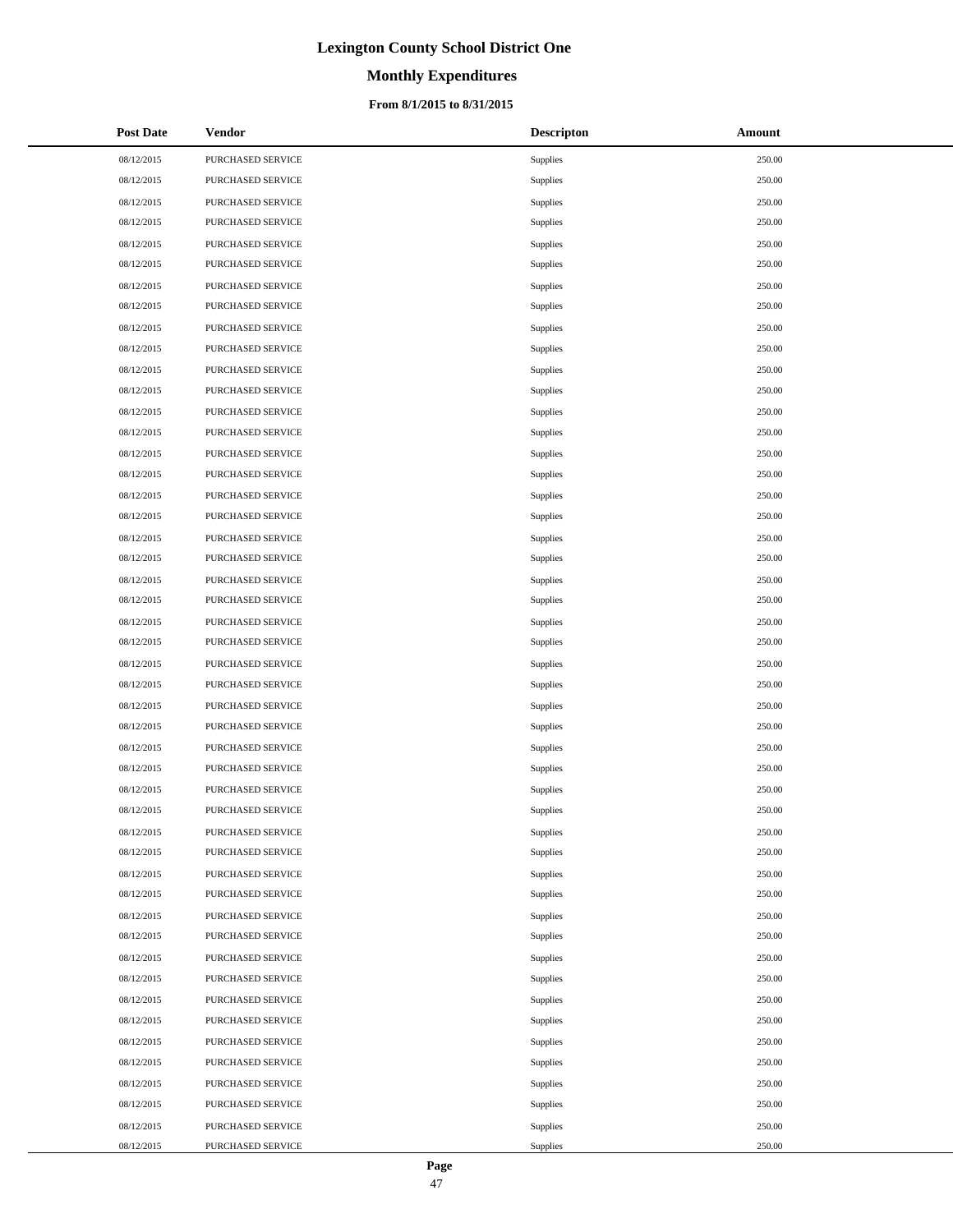# **Monthly Expenditures**

## **From 8/1/2015 to 8/31/2015**

| <b>Post Date</b> | Vendor                   | <b>Descripton</b> | Amount |
|------------------|--------------------------|-------------------|--------|
| 08/12/2015       | PURCHASED SERVICE        | Supplies          | 250.00 |
| 08/12/2015       | PURCHASED SERVICE        | Supplies          | 250.00 |
| 08/12/2015       | PURCHASED SERVICE        | Supplies          | 250.00 |
| 08/12/2015       | PURCHASED SERVICE        | Supplies          | 250.00 |
| 08/12/2015       | PURCHASED SERVICE        | Supplies          | 250.00 |
| 08/12/2015       | PURCHASED SERVICE        | Supplies          | 250.00 |
| 08/12/2015       | PURCHASED SERVICE        | Supplies          | 250.00 |
| 08/12/2015       | PURCHASED SERVICE        | Supplies          | 250.00 |
| 08/12/2015       | PURCHASED SERVICE        | Supplies          | 250.00 |
| 08/12/2015       | <b>PURCHASED SERVICE</b> | Supplies          | 250.00 |
| 08/12/2015       | PURCHASED SERVICE        | Supplies          | 250.00 |
| 08/12/2015       | PURCHASED SERVICE        | Supplies          | 250.00 |
| 08/12/2015       | PURCHASED SERVICE        | Supplies          | 250.00 |
| 08/12/2015       | PURCHASED SERVICE        | Supplies          | 250.00 |
| 08/12/2015       | PURCHASED SERVICE        | Supplies          | 250.00 |
| 08/12/2015       | PURCHASED SERVICE        | Supplies          | 250.00 |
| 08/12/2015       | PURCHASED SERVICE        | Supplies          | 250.00 |
| 08/12/2015       | PURCHASED SERVICE        | Supplies          | 250.00 |
| 08/12/2015       | PURCHASED SERVICE        | Supplies          | 250.00 |
| 08/12/2015       | PURCHASED SERVICE        | Supplies          | 250.00 |
| 08/12/2015       | PURCHASED SERVICE        | Supplies          | 250.00 |
| 08/12/2015       | PURCHASED SERVICE        | Supplies          | 250.00 |
| 08/12/2015       | PURCHASED SERVICE        | Supplies          | 250.00 |
| 08/12/2015       | PURCHASED SERVICE        | Supplies          | 250.00 |
| 08/12/2015       | PURCHASED SERVICE        | Supplies          | 250.00 |
| 08/12/2015       | PURCHASED SERVICE        | Supplies          | 250.00 |
| 08/12/2015       | PURCHASED SERVICE        | Supplies          | 250.00 |
| 08/12/2015       | PURCHASED SERVICE        | Supplies          | 250.00 |
| 08/12/2015       | PURCHASED SERVICE        | Supplies          | 250.00 |
| 08/12/2015       | <b>PURCHASED SERVICE</b> | Supplies          | 250.00 |
| 08/12/2015       | PURCHASED SERVICE        | Supplies          | 250.00 |
| 08/12/2015       | PURCHASED SERVICE        | Supplies          | 250.00 |
| 08/12/2015       | PURCHASED SERVICE        | Supplies          | 250.00 |
| 08/12/2015       | PURCHASED SERVICE        | Supplies          | 250.00 |
| 08/12/2015       | PURCHASED SERVICE        | Supplies          | 250.00 |
| 08/12/2015       | PURCHASED SERVICE        | Supplies          | 250.00 |
| 08/12/2015       | PURCHASED SERVICE        | Supplies          | 250.00 |
| 08/12/2015       | PURCHASED SERVICE        | Supplies          | 250.00 |
| 08/12/2015       | PURCHASED SERVICE        | Supplies          | 250.00 |
| 08/12/2015       | PURCHASED SERVICE        | Supplies          | 250.00 |
| 08/12/2015       | PURCHASED SERVICE        | Supplies          | 250.00 |
| 08/12/2015       | PURCHASED SERVICE        | Supplies          | 250.00 |
| 08/12/2015       | PURCHASED SERVICE        | Supplies          | 250.00 |
| 08/12/2015       | PURCHASED SERVICE        | Supplies          | 250.00 |
| 08/12/2015       | PURCHASED SERVICE        | Supplies          | 250.00 |
| 08/12/2015       | PURCHASED SERVICE        | Supplies          | 250.00 |
| 08/12/2015       | PURCHASED SERVICE        | Supplies          | 250.00 |
| 08/12/2015       | PURCHASED SERVICE        | Supplies          | 250.00 |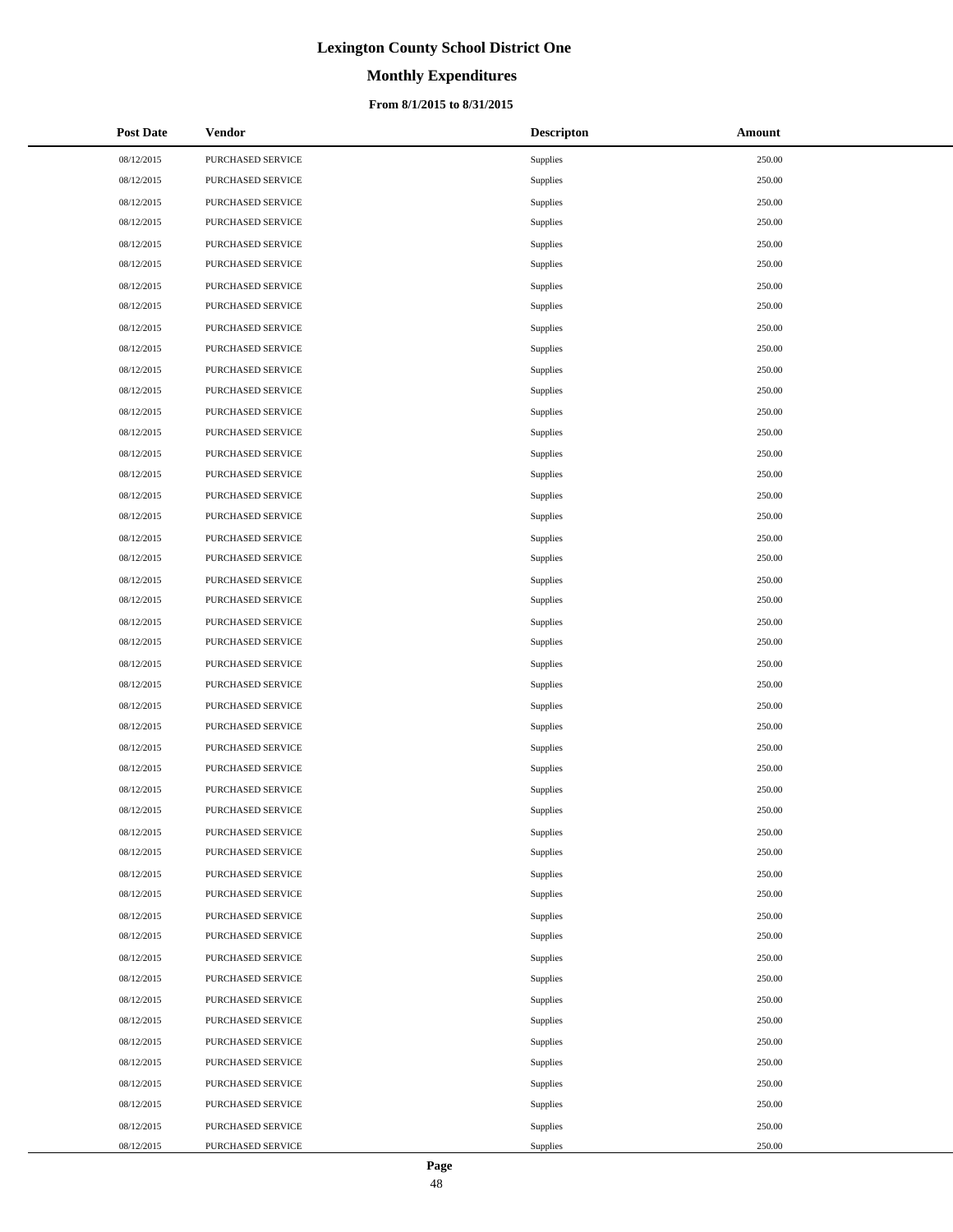# **Monthly Expenditures**

### **From 8/1/2015 to 8/31/2015**

| <b>Post Date</b> | <b>Vendor</b>     | <b>Descripton</b> | Amount |
|------------------|-------------------|-------------------|--------|
| 08/12/2015       | PURCHASED SERVICE | Supplies          | 250.00 |
| 08/12/2015       | PURCHASED SERVICE | <b>Supplies</b>   | 250.00 |
| 08/12/2015       | PURCHASED SERVICE | <b>Supplies</b>   | 250.00 |
| 08/12/2015       | PURCHASED SERVICE | <b>Supplies</b>   | 250.00 |
| 08/12/2015       | PURCHASED SERVICE | Supplies          | 250.00 |
| 08/12/2015       | PURCHASED SERVICE | Supplies          | 250.00 |
| 08/12/2015       | PURCHASED SERVICE | Supplies          | 250.00 |
| 08/12/2015       | PURCHASED SERVICE | <b>Supplies</b>   | 250.00 |
| 08/12/2015       | PURCHASED SERVICE | Supplies          | 250.00 |
| 08/12/2015       | PURCHASED SERVICE | Supplies          | 250.00 |
| 08/12/2015       | PURCHASED SERVICE | <b>Supplies</b>   | 250.00 |
| 08/12/2015       | PURCHASED SERVICE | <b>Supplies</b>   | 250.00 |
| 08/12/2015       | PURCHASED SERVICE | Supplies          | 250.00 |
| 08/12/2015       | PURCHASED SERVICE | <b>Supplies</b>   | 250.00 |
| 08/12/2015       | PURCHASED SERVICE | Supplies          | 250.00 |
| 08/12/2015       | PURCHASED SERVICE | <b>Supplies</b>   | 250.00 |
| 08/12/2015       | PURCHASED SERVICE | Supplies          | 250.00 |
| 08/12/2015       | PURCHASED SERVICE | Supplies          | 250.00 |
| 08/12/2015       | PURCHASED SERVICE | Supplies          | 250.00 |
| 08/12/2015       | PURCHASED SERVICE | Supplies          | 250.00 |
| 08/12/2015       | PURCHASED SERVICE | Supplies          | 250.00 |
| 08/12/2015       | PURCHASED SERVICE | Supplies          | 250.00 |
| 08/12/2015       | PURCHASED SERVICE | <b>Supplies</b>   | 250.00 |
| 08/12/2015       | PURCHASED SERVICE | <b>Supplies</b>   | 250.00 |
| 08/12/2015       | PURCHASED SERVICE | Supplies          | 250.00 |
| 08/12/2015       | PURCHASED SERVICE | <b>Supplies</b>   | 250.00 |
| 08/12/2015       | PURCHASED SERVICE | <b>Supplies</b>   | 250.00 |
| 08/12/2015       | PURCHASED SERVICE | <b>Supplies</b>   | 250.00 |
| 08/12/2015       | PURCHASED SERVICE | Supplies          | 250.00 |
| 08/12/2015       | PURCHASED SERVICE | Supplies          | 250.00 |
| 08/12/2015       | PURCHASED SERVICE | Supplies          | 250.00 |
| 08/12/2015       | PURCHASED SERVICE | <b>Supplies</b>   | 250.00 |
| 08/12/2015       | PURCHASED SERVICE | Supplies          | 250.00 |
| 08/12/2015       | PURCHASED SERVICE | Supplies          | 250.00 |
| 08/12/2015       | PURCHASED SERVICE | Supplies          | 250.00 |
| 08/12/2015       | PURCHASED SERVICE | <b>Supplies</b>   | 250.00 |
| 08/12/2015       | PURCHASED SERVICE | Supplies          | 250.00 |
| 08/12/2015       | PURCHASED SERVICE | Supplies          | 250.00 |
| 08/12/2015       | PURCHASED SERVICE | Supplies          | 250.00 |
| 08/12/2015       | PURCHASED SERVICE | <b>Supplies</b>   | 250.00 |
| 08/12/2015       | PURCHASED SERVICE | Supplies          | 250.00 |
| 08/12/2015       | PURCHASED SERVICE | Supplies          | 250.00 |
| 08/12/2015       | PURCHASED SERVICE | Supplies          | 250.00 |
| 08/12/2015       | PURCHASED SERVICE | <b>Supplies</b>   | 250.00 |
| 08/12/2015       | PURCHASED SERVICE | Supplies          | 250.00 |
| 08/12/2015       | PURCHASED SERVICE | Supplies          | 250.00 |
| 08/12/2015       | PURCHASED SERVICE | Supplies          | 250.00 |
| 08/12/2015       | PURCHASED SERVICE | Supplies          | 250.00 |

 $\overline{a}$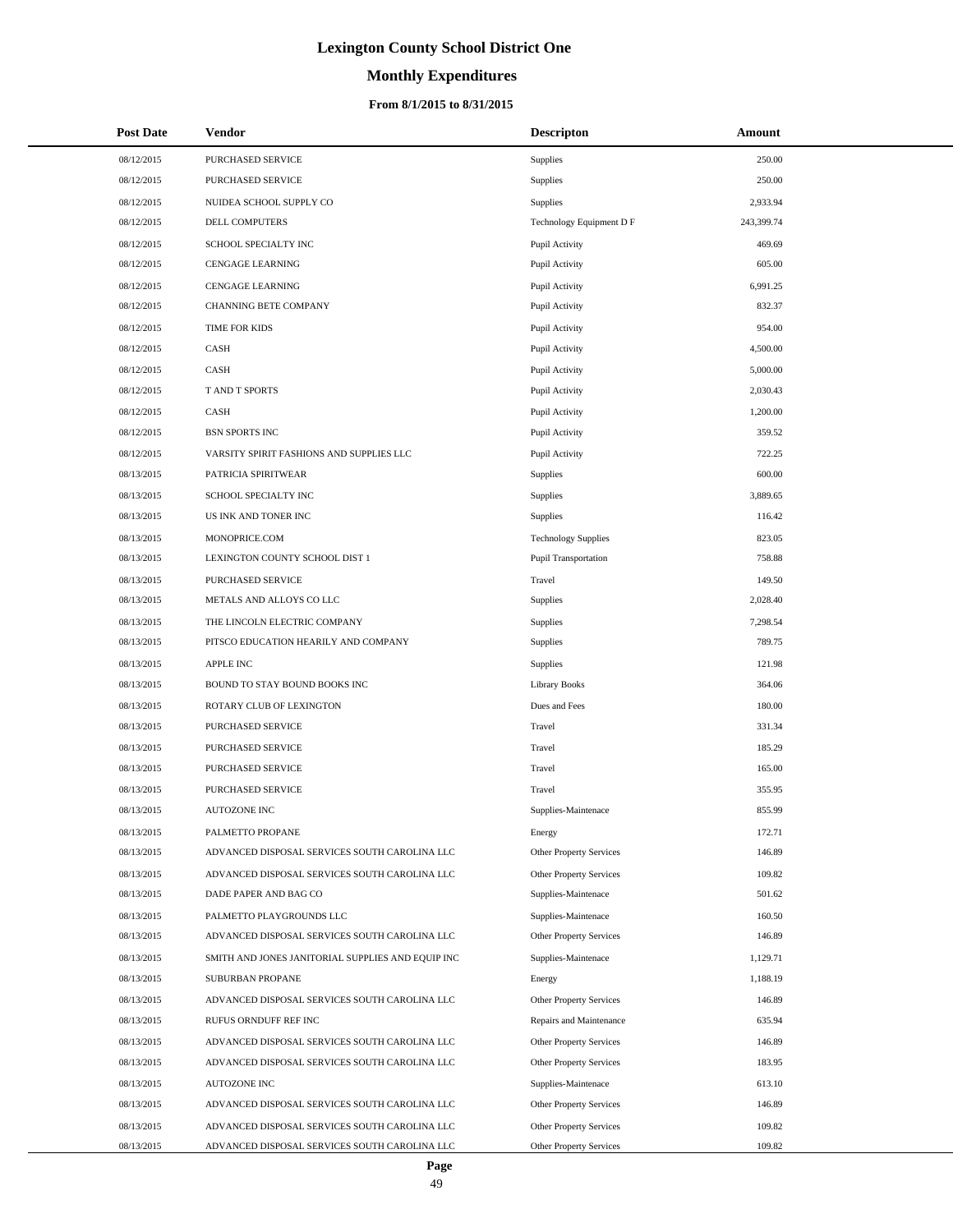# **Monthly Expenditures**

| <b>Post Date</b> | <b>Vendor</b>                                     | <b>Descripton</b>          | Amount     |
|------------------|---------------------------------------------------|----------------------------|------------|
| 08/12/2015       | PURCHASED SERVICE                                 | Supplies                   | 250.00     |
| 08/12/2015       | PURCHASED SERVICE                                 | Supplies                   | 250.00     |
| 08/12/2015       | NUIDEA SCHOOL SUPPLY CO                           | Supplies                   | 2,933.94   |
| 08/12/2015       | DELL COMPUTERS                                    | Technology Equipment D F   | 243,399.74 |
| 08/12/2015       | SCHOOL SPECIALTY INC                              | Pupil Activity             | 469.69     |
| 08/12/2015       | <b>CENGAGE LEARNING</b>                           | Pupil Activity             | 605.00     |
| 08/12/2015       | <b>CENGAGE LEARNING</b>                           | Pupil Activity             | 6,991.25   |
| 08/12/2015       | CHANNING BETE COMPANY                             | Pupil Activity             | 832.37     |
| 08/12/2015       | TIME FOR KIDS                                     | Pupil Activity             | 954.00     |
| 08/12/2015       | CASH                                              | Pupil Activity             | 4,500.00   |
| 08/12/2015       | CASH                                              | Pupil Activity             | 5,000.00   |
| 08/12/2015       | T AND T SPORTS                                    | Pupil Activity             | 2,030.43   |
| 08/12/2015       | CASH                                              | Pupil Activity             | 1,200.00   |
| 08/12/2015       | <b>BSN SPORTS INC</b>                             | Pupil Activity             | 359.52     |
| 08/12/2015       | VARSITY SPIRIT FASHIONS AND SUPPLIES LLC          | Pupil Activity             | 722.25     |
| 08/13/2015       | PATRICIA SPIRITWEAR                               | Supplies                   | 600.00     |
| 08/13/2015       | SCHOOL SPECIALTY INC                              | Supplies                   | 3,889.65   |
| 08/13/2015       | US INK AND TONER INC                              | Supplies                   | 116.42     |
| 08/13/2015       | MONOPRICE.COM                                     | <b>Technology Supplies</b> | 823.05     |
| 08/13/2015       | LEXINGTON COUNTY SCHOOL DIST 1                    | Pupil Transportation       | 758.88     |
| 08/13/2015       | PURCHASED SERVICE                                 | Travel                     | 149.50     |
| 08/13/2015       | METALS AND ALLOYS CO LLC                          | Supplies                   | 2,028.40   |
| 08/13/2015       | THE LINCOLN ELECTRIC COMPANY                      | Supplies                   | 7,298.54   |
| 08/13/2015       | PITSCO EDUCATION HEARILY AND COMPANY              | Supplies                   | 789.75     |
| 08/13/2015       | <b>APPLE INC</b>                                  | Supplies                   | 121.98     |
| 08/13/2015       | BOUND TO STAY BOUND BOOKS INC                     | <b>Library Books</b>       | 364.06     |
| 08/13/2015       | ROTARY CLUB OF LEXINGTON                          | Dues and Fees              | 180.00     |
| 08/13/2015       | PURCHASED SERVICE                                 | Travel                     | 331.34     |
| 08/13/2015       | PURCHASED SERVICE                                 | Travel                     | 185.29     |
| 08/13/2015       | PURCHASED SERVICE                                 | Travel                     | 165.00     |
| 08/13/2015       | <b>PURCHASED SERVICE</b>                          | Travel                     | 355.95     |
| 08/13/2015       | <b>AUTOZONE INC</b>                               | Supplies-Maintenace        | 855.99     |
| 08/13/2015       | PALMETTO PROPANE                                  | Energy                     | 172.71     |
| 08/13/2015       | ADVANCED DISPOSAL SERVICES SOUTH CAROLINA LLC     | Other Property Services    | 146.89     |
| 08/13/2015       | ADVANCED DISPOSAL SERVICES SOUTH CAROLINA LLC     | Other Property Services    | 109.82     |
| 08/13/2015       | DADE PAPER AND BAG CO                             | Supplies-Maintenace        | 501.62     |
| 08/13/2015       | PALMETTO PLAYGROUNDS LLC                          | Supplies-Maintenace        | 160.50     |
| 08/13/2015       | ADVANCED DISPOSAL SERVICES SOUTH CAROLINA LLC     | Other Property Services    | 146.89     |
| 08/13/2015       | SMITH AND JONES JANITORIAL SUPPLIES AND EQUIP INC | Supplies-Maintenace        | 1,129.71   |
| 08/13/2015       | SUBURBAN PROPANE                                  | Energy                     | 1,188.19   |
| 08/13/2015       | ADVANCED DISPOSAL SERVICES SOUTH CAROLINA LLC     | Other Property Services    | 146.89     |
| 08/13/2015       | RUFUS ORNDUFF REF INC                             | Repairs and Maintenance    | 635.94     |
| 08/13/2015       | ADVANCED DISPOSAL SERVICES SOUTH CAROLINA LLC     | Other Property Services    | 146.89     |
| 08/13/2015       | ADVANCED DISPOSAL SERVICES SOUTH CAROLINA LLC     | Other Property Services    | 183.95     |
| 08/13/2015       | <b>AUTOZONE INC</b>                               | Supplies-Maintenace        | 613.10     |
| 08/13/2015       | ADVANCED DISPOSAL SERVICES SOUTH CAROLINA LLC     | Other Property Services    | 146.89     |
| 08/13/2015       | ADVANCED DISPOSAL SERVICES SOUTH CAROLINA LLC     | Other Property Services    | 109.82     |
| 08/13/2015       | ADVANCED DISPOSAL SERVICES SOUTH CAROLINA LLC     | Other Property Services    | 109.82     |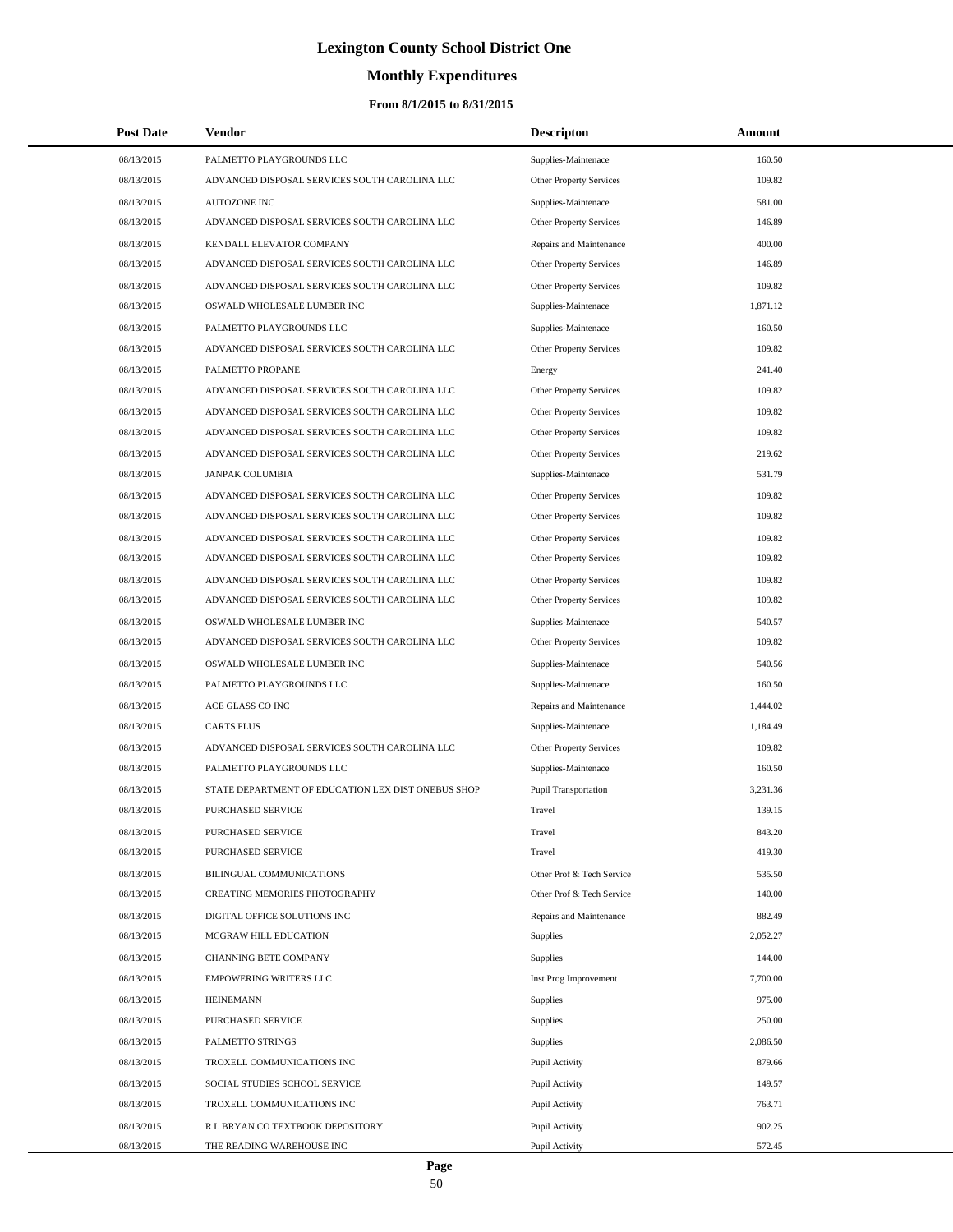# **Monthly Expenditures**

## **From 8/1/2015 to 8/31/2015**

| <b>Post Date</b> | Vendor                                             | <b>Descripton</b>              | Amount   |
|------------------|----------------------------------------------------|--------------------------------|----------|
| 08/13/2015       | PALMETTO PLAYGROUNDS LLC                           | Supplies-Maintenace            | 160.50   |
| 08/13/2015       | ADVANCED DISPOSAL SERVICES SOUTH CAROLINA LLC      | Other Property Services        | 109.82   |
| 08/13/2015       | <b>AUTOZONE INC</b>                                | Supplies-Maintenace            | 581.00   |
| 08/13/2015       | ADVANCED DISPOSAL SERVICES SOUTH CAROLINA LLC      | <b>Other Property Services</b> | 146.89   |
| 08/13/2015       | KENDALL ELEVATOR COMPANY                           | Repairs and Maintenance        | 400.00   |
| 08/13/2015       | ADVANCED DISPOSAL SERVICES SOUTH CAROLINA LLC      | Other Property Services        | 146.89   |
| 08/13/2015       | ADVANCED DISPOSAL SERVICES SOUTH CAROLINA LLC      | Other Property Services        | 109.82   |
| 08/13/2015       | OSWALD WHOLESALE LUMBER INC                        | Supplies-Maintenace            | 1,871.12 |
| 08/13/2015       | PALMETTO PLAYGROUNDS LLC                           | Supplies-Maintenace            | 160.50   |
| 08/13/2015       | ADVANCED DISPOSAL SERVICES SOUTH CAROLINA LLC      | Other Property Services        | 109.82   |
| 08/13/2015       | PALMETTO PROPANE                                   | Energy                         | 241.40   |
| 08/13/2015       | ADVANCED DISPOSAL SERVICES SOUTH CAROLINA LLC      | Other Property Services        | 109.82   |
| 08/13/2015       | ADVANCED DISPOSAL SERVICES SOUTH CAROLINA LLC      | Other Property Services        | 109.82   |
| 08/13/2015       | ADVANCED DISPOSAL SERVICES SOUTH CAROLINA LLC      | <b>Other Property Services</b> | 109.82   |
| 08/13/2015       | ADVANCED DISPOSAL SERVICES SOUTH CAROLINA LLC      | <b>Other Property Services</b> | 219.62   |
| 08/13/2015       | <b>JANPAK COLUMBIA</b>                             | Supplies-Maintenace            | 531.79   |
| 08/13/2015       | ADVANCED DISPOSAL SERVICES SOUTH CAROLINA LLC      | Other Property Services        | 109.82   |
| 08/13/2015       | ADVANCED DISPOSAL SERVICES SOUTH CAROLINA LLC      | <b>Other Property Services</b> | 109.82   |
| 08/13/2015       | ADVANCED DISPOSAL SERVICES SOUTH CAROLINA LLC      | <b>Other Property Services</b> | 109.82   |
| 08/13/2015       | ADVANCED DISPOSAL SERVICES SOUTH CAROLINA LLC      | <b>Other Property Services</b> | 109.82   |
| 08/13/2015       | ADVANCED DISPOSAL SERVICES SOUTH CAROLINA LLC      | Other Property Services        | 109.82   |
| 08/13/2015       | ADVANCED DISPOSAL SERVICES SOUTH CAROLINA LLC      | Other Property Services        | 109.82   |
| 08/13/2015       | OSWALD WHOLESALE LUMBER INC                        | Supplies-Maintenace            | 540.57   |
| 08/13/2015       | ADVANCED DISPOSAL SERVICES SOUTH CAROLINA LLC      | Other Property Services        | 109.82   |
| 08/13/2015       | OSWALD WHOLESALE LUMBER INC                        | Supplies-Maintenace            | 540.56   |
| 08/13/2015       | PALMETTO PLAYGROUNDS LLC                           | Supplies-Maintenace            | 160.50   |
| 08/13/2015       | ACE GLASS CO INC                                   | Repairs and Maintenance        | 1,444.02 |
| 08/13/2015       | <b>CARTS PLUS</b>                                  | Supplies-Maintenace            | 1,184.49 |
| 08/13/2015       | ADVANCED DISPOSAL SERVICES SOUTH CAROLINA LLC      | Other Property Services        | 109.82   |
| 08/13/2015       | PALMETTO PLAYGROUNDS LLC                           | Supplies-Maintenace            | 160.50   |
| 08/13/2015       | STATE DEPARTMENT OF EDUCATION LEX DIST ONEBUS SHOP | Pupil Transportation           | 3,231.36 |
| 08/13/2015       | PURCHASED SERVICE                                  | Travel                         | 139.15   |
| 08/13/2015       | PURCHASED SERVICE                                  | Travel                         | 843.20   |
| 08/13/2015       | PURCHASED SERVICE                                  | Travel                         | 419.30   |
| 08/13/2015       | BILINGUAL COMMUNICATIONS                           | Other Prof & Tech Service      | 535.50   |
| 08/13/2015       | CREATING MEMORIES PHOTOGRAPHY                      | Other Prof & Tech Service      | 140.00   |
| 08/13/2015       | DIGITAL OFFICE SOLUTIONS INC                       | Repairs and Maintenance        | 882.49   |
| 08/13/2015       | MCGRAW HILL EDUCATION                              | Supplies                       | 2,052.27 |
| 08/13/2015       | CHANNING BETE COMPANY                              | Supplies                       | 144.00   |
| 08/13/2015       | EMPOWERING WRITERS LLC                             | Inst Prog Improvement          | 7,700.00 |
| 08/13/2015       | <b>HEINEMANN</b>                                   | Supplies                       | 975.00   |
| 08/13/2015       | PURCHASED SERVICE                                  | Supplies                       | 250.00   |
| 08/13/2015       | PALMETTO STRINGS                                   | Supplies                       | 2,086.50 |
| 08/13/2015       | TROXELL COMMUNICATIONS INC                         | Pupil Activity                 | 879.66   |
| 08/13/2015       | SOCIAL STUDIES SCHOOL SERVICE                      | Pupil Activity                 | 149.57   |
| 08/13/2015       | TROXELL COMMUNICATIONS INC                         | Pupil Activity                 | 763.71   |
| 08/13/2015       | R L BRYAN CO TEXTBOOK DEPOSITORY                   | Pupil Activity                 | 902.25   |
| 08/13/2015       | THE READING WAREHOUSE INC                          | Pupil Activity                 | 572.45   |

L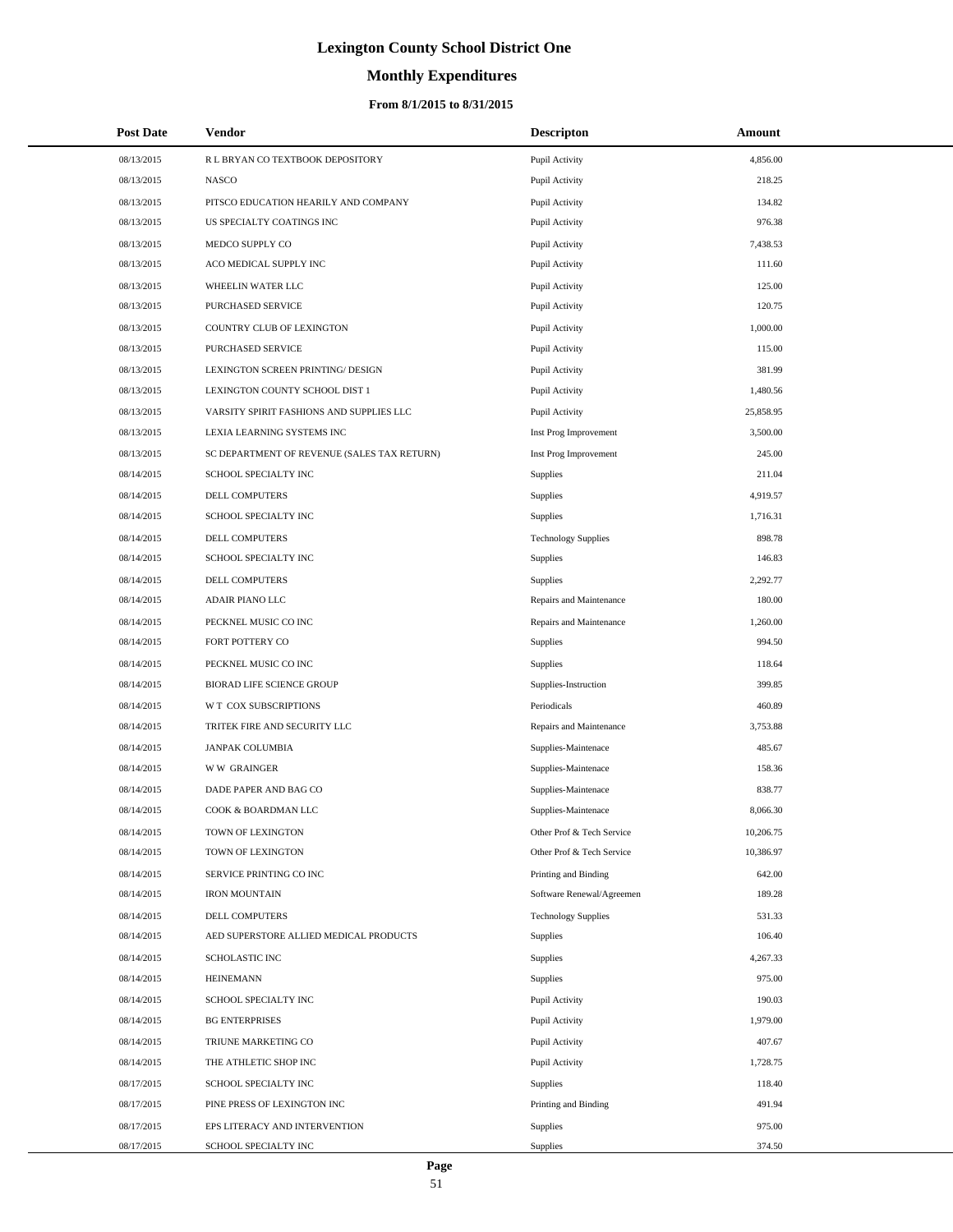# **Monthly Expenditures**

| <b>Post Date</b> | <b>Vendor</b>                               | <b>Descripton</b>          | Amount    |  |
|------------------|---------------------------------------------|----------------------------|-----------|--|
| 08/13/2015       | R L BRYAN CO TEXTBOOK DEPOSITORY            | Pupil Activity             | 4,856.00  |  |
| 08/13/2015       | <b>NASCO</b>                                | Pupil Activity             | 218.25    |  |
| 08/13/2015       | PITSCO EDUCATION HEARILY AND COMPANY        | Pupil Activity             | 134.82    |  |
| 08/13/2015       | US SPECIALTY COATINGS INC                   | Pupil Activity             | 976.38    |  |
| 08/13/2015       | MEDCO SUPPLY CO                             | Pupil Activity             | 7,438.53  |  |
| 08/13/2015       | ACO MEDICAL SUPPLY INC                      | Pupil Activity             | 111.60    |  |
| 08/13/2015       | WHEELIN WATER LLC                           | Pupil Activity             | 125.00    |  |
| 08/13/2015       | PURCHASED SERVICE                           | Pupil Activity             | 120.75    |  |
| 08/13/2015       | COUNTRY CLUB OF LEXINGTON                   | Pupil Activity             | 1,000.00  |  |
| 08/13/2015       | <b>PURCHASED SERVICE</b>                    | Pupil Activity             | 115.00    |  |
| 08/13/2015       | LEXINGTON SCREEN PRINTING/ DESIGN           | Pupil Activity             | 381.99    |  |
| 08/13/2015       | LEXINGTON COUNTY SCHOOL DIST 1              | Pupil Activity             | 1,480.56  |  |
| 08/13/2015       | VARSITY SPIRIT FASHIONS AND SUPPLIES LLC    | Pupil Activity             | 25,858.95 |  |
| 08/13/2015       | LEXIA LEARNING SYSTEMS INC                  | Inst Prog Improvement      | 3,500.00  |  |
| 08/13/2015       | SC DEPARTMENT OF REVENUE (SALES TAX RETURN) | Inst Prog Improvement      | 245.00    |  |
| 08/14/2015       | SCHOOL SPECIALTY INC                        | Supplies                   | 211.04    |  |
| 08/14/2015       | <b>DELL COMPUTERS</b>                       | <b>Supplies</b>            | 4,919.57  |  |
| 08/14/2015       | SCHOOL SPECIALTY INC                        | Supplies                   | 1,716.31  |  |
| 08/14/2015       | DELL COMPUTERS                              | <b>Technology Supplies</b> | 898.78    |  |
| 08/14/2015       | SCHOOL SPECIALTY INC                        | Supplies                   | 146.83    |  |
| 08/14/2015       | DELL COMPUTERS                              | <b>Supplies</b>            | 2,292.77  |  |
| 08/14/2015       | ADAIR PIANO LLC                             | Repairs and Maintenance    | 180.00    |  |
| 08/14/2015       | PECKNEL MUSIC CO INC                        | Repairs and Maintenance    | 1,260.00  |  |
| 08/14/2015       | FORT POTTERY CO                             | Supplies                   | 994.50    |  |
| 08/14/2015       | PECKNEL MUSIC CO INC                        | <b>Supplies</b>            | 118.64    |  |
| 08/14/2015       | BIORAD LIFE SCIENCE GROUP                   | Supplies-Instruction       | 399.85    |  |
| 08/14/2015       | W T COX SUBSCRIPTIONS                       | Periodicals                | 460.89    |  |
| 08/14/2015       | TRITEK FIRE AND SECURITY LLC                | Repairs and Maintenance    | 3,753.88  |  |
| 08/14/2015       | <b>JANPAK COLUMBIA</b>                      | Supplies-Maintenace        | 485.67    |  |
| 08/14/2015       | <b>WW GRAINGER</b>                          | Supplies-Maintenace        | 158.36    |  |
| 08/14/2015       | DADE PAPER AND BAG CO                       | Supplies-Maintenace        | 838.77    |  |
| 08/14/2015       | COOK & BOARDMAN LLC                         | Supplies-Maintenace        | 8,066.30  |  |
| 08/14/2015       | TOWN OF LEXINGTON                           | Other Prof & Tech Service  | 10,206.75 |  |
| 08/14/2015       | TOWN OF LEXINGTON                           | Other Prof & Tech Service  | 10,386.97 |  |
| 08/14/2015       | SERVICE PRINTING CO INC                     | Printing and Binding       | 642.00    |  |
| 08/14/2015       | <b>IRON MOUNTAIN</b>                        | Software Renewal/Agreemen  | 189.28    |  |
| 08/14/2015       | <b>DELL COMPUTERS</b>                       | <b>Technology Supplies</b> | 531.33    |  |
| 08/14/2015       | AED SUPERSTORE ALLIED MEDICAL PRODUCTS      | <b>Supplies</b>            | 106.40    |  |
| 08/14/2015       | SCHOLASTIC INC                              | Supplies                   | 4,267.33  |  |
| 08/14/2015       | <b>HEINEMANN</b>                            | Supplies                   | 975.00    |  |
| 08/14/2015       | SCHOOL SPECIALTY INC                        | Pupil Activity             | 190.03    |  |
| 08/14/2015       | <b>BG ENTERPRISES</b>                       | Pupil Activity             | 1,979.00  |  |
| 08/14/2015       | TRIUNE MARKETING CO                         | Pupil Activity             | 407.67    |  |
| 08/14/2015       | THE ATHLETIC SHOP INC                       | Pupil Activity             | 1,728.75  |  |
| 08/17/2015       | SCHOOL SPECIALTY INC                        | Supplies                   | 118.40    |  |
| 08/17/2015       | PINE PRESS OF LEXINGTON INC                 | Printing and Binding       | 491.94    |  |
| 08/17/2015       | EPS LITERACY AND INTERVENTION               | Supplies                   | 975.00    |  |
| 08/17/2015       | SCHOOL SPECIALTY INC                        | Supplies                   | 374.50    |  |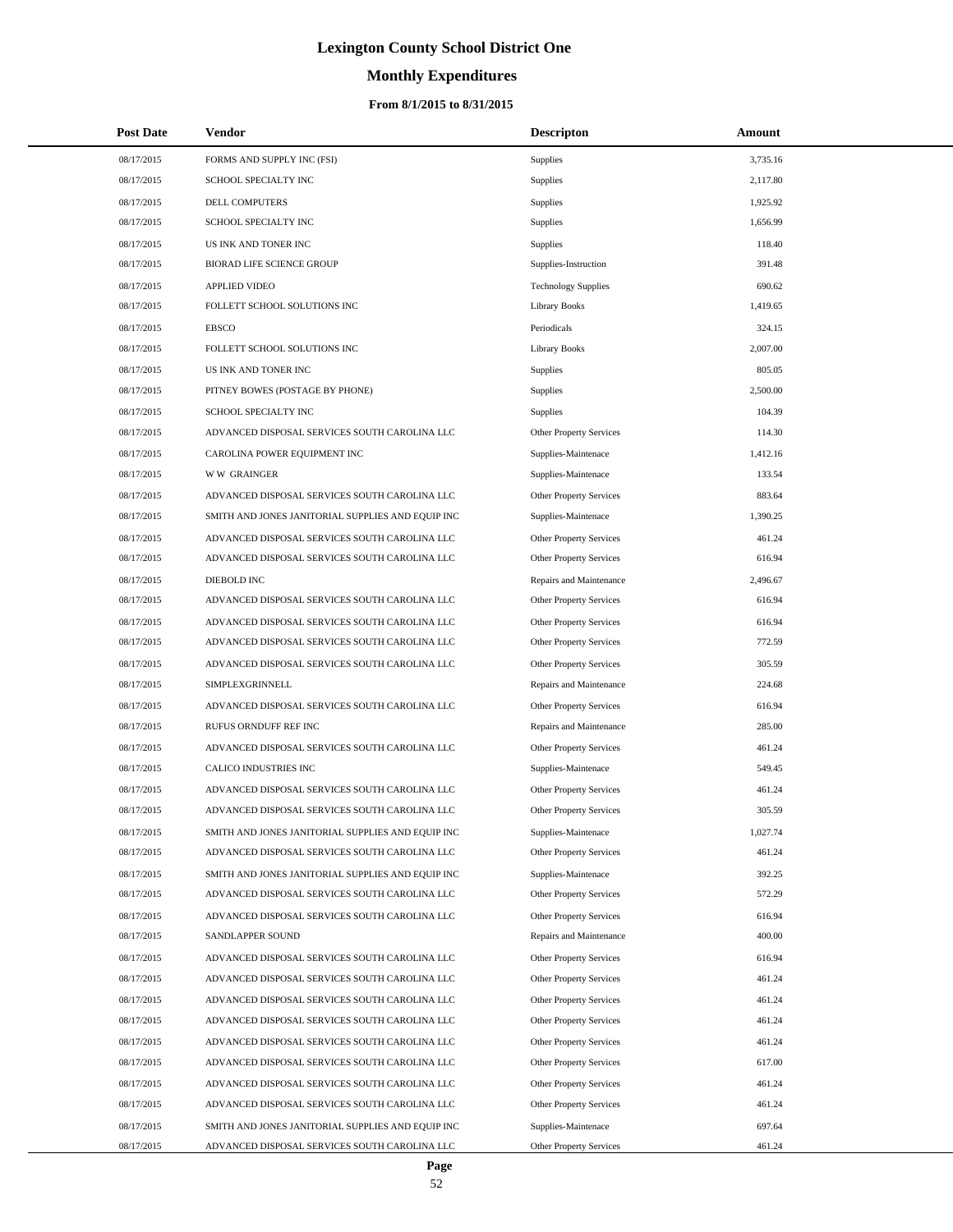# **Monthly Expenditures**

| <b>Post Date</b>         | Vendor                                                                                             | <b>Descripton</b>                                     | <b>Amount</b>    |
|--------------------------|----------------------------------------------------------------------------------------------------|-------------------------------------------------------|------------------|
| 08/17/2015               | FORMS AND SUPPLY INC (FSI)                                                                         | Supplies                                              | 3,735.16         |
| 08/17/2015               | SCHOOL SPECIALTY INC                                                                               | Supplies                                              | 2,117.80         |
| 08/17/2015               | DELL COMPUTERS                                                                                     | Supplies                                              | 1,925.92         |
| 08/17/2015               | SCHOOL SPECIALTY INC                                                                               | Supplies                                              | 1,656.99         |
| 08/17/2015               | US INK AND TONER INC                                                                               | Supplies                                              | 118.40           |
| 08/17/2015               | BIORAD LIFE SCIENCE GROUP                                                                          | Supplies-Instruction                                  | 391.48           |
| 08/17/2015               | <b>APPLIED VIDEO</b>                                                                               | <b>Technology Supplies</b>                            | 690.62           |
| 08/17/2015               | FOLLETT SCHOOL SOLUTIONS INC                                                                       | <b>Library Books</b>                                  | 1,419.65         |
| 08/17/2015               | <b>EBSCO</b>                                                                                       | Periodicals                                           | 324.15           |
| 08/17/2015               | FOLLETT SCHOOL SOLUTIONS INC                                                                       | <b>Library Books</b>                                  | 2,007.00         |
| 08/17/2015               | US INK AND TONER INC                                                                               | Supplies                                              | 805.05           |
| 08/17/2015               | PITNEY BOWES (POSTAGE BY PHONE)                                                                    | Supplies                                              | 2,500.00         |
| 08/17/2015               | SCHOOL SPECIALTY INC                                                                               | Supplies                                              | 104.39           |
| 08/17/2015               | ADVANCED DISPOSAL SERVICES SOUTH CAROLINA LLC                                                      | Other Property Services                               | 114.30           |
| 08/17/2015               | CAROLINA POWER EQUIPMENT INC                                                                       | Supplies-Maintenace                                   | 1,412.16         |
| 08/17/2015               | <b>WW GRAINGER</b>                                                                                 | Supplies-Maintenace                                   | 133.54           |
| 08/17/2015               | ADVANCED DISPOSAL SERVICES SOUTH CAROLINA LLC                                                      | <b>Other Property Services</b>                        | 883.64           |
| 08/17/2015               | SMITH AND JONES JANITORIAL SUPPLIES AND EQUIP INC                                                  | Supplies-Maintenace                                   | 1,390.25         |
| 08/17/2015               | ADVANCED DISPOSAL SERVICES SOUTH CAROLINA LLC                                                      | Other Property Services                               | 461.24           |
| 08/17/2015               | ADVANCED DISPOSAL SERVICES SOUTH CAROLINA LLC                                                      | Other Property Services                               | 616.94           |
| 08/17/2015               | DIEBOLD INC                                                                                        | Repairs and Maintenance                               | 2,496.67         |
| 08/17/2015               | ADVANCED DISPOSAL SERVICES SOUTH CAROLINA LLC                                                      | Other Property Services                               | 616.94           |
| 08/17/2015               | ADVANCED DISPOSAL SERVICES SOUTH CAROLINA LLC                                                      | Other Property Services                               | 616.94           |
| 08/17/2015               | ADVANCED DISPOSAL SERVICES SOUTH CAROLINA LLC                                                      | Other Property Services                               | 772.59           |
| 08/17/2015               | ADVANCED DISPOSAL SERVICES SOUTH CAROLINA LLC                                                      | <b>Other Property Services</b>                        | 305.59           |
| 08/17/2015               | SIMPLEXGRINNELL                                                                                    | Repairs and Maintenance                               | 224.68           |
| 08/17/2015               | ADVANCED DISPOSAL SERVICES SOUTH CAROLINA LLC                                                      | Other Property Services                               | 616.94           |
| 08/17/2015               | RUFUS ORNDUFF REF INC                                                                              | Repairs and Maintenance                               | 285.00           |
| 08/17/2015               | ADVANCED DISPOSAL SERVICES SOUTH CAROLINA LLC                                                      | Other Property Services                               | 461.24           |
| 08/17/2015               | CALICO INDUSTRIES INC                                                                              | Supplies-Maintenace                                   | 549.45           |
| 08/17/2015               | ADVANCED DISPOSAL SERVICES SOUTH CAROLINA LLC                                                      | Other Property Services                               | 461.24           |
| 08/17/2015               | ADVANCED DISPOSAL SERVICES SOUTH CAROLINA LLC                                                      | <b>Other Property Services</b>                        | 305.59           |
| 08/17/2015               | SMITH AND JONES JANITORIAL SUPPLIES AND EQUIP INC                                                  | Supplies-Maintenace                                   | 1,027.74         |
| 08/17/2015               | ADVANCED DISPOSAL SERVICES SOUTH CAROLINA LLC                                                      | Other Property Services                               | 461.24           |
| 08/17/2015               | SMITH AND JONES JANITORIAL SUPPLIES AND EQUIP INC                                                  | Supplies-Maintenace                                   | 392.25           |
| 08/17/2015               | ADVANCED DISPOSAL SERVICES SOUTH CAROLINA LLC                                                      | Other Property Services                               | 572.29           |
| 08/17/2015               | ADVANCED DISPOSAL SERVICES SOUTH CAROLINA LLC                                                      | <b>Other Property Services</b>                        | 616.94           |
| 08/17/2015               | SANDLAPPER SOUND                                                                                   | Repairs and Maintenance                               | 400.00           |
| 08/17/2015               | ADVANCED DISPOSAL SERVICES SOUTH CAROLINA LLC                                                      | Other Property Services                               | 616.94           |
| 08/17/2015               | ADVANCED DISPOSAL SERVICES SOUTH CAROLINA LLC                                                      | Other Property Services                               | 461.24           |
| 08/17/2015               | ADVANCED DISPOSAL SERVICES SOUTH CAROLINA LLC                                                      | <b>Other Property Services</b>                        | 461.24           |
| 08/17/2015               | ADVANCED DISPOSAL SERVICES SOUTH CAROLINA LLC                                                      | Other Property Services                               | 461.24           |
| 08/17/2015               | ADVANCED DISPOSAL SERVICES SOUTH CAROLINA LLC                                                      | Other Property Services                               | 461.24           |
| 08/17/2015               | ADVANCED DISPOSAL SERVICES SOUTH CAROLINA LLC                                                      | Other Property Services                               | 617.00           |
| 08/17/2015<br>08/17/2015 | ADVANCED DISPOSAL SERVICES SOUTH CAROLINA LLC                                                      | <b>Other Property Services</b>                        | 461.24<br>461.24 |
| 08/17/2015               | ADVANCED DISPOSAL SERVICES SOUTH CAROLINA LLC                                                      | Other Property Services                               | 697.64           |
| 08/17/2015               | SMITH AND JONES JANITORIAL SUPPLIES AND EQUIP INC<br>ADVANCED DISPOSAL SERVICES SOUTH CAROLINA LLC | Supplies-Maintenace<br><b>Other Property Services</b> | 461.24           |
|                          |                                                                                                    |                                                       |                  |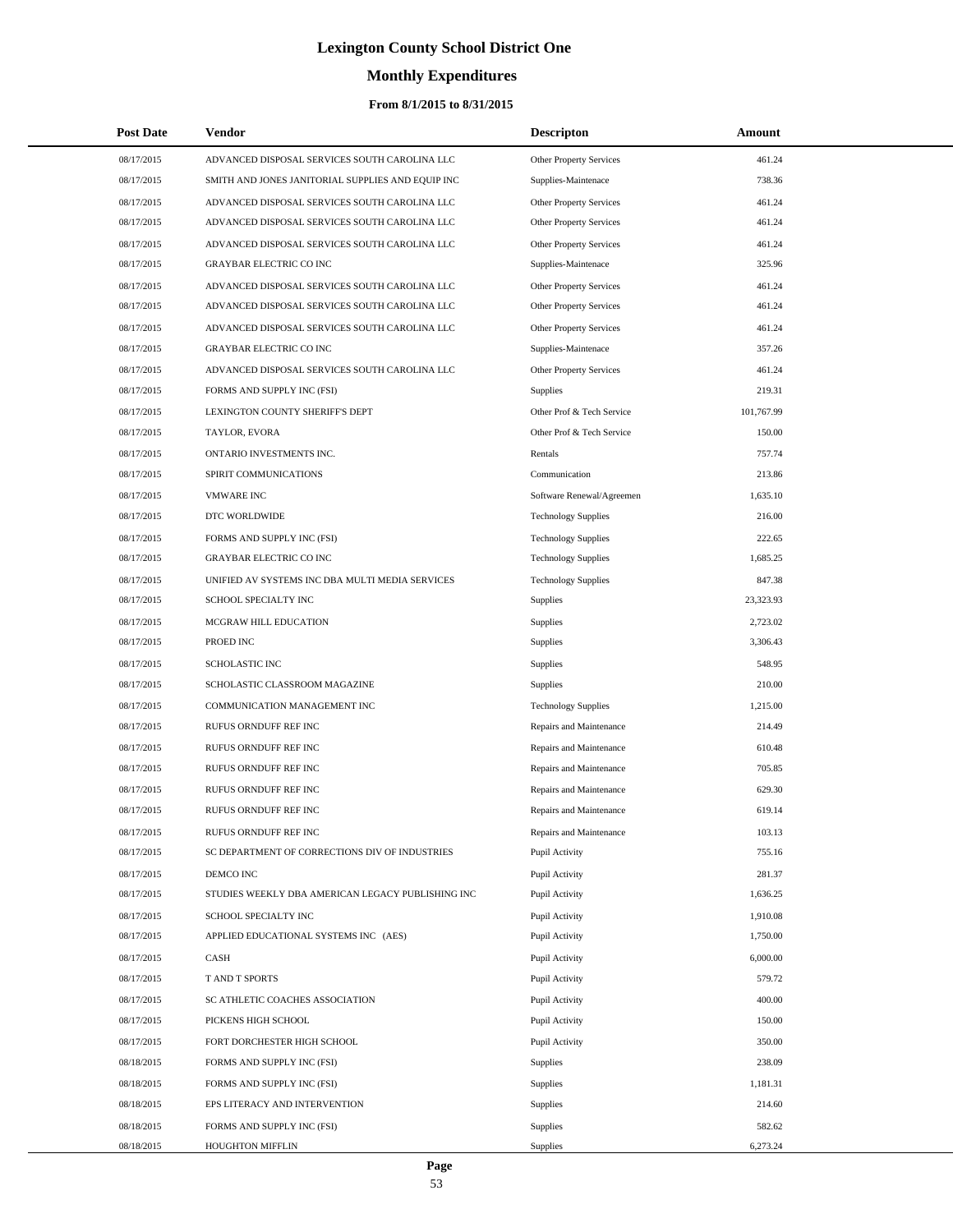# **Monthly Expenditures**

| <b>Post Date</b> | Vendor                                            | <b>Descripton</b>              | <b>Amount</b> |  |
|------------------|---------------------------------------------------|--------------------------------|---------------|--|
| 08/17/2015       | ADVANCED DISPOSAL SERVICES SOUTH CAROLINA LLC     | Other Property Services        | 461.24        |  |
| 08/17/2015       | SMITH AND JONES JANITORIAL SUPPLIES AND EQUIP INC | Supplies-Maintenace            | 738.36        |  |
| 08/17/2015       | ADVANCED DISPOSAL SERVICES SOUTH CAROLINA LLC     | Other Property Services        | 461.24        |  |
| 08/17/2015       | ADVANCED DISPOSAL SERVICES SOUTH CAROLINA LLC     | Other Property Services        | 461.24        |  |
| 08/17/2015       | ADVANCED DISPOSAL SERVICES SOUTH CAROLINA LLC     | <b>Other Property Services</b> | 461.24        |  |
| 08/17/2015       | <b>GRAYBAR ELECTRIC CO INC</b>                    | Supplies-Maintenace            | 325.96        |  |
| 08/17/2015       | ADVANCED DISPOSAL SERVICES SOUTH CAROLINA LLC     | Other Property Services        | 461.24        |  |
| 08/17/2015       | ADVANCED DISPOSAL SERVICES SOUTH CAROLINA LLC     | <b>Other Property Services</b> | 461.24        |  |
| 08/17/2015       | ADVANCED DISPOSAL SERVICES SOUTH CAROLINA LLC     | <b>Other Property Services</b> | 461.24        |  |
| 08/17/2015       | <b>GRAYBAR ELECTRIC CO INC</b>                    | Supplies-Maintenace            | 357.26        |  |
| 08/17/2015       | ADVANCED DISPOSAL SERVICES SOUTH CAROLINA LLC     | Other Property Services        | 461.24        |  |
| 08/17/2015       | FORMS AND SUPPLY INC (FSI)                        | Supplies                       | 219.31        |  |
| 08/17/2015       | LEXINGTON COUNTY SHERIFF'S DEPT                   | Other Prof & Tech Service      | 101,767.99    |  |
| 08/17/2015       | TAYLOR, EVORA                                     | Other Prof & Tech Service      | 150.00        |  |
| 08/17/2015       | ONTARIO INVESTMENTS INC.                          | Rentals                        | 757.74        |  |
| 08/17/2015       | SPIRIT COMMUNICATIONS                             | Communication                  | 213.86        |  |
| 08/17/2015       | <b>VMWARE INC</b>                                 | Software Renewal/Agreemen      | 1,635.10      |  |
| 08/17/2015       | DTC WORLDWIDE                                     | <b>Technology Supplies</b>     | 216.00        |  |
| 08/17/2015       | FORMS AND SUPPLY INC (FSI)                        | <b>Technology Supplies</b>     | 222.65        |  |
| 08/17/2015       | <b>GRAYBAR ELECTRIC CO INC</b>                    | <b>Technology Supplies</b>     | 1,685.25      |  |
| 08/17/2015       | UNIFIED AV SYSTEMS INC DBA MULTI MEDIA SERVICES   | <b>Technology Supplies</b>     | 847.38        |  |
| 08/17/2015       | SCHOOL SPECIALTY INC                              | Supplies                       | 23,323.93     |  |
| 08/17/2015       | MCGRAW HILL EDUCATION                             | Supplies                       | 2,723.02      |  |
| 08/17/2015       | PROED INC                                         | Supplies                       | 3,306.43      |  |
| 08/17/2015       | <b>SCHOLASTIC INC</b>                             | Supplies                       | 548.95        |  |
| 08/17/2015       | SCHOLASTIC CLASSROOM MAGAZINE                     | Supplies                       | 210.00        |  |
| 08/17/2015       | COMMUNICATION MANAGEMENT INC                      | <b>Technology Supplies</b>     | 1,215.00      |  |
| 08/17/2015       | RUFUS ORNDUFF REF INC                             | Repairs and Maintenance        | 214.49        |  |
| 08/17/2015       | RUFUS ORNDUFF REF INC                             | Repairs and Maintenance        | 610.48        |  |
| 08/17/2015       | RUFUS ORNDUFF REF INC                             | Repairs and Maintenance        | 705.85        |  |
| 08/17/2015       | RUFUS ORNDUFF REF INC                             | Repairs and Maintenance        | 629.30        |  |
| 08/17/2015       | RUFUS ORNDUFF REF INC                             | Repairs and Maintenance        | 619.14        |  |
| 08/17/2015       | RUFUS ORNDUFF REF INC                             | Repairs and Maintenance        | 103.13        |  |
| 08/17/2015       | SC DEPARTMENT OF CORRECTIONS DIV OF INDUSTRIES    | Pupil Activity                 | 755.16        |  |
| 08/17/2015       | DEMCO INC                                         | Pupil Activity                 | 281.37        |  |
| 08/17/2015       | STUDIES WEEKLY DBA AMERICAN LEGACY PUBLISHING INC | Pupil Activity                 | 1,636.25      |  |
| 08/17/2015       | SCHOOL SPECIALTY INC                              | Pupil Activity                 | 1,910.08      |  |
| 08/17/2015       | APPLIED EDUCATIONAL SYSTEMS INC (AES)             | Pupil Activity                 | 1,750.00      |  |
| 08/17/2015       | CASH                                              | Pupil Activity                 | 6,000.00      |  |
| 08/17/2015       | T AND T SPORTS                                    | Pupil Activity                 | 579.72        |  |
| 08/17/2015       | SC ATHLETIC COACHES ASSOCIATION                   | Pupil Activity                 | 400.00        |  |
| 08/17/2015       | PICKENS HIGH SCHOOL                               | Pupil Activity                 | 150.00        |  |
| 08/17/2015       | FORT DORCHESTER HIGH SCHOOL                       | Pupil Activity                 | 350.00        |  |
| 08/18/2015       | FORMS AND SUPPLY INC (FSI)                        | <b>Supplies</b>                | 238.09        |  |
| 08/18/2015       | FORMS AND SUPPLY INC (FSI)                        | Supplies                       | 1,181.31      |  |
| 08/18/2015       | EPS LITERACY AND INTERVENTION                     | Supplies                       | 214.60        |  |
| 08/18/2015       | FORMS AND SUPPLY INC (FSI)                        | <b>Supplies</b>                | 582.62        |  |
| 08/18/2015       | HOUGHTON MIFFLIN                                  | <b>Supplies</b>                | 6,273.24      |  |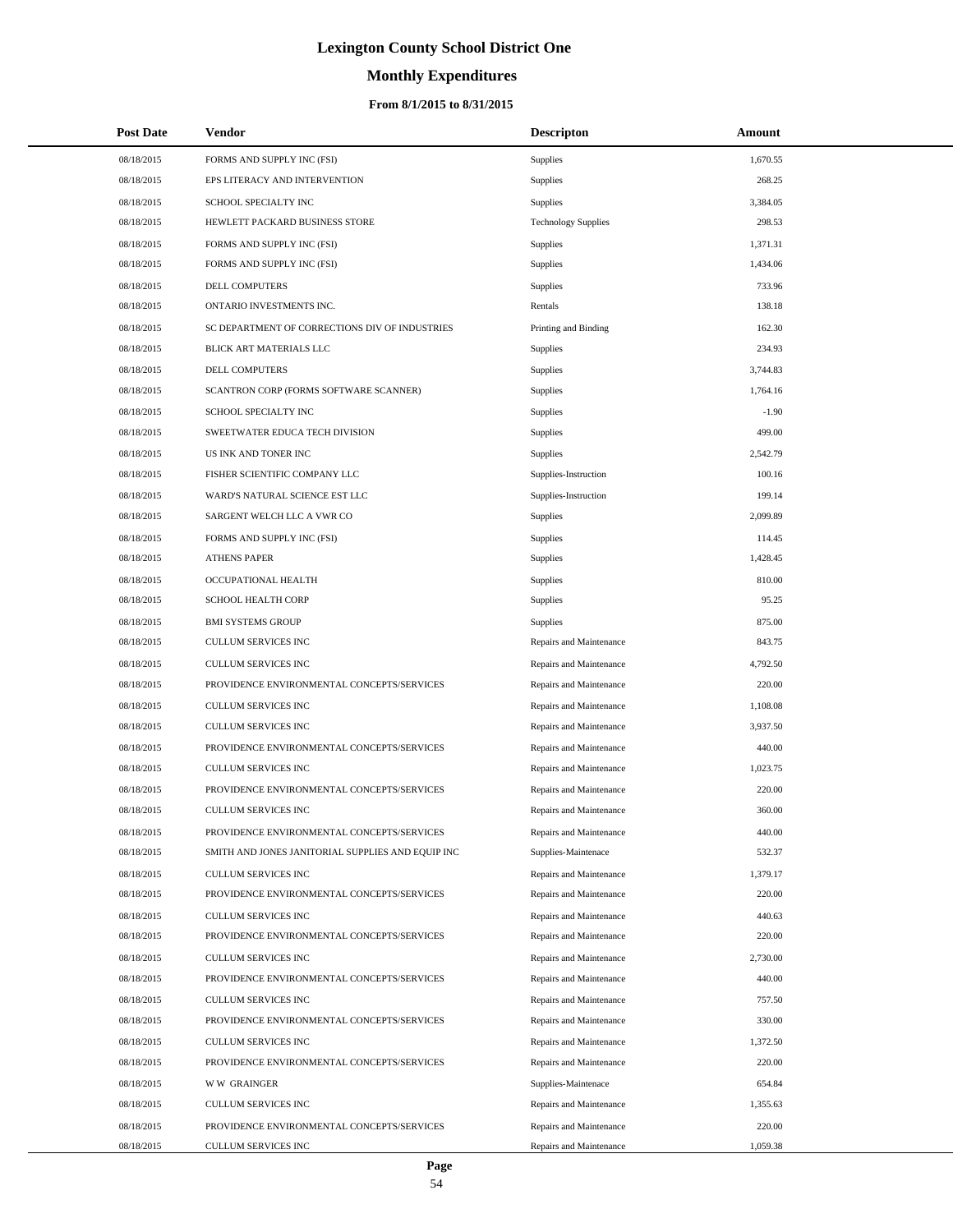# **Monthly Expenditures**

| <b>Post Date</b>         | Vendor                                                                                          | <b>Descripton</b>                                  | Amount             |
|--------------------------|-------------------------------------------------------------------------------------------------|----------------------------------------------------|--------------------|
| 08/18/2015               | FORMS AND SUPPLY INC (FSI)                                                                      | <b>Supplies</b>                                    | 1,670.55           |
| 08/18/2015               | EPS LITERACY AND INTERVENTION                                                                   | Supplies                                           | 268.25             |
| 08/18/2015               | SCHOOL SPECIALTY INC                                                                            | <b>Supplies</b>                                    | 3,384.05           |
| 08/18/2015               | HEWLETT PACKARD BUSINESS STORE                                                                  | <b>Technology Supplies</b>                         | 298.53             |
| 08/18/2015               | FORMS AND SUPPLY INC (FSI)                                                                      | <b>Supplies</b>                                    | 1,371.31           |
| 08/18/2015               | FORMS AND SUPPLY INC (FSI)                                                                      | Supplies                                           | 1,434.06           |
| 08/18/2015               | <b>DELL COMPUTERS</b>                                                                           | Supplies                                           | 733.96             |
| 08/18/2015               | ONTARIO INVESTMENTS INC.                                                                        | Rentals                                            | 138.18             |
| 08/18/2015               | SC DEPARTMENT OF CORRECTIONS DIV OF INDUSTRIES                                                  | Printing and Binding                               | 162.30             |
| 08/18/2015               | BLICK ART MATERIALS LLC                                                                         | Supplies                                           | 234.93             |
| 08/18/2015               | <b>DELL COMPUTERS</b>                                                                           | Supplies                                           | 3,744.83           |
| 08/18/2015               | SCANTRON CORP (FORMS SOFTWARE SCANNER)                                                          | Supplies                                           | 1,764.16           |
| 08/18/2015               | SCHOOL SPECIALTY INC                                                                            | Supplies                                           | $-1.90$            |
| 08/18/2015               | SWEETWATER EDUCA TECH DIVISION                                                                  | Supplies                                           | 499.00             |
| 08/18/2015               | US INK AND TONER INC                                                                            | Supplies                                           | 2,542.79           |
| 08/18/2015               | FISHER SCIENTIFIC COMPANY LLC                                                                   | Supplies-Instruction                               | 100.16             |
| 08/18/2015               | WARD'S NATURAL SCIENCE EST LLC                                                                  | Supplies-Instruction                               | 199.14             |
| 08/18/2015               | SARGENT WELCH LLC A VWR CO                                                                      | <b>Supplies</b>                                    | 2,099.89           |
| 08/18/2015               | FORMS AND SUPPLY INC (FSI)                                                                      | Supplies                                           | 114.45             |
| 08/18/2015               | <b>ATHENS PAPER</b>                                                                             | Supplies                                           | 1,428.45           |
| 08/18/2015               | OCCUPATIONAL HEALTH                                                                             | <b>Supplies</b>                                    | 810.00             |
| 08/18/2015               | SCHOOL HEALTH CORP                                                                              | Supplies                                           | 95.25              |
| 08/18/2015               | <b>BMI SYSTEMS GROUP</b>                                                                        | Supplies                                           | 875.00             |
| 08/18/2015               | <b>CULLUM SERVICES INC</b>                                                                      | Repairs and Maintenance                            | 843.75             |
| 08/18/2015               | <b>CULLUM SERVICES INC</b>                                                                      | Repairs and Maintenance                            | 4,792.50           |
| 08/18/2015               | PROVIDENCE ENVIRONMENTAL CONCEPTS/SERVICES                                                      | Repairs and Maintenance                            | 220.00             |
| 08/18/2015               | CULLUM SERVICES INC                                                                             | Repairs and Maintenance                            | 1,108.08           |
| 08/18/2015               | <b>CULLUM SERVICES INC</b>                                                                      | Repairs and Maintenance                            | 3.937.50           |
| 08/18/2015               | PROVIDENCE ENVIRONMENTAL CONCEPTS/SERVICES                                                      | Repairs and Maintenance                            | 440.00             |
| 08/18/2015               | CULLUM SERVICES INC                                                                             | Repairs and Maintenance                            | 1,023.75           |
| 08/18/2015               | PROVIDENCE ENVIRONMENTAL CONCEPTS/SERVICES                                                      | Repairs and Maintenance                            | 220.00             |
| 08/18/2015               | <b>CULLUM SERVICES INC</b>                                                                      | Repairs and Maintenance                            | 360.00             |
| 08/18/2015               | PROVIDENCE ENVIRONMENTAL CONCEPTS/SERVICES<br>SMITH AND JONES JANITORIAL SUPPLIES AND EQUIP INC | Repairs and Maintenance                            | 440.00             |
| 08/18/2015               |                                                                                                 | Supplies-Maintenace                                | 532.37             |
| 08/18/2015<br>08/18/2015 | CULLUM SERVICES INC<br>PROVIDENCE ENVIRONMENTAL CONCEPTS/SERVICES                               | Repairs and Maintenance<br>Repairs and Maintenance | 1,379.17<br>220.00 |
| 08/18/2015               | CULLUM SERVICES INC                                                                             | Repairs and Maintenance                            | 440.63             |
| 08/18/2015               | PROVIDENCE ENVIRONMENTAL CONCEPTS/SERVICES                                                      | Repairs and Maintenance                            | 220.00             |
| 08/18/2015               | CULLUM SERVICES INC                                                                             | Repairs and Maintenance                            | 2,730.00           |
| 08/18/2015               | PROVIDENCE ENVIRONMENTAL CONCEPTS/SERVICES                                                      | Repairs and Maintenance                            | 440.00             |
| 08/18/2015               | CULLUM SERVICES INC                                                                             | Repairs and Maintenance                            | 757.50             |
| 08/18/2015               | PROVIDENCE ENVIRONMENTAL CONCEPTS/SERVICES                                                      | Repairs and Maintenance                            | 330.00             |
| 08/18/2015               | CULLUM SERVICES INC                                                                             | Repairs and Maintenance                            | 1,372.50           |
| 08/18/2015               | PROVIDENCE ENVIRONMENTAL CONCEPTS/SERVICES                                                      | Repairs and Maintenance                            | 220.00             |
| 08/18/2015               | <b>WW GRAINGER</b>                                                                              | Supplies-Maintenace                                | 654.84             |
| 08/18/2015               | CULLUM SERVICES INC                                                                             | Repairs and Maintenance                            | 1,355.63           |
| 08/18/2015               | PROVIDENCE ENVIRONMENTAL CONCEPTS/SERVICES                                                      | Repairs and Maintenance                            | 220.00             |
| 08/18/2015               | CULLUM SERVICES INC                                                                             | Repairs and Maintenance                            | 1,059.38           |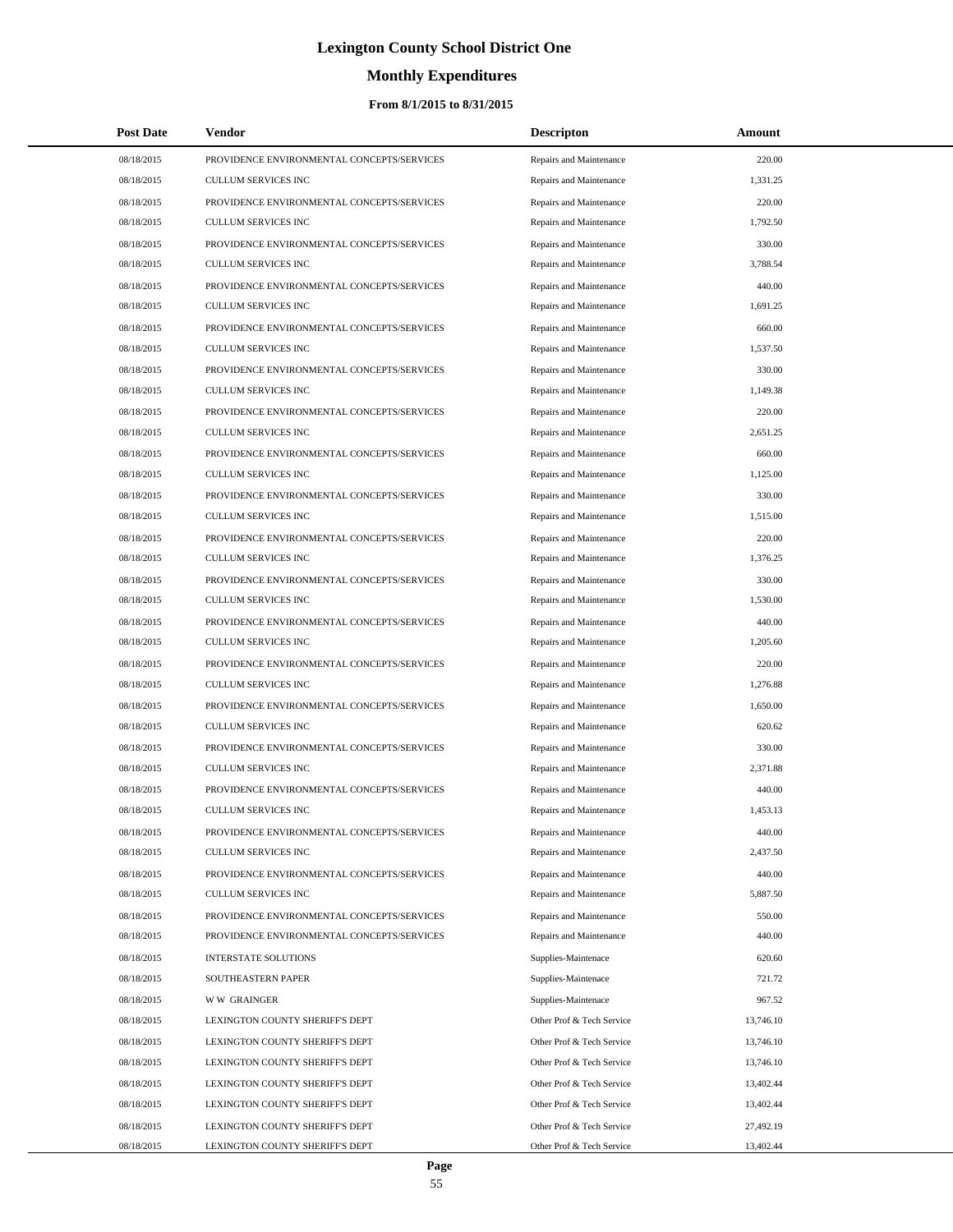# **Monthly Expenditures**

## **From 8/1/2015 to 8/31/2015**

| <b>Post Date</b> | Vendor                                     | <b>Descripton</b>         | Amount    |  |
|------------------|--------------------------------------------|---------------------------|-----------|--|
| 08/18/2015       | PROVIDENCE ENVIRONMENTAL CONCEPTS/SERVICES | Repairs and Maintenance   | 220.00    |  |
| 08/18/2015       | <b>CULLUM SERVICES INC</b>                 | Repairs and Maintenance   | 1,331.25  |  |
| 08/18/2015       | PROVIDENCE ENVIRONMENTAL CONCEPTS/SERVICES | Repairs and Maintenance   | 220.00    |  |
| 08/18/2015       | <b>CULLUM SERVICES INC</b>                 | Repairs and Maintenance   | 1,792.50  |  |
| 08/18/2015       | PROVIDENCE ENVIRONMENTAL CONCEPTS/SERVICES | Repairs and Maintenance   | 330.00    |  |
| 08/18/2015       | <b>CULLUM SERVICES INC</b>                 | Repairs and Maintenance   | 3,788.54  |  |
| 08/18/2015       | PROVIDENCE ENVIRONMENTAL CONCEPTS/SERVICES | Repairs and Maintenance   | 440.00    |  |
| 08/18/2015       | <b>CULLUM SERVICES INC</b>                 | Repairs and Maintenance   | 1,691.25  |  |
| 08/18/2015       | PROVIDENCE ENVIRONMENTAL CONCEPTS/SERVICES | Repairs and Maintenance   | 660.00    |  |
| 08/18/2015       | <b>CULLUM SERVICES INC</b>                 | Repairs and Maintenance   | 1,537.50  |  |
| 08/18/2015       | PROVIDENCE ENVIRONMENTAL CONCEPTS/SERVICES | Repairs and Maintenance   | 330.00    |  |
| 08/18/2015       | <b>CULLUM SERVICES INC</b>                 | Repairs and Maintenance   | 1,149.38  |  |
| 08/18/2015       | PROVIDENCE ENVIRONMENTAL CONCEPTS/SERVICES | Repairs and Maintenance   | 220.00    |  |
| 08/18/2015       | <b>CULLUM SERVICES INC</b>                 | Repairs and Maintenance   | 2,651.25  |  |
| 08/18/2015       | PROVIDENCE ENVIRONMENTAL CONCEPTS/SERVICES | Repairs and Maintenance   | 660.00    |  |
| 08/18/2015       | <b>CULLUM SERVICES INC</b>                 | Repairs and Maintenance   | 1,125.00  |  |
| 08/18/2015       | PROVIDENCE ENVIRONMENTAL CONCEPTS/SERVICES | Repairs and Maintenance   | 330.00    |  |
| 08/18/2015       | <b>CULLUM SERVICES INC</b>                 | Repairs and Maintenance   | 1,515.00  |  |
| 08/18/2015       | PROVIDENCE ENVIRONMENTAL CONCEPTS/SERVICES | Repairs and Maintenance   | 220.00    |  |
| 08/18/2015       | <b>CULLUM SERVICES INC</b>                 | Repairs and Maintenance   | 1,376.25  |  |
| 08/18/2015       | PROVIDENCE ENVIRONMENTAL CONCEPTS/SERVICES | Repairs and Maintenance   | 330.00    |  |
| 08/18/2015       | <b>CULLUM SERVICES INC</b>                 | Repairs and Maintenance   | 1,530.00  |  |
| 08/18/2015       | PROVIDENCE ENVIRONMENTAL CONCEPTS/SERVICES | Repairs and Maintenance   | 440.00    |  |
| 08/18/2015       | <b>CULLUM SERVICES INC</b>                 | Repairs and Maintenance   | 1,205.60  |  |
| 08/18/2015       | PROVIDENCE ENVIRONMENTAL CONCEPTS/SERVICES | Repairs and Maintenance   | 220.00    |  |
| 08/18/2015       | <b>CULLUM SERVICES INC</b>                 | Repairs and Maintenance   | 1,276.88  |  |
| 08/18/2015       | PROVIDENCE ENVIRONMENTAL CONCEPTS/SERVICES | Repairs and Maintenance   | 1,650.00  |  |
| 08/18/2015       | <b>CULLUM SERVICES INC</b>                 | Repairs and Maintenance   | 620.62    |  |
| 08/18/2015       | PROVIDENCE ENVIRONMENTAL CONCEPTS/SERVICES | Repairs and Maintenance   | 330.00    |  |
| 08/18/2015       | <b>CULLUM SERVICES INC</b>                 | Repairs and Maintenance   | 2,371.88  |  |
| 08/18/2015       | PROVIDENCE ENVIRONMENTAL CONCEPTS/SERVICES | Repairs and Maintenance   | 440.00    |  |
| 08/18/2015       | <b>CULLUM SERVICES INC</b>                 | Repairs and Maintenance   | 1,453.13  |  |
| 08/18/2015       | PROVIDENCE ENVIRONMENTAL CONCEPTS/SERVICES | Repairs and Maintenance   | 440.00    |  |
| 08/18/2015       | <b>CULLUM SERVICES INC</b>                 | Repairs and Maintenance   | 2,437.50  |  |
| 08/18/2015       | PROVIDENCE ENVIRONMENTAL CONCEPTS/SERVICES | Repairs and Maintenance   | 440.00    |  |
| 08/18/2015       | <b>CULLUM SERVICES INC</b>                 | Repairs and Maintenance   | 5,887.50  |  |
| 08/18/2015       | PROVIDENCE ENVIRONMENTAL CONCEPTS/SERVICES | Repairs and Maintenance   | 550.00    |  |
| 08/18/2015       | PROVIDENCE ENVIRONMENTAL CONCEPTS/SERVICES | Repairs and Maintenance   | 440.00    |  |
| 08/18/2015       | <b>INTERSTATE SOLUTIONS</b>                | Supplies-Maintenace       | 620.60    |  |
| 08/18/2015       | SOUTHEASTERN PAPER                         | Supplies-Maintenace       | 721.72    |  |
| 08/18/2015       | <b>WW GRAINGER</b>                         | Supplies-Maintenace       | 967.52    |  |
| 08/18/2015       | LEXINGTON COUNTY SHERIFF'S DEPT            | Other Prof & Tech Service | 13,746.10 |  |
| 08/18/2015       | LEXINGTON COUNTY SHERIFF'S DEPT            | Other Prof & Tech Service | 13,746.10 |  |
| 08/18/2015       | LEXINGTON COUNTY SHERIFF'S DEPT            | Other Prof & Tech Service | 13,746.10 |  |
| 08/18/2015       | LEXINGTON COUNTY SHERIFF'S DEPT            | Other Prof & Tech Service | 13,402.44 |  |
| 08/18/2015       | LEXINGTON COUNTY SHERIFF'S DEPT            | Other Prof & Tech Service | 13,402.44 |  |
| 08/18/2015       | LEXINGTON COUNTY SHERIFF'S DEPT            | Other Prof & Tech Service | 27,492.19 |  |
| 08/18/2015       | LEXINGTON COUNTY SHERIFF'S DEPT            | Other Prof & Tech Service | 13,402.44 |  |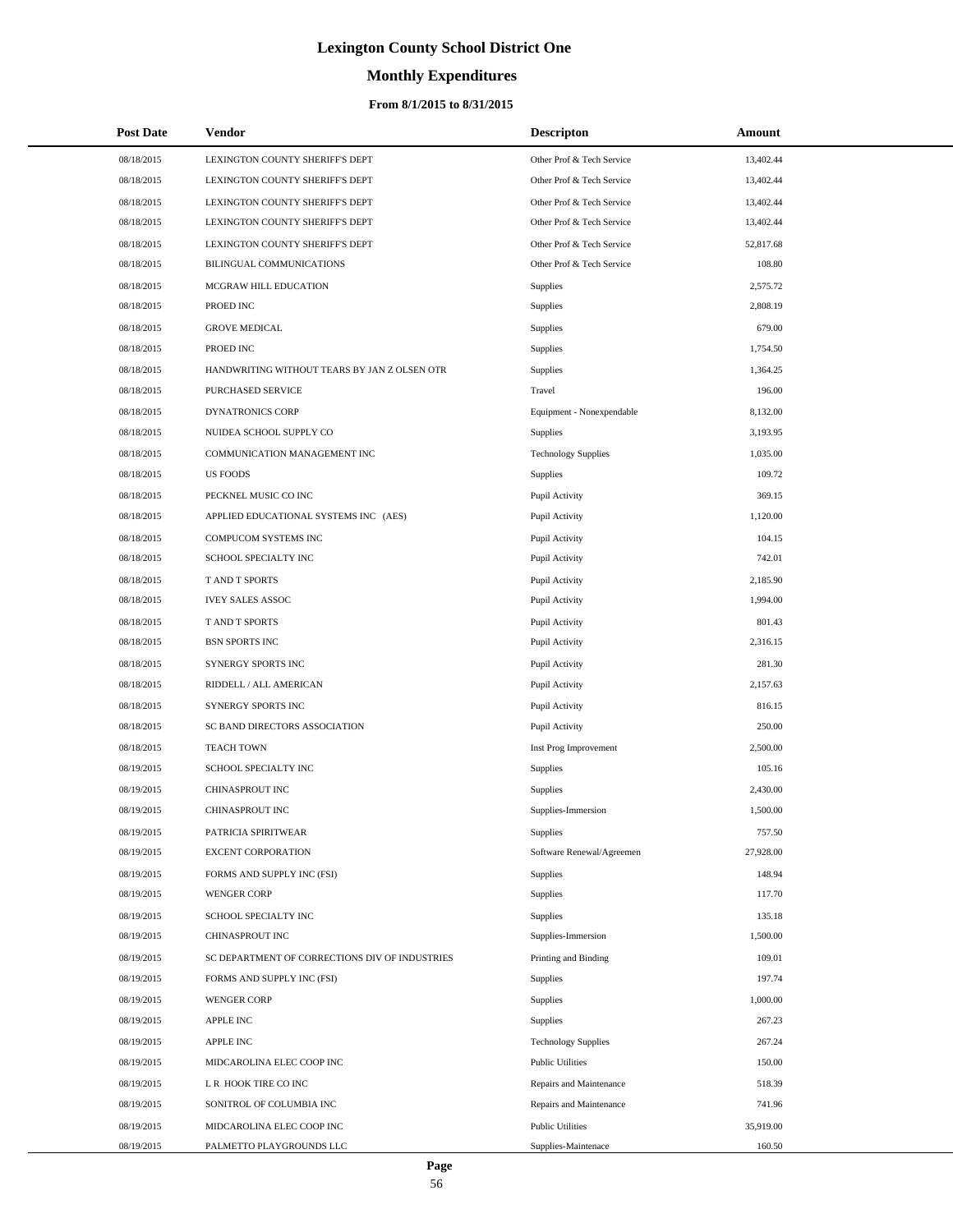# **Monthly Expenditures**

## **From 8/1/2015 to 8/31/2015**

| <b>Post Date</b> | Vendor                                         | <b>Descripton</b>          | Amount    |
|------------------|------------------------------------------------|----------------------------|-----------|
| 08/18/2015       | LEXINGTON COUNTY SHERIFF'S DEPT                | Other Prof & Tech Service  | 13,402.44 |
| 08/18/2015       | LEXINGTON COUNTY SHERIFF'S DEPT                | Other Prof & Tech Service  | 13,402.44 |
| 08/18/2015       | LEXINGTON COUNTY SHERIFF'S DEPT                | Other Prof & Tech Service  | 13,402.44 |
| 08/18/2015       | LEXINGTON COUNTY SHERIFF'S DEPT                | Other Prof & Tech Service  | 13,402.44 |
| 08/18/2015       | LEXINGTON COUNTY SHERIFF'S DEPT                | Other Prof & Tech Service  | 52,817.68 |
| 08/18/2015       | BILINGUAL COMMUNICATIONS                       | Other Prof & Tech Service  | 108.80    |
| 08/18/2015       | MCGRAW HILL EDUCATION                          | Supplies                   | 2,575.72  |
| 08/18/2015       | PROED INC                                      | Supplies                   | 2,808.19  |
| 08/18/2015       | <b>GROVE MEDICAL</b>                           | Supplies                   | 679.00    |
| 08/18/2015       | PROED INC                                      | Supplies                   | 1,754.50  |
| 08/18/2015       | HANDWRITING WITHOUT TEARS BY JAN Z OLSEN OTR   | Supplies                   | 1,364.25  |
| 08/18/2015       | PURCHASED SERVICE                              | Travel                     | 196.00    |
| 08/18/2015       | <b>DYNATRONICS CORP</b>                        | Equipment - Nonexpendable  | 8,132.00  |
| 08/18/2015       | NUIDEA SCHOOL SUPPLY CO                        | Supplies                   | 3,193.95  |
| 08/18/2015       | COMMUNICATION MANAGEMENT INC                   | <b>Technology Supplies</b> | 1,035.00  |
| 08/18/2015       | <b>US FOODS</b>                                | Supplies                   | 109.72    |
| 08/18/2015       | PECKNEL MUSIC CO INC                           | Pupil Activity             | 369.15    |
| 08/18/2015       | APPLIED EDUCATIONAL SYSTEMS INC (AES)          | Pupil Activity             | 1,120.00  |
| 08/18/2015       | COMPUCOM SYSTEMS INC                           | Pupil Activity             | 104.15    |
| 08/18/2015       | SCHOOL SPECIALTY INC                           | Pupil Activity             | 742.01    |
| 08/18/2015       | T AND T SPORTS                                 | Pupil Activity             | 2,185.90  |
| 08/18/2015       | <b>IVEY SALES ASSOC</b>                        | Pupil Activity             | 1,994.00  |
| 08/18/2015       | T AND T SPORTS                                 | Pupil Activity             | 801.43    |
| 08/18/2015       | <b>BSN SPORTS INC</b>                          | Pupil Activity             | 2,316.15  |
| 08/18/2015       | SYNERGY SPORTS INC                             | Pupil Activity             | 281.30    |
| 08/18/2015       | RIDDELL / ALL AMERICAN                         | Pupil Activity             | 2,157.63  |
| 08/18/2015       | SYNERGY SPORTS INC                             | Pupil Activity             | 816.15    |
| 08/18/2015       | SC BAND DIRECTORS ASSOCIATION                  | Pupil Activity             | 250.00    |
| 08/18/2015       | <b>TEACH TOWN</b>                              | Inst Prog Improvement      | 2,500.00  |
| 08/19/2015       | SCHOOL SPECIALTY INC                           | Supplies                   | 105.16    |
| 08/19/2015       | CHINASPROUT INC                                | <b>Supplies</b>            | 2,430.00  |
| 08/19/2015       | CHINASPROUT INC                                | Supplies-Immersion         | 1,500.00  |
| 08/19/2015       | PATRICIA SPIRITWEAR                            | Supplies                   | 757.50    |
| 08/19/2015       | <b>EXCENT CORPORATION</b>                      | Software Renewal/Agreemen  | 27,928.00 |
| 08/19/2015       | FORMS AND SUPPLY INC (FSI)                     | Supplies                   | 148.94    |
| 08/19/2015       | <b>WENGER CORP</b>                             | Supplies                   | 117.70    |
| 08/19/2015       | SCHOOL SPECIALTY INC                           | Supplies                   | 135.18    |
| 08/19/2015       | CHINASPROUT INC                                | Supplies-Immersion         | 1,500.00  |
| 08/19/2015       | SC DEPARTMENT OF CORRECTIONS DIV OF INDUSTRIES | Printing and Binding       | 109.01    |
| 08/19/2015       | FORMS AND SUPPLY INC (FSI)                     | Supplies                   | 197.74    |
| 08/19/2015       | <b>WENGER CORP</b>                             | Supplies                   | 1,000.00  |
| 08/19/2015       | <b>APPLE INC</b>                               | Supplies                   | 267.23    |
| 08/19/2015       | APPLE INC                                      | <b>Technology Supplies</b> | 267.24    |
| 08/19/2015       | MIDCAROLINA ELEC COOP INC                      | <b>Public Utilities</b>    | 150.00    |
| 08/19/2015       | L R HOOK TIRE CO INC                           | Repairs and Maintenance    | 518.39    |
| 08/19/2015       | SONITROL OF COLUMBIA INC                       | Repairs and Maintenance    | 741.96    |
| 08/19/2015       | MIDCAROLINA ELEC COOP INC                      | <b>Public Utilities</b>    | 35,919.00 |
| 08/19/2015       | PALMETTO PLAYGROUNDS LLC                       | Supplies-Maintenace        | 160.50    |

 $\overline{a}$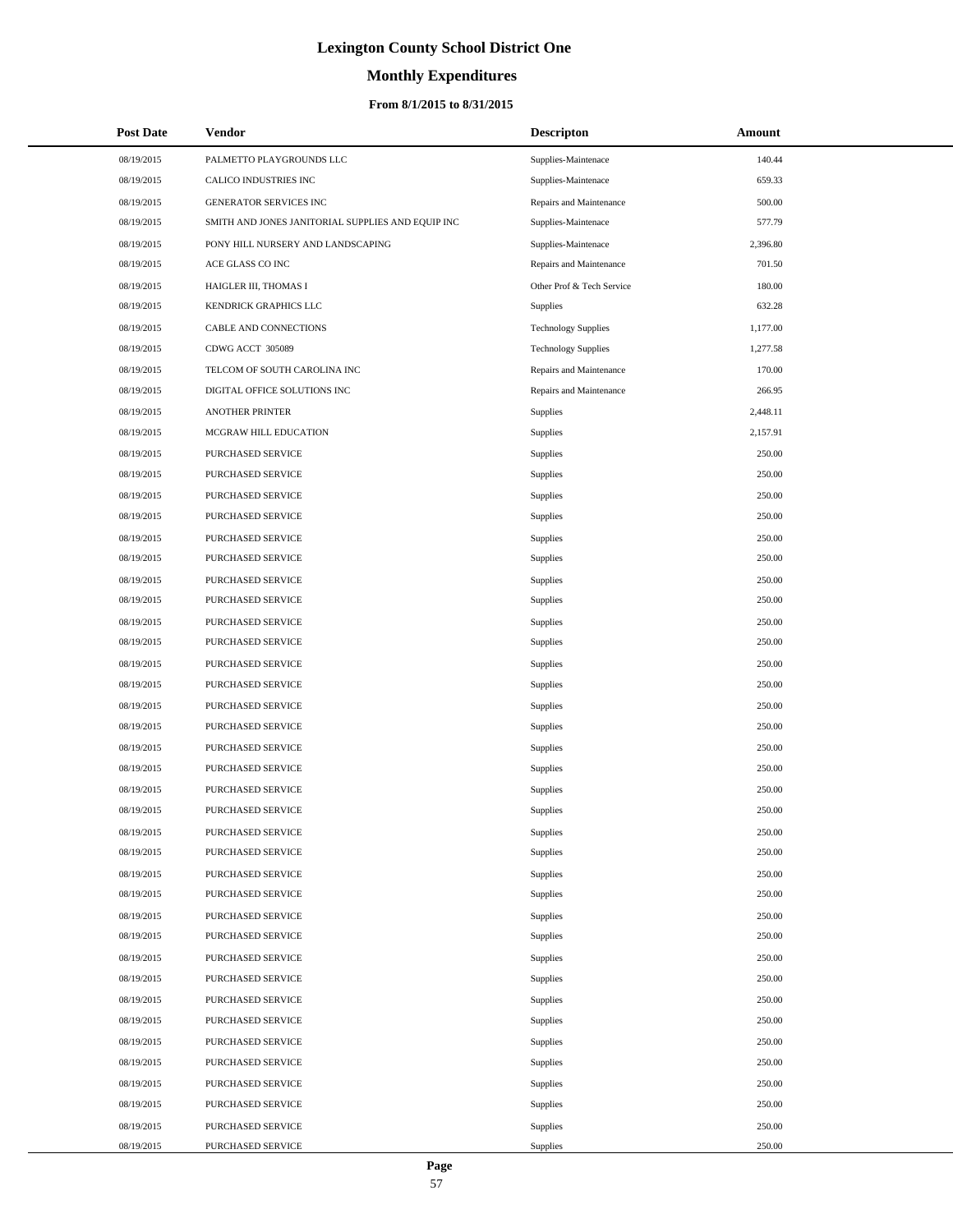# **Monthly Expenditures**

## **From 8/1/2015 to 8/31/2015**

| <b>Post Date</b> | Vendor                                            | <b>Descripton</b>          | Amount   |
|------------------|---------------------------------------------------|----------------------------|----------|
| 08/19/2015       | PALMETTO PLAYGROUNDS LLC                          | Supplies-Maintenace        | 140.44   |
| 08/19/2015       | CALICO INDUSTRIES INC                             | Supplies-Maintenace        | 659.33   |
| 08/19/2015       | GENERATOR SERVICES INC                            | Repairs and Maintenance    | 500.00   |
| 08/19/2015       | SMITH AND JONES JANITORIAL SUPPLIES AND EQUIP INC | Supplies-Maintenace        | 577.79   |
| 08/19/2015       | PONY HILL NURSERY AND LANDSCAPING                 | Supplies-Maintenace        | 2,396.80 |
| 08/19/2015       | ACE GLASS CO INC                                  | Repairs and Maintenance    | 701.50   |
| 08/19/2015       | HAIGLER III, THOMAS I                             | Other Prof & Tech Service  | 180.00   |
| 08/19/2015       | KENDRICK GRAPHICS LLC                             | <b>Supplies</b>            | 632.28   |
| 08/19/2015       | CABLE AND CONNECTIONS                             | <b>Technology Supplies</b> | 1,177.00 |
| 08/19/2015       | CDWG ACCT 305089                                  | <b>Technology Supplies</b> | 1,277.58 |
| 08/19/2015       | TELCOM OF SOUTH CAROLINA INC                      | Repairs and Maintenance    | 170.00   |
| 08/19/2015       | DIGITAL OFFICE SOLUTIONS INC                      | Repairs and Maintenance    | 266.95   |
| 08/19/2015       | <b>ANOTHER PRINTER</b>                            | Supplies                   | 2,448.11 |
| 08/19/2015       | MCGRAW HILL EDUCATION                             | Supplies                   | 2,157.91 |
| 08/19/2015       | PURCHASED SERVICE                                 | Supplies                   | 250.00   |
| 08/19/2015       | PURCHASED SERVICE                                 | Supplies                   | 250.00   |
| 08/19/2015       | PURCHASED SERVICE                                 | Supplies                   | 250.00   |
| 08/19/2015       | <b>PURCHASED SERVICE</b>                          | Supplies                   | 250.00   |
| 08/19/2015       | PURCHASED SERVICE                                 | Supplies                   | 250.00   |
| 08/19/2015       | PURCHASED SERVICE                                 | Supplies                   | 250.00   |
| 08/19/2015       | PURCHASED SERVICE                                 | Supplies                   | 250.00   |
| 08/19/2015       | PURCHASED SERVICE                                 | Supplies                   | 250.00   |
| 08/19/2015       | PURCHASED SERVICE                                 | Supplies                   | 250.00   |
| 08/19/2015       | PURCHASED SERVICE                                 | Supplies                   | 250.00   |
| 08/19/2015       | PURCHASED SERVICE                                 | Supplies                   | 250.00   |
| 08/19/2015       | PURCHASED SERVICE                                 | Supplies                   | 250.00   |
| 08/19/2015       | PURCHASED SERVICE                                 | Supplies                   | 250.00   |
| 08/19/2015       | <b>PURCHASED SERVICE</b>                          | Supplies                   | 250.00   |
| 08/19/2015       | PURCHASED SERVICE                                 | Supplies                   | 250.00   |
| 08/19/2015       | PURCHASED SERVICE                                 | Supplies                   | 250.00   |
| 08/19/2015       | <b>PURCHASED SERVICE</b>                          | Supplies                   | 250.00   |
| 08/19/2015       | PURCHASED SERVICE                                 | Supplies                   | 250.00   |
| 08/19/2015       | PURCHASED SERVICE                                 | Supplies                   | 250.00   |
| 08/19/2015       | PURCHASED SERVICE                                 | Supplies                   | 250.00   |
| 08/19/2015       | PURCHASED SERVICE                                 | Supplies                   | 250.00   |
| 08/19/2015       | PURCHASED SERVICE                                 | Supplies                   | 250.00   |
| 08/19/2015       | PURCHASED SERVICE                                 | Supplies                   | 250.00   |
| 08/19/2015       | PURCHASED SERVICE                                 | Supplies                   | 250.00   |
| 08/19/2015       | PURCHASED SERVICE                                 | Supplies                   | 250.00   |
| 08/19/2015       | PURCHASED SERVICE                                 | Supplies                   | 250.00   |
| 08/19/2015       | PURCHASED SERVICE                                 | Supplies                   | 250.00   |
| 08/19/2015       | PURCHASED SERVICE                                 | Supplies                   | 250.00   |
| 08/19/2015       | PURCHASED SERVICE                                 | Supplies                   | 250.00   |
| 08/19/2015       | PURCHASED SERVICE                                 | Supplies                   | 250.00   |
| 08/19/2015       | PURCHASED SERVICE                                 | Supplies                   | 250.00   |
| 08/19/2015       | PURCHASED SERVICE                                 | Supplies                   | 250.00   |
| 08/19/2015       | PURCHASED SERVICE                                 | Supplies                   | 250.00   |
| 08/19/2015       | PURCHASED SERVICE                                 | Supplies                   | 250.00   |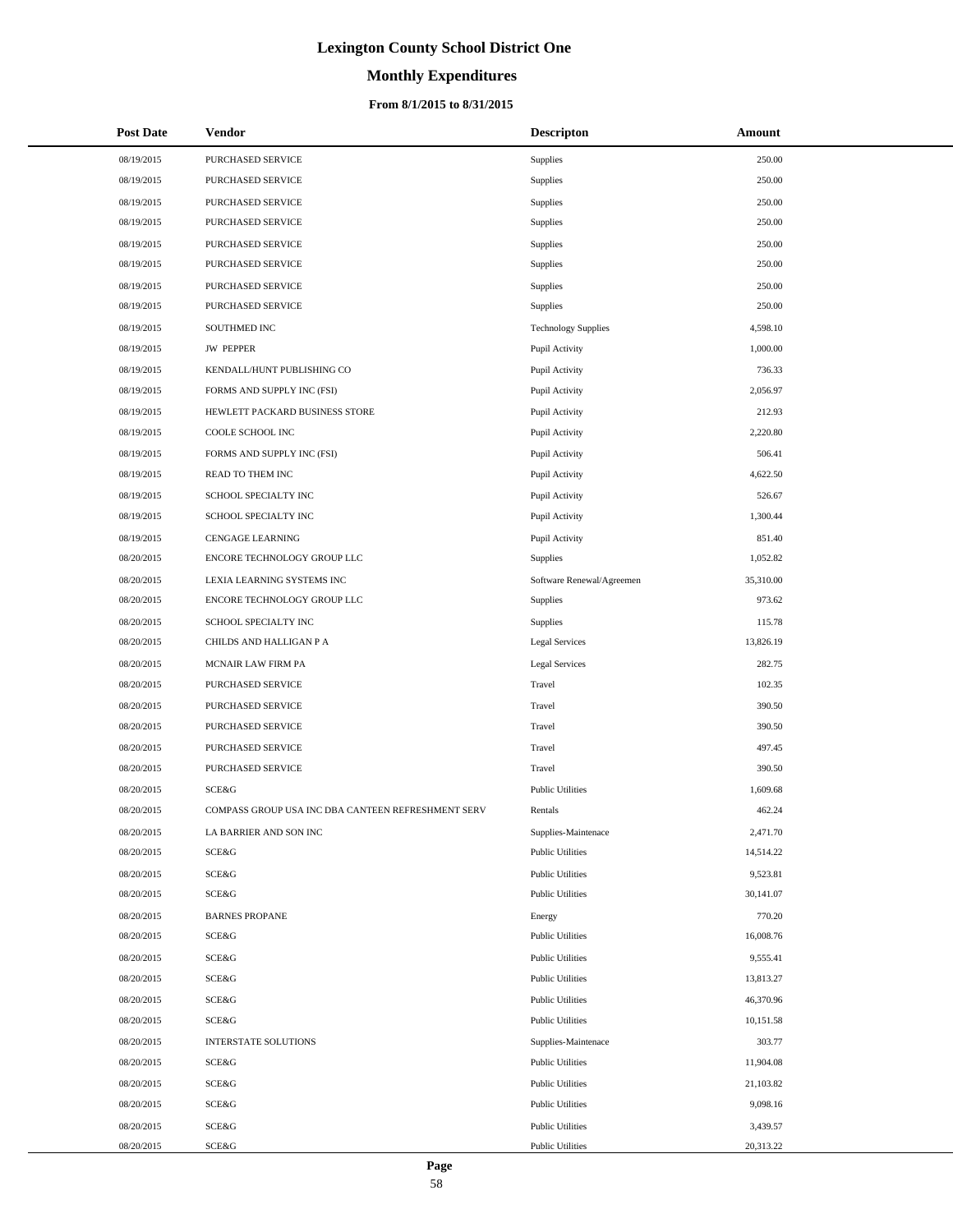# **Monthly Expenditures**

| <b>Post Date</b> | <b>Vendor</b>                                      | <b>Descripton</b>          | Amount    |
|------------------|----------------------------------------------------|----------------------------|-----------|
| 08/19/2015       | PURCHASED SERVICE                                  | Supplies                   | 250.00    |
| 08/19/2015       | PURCHASED SERVICE                                  | Supplies                   | 250.00    |
| 08/19/2015       | PURCHASED SERVICE                                  | Supplies                   | 250.00    |
| 08/19/2015       | PURCHASED SERVICE                                  | Supplies                   | 250.00    |
| 08/19/2015       | PURCHASED SERVICE                                  | Supplies                   | 250.00    |
| 08/19/2015       | PURCHASED SERVICE                                  | Supplies                   | 250.00    |
| 08/19/2015       | PURCHASED SERVICE                                  | Supplies                   | 250.00    |
| 08/19/2015       | PURCHASED SERVICE                                  | Supplies                   | 250.00    |
| 08/19/2015       | SOUTHMED INC                                       | <b>Technology Supplies</b> | 4,598.10  |
| 08/19/2015       | <b>JW PEPPER</b>                                   | Pupil Activity             | 1,000.00  |
| 08/19/2015       | KENDALL/HUNT PUBLISHING CO                         | Pupil Activity             | 736.33    |
| 08/19/2015       | FORMS AND SUPPLY INC (FSI)                         | Pupil Activity             | 2,056.97  |
| 08/19/2015       | HEWLETT PACKARD BUSINESS STORE                     | Pupil Activity             | 212.93    |
| 08/19/2015       | COOLE SCHOOL INC                                   | Pupil Activity             | 2,220.80  |
| 08/19/2015       | FORMS AND SUPPLY INC (FSI)                         | Pupil Activity             | 506.41    |
| 08/19/2015       | READ TO THEM INC                                   | Pupil Activity             | 4,622.50  |
| 08/19/2015       | SCHOOL SPECIALTY INC                               | Pupil Activity             | 526.67    |
| 08/19/2015       | SCHOOL SPECIALTY INC                               | Pupil Activity             | 1,300.44  |
| 08/19/2015       | <b>CENGAGE LEARNING</b>                            | Pupil Activity             | 851.40    |
| 08/20/2015       | ENCORE TECHNOLOGY GROUP LLC                        | Supplies                   | 1,052.82  |
| 08/20/2015       | LEXIA LEARNING SYSTEMS INC                         | Software Renewal/Agreemen  | 35,310.00 |
| 08/20/2015       | ENCORE TECHNOLOGY GROUP LLC                        | Supplies                   | 973.62    |
| 08/20/2015       | SCHOOL SPECIALTY INC                               | Supplies                   | 115.78    |
| 08/20/2015       | CHILDS AND HALLIGAN P A                            | <b>Legal Services</b>      | 13,826.19 |
| 08/20/2015       | MCNAIR LAW FIRM PA                                 | <b>Legal Services</b>      | 282.75    |
| 08/20/2015       | PURCHASED SERVICE                                  | Travel                     | 102.35    |
| 08/20/2015       | PURCHASED SERVICE                                  | Travel                     | 390.50    |
| 08/20/2015       | PURCHASED SERVICE                                  | Travel                     | 390.50    |
| 08/20/2015       | PURCHASED SERVICE                                  | Travel                     | 497.45    |
| 08/20/2015       | PURCHASED SERVICE                                  | Travel                     | 390.50    |
| 08/20/2015       | SCE&G                                              | <b>Public Utilities</b>    | 1,609.68  |
| 08/20/2015       | COMPASS GROUP USA INC DBA CANTEEN REFRESHMENT SERV | Rentals                    | 462.24    |
| 08/20/2015       | LA BARRIER AND SON INC                             | Supplies-Maintenace        | 2,471.70  |
| 08/20/2015       | SCE&G                                              | <b>Public Utilities</b>    | 14,514.22 |
| 08/20/2015       | SCE&G                                              | <b>Public Utilities</b>    | 9,523.81  |
| 08/20/2015       | SCE&G                                              | <b>Public Utilities</b>    | 30,141.07 |
| 08/20/2015       | <b>BARNES PROPANE</b>                              | Energy                     | 770.20    |
| 08/20/2015       | SCE&G                                              | <b>Public Utilities</b>    | 16,008.76 |
| 08/20/2015       | SCE&G                                              | <b>Public Utilities</b>    | 9,555.41  |
| 08/20/2015       | SCE&G                                              | <b>Public Utilities</b>    | 13,813.27 |
| 08/20/2015       | SCE&G                                              | <b>Public Utilities</b>    | 46,370.96 |
| 08/20/2015       | SCE&G                                              | <b>Public Utilities</b>    | 10,151.58 |
| 08/20/2015       | <b>INTERSTATE SOLUTIONS</b>                        | Supplies-Maintenace        | 303.77    |
| 08/20/2015       | SCE&G                                              | <b>Public Utilities</b>    | 11,904.08 |
| 08/20/2015       | SCE&G                                              | <b>Public Utilities</b>    | 21,103.82 |
| 08/20/2015       | SCE&G                                              | <b>Public Utilities</b>    | 9,098.16  |
| 08/20/2015       | SCE&G                                              | <b>Public Utilities</b>    | 3,439.57  |
| 08/20/2015       | SCE&G                                              | <b>Public Utilities</b>    | 20,313.22 |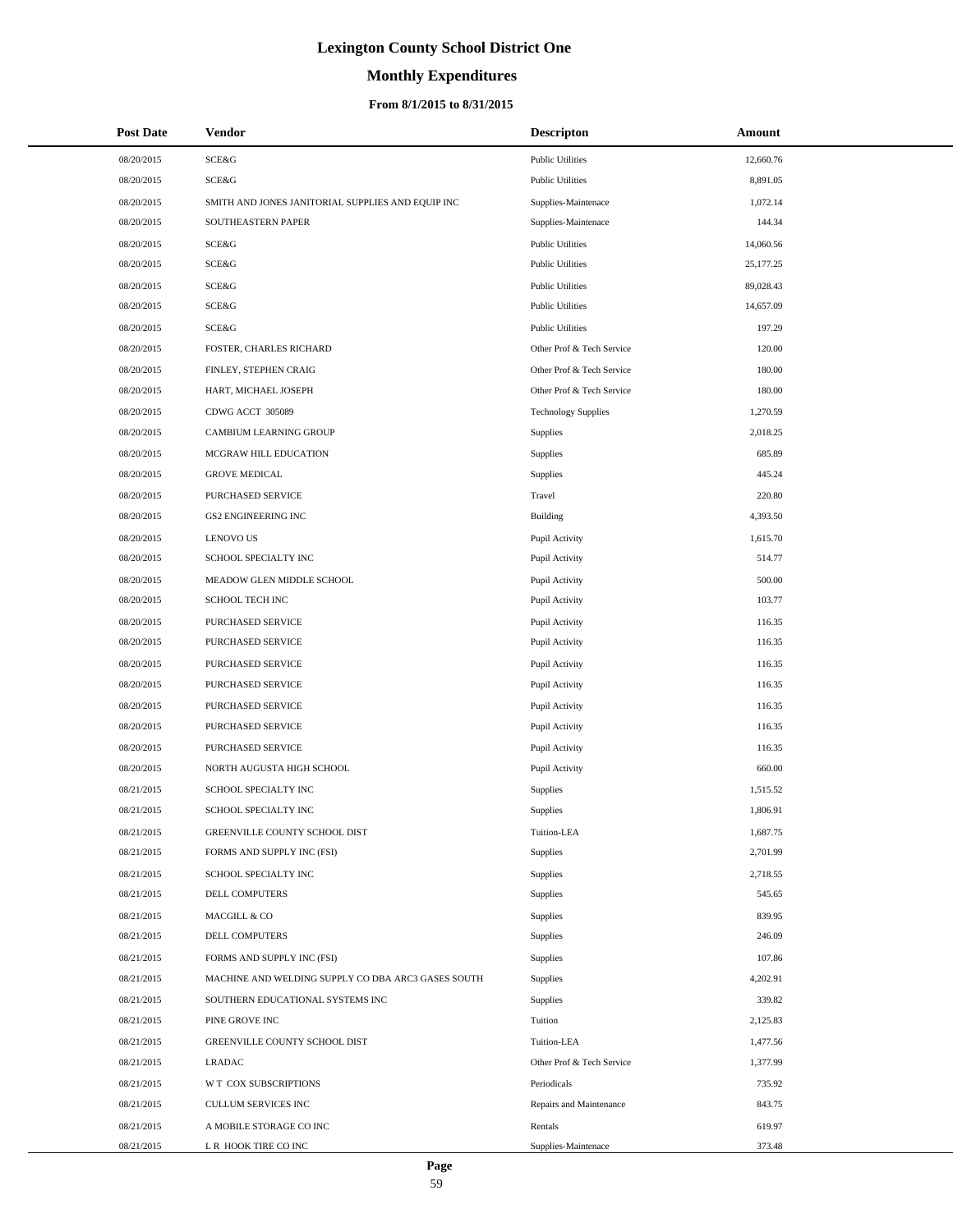# **Monthly Expenditures**

### **From 8/1/2015 to 8/31/2015**

| <b>Post Date</b> | Vendor                                             | <b>Descripton</b>          | Amount    |
|------------------|----------------------------------------------------|----------------------------|-----------|
| 08/20/2015       | SCE&G                                              | <b>Public Utilities</b>    | 12,660.76 |
| 08/20/2015       | SCE&G                                              | <b>Public Utilities</b>    | 8,891.05  |
| 08/20/2015       | SMITH AND JONES JANITORIAL SUPPLIES AND EQUIP INC  | Supplies-Maintenace        | 1.072.14  |
| 08/20/2015       | SOUTHEASTERN PAPER                                 | Supplies-Maintenace        | 144.34    |
| 08/20/2015       | SCE&G                                              | <b>Public Utilities</b>    | 14,060.56 |
| 08/20/2015       | SCE&G                                              | <b>Public Utilities</b>    | 25,177.25 |
| 08/20/2015       | SCE&G                                              | <b>Public Utilities</b>    | 89,028.43 |
| 08/20/2015       | SCE&G                                              | <b>Public Utilities</b>    | 14,657.09 |
| 08/20/2015       | SCE&G                                              | <b>Public Utilities</b>    | 197.29    |
| 08/20/2015       | FOSTER, CHARLES RICHARD                            | Other Prof & Tech Service  | 120.00    |
| 08/20/2015       | FINLEY, STEPHEN CRAIG                              | Other Prof & Tech Service  | 180.00    |
| 08/20/2015       | HART, MICHAEL JOSEPH                               | Other Prof & Tech Service  | 180.00    |
| 08/20/2015       | CDWG ACCT 305089                                   | <b>Technology Supplies</b> | 1,270.59  |
| 08/20/2015       | CAMBIUM LEARNING GROUP                             | Supplies                   | 2,018.25  |
| 08/20/2015       | MCGRAW HILL EDUCATION                              | Supplies                   | 685.89    |
| 08/20/2015       | <b>GROVE MEDICAL</b>                               | Supplies                   | 445.24    |
| 08/20/2015       | PURCHASED SERVICE                                  | Travel                     | 220.80    |
| 08/20/2015       | GS2 ENGINEERING INC                                | <b>Building</b>            | 4,393.50  |
| 08/20/2015       | <b>LENOVO US</b>                                   | Pupil Activity             | 1,615.70  |
| 08/20/2015       | SCHOOL SPECIALTY INC                               | Pupil Activity             | 514.77    |
| 08/20/2015       | MEADOW GLEN MIDDLE SCHOOL                          | Pupil Activity             | 500.00    |
| 08/20/2015       | SCHOOL TECH INC                                    | Pupil Activity             | 103.77    |
| 08/20/2015       | PURCHASED SERVICE                                  | Pupil Activity             | 116.35    |
| 08/20/2015       | PURCHASED SERVICE                                  | Pupil Activity             | 116.35    |
| 08/20/2015       | PURCHASED SERVICE                                  | Pupil Activity             | 116.35    |
| 08/20/2015       | PURCHASED SERVICE                                  | Pupil Activity             | 116.35    |
| 08/20/2015       | PURCHASED SERVICE                                  | Pupil Activity             | 116.35    |
| 08/20/2015       | PURCHASED SERVICE                                  | Pupil Activity             | 116.35    |
| 08/20/2015       | PURCHASED SERVICE                                  | Pupil Activity             | 116.35    |
| 08/20/2015       | NORTH AUGUSTA HIGH SCHOOL                          | Pupil Activity             | 660.00    |
| 08/21/2015       | SCHOOL SPECIALTY INC                               | Supplies                   | 1,515.52  |
| 08/21/2015       | SCHOOL SPECIALTY INC                               | Supplies                   | 1,806.91  |
| 08/21/2015       | GREENVILLE COUNTY SCHOOL DIST                      | Tuition-LEA                | 1,687.75  |
| 08/21/2015       | FORMS AND SUPPLY INC (FSI)                         | Supplies                   | 2,701.99  |
| 08/21/2015       | SCHOOL SPECIALTY INC                               | Supplies                   | 2,718.55  |
| 08/21/2015       | <b>DELL COMPUTERS</b>                              | Supplies                   | 545.65    |
| 08/21/2015       | MACGILL & CO                                       | Supplies                   | 839.95    |
| 08/21/2015       | DELL COMPUTERS                                     | Supplies                   | 246.09    |
| 08/21/2015       | FORMS AND SUPPLY INC (FSI)                         | Supplies                   | 107.86    |
| 08/21/2015       | MACHINE AND WELDING SUPPLY CO DBA ARC3 GASES SOUTH | Supplies                   | 4,202.91  |
| 08/21/2015       | SOUTHERN EDUCATIONAL SYSTEMS INC                   | Supplies                   | 339.82    |
| 08/21/2015       | PINE GROVE INC                                     | Tuition                    | 2,125.83  |
| 08/21/2015       | GREENVILLE COUNTY SCHOOL DIST                      | Tuition-LEA                | 1,477.56  |
| 08/21/2015       | <b>LRADAC</b>                                      | Other Prof & Tech Service  | 1,377.99  |
| 08/21/2015       | W T COX SUBSCRIPTIONS                              | Periodicals                | 735.92    |
| 08/21/2015       | CULLUM SERVICES INC                                | Repairs and Maintenance    | 843.75    |
| 08/21/2015       | A MOBILE STORAGE CO INC                            | Rentals                    | 619.97    |
| 08/21/2015       | L R HOOK TIRE CO INC                               | Supplies-Maintenace        | 373.48    |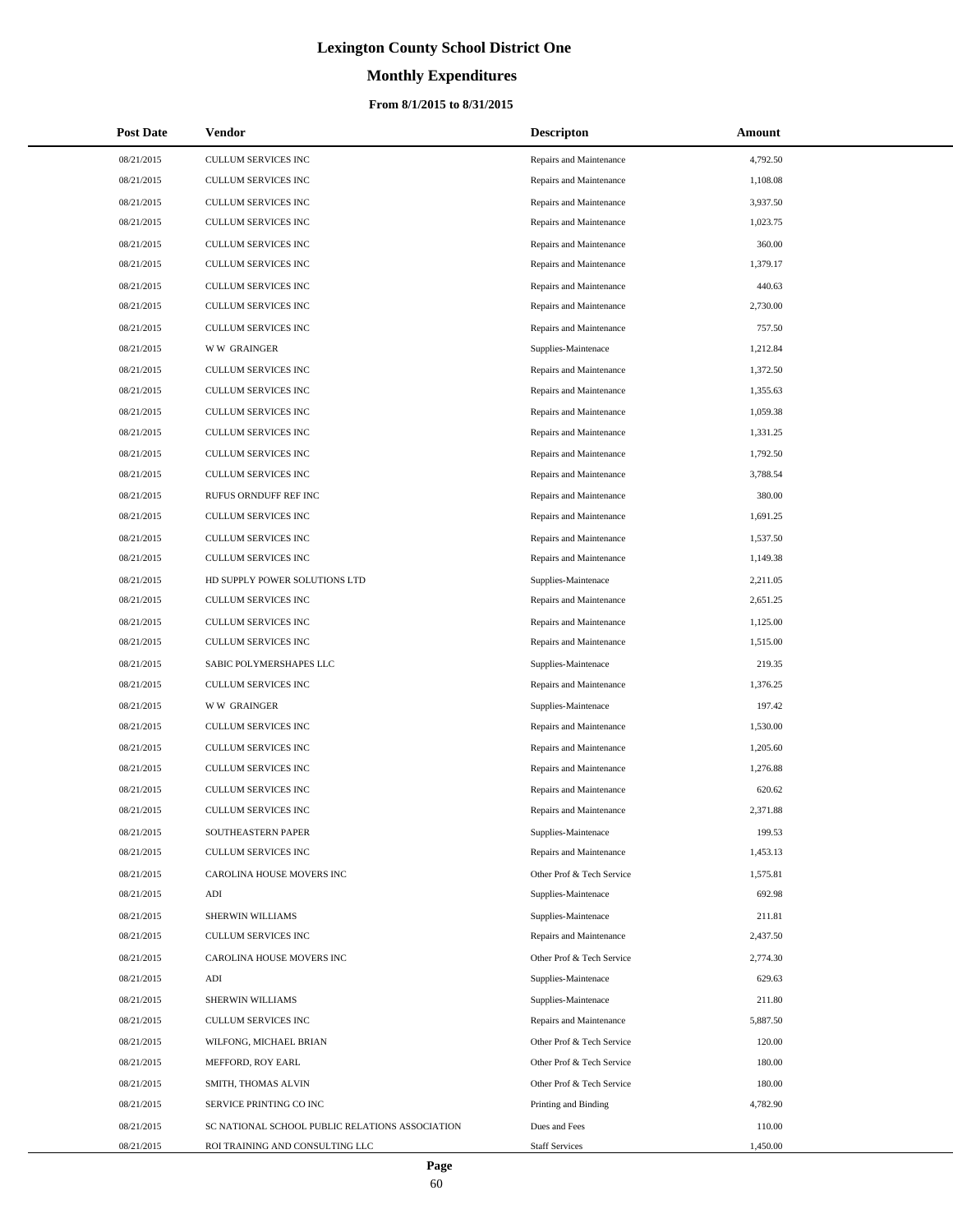# **Monthly Expenditures**

| <b>Post Date</b> | Vendor                                          | <b>Descripton</b>         | Amount   |
|------------------|-------------------------------------------------|---------------------------|----------|
| 08/21/2015       | CULLUM SERVICES INC                             | Repairs and Maintenance   | 4,792.50 |
| 08/21/2015       | CULLUM SERVICES INC                             | Repairs and Maintenance   | 1,108.08 |
| 08/21/2015       | CULLUM SERVICES INC                             | Repairs and Maintenance   | 3,937.50 |
| 08/21/2015       | CULLUM SERVICES INC                             | Repairs and Maintenance   | 1,023.75 |
| 08/21/2015       | CULLUM SERVICES INC                             | Repairs and Maintenance   | 360.00   |
| 08/21/2015       | CULLUM SERVICES INC                             | Repairs and Maintenance   | 1,379.17 |
| 08/21/2015       | <b>CULLUM SERVICES INC</b>                      | Repairs and Maintenance   | 440.63   |
| 08/21/2015       | CULLUM SERVICES INC                             | Repairs and Maintenance   | 2,730.00 |
| 08/21/2015       | <b>CULLUM SERVICES INC</b>                      | Repairs and Maintenance   | 757.50   |
| 08/21/2015       | <b>WW GRAINGER</b>                              | Supplies-Maintenace       | 1,212.84 |
| 08/21/2015       | CULLUM SERVICES INC                             | Repairs and Maintenance   | 1,372.50 |
| 08/21/2015       | CULLUM SERVICES INC                             | Repairs and Maintenance   | 1,355.63 |
| 08/21/2015       | CULLUM SERVICES INC                             | Repairs and Maintenance   | 1,059.38 |
| 08/21/2015       | <b>CULLUM SERVICES INC</b>                      | Repairs and Maintenance   | 1,331.25 |
| 08/21/2015       | CULLUM SERVICES INC                             | Repairs and Maintenance   | 1,792.50 |
| 08/21/2015       | CULLUM SERVICES INC                             | Repairs and Maintenance   | 3,788.54 |
| 08/21/2015       | RUFUS ORNDUFF REF INC                           | Repairs and Maintenance   | 380.00   |
| 08/21/2015       | <b>CULLUM SERVICES INC</b>                      | Repairs and Maintenance   | 1,691.25 |
| 08/21/2015       | CULLUM SERVICES INC                             | Repairs and Maintenance   | 1,537.50 |
| 08/21/2015       | <b>CULLUM SERVICES INC</b>                      | Repairs and Maintenance   | 1,149.38 |
| 08/21/2015       | HD SUPPLY POWER SOLUTIONS LTD                   | Supplies-Maintenace       | 2,211.05 |
| 08/21/2015       | CULLUM SERVICES INC                             | Repairs and Maintenance   | 2,651.25 |
| 08/21/2015       | CULLUM SERVICES INC                             | Repairs and Maintenance   | 1,125.00 |
| 08/21/2015       | CULLUM SERVICES INC                             | Repairs and Maintenance   | 1,515.00 |
| 08/21/2015       | SABIC POLYMERSHAPES LLC                         | Supplies-Maintenace       | 219.35   |
| 08/21/2015       | CULLUM SERVICES INC                             | Repairs and Maintenance   | 1,376.25 |
| 08/21/2015       | <b>WW GRAINGER</b>                              | Supplies-Maintenace       | 197.42   |
| 08/21/2015       | CULLUM SERVICES INC                             | Repairs and Maintenance   | 1,530.00 |
| 08/21/2015       | CULLUM SERVICES INC                             | Repairs and Maintenance   | 1,205.60 |
| 08/21/2015       | CULLUM SERVICES INC                             | Repairs and Maintenance   | 1,276.88 |
| 08/21/2015       | CULLUM SERVICES INC                             | Repairs and Maintenance   | 620.62   |
| 08/21/2015       | CULLUM SERVICES INC                             | Repairs and Maintenance   | 2,371.88 |
| 08/21/2015       | SOUTHEASTERN PAPER                              | Supplies-Maintenace       | 199.53   |
| 08/21/2015       | <b>CULLUM SERVICES INC</b>                      | Repairs and Maintenance   | 1,453.13 |
| 08/21/2015       | CAROLINA HOUSE MOVERS INC                       | Other Prof & Tech Service | 1,575.81 |
| 08/21/2015       | ADI                                             | Supplies-Maintenace       | 692.98   |
| 08/21/2015       | SHERWIN WILLIAMS                                | Supplies-Maintenace       | 211.81   |
| 08/21/2015       | CULLUM SERVICES INC                             | Repairs and Maintenance   | 2,437.50 |
| 08/21/2015       | CAROLINA HOUSE MOVERS INC                       | Other Prof & Tech Service | 2,774.30 |
| 08/21/2015       | ADI                                             | Supplies-Maintenace       | 629.63   |
| 08/21/2015       | SHERWIN WILLIAMS                                | Supplies-Maintenace       | 211.80   |
| 08/21/2015       | CULLUM SERVICES INC                             | Repairs and Maintenance   | 5,887.50 |
| 08/21/2015       | WILFONG, MICHAEL BRIAN                          | Other Prof & Tech Service | 120.00   |
| 08/21/2015       | MEFFORD, ROY EARL                               | Other Prof & Tech Service | 180.00   |
| 08/21/2015       | SMITH, THOMAS ALVIN                             | Other Prof & Tech Service | 180.00   |
| 08/21/2015       | SERVICE PRINTING CO INC                         | Printing and Binding      | 4,782.90 |
| 08/21/2015       | SC NATIONAL SCHOOL PUBLIC RELATIONS ASSOCIATION | Dues and Fees             | 110.00   |
| 08/21/2015       | ROI TRAINING AND CONSULTING LLC                 | <b>Staff Services</b>     | 1,450.00 |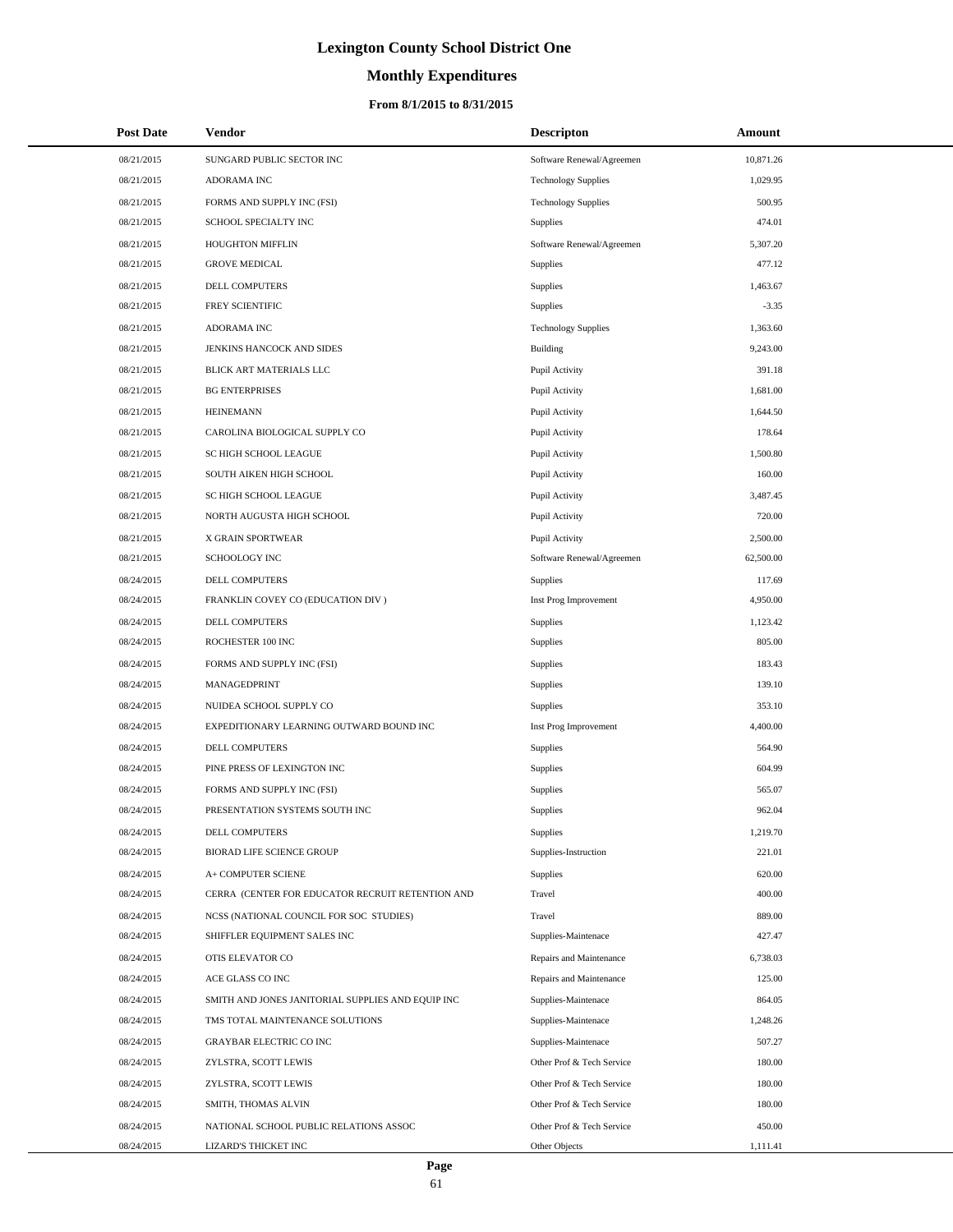# **Monthly Expenditures**

| <b>Post Date</b> | Vendor                                            | <b>Descripton</b>          | Amount    |
|------------------|---------------------------------------------------|----------------------------|-----------|
| 08/21/2015       | SUNGARD PUBLIC SECTOR INC                         | Software Renewal/Agreemen  | 10,871.26 |
| 08/21/2015       | ADORAMA INC                                       | <b>Technology Supplies</b> | 1,029.95  |
| 08/21/2015       | FORMS AND SUPPLY INC (FSI)                        | <b>Technology Supplies</b> | 500.95    |
| 08/21/2015       | SCHOOL SPECIALTY INC                              | Supplies                   | 474.01    |
| 08/21/2015       | HOUGHTON MIFFLIN                                  | Software Renewal/Agreemen  | 5,307.20  |
| 08/21/2015       | <b>GROVE MEDICAL</b>                              | Supplies                   | 477.12    |
| 08/21/2015       | DELL COMPUTERS                                    | Supplies                   | 1,463.67  |
| 08/21/2015       | FREY SCIENTIFIC                                   | Supplies                   | $-3.35$   |
| 08/21/2015       | ADORAMA INC                                       | <b>Technology Supplies</b> | 1,363.60  |
| 08/21/2015       | JENKINS HANCOCK AND SIDES                         | Building                   | 9,243.00  |
| 08/21/2015       | BLICK ART MATERIALS LLC                           | Pupil Activity             | 391.18    |
| 08/21/2015       | <b>BG ENTERPRISES</b>                             | Pupil Activity             | 1,681.00  |
| 08/21/2015       | <b>HEINEMANN</b>                                  | Pupil Activity             | 1,644.50  |
| 08/21/2015       | CAROLINA BIOLOGICAL SUPPLY CO                     | Pupil Activity             | 178.64    |
| 08/21/2015       | SC HIGH SCHOOL LEAGUE                             | Pupil Activity             | 1,500.80  |
| 08/21/2015       | SOUTH AIKEN HIGH SCHOOL                           | Pupil Activity             | 160.00    |
| 08/21/2015       | SC HIGH SCHOOL LEAGUE                             | Pupil Activity             | 3,487.45  |
| 08/21/2015       | NORTH AUGUSTA HIGH SCHOOL                         | Pupil Activity             | 720.00    |
| 08/21/2015       | X GRAIN SPORTWEAR                                 | Pupil Activity             | 2,500.00  |
| 08/21/2015       | SCHOOLOGY INC                                     | Software Renewal/Agreemen  | 62,500.00 |
| 08/24/2015       | DELL COMPUTERS                                    | Supplies                   | 117.69    |
| 08/24/2015       | FRANKLIN COVEY CO (EDUCATION DIV)                 | Inst Prog Improvement      | 4,950.00  |
| 08/24/2015       | DELL COMPUTERS                                    | Supplies                   | 1,123.42  |
| 08/24/2015       | ROCHESTER 100 INC                                 | Supplies                   | 805.00    |
| 08/24/2015       | FORMS AND SUPPLY INC (FSI)                        | Supplies                   | 183.43    |
| 08/24/2015       | MANAGEDPRINT                                      | Supplies                   | 139.10    |
| 08/24/2015       | NUIDEA SCHOOL SUPPLY CO                           | Supplies                   | 353.10    |
| 08/24/2015       | EXPEDITIONARY LEARNING OUTWARD BOUND INC          | Inst Prog Improvement      | 4,400.00  |
| 08/24/2015       | DELL COMPUTERS                                    | Supplies                   | 564.90    |
| 08/24/2015       | PINE PRESS OF LEXINGTON INC                       | Supplies                   | 604.99    |
| 08/24/2015       | FORMS AND SUPPLY INC (FSI)                        | Supplies                   | 565.07    |
| 08/24/2015       | PRESENTATION SYSTEMS SOUTH INC                    | Supplies                   | 962.04    |
| 08/24/2015       | DELL COMPUTERS                                    | <b>Supplies</b>            | 1,219.70  |
| 08/24/2015       | BIORAD LIFE SCIENCE GROUP                         | Supplies-Instruction       | 221.01    |
| 08/24/2015       | A+ COMPUTER SCIENE                                | Supplies                   | 620.00    |
| 08/24/2015       | CERRA (CENTER FOR EDUCATOR RECRUIT RETENTION AND  | Travel                     | 400.00    |
| 08/24/2015       | NCSS (NATIONAL COUNCIL FOR SOC STUDIES)           | Travel                     | 889.00    |
| 08/24/2015       | SHIFFLER EQUIPMENT SALES INC                      | Supplies-Maintenace        | 427.47    |
| 08/24/2015       | OTIS ELEVATOR CO                                  | Repairs and Maintenance    | 6,738.03  |
| 08/24/2015       | ACE GLASS CO INC                                  | Repairs and Maintenance    | 125.00    |
| 08/24/2015       | SMITH AND JONES JANITORIAL SUPPLIES AND EQUIP INC | Supplies-Maintenace        | 864.05    |
| 08/24/2015       | TMS TOTAL MAINTENANCE SOLUTIONS                   | Supplies-Maintenace        | 1,248.26  |
| 08/24/2015       | <b>GRAYBAR ELECTRIC CO INC</b>                    | Supplies-Maintenace        | 507.27    |
| 08/24/2015       | ZYLSTRA, SCOTT LEWIS                              | Other Prof & Tech Service  | 180.00    |
| 08/24/2015       | ZYLSTRA, SCOTT LEWIS                              | Other Prof & Tech Service  | 180.00    |
| 08/24/2015       | SMITH, THOMAS ALVIN                               | Other Prof & Tech Service  | 180.00    |
| 08/24/2015       | NATIONAL SCHOOL PUBLIC RELATIONS ASSOC            | Other Prof & Tech Service  | 450.00    |
| 08/24/2015       | LIZARD'S THICKET INC                              | Other Objects              | 1,111.41  |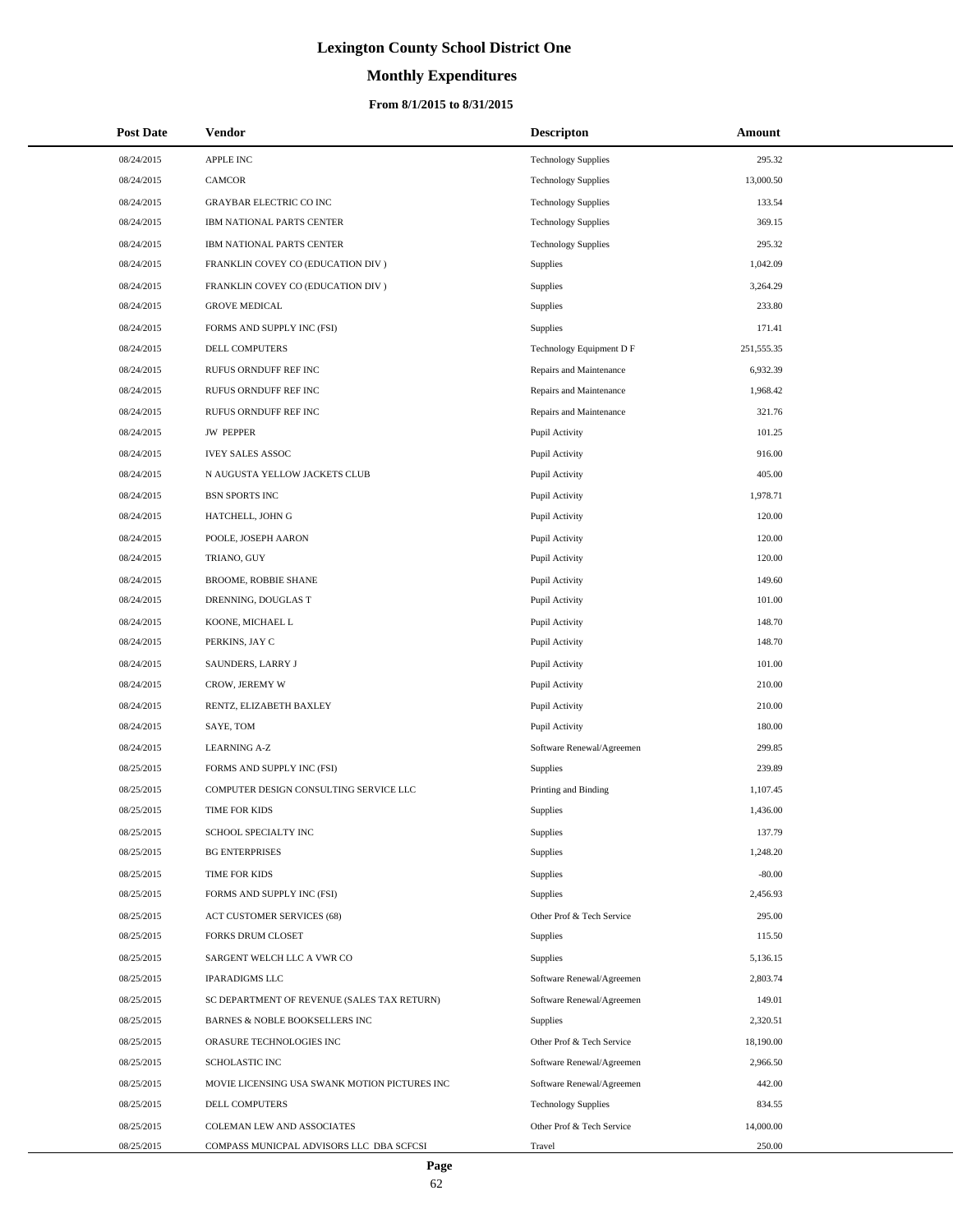# **Monthly Expenditures**

| <b>Post Date</b> | Vendor                                        | <b>Descripton</b>          | Amount     |
|------------------|-----------------------------------------------|----------------------------|------------|
| 08/24/2015       | <b>APPLE INC</b>                              | <b>Technology Supplies</b> | 295.32     |
| 08/24/2015       | <b>CAMCOR</b>                                 | <b>Technology Supplies</b> | 13,000.50  |
| 08/24/2015       | <b>GRAYBAR ELECTRIC CO INC</b>                | <b>Technology Supplies</b> | 133.54     |
| 08/24/2015       | IBM NATIONAL PARTS CENTER                     | <b>Technology Supplies</b> | 369.15     |
| 08/24/2015       | IBM NATIONAL PARTS CENTER                     | <b>Technology Supplies</b> | 295.32     |
| 08/24/2015       | FRANKLIN COVEY CO (EDUCATION DIV)             | <b>Supplies</b>            | 1,042.09   |
| 08/24/2015       | FRANKLIN COVEY CO (EDUCATION DIV)             | Supplies                   | 3,264.29   |
| 08/24/2015       | <b>GROVE MEDICAL</b>                          | Supplies                   | 233.80     |
| 08/24/2015       | FORMS AND SUPPLY INC (FSI)                    | Supplies                   | 171.41     |
| 08/24/2015       | DELL COMPUTERS                                | Technology Equipment D F   | 251,555.35 |
| 08/24/2015       | RUFUS ORNDUFF REF INC                         | Repairs and Maintenance    | 6,932.39   |
| 08/24/2015       | RUFUS ORNDUFF REF INC                         | Repairs and Maintenance    | 1,968.42   |
| 08/24/2015       | RUFUS ORNDUFF REF INC                         | Repairs and Maintenance    | 321.76     |
| 08/24/2015       | <b>JW PEPPER</b>                              | Pupil Activity             | 101.25     |
| 08/24/2015       | <b>IVEY SALES ASSOC</b>                       | Pupil Activity             | 916.00     |
| 08/24/2015       | N AUGUSTA YELLOW JACKETS CLUB                 | Pupil Activity             | 405.00     |
| 08/24/2015       | <b>BSN SPORTS INC</b>                         | Pupil Activity             | 1,978.71   |
| 08/24/2015       | HATCHELL, JOHN G                              | Pupil Activity             | 120.00     |
| 08/24/2015       | POOLE, JOSEPH AARON                           | Pupil Activity             | 120.00     |
| 08/24/2015       | TRIANO, GUY                                   | Pupil Activity             | 120.00     |
| 08/24/2015       | <b>BROOME, ROBBIE SHANE</b>                   | Pupil Activity             | 149.60     |
| 08/24/2015       | DRENNING, DOUGLAS T                           | Pupil Activity             | 101.00     |
| 08/24/2015       | KOONE, MICHAEL L                              | Pupil Activity             | 148.70     |
| 08/24/2015       | PERKINS, JAY C                                | Pupil Activity             | 148.70     |
| 08/24/2015       | SAUNDERS, LARRY J                             | Pupil Activity             | 101.00     |
| 08/24/2015       | CROW, JEREMY W                                | Pupil Activity             | 210.00     |
| 08/24/2015       | RENTZ, ELIZABETH BAXLEY                       | Pupil Activity             | 210.00     |
| 08/24/2015       | SAYE, TOM                                     | Pupil Activity             | 180.00     |
| 08/24/2015       | <b>LEARNING A-Z</b>                           | Software Renewal/Agreemen  | 299.85     |
| 08/25/2015       | FORMS AND SUPPLY INC (FSI)                    | <b>Supplies</b>            | 239.89     |
| 08/25/2015       | COMPUTER DESIGN CONSULTING SERVICE LLC        | Printing and Binding       | 1,107.45   |
| 08/25/2015       | TIME FOR KIDS                                 | Supplies                   | 1,436.00   |
| 08/25/2015       | SCHOOL SPECIALTY INC                          | Supplies                   | 137.79     |
| 08/25/2015       | <b>BG ENTERPRISES</b>                         | Supplies                   | 1,248.20   |
| 08/25/2015       | TIME FOR KIDS                                 | Supplies                   | $-80.00$   |
| 08/25/2015       | FORMS AND SUPPLY INC (FSI)                    | Supplies                   | 2,456.93   |
| 08/25/2015       | <b>ACT CUSTOMER SERVICES (68)</b>             | Other Prof & Tech Service  | 295.00     |
| 08/25/2015       | <b>FORKS DRUM CLOSET</b>                      | Supplies                   | 115.50     |
| 08/25/2015       | SARGENT WELCH LLC A VWR CO                    | Supplies                   | 5,136.15   |
| 08/25/2015       | <b>IPARADIGMS LLC</b>                         | Software Renewal/Agreemen  | 2,803.74   |
| 08/25/2015       | SC DEPARTMENT OF REVENUE (SALES TAX RETURN)   | Software Renewal/Agreemen  | 149.01     |
| 08/25/2015       | BARNES & NOBLE BOOKSELLERS INC                | <b>Supplies</b>            | 2,320.51   |
| 08/25/2015       | ORASURE TECHNOLOGIES INC                      | Other Prof & Tech Service  | 18,190.00  |
| 08/25/2015       | SCHOLASTIC INC                                | Software Renewal/Agreemen  | 2,966.50   |
| 08/25/2015       | MOVIE LICENSING USA SWANK MOTION PICTURES INC | Software Renewal/Agreemen  | 442.00     |
| 08/25/2015       | DELL COMPUTERS                                | <b>Technology Supplies</b> | 834.55     |
| 08/25/2015       | COLEMAN LEW AND ASSOCIATES                    | Other Prof & Tech Service  | 14,000.00  |
| 08/25/2015       | COMPASS MUNICPAL ADVISORS LLC DBA SCFCSI      | Travel                     | 250.00     |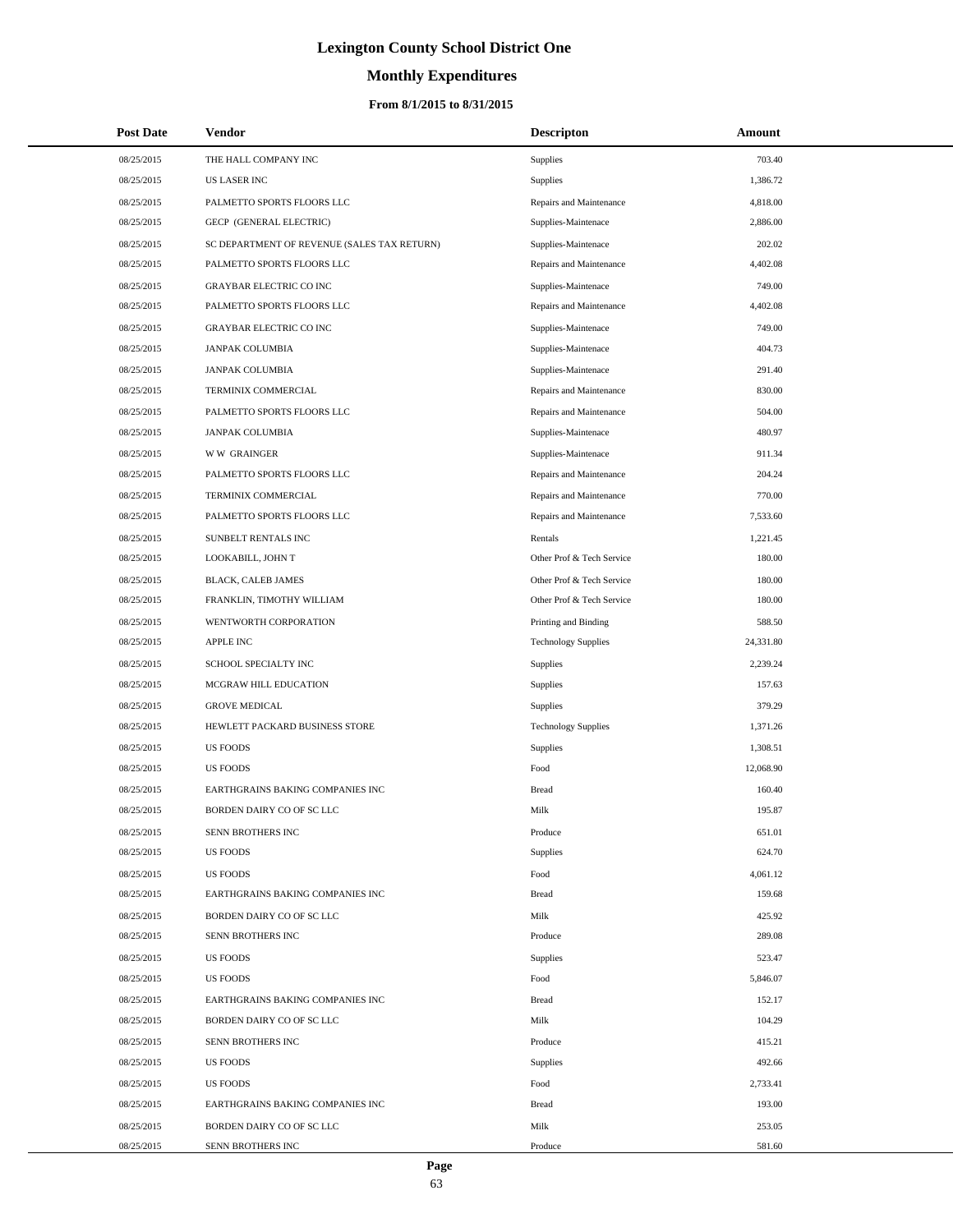# **Monthly Expenditures**

## **From 8/1/2015 to 8/31/2015**

| <b>Post Date</b> | Vendor                                      | <b>Descripton</b>          | Amount    |
|------------------|---------------------------------------------|----------------------------|-----------|
| 08/25/2015       | THE HALL COMPANY INC                        | Supplies                   | 703.40    |
| 08/25/2015       | <b>US LASER INC</b>                         | <b>Supplies</b>            | 1,386.72  |
| 08/25/2015       | PALMETTO SPORTS FLOORS LLC                  | Repairs and Maintenance    | 4,818.00  |
| 08/25/2015       | GECP (GENERAL ELECTRIC)                     | Supplies-Maintenace        | 2,886.00  |
| 08/25/2015       | SC DEPARTMENT OF REVENUE (SALES TAX RETURN) | Supplies-Maintenace        | 202.02    |
| 08/25/2015       | PALMETTO SPORTS FLOORS LLC                  | Repairs and Maintenance    | 4,402.08  |
| 08/25/2015       | <b>GRAYBAR ELECTRIC CO INC</b>              | Supplies-Maintenace        | 749.00    |
| 08/25/2015       | PALMETTO SPORTS FLOORS LLC                  | Repairs and Maintenance    | 4,402.08  |
| 08/25/2015       | <b>GRAYBAR ELECTRIC CO INC</b>              | Supplies-Maintenace        | 749.00    |
| 08/25/2015       | <b>JANPAK COLUMBIA</b>                      | Supplies-Maintenace        | 404.73    |
| 08/25/2015       | <b>JANPAK COLUMBIA</b>                      | Supplies-Maintenace        | 291.40    |
| 08/25/2015       | TERMINIX COMMERCIAL                         | Repairs and Maintenance    | 830.00    |
| 08/25/2015       | PALMETTO SPORTS FLOORS LLC                  | Repairs and Maintenance    | 504.00    |
| 08/25/2015       | <b>JANPAK COLUMBIA</b>                      | Supplies-Maintenace        | 480.97    |
| 08/25/2015       | <b>WW GRAINGER</b>                          | Supplies-Maintenace        | 911.34    |
| 08/25/2015       | PALMETTO SPORTS FLOORS LLC                  | Repairs and Maintenance    | 204.24    |
| 08/25/2015       | TERMINIX COMMERCIAL                         | Repairs and Maintenance    | 770.00    |
| 08/25/2015       | PALMETTO SPORTS FLOORS LLC                  | Repairs and Maintenance    | 7,533.60  |
| 08/25/2015       | SUNBELT RENTALS INC                         | Rentals                    | 1,221.45  |
| 08/25/2015       | LOOKABILL, JOHN T                           | Other Prof & Tech Service  | 180.00    |
| 08/25/2015       | BLACK, CALEB JAMES                          | Other Prof & Tech Service  | 180.00    |
| 08/25/2015       | FRANKLIN, TIMOTHY WILLIAM                   | Other Prof & Tech Service  | 180.00    |
| 08/25/2015       | WENTWORTH CORPORATION                       | Printing and Binding       | 588.50    |
| 08/25/2015       | <b>APPLE INC</b>                            | <b>Technology Supplies</b> | 24,331.80 |
| 08/25/2015       | SCHOOL SPECIALTY INC                        | Supplies                   | 2,239.24  |
| 08/25/2015       | MCGRAW HILL EDUCATION                       | Supplies                   | 157.63    |
| 08/25/2015       | <b>GROVE MEDICAL</b>                        | Supplies                   | 379.29    |
| 08/25/2015       | HEWLETT PACKARD BUSINESS STORE              | <b>Technology Supplies</b> | 1,371.26  |
| 08/25/2015       | <b>US FOODS</b>                             | Supplies                   | 1,308.51  |
| 08/25/2015       | <b>US FOODS</b>                             | Food                       | 12,068.90 |
| 08/25/2015       | EARTHGRAINS BAKING COMPANIES INC            | <b>Bread</b>               | 160.40    |
| 08/25/2015       | BORDEN DAIRY CO OF SC LLC                   | Milk                       | 195.87    |
| 08/25/2015       | SENN BROTHERS INC                           | Produce                    | 651.01    |
| 08/25/2015       | <b>US FOODS</b>                             | Supplies                   | 624.70    |
| 08/25/2015       | <b>US FOODS</b>                             | Food                       | 4,061.12  |
| 08/25/2015       | EARTHGRAINS BAKING COMPANIES INC            | <b>Bread</b>               | 159.68    |
| 08/25/2015       | BORDEN DAIRY CO OF SC LLC                   | Milk                       | 425.92    |
| 08/25/2015       | SENN BROTHERS INC                           | Produce                    | 289.08    |
| 08/25/2015       | <b>US FOODS</b>                             | Supplies                   | 523.47    |
| 08/25/2015       | <b>US FOODS</b>                             | Food                       | 5,846.07  |
| 08/25/2015       | EARTHGRAINS BAKING COMPANIES INC            | <b>Bread</b>               | 152.17    |
| 08/25/2015       | BORDEN DAIRY CO OF SC LLC                   | Milk                       | 104.29    |
| 08/25/2015       | SENN BROTHERS INC                           | Produce                    | 415.21    |
| 08/25/2015       | <b>US FOODS</b>                             | Supplies                   | 492.66    |
| 08/25/2015       | <b>US FOODS</b>                             | Food                       | 2,733.41  |
| 08/25/2015       | EARTHGRAINS BAKING COMPANIES INC            | <b>Bread</b>               | 193.00    |
| 08/25/2015       | BORDEN DAIRY CO OF SC LLC                   | Milk                       | 253.05    |
| 08/25/2015       | SENN BROTHERS INC                           | Produce                    | 581.60    |

 $\overline{a}$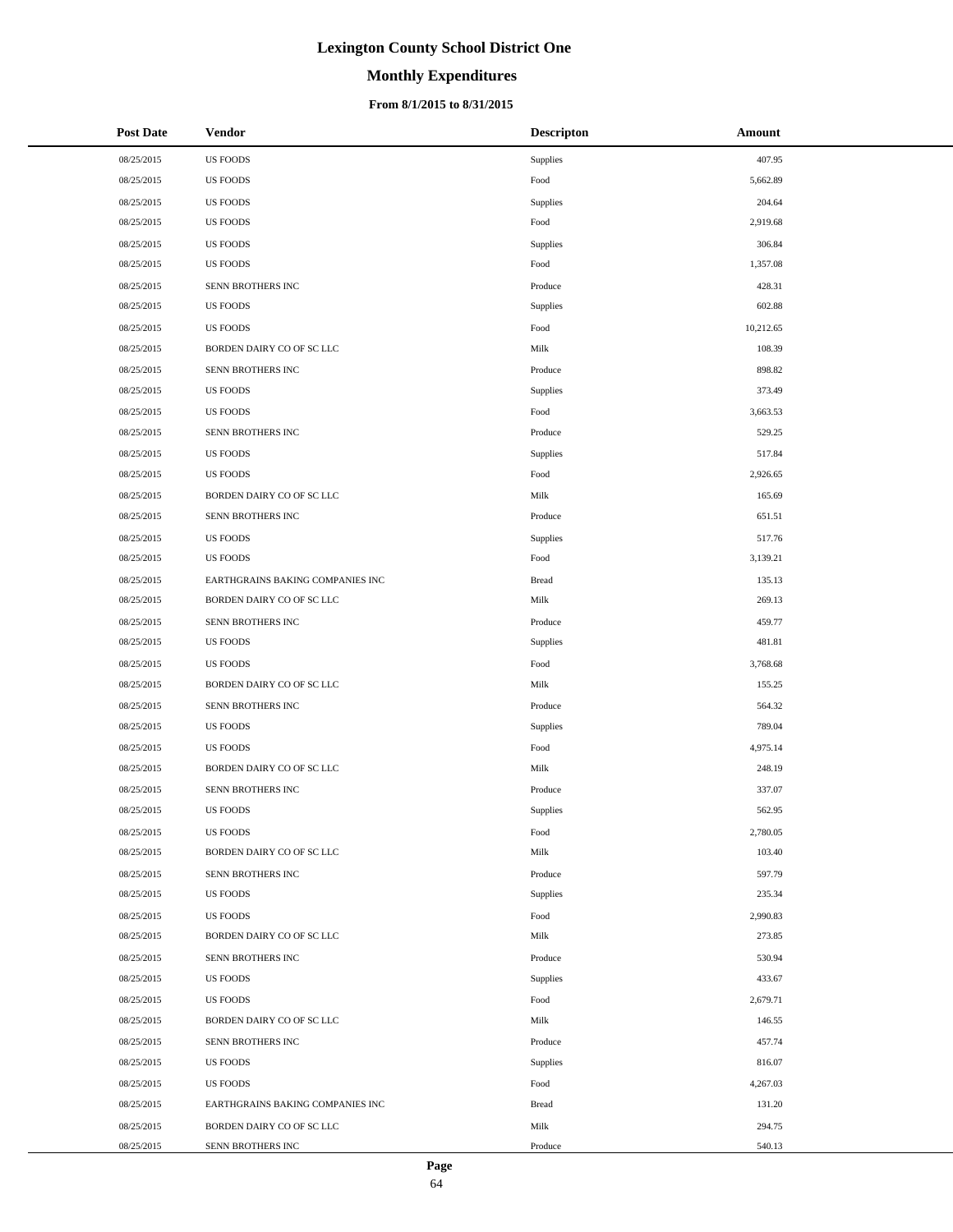# **Monthly Expenditures**

## **From 8/1/2015 to 8/31/2015**

| <b>Post Date</b> | Vendor                           | <b>Descripton</b> | Amount    |
|------------------|----------------------------------|-------------------|-----------|
| 08/25/2015       | <b>US FOODS</b>                  | Supplies          | 407.95    |
| 08/25/2015       | <b>US FOODS</b>                  | Food              | 5,662.89  |
| 08/25/2015       | <b>US FOODS</b>                  | Supplies          | 204.64    |
| 08/25/2015       | <b>US FOODS</b>                  | Food              | 2,919.68  |
| 08/25/2015       | <b>US FOODS</b>                  | Supplies          | 306.84    |
| 08/25/2015       | <b>US FOODS</b>                  | Food              | 1,357.08  |
| 08/25/2015       | SENN BROTHERS INC                | Produce           | 428.31    |
| 08/25/2015       | <b>US FOODS</b>                  | Supplies          | 602.88    |
| 08/25/2015       | <b>US FOODS</b>                  | Food              | 10,212.65 |
| 08/25/2015       | BORDEN DAIRY CO OF SC LLC        | Milk              | 108.39    |
| 08/25/2015       | SENN BROTHERS INC                | Produce           | 898.82    |
| 08/25/2015       | <b>US FOODS</b>                  | Supplies          | 373.49    |
| 08/25/2015       | <b>US FOODS</b>                  | Food              | 3,663.53  |
| 08/25/2015       | SENN BROTHERS INC                | Produce           | 529.25    |
| 08/25/2015       | <b>US FOODS</b>                  | Supplies          | 517.84    |
| 08/25/2015       | <b>US FOODS</b>                  | Food              | 2,926.65  |
| 08/25/2015       | BORDEN DAIRY CO OF SC LLC        | Milk              | 165.69    |
| 08/25/2015       | SENN BROTHERS INC                | Produce           | 651.51    |
| 08/25/2015       | <b>US FOODS</b>                  | Supplies          | 517.76    |
| 08/25/2015       | <b>US FOODS</b>                  | Food              | 3,139.21  |
| 08/25/2015       | EARTHGRAINS BAKING COMPANIES INC | <b>Bread</b>      | 135.13    |
| 08/25/2015       | BORDEN DAIRY CO OF SC LLC        | Milk              | 269.13    |
| 08/25/2015       | SENN BROTHERS INC                | Produce           | 459.77    |
| 08/25/2015       | <b>US FOODS</b>                  | Supplies          | 481.81    |
| 08/25/2015       | <b>US FOODS</b>                  | Food              | 3,768.68  |
| 08/25/2015       | BORDEN DAIRY CO OF SC LLC        | Milk              | 155.25    |
| 08/25/2015       | SENN BROTHERS INC                | Produce           | 564.32    |
| 08/25/2015       | <b>US FOODS</b>                  | Supplies          | 789.04    |
| 08/25/2015       | <b>US FOODS</b>                  | Food              | 4,975.14  |
| 08/25/2015       | BORDEN DAIRY CO OF SC LLC        | Milk              | 248.19    |
| 08/25/2015       | SENN BROTHERS INC                | Produce           | 337.07    |
| 08/25/2015       | <b>US FOODS</b>                  | Supplies          | 562.95    |
| 08/25/2015       | <b>US FOODS</b>                  | Food              | 2,780.05  |
| 08/25/2015       | BORDEN DAIRY CO OF SC LLC        | Milk              | 103.40    |
| 08/25/2015       | SENN BROTHERS INC                | Produce           | 597.79    |
| 08/25/2015       | <b>US FOODS</b>                  | Supplies          | 235.34    |
| 08/25/2015       | <b>US FOODS</b>                  | Food              | 2,990.83  |
| 08/25/2015       | BORDEN DAIRY CO OF SC LLC        | Milk              | 273.85    |
| 08/25/2015       | SENN BROTHERS INC                | Produce           | 530.94    |
| 08/25/2015       | <b>US FOODS</b>                  | Supplies          | 433.67    |
| 08/25/2015       | <b>US FOODS</b>                  | Food              | 2,679.71  |
| 08/25/2015       | BORDEN DAIRY CO OF SC LLC        | Milk              | 146.55    |
| 08/25/2015       | SENN BROTHERS INC                | Produce           | 457.74    |
| 08/25/2015       | <b>US FOODS</b>                  | Supplies          | 816.07    |
| 08/25/2015       | <b>US FOODS</b>                  | Food              | 4,267.03  |
| 08/25/2015       | EARTHGRAINS BAKING COMPANIES INC | <b>Bread</b>      | 131.20    |
| 08/25/2015       | BORDEN DAIRY CO OF SC LLC        | Milk              | 294.75    |
| 08/25/2015       | SENN BROTHERS INC                | Produce           | 540.13    |

 $\overline{a}$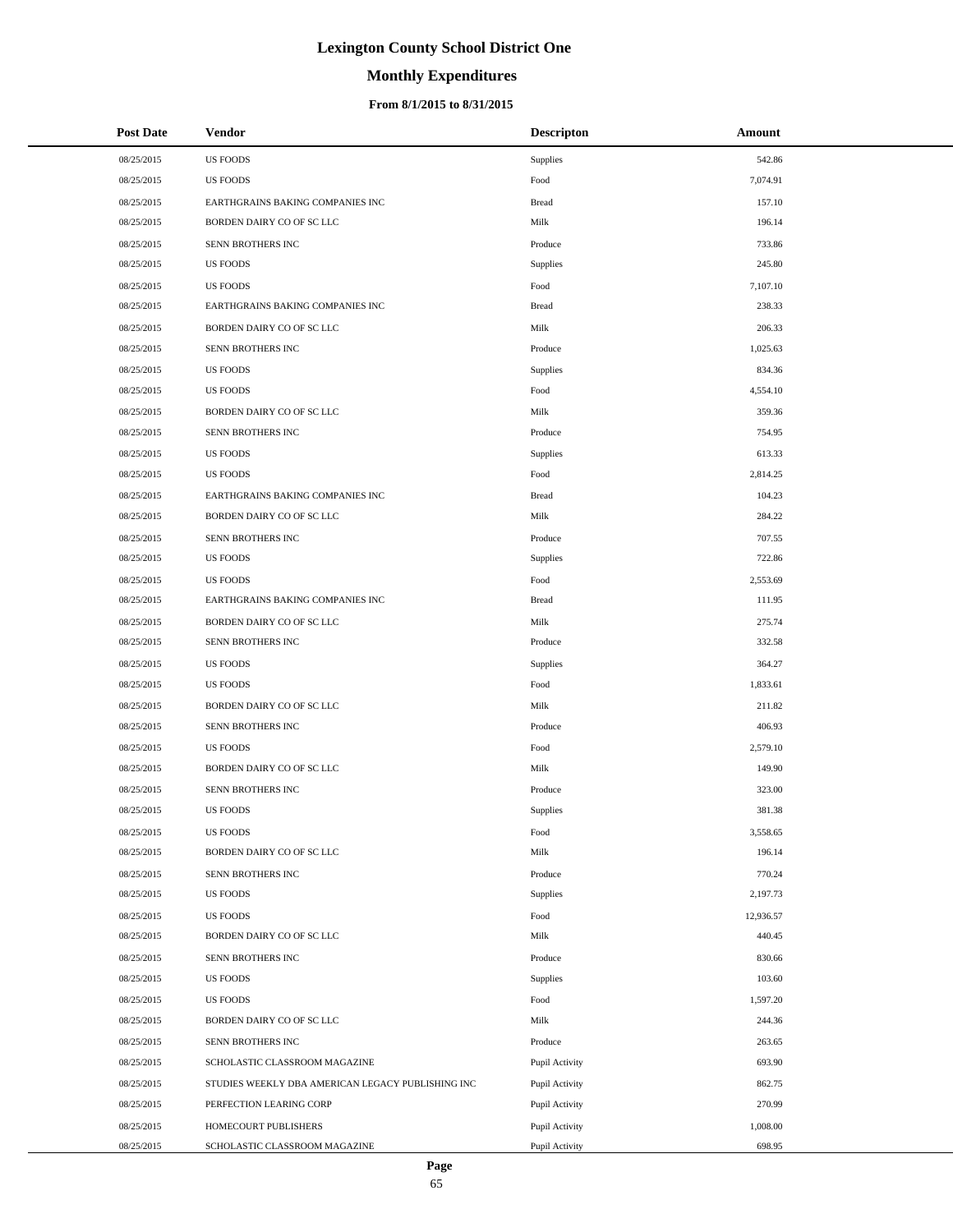# **Monthly Expenditures**

## **From 8/1/2015 to 8/31/2015**

| <b>Post Date</b> | <b>Vendor</b>                                     | <b>Descripton</b> | Amount    |
|------------------|---------------------------------------------------|-------------------|-----------|
| 08/25/2015       | <b>US FOODS</b>                                   | Supplies          | 542.86    |
| 08/25/2015       | <b>US FOODS</b>                                   | Food              | 7,074.91  |
| 08/25/2015       | EARTHGRAINS BAKING COMPANIES INC                  | <b>Bread</b>      | 157.10    |
| 08/25/2015       | BORDEN DAIRY CO OF SC LLC                         | Milk              | 196.14    |
| 08/25/2015       | SENN BROTHERS INC                                 | Produce           | 733.86    |
| 08/25/2015       | <b>US FOODS</b>                                   | Supplies          | 245.80    |
| 08/25/2015       | <b>US FOODS</b>                                   | Food              | 7,107.10  |
| 08/25/2015       | EARTHGRAINS BAKING COMPANIES INC                  | <b>Bread</b>      | 238.33    |
| 08/25/2015       | BORDEN DAIRY CO OF SC LLC                         | Milk              | 206.33    |
| 08/25/2015       | SENN BROTHERS INC                                 | Produce           | 1,025.63  |
| 08/25/2015       | <b>US FOODS</b>                                   | Supplies          | 834.36    |
| 08/25/2015       | <b>US FOODS</b>                                   | Food              | 4,554.10  |
| 08/25/2015       | BORDEN DAIRY CO OF SC LLC                         | Milk              | 359.36    |
| 08/25/2015       | SENN BROTHERS INC                                 | Produce           | 754.95    |
| 08/25/2015       | <b>US FOODS</b>                                   | Supplies          | 613.33    |
| 08/25/2015       | <b>US FOODS</b>                                   | Food              | 2,814.25  |
| 08/25/2015       | EARTHGRAINS BAKING COMPANIES INC                  | <b>Bread</b>      | 104.23    |
| 08/25/2015       | BORDEN DAIRY CO OF SC LLC                         | Milk              | 284.22    |
| 08/25/2015       | SENN BROTHERS INC                                 | Produce           | 707.55    |
| 08/25/2015       | <b>US FOODS</b>                                   | Supplies          | 722.86    |
| 08/25/2015       | <b>US FOODS</b>                                   | Food              | 2,553.69  |
| 08/25/2015       | EARTHGRAINS BAKING COMPANIES INC                  | <b>Bread</b>      | 111.95    |
| 08/25/2015       | BORDEN DAIRY CO OF SC LLC                         | Milk              | 275.74    |
| 08/25/2015       | SENN BROTHERS INC                                 | Produce           | 332.58    |
| 08/25/2015       | <b>US FOODS</b>                                   | Supplies          | 364.27    |
| 08/25/2015       | <b>US FOODS</b>                                   | Food              | 1,833.61  |
| 08/25/2015       | BORDEN DAIRY CO OF SC LLC                         | Milk              | 211.82    |
| 08/25/2015       | SENN BROTHERS INC                                 | Produce           | 406.93    |
| 08/25/2015       | <b>US FOODS</b>                                   | Food              | 2,579.10  |
| 08/25/2015       | BORDEN DAIRY CO OF SC LLC                         | Milk              | 149.90    |
| 08/25/2015       | SENN BROTHERS INC                                 | Produce           | 323.00    |
| 08/25/2015       | <b>US FOODS</b>                                   | Supplies          | 381.38    |
| 08/25/2015       | <b>US FOODS</b>                                   | Food              | 3,558.65  |
| 08/25/2015       | BORDEN DAIRY CO OF SC LLC                         | Milk              | 196.14    |
| 08/25/2015       | SENN BROTHERS INC                                 | Produce           | 770.24    |
| 08/25/2015       | <b>US FOODS</b>                                   | Supplies          | 2,197.73  |
| 08/25/2015       | <b>US FOODS</b>                                   | Food              | 12,936.57 |
| 08/25/2015       | BORDEN DAIRY CO OF SC LLC                         | Milk              | 440.45    |
| 08/25/2015       | SENN BROTHERS INC                                 | Produce           | 830.66    |
| 08/25/2015       | <b>US FOODS</b>                                   | Supplies          | 103.60    |
| 08/25/2015       | <b>US FOODS</b>                                   | Food              | 1,597.20  |
| 08/25/2015       | BORDEN DAIRY CO OF SC LLC                         | Milk              | 244.36    |
| 08/25/2015       | SENN BROTHERS INC                                 | Produce           | 263.65    |
| 08/25/2015       | SCHOLASTIC CLASSROOM MAGAZINE                     | Pupil Activity    | 693.90    |
| 08/25/2015       | STUDIES WEEKLY DBA AMERICAN LEGACY PUBLISHING INC | Pupil Activity    | 862.75    |
| 08/25/2015       | PERFECTION LEARING CORP                           | Pupil Activity    | 270.99    |
| 08/25/2015       | HOMECOURT PUBLISHERS                              | Pupil Activity    | 1,008.00  |
| 08/25/2015       | SCHOLASTIC CLASSROOM MAGAZINE                     | Pupil Activity    | 698.95    |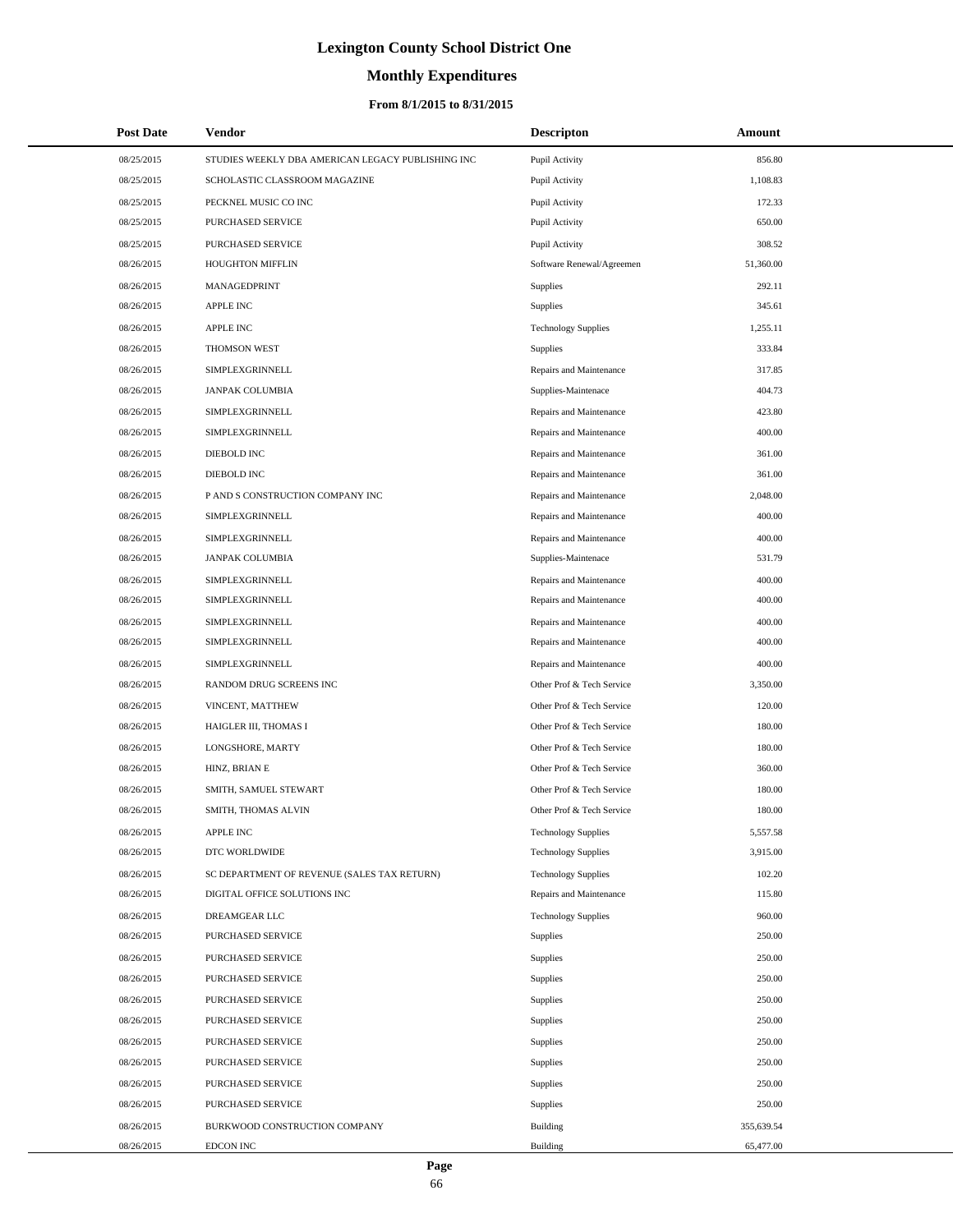# **Monthly Expenditures**

| <b>Post Date</b> | <b>Vendor</b>                                     | <b>Descripton</b>          | Amount     |
|------------------|---------------------------------------------------|----------------------------|------------|
| 08/25/2015       | STUDIES WEEKLY DBA AMERICAN LEGACY PUBLISHING INC | Pupil Activity             | 856.80     |
| 08/25/2015       | SCHOLASTIC CLASSROOM MAGAZINE                     | Pupil Activity             | 1,108.83   |
| 08/25/2015       | PECKNEL MUSIC CO INC                              | Pupil Activity             | 172.33     |
| 08/25/2015       | PURCHASED SERVICE                                 | Pupil Activity             | 650.00     |
| 08/25/2015       | PURCHASED SERVICE                                 | Pupil Activity             | 308.52     |
| 08/26/2015       | HOUGHTON MIFFLIN                                  | Software Renewal/Agreemen  | 51,360.00  |
| 08/26/2015       | MANAGEDPRINT                                      | Supplies                   | 292.11     |
| 08/26/2015       | <b>APPLE INC</b>                                  | Supplies                   | 345.61     |
| 08/26/2015       | APPLE INC                                         | <b>Technology Supplies</b> | 1,255.11   |
| 08/26/2015       | THOMSON WEST                                      | Supplies                   | 333.84     |
| 08/26/2015       | SIMPLEXGRINNELL                                   | Repairs and Maintenance    | 317.85     |
| 08/26/2015       | <b>JANPAK COLUMBIA</b>                            | Supplies-Maintenace        | 404.73     |
| 08/26/2015       | SIMPLEXGRINNELL                                   | Repairs and Maintenance    | 423.80     |
| 08/26/2015       | SIMPLEXGRINNELL                                   | Repairs and Maintenance    | 400.00     |
| 08/26/2015       | DIEBOLD INC                                       | Repairs and Maintenance    | 361.00     |
| 08/26/2015       | DIEBOLD INC                                       | Repairs and Maintenance    | 361.00     |
| 08/26/2015       | P AND S CONSTRUCTION COMPANY INC                  | Repairs and Maintenance    | 2,048.00   |
| 08/26/2015       | SIMPLEXGRINNELL                                   | Repairs and Maintenance    | 400.00     |
| 08/26/2015       | SIMPLEXGRINNELL                                   | Repairs and Maintenance    | 400.00     |
| 08/26/2015       | <b>JANPAK COLUMBIA</b>                            | Supplies-Maintenace        | 531.79     |
| 08/26/2015       | SIMPLEXGRINNELL                                   | Repairs and Maintenance    | 400.00     |
| 08/26/2015       | SIMPLEXGRINNELL                                   | Repairs and Maintenance    | 400.00     |
| 08/26/2015       | SIMPLEXGRINNELL                                   | Repairs and Maintenance    | 400.00     |
| 08/26/2015       | SIMPLEXGRINNELL                                   | Repairs and Maintenance    | 400.00     |
| 08/26/2015       | SIMPLEXGRINNELL                                   | Repairs and Maintenance    | 400.00     |
| 08/26/2015       | RANDOM DRUG SCREENS INC                           | Other Prof & Tech Service  | 3,350.00   |
| 08/26/2015       | VINCENT, MATTHEW                                  | Other Prof & Tech Service  | 120.00     |
| 08/26/2015       | HAIGLER III, THOMAS I                             | Other Prof & Tech Service  | 180.00     |
| 08/26/2015       | LONGSHORE, MARTY                                  | Other Prof & Tech Service  | 180.00     |
| 08/26/2015       | HINZ, BRIAN E                                     | Other Prof & Tech Service  | 360.00     |
| 08/26/2015       | SMITH, SAMUEL STEWART                             | Other Prof & Tech Service  | 180.00     |
| 08/26/2015       | SMITH, THOMAS ALVIN                               | Other Prof & Tech Service  | 180.00     |
| 08/26/2015       | APPLE INC                                         | <b>Technology Supplies</b> | 5,557.58   |
| 08/26/2015       | DTC WORLDWIDE                                     | <b>Technology Supplies</b> | 3,915.00   |
| 08/26/2015       | SC DEPARTMENT OF REVENUE (SALES TAX RETURN)       | <b>Technology Supplies</b> | 102.20     |
| 08/26/2015       | DIGITAL OFFICE SOLUTIONS INC                      | Repairs and Maintenance    | 115.80     |
| 08/26/2015       | <b>DREAMGEAR LLC</b>                              | <b>Technology Supplies</b> | 960.00     |
| 08/26/2015       | PURCHASED SERVICE                                 | Supplies                   | 250.00     |
| 08/26/2015       | PURCHASED SERVICE                                 | Supplies                   | 250.00     |
| 08/26/2015       | PURCHASED SERVICE                                 | Supplies                   | 250.00     |
| 08/26/2015       | PURCHASED SERVICE                                 | Supplies                   | 250.00     |
| 08/26/2015       | PURCHASED SERVICE                                 | Supplies                   | 250.00     |
| 08/26/2015       | PURCHASED SERVICE                                 | Supplies                   | 250.00     |
| 08/26/2015       | PURCHASED SERVICE                                 | Supplies                   | 250.00     |
| 08/26/2015       | PURCHASED SERVICE                                 | Supplies                   | 250.00     |
| 08/26/2015       | PURCHASED SERVICE                                 | Supplies                   | 250.00     |
| 08/26/2015       | BURKWOOD CONSTRUCTION COMPANY                     | Building                   | 355,639.54 |
| 08/26/2015       | EDCON INC                                         | Building                   | 65,477.00  |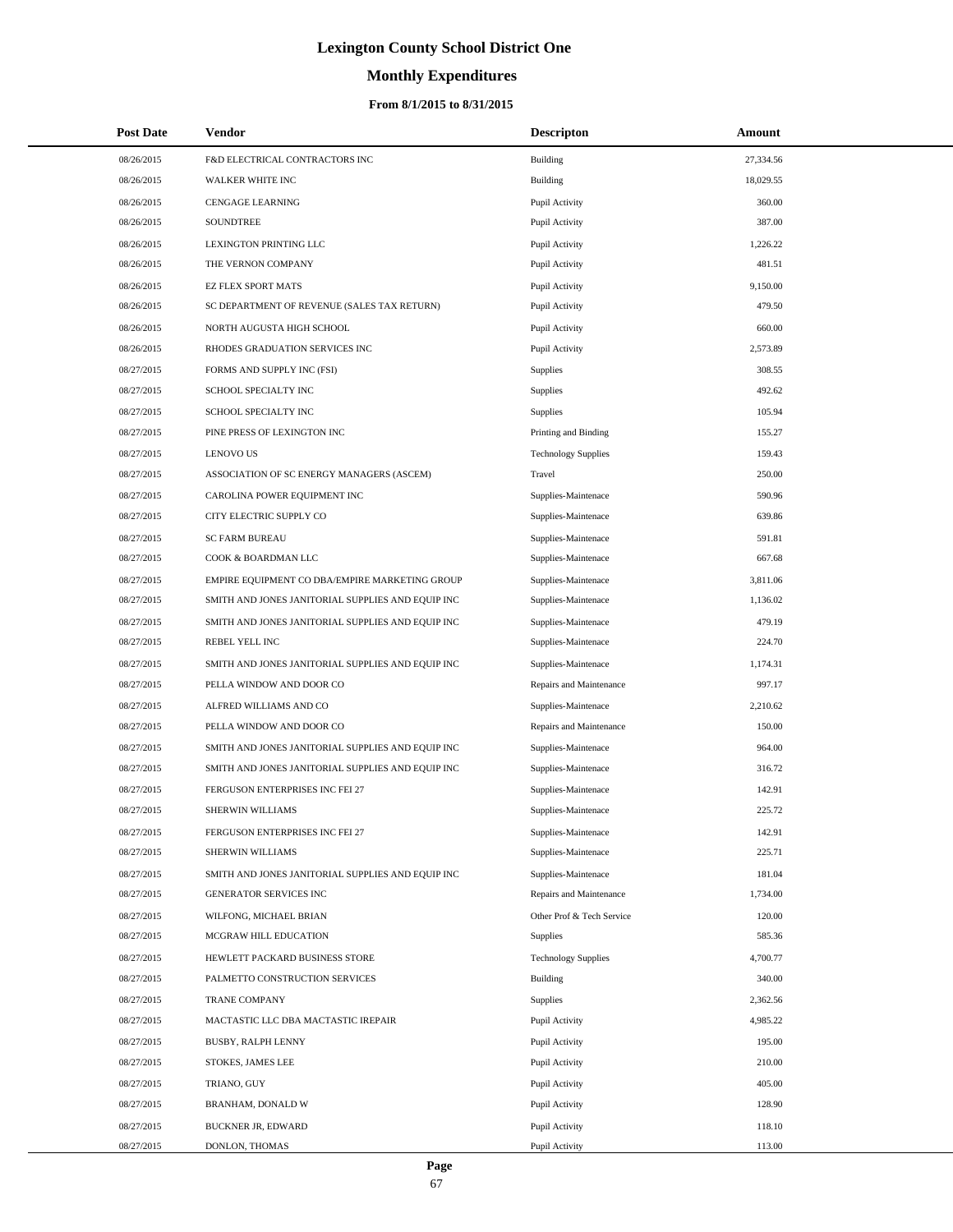# **Monthly Expenditures**

## **From 8/1/2015 to 8/31/2015**

| <b>Post Date</b> | Vendor                                            | <b>Descripton</b>          | Amount    |
|------------------|---------------------------------------------------|----------------------------|-----------|
| 08/26/2015       | F&D ELECTRICAL CONTRACTORS INC                    | Building                   | 27,334.56 |
| 08/26/2015       | WALKER WHITE INC                                  | Building                   | 18,029.55 |
| 08/26/2015       | <b>CENGAGE LEARNING</b>                           | Pupil Activity             | 360.00    |
| 08/26/2015       | <b>SOUNDTREE</b>                                  | Pupil Activity             | 387.00    |
| 08/26/2015       | LEXINGTON PRINTING LLC                            | Pupil Activity             | 1,226.22  |
| 08/26/2015       | THE VERNON COMPANY                                | Pupil Activity             | 481.51    |
| 08/26/2015       | <b>EZ FLEX SPORT MATS</b>                         | Pupil Activity             | 9,150.00  |
| 08/26/2015       | SC DEPARTMENT OF REVENUE (SALES TAX RETURN)       | Pupil Activity             | 479.50    |
| 08/26/2015       | NORTH AUGUSTA HIGH SCHOOL                         | Pupil Activity             | 660.00    |
| 08/26/2015       | RHODES GRADUATION SERVICES INC                    | Pupil Activity             | 2,573.89  |
| 08/27/2015       | FORMS AND SUPPLY INC (FSI)                        | Supplies                   | 308.55    |
| 08/27/2015       | SCHOOL SPECIALTY INC                              | Supplies                   | 492.62    |
| 08/27/2015       | SCHOOL SPECIALTY INC                              | Supplies                   | 105.94    |
| 08/27/2015       | PINE PRESS OF LEXINGTON INC                       | Printing and Binding       | 155.27    |
| 08/27/2015       | <b>LENOVO US</b>                                  | <b>Technology Supplies</b> | 159.43    |
| 08/27/2015       | ASSOCIATION OF SC ENERGY MANAGERS (ASCEM)         | Travel                     | 250.00    |
| 08/27/2015       | CAROLINA POWER EQUIPMENT INC                      | Supplies-Maintenace        | 590.96    |
| 08/27/2015       | CITY ELECTRIC SUPPLY CO                           | Supplies-Maintenace        | 639.86    |
| 08/27/2015       | <b>SC FARM BUREAU</b>                             | Supplies-Maintenace        | 591.81    |
| 08/27/2015       | COOK & BOARDMAN LLC                               | Supplies-Maintenace        | 667.68    |
| 08/27/2015       | EMPIRE EQUIPMENT CO DBA/EMPIRE MARKETING GROUP    | Supplies-Maintenace        | 3,811.06  |
| 08/27/2015       | SMITH AND JONES JANITORIAL SUPPLIES AND EQUIP INC | Supplies-Maintenace        | 1,136.02  |
| 08/27/2015       | SMITH AND JONES JANITORIAL SUPPLIES AND EQUIP INC | Supplies-Maintenace        | 479.19    |
| 08/27/2015       | REBEL YELL INC                                    | Supplies-Maintenace        | 224.70    |
| 08/27/2015       | SMITH AND JONES JANITORIAL SUPPLIES AND EQUIP INC | Supplies-Maintenace        | 1,174.31  |
| 08/27/2015       | PELLA WINDOW AND DOOR CO                          | Repairs and Maintenance    | 997.17    |
| 08/27/2015       | ALFRED WILLIAMS AND CO                            | Supplies-Maintenace        | 2,210.62  |
| 08/27/2015       | PELLA WINDOW AND DOOR CO                          | Repairs and Maintenance    | 150.00    |
| 08/27/2015       | SMITH AND JONES JANITORIAL SUPPLIES AND EQUIP INC | Supplies-Maintenace        | 964.00    |
| 08/27/2015       | SMITH AND JONES JANITORIAL SUPPLIES AND EQUIP INC | Supplies-Maintenace        | 316.72    |
| 08/27/2015       | FERGUSON ENTERPRISES INC FEI 27                   | Supplies-Maintenace        | 142.91    |
| 08/27/2015       | SHERWIN WILLIAMS                                  | Supplies-Maintenace        | 225.72    |
| 08/27/2015       | FERGUSON ENTERPRISES INC FEI 27                   | Supplies-Maintenace        | 142.91    |
| 08/27/2015       | SHERWIN WILLIAMS                                  | Supplies-Maintenace        | 225.71    |
| 08/27/2015       | SMITH AND JONES JANITORIAL SUPPLIES AND EQUIP INC | Supplies-Maintenace        | 181.04    |
| 08/27/2015       | GENERATOR SERVICES INC                            | Repairs and Maintenance    | 1,734.00  |
| 08/27/2015       | WILFONG, MICHAEL BRIAN                            | Other Prof & Tech Service  | 120.00    |
| 08/27/2015       | MCGRAW HILL EDUCATION                             | Supplies                   | 585.36    |
| 08/27/2015       | HEWLETT PACKARD BUSINESS STORE                    | <b>Technology Supplies</b> | 4,700.77  |
| 08/27/2015       | PALMETTO CONSTRUCTION SERVICES                    | Building                   | 340.00    |
| 08/27/2015       | TRANE COMPANY                                     | Supplies                   | 2,362.56  |
| 08/27/2015       | MACTASTIC LLC DBA MACTASTIC IREPAIR               | Pupil Activity             | 4,985.22  |
| 08/27/2015       | <b>BUSBY, RALPH LENNY</b>                         | Pupil Activity             | 195.00    |
| 08/27/2015       | STOKES, JAMES LEE                                 | Pupil Activity             | 210.00    |
| 08/27/2015       | TRIANO, GUY                                       | Pupil Activity             | 405.00    |
| 08/27/2015       | BRANHAM, DONALD W                                 | Pupil Activity             | 128.90    |
| 08/27/2015       | <b>BUCKNER JR, EDWARD</b>                         | Pupil Activity             | 118.10    |
| 08/27/2015       | DONLON, THOMAS                                    | Pupil Activity             | 113.00    |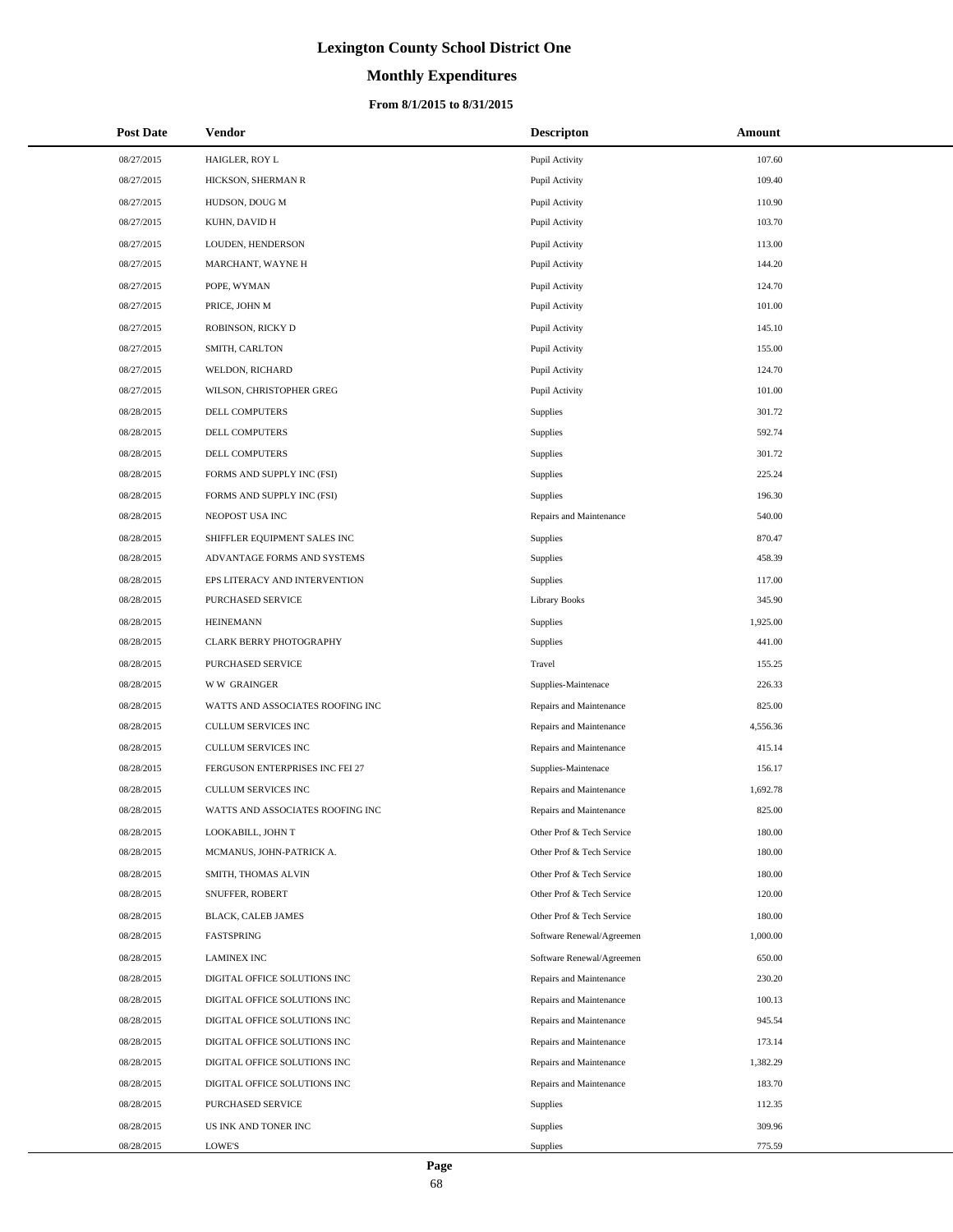# **Monthly Expenditures**

| <b>Post Date</b> | <b>Vendor</b>                    | <b>Descripton</b>         | Amount   |
|------------------|----------------------------------|---------------------------|----------|
| 08/27/2015       | HAIGLER, ROY L                   | Pupil Activity            | 107.60   |
| 08/27/2015       | HICKSON, SHERMAN R               | Pupil Activity            | 109.40   |
| 08/27/2015       | HUDSON, DOUG M                   | Pupil Activity            | 110.90   |
| 08/27/2015       | KUHN, DAVID H                    | Pupil Activity            | 103.70   |
| 08/27/2015       | LOUDEN, HENDERSON                | Pupil Activity            | 113.00   |
| 08/27/2015       | MARCHANT, WAYNE H                | Pupil Activity            | 144.20   |
| 08/27/2015       | POPE, WYMAN                      | Pupil Activity            | 124.70   |
| 08/27/2015       | PRICE, JOHN M                    | Pupil Activity            | 101.00   |
| 08/27/2015       | ROBINSON, RICKY D                | Pupil Activity            | 145.10   |
| 08/27/2015       | SMITH, CARLTON                   | Pupil Activity            | 155.00   |
| 08/27/2015       | WELDON, RICHARD                  | Pupil Activity            | 124.70   |
| 08/27/2015       | WILSON, CHRISTOPHER GREG         | Pupil Activity            | 101.00   |
| 08/28/2015       | DELL COMPUTERS                   | Supplies                  | 301.72   |
| 08/28/2015       | DELL COMPUTERS                   | Supplies                  | 592.74   |
| 08/28/2015       | DELL COMPUTERS                   | <b>Supplies</b>           | 301.72   |
| 08/28/2015       | FORMS AND SUPPLY INC (FSI)       | <b>Supplies</b>           | 225.24   |
| 08/28/2015       | FORMS AND SUPPLY INC (FSI)       | Supplies                  | 196.30   |
| 08/28/2015       | NEOPOST USA INC                  | Repairs and Maintenance   | 540.00   |
| 08/28/2015       | SHIFFLER EQUIPMENT SALES INC     | <b>Supplies</b>           | 870.47   |
| 08/28/2015       | ADVANTAGE FORMS AND SYSTEMS      | <b>Supplies</b>           | 458.39   |
| 08/28/2015       | EPS LITERACY AND INTERVENTION    | Supplies                  | 117.00   |
| 08/28/2015       | PURCHASED SERVICE                | <b>Library Books</b>      | 345.90   |
| 08/28/2015       | <b>HEINEMANN</b>                 | Supplies                  | 1,925.00 |
| 08/28/2015       | CLARK BERRY PHOTOGRAPHY          | <b>Supplies</b>           | 441.00   |
| 08/28/2015       | PURCHASED SERVICE                | Travel                    | 155.25   |
| 08/28/2015       | <b>WW GRAINGER</b>               | Supplies-Maintenace       | 226.33   |
| 08/28/2015       | WATTS AND ASSOCIATES ROOFING INC | Repairs and Maintenance   | 825.00   |
| 08/28/2015       | CULLUM SERVICES INC              | Repairs and Maintenance   | 4,556.36 |
| 08/28/2015       | <b>CULLUM SERVICES INC</b>       | Repairs and Maintenance   | 415.14   |
| 08/28/2015       | FERGUSON ENTERPRISES INC FEI 27  | Supplies-Maintenace       | 156.17   |
| 08/28/2015       | <b>CULLUM SERVICES INC</b>       | Repairs and Maintenance   | 1,692.78 |
| 08/28/2015       | WATTS AND ASSOCIATES ROOFING INC | Repairs and Maintenance   | 825.00   |
| 08/28/2015       | LOOKABILL, JOHN T                | Other Prof & Tech Service | 180.00   |
| 08/28/2015       | MCMANUS, JOHN-PATRICK A.         | Other Prof & Tech Service | 180.00   |
| 08/28/2015       | SMITH, THOMAS ALVIN              | Other Prof & Tech Service | 180.00   |
| 08/28/2015       | SNUFFER, ROBERT                  | Other Prof & Tech Service | 120.00   |
| 08/28/2015       | BLACK, CALEB JAMES               | Other Prof & Tech Service | 180.00   |
| 08/28/2015       | FASTSPRING                       | Software Renewal/Agreemen | 1,000.00 |
| 08/28/2015       | <b>LAMINEX INC</b>               | Software Renewal/Agreemen | 650.00   |
| 08/28/2015       | DIGITAL OFFICE SOLUTIONS INC     | Repairs and Maintenance   | 230.20   |
| 08/28/2015       | DIGITAL OFFICE SOLUTIONS INC     | Repairs and Maintenance   | 100.13   |
| 08/28/2015       | DIGITAL OFFICE SOLUTIONS INC     | Repairs and Maintenance   | 945.54   |
| 08/28/2015       | DIGITAL OFFICE SOLUTIONS INC     | Repairs and Maintenance   | 173.14   |
| 08/28/2015       | DIGITAL OFFICE SOLUTIONS INC     | Repairs and Maintenance   | 1,382.29 |
| 08/28/2015       | DIGITAL OFFICE SOLUTIONS INC     | Repairs and Maintenance   | 183.70   |
| 08/28/2015       | PURCHASED SERVICE                | Supplies                  | 112.35   |
| 08/28/2015       | US INK AND TONER INC             | Supplies                  | 309.96   |
| 08/28/2015       | LOWE'S                           | Supplies                  | 775.59   |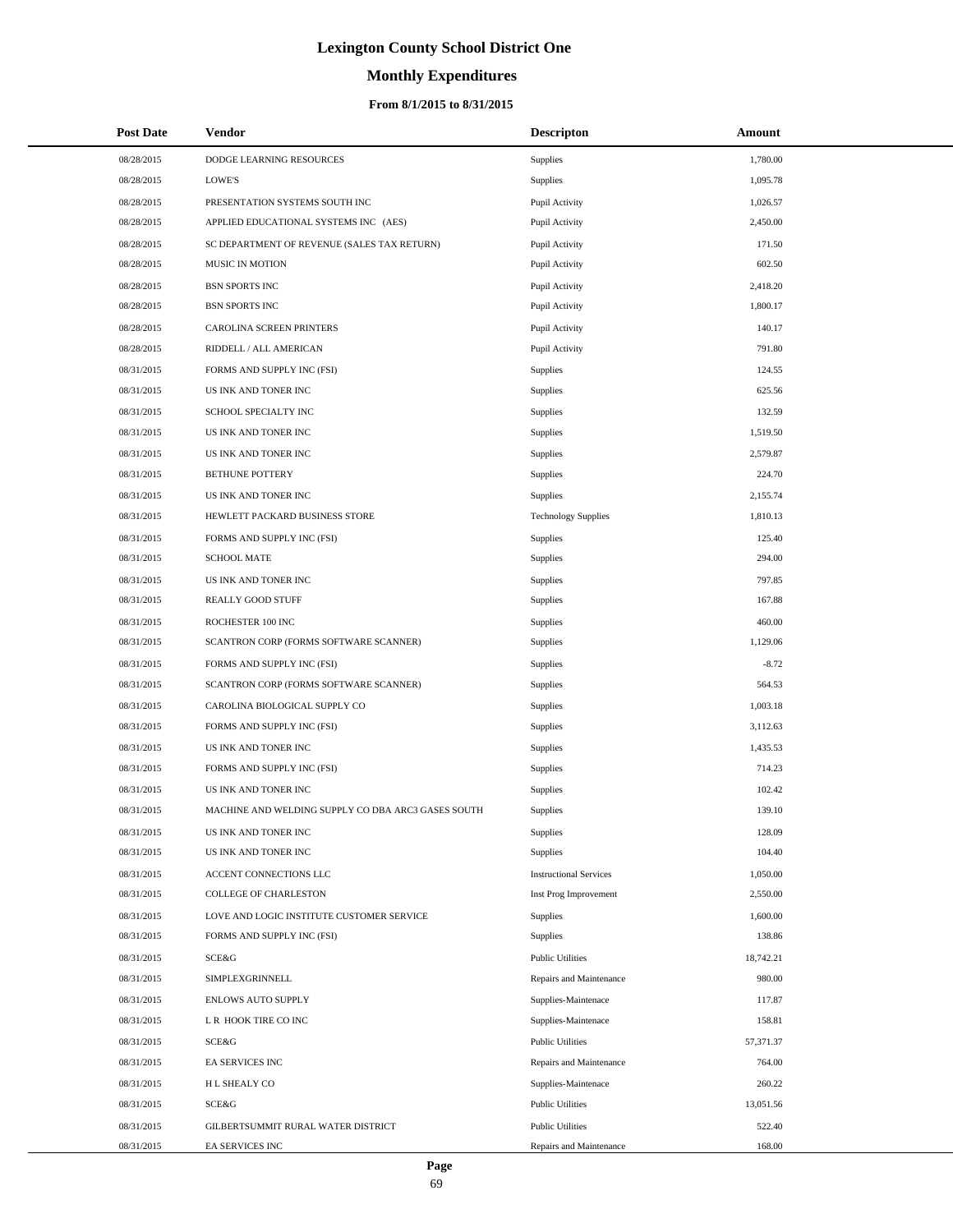# **Monthly Expenditures**

## **From 8/1/2015 to 8/31/2015**

| <b>Post Date</b> | Vendor                                             | <b>Descripton</b>             | Amount    |
|------------------|----------------------------------------------------|-------------------------------|-----------|
| 08/28/2015       | DODGE LEARNING RESOURCES                           | Supplies                      | 1,780.00  |
| 08/28/2015       | <b>LOWE'S</b>                                      | Supplies                      | 1,095.78  |
| 08/28/2015       | PRESENTATION SYSTEMS SOUTH INC                     | Pupil Activity                | 1,026.57  |
| 08/28/2015       | APPLIED EDUCATIONAL SYSTEMS INC (AES)              | Pupil Activity                | 2,450.00  |
| 08/28/2015       | SC DEPARTMENT OF REVENUE (SALES TAX RETURN)        | Pupil Activity                | 171.50    |
| 08/28/2015       | MUSIC IN MOTION                                    | Pupil Activity                | 602.50    |
| 08/28/2015       | <b>BSN SPORTS INC</b>                              | Pupil Activity                | 2,418.20  |
| 08/28/2015       | <b>BSN SPORTS INC</b>                              | Pupil Activity                | 1,800.17  |
| 08/28/2015       | CAROLINA SCREEN PRINTERS                           | Pupil Activity                | 140.17    |
| 08/28/2015       | RIDDELL / ALL AMERICAN                             | Pupil Activity                | 791.80    |
| 08/31/2015       | FORMS AND SUPPLY INC (FSI)                         | Supplies                      | 124.55    |
| 08/31/2015       | US INK AND TONER INC                               | Supplies                      | 625.56    |
| 08/31/2015       | SCHOOL SPECIALTY INC                               | Supplies                      | 132.59    |
| 08/31/2015       | US INK AND TONER INC                               | Supplies                      | 1,519.50  |
| 08/31/2015       | US INK AND TONER INC                               | Supplies                      | 2,579.87  |
| 08/31/2015       | BETHUNE POTTERY                                    | Supplies                      | 224.70    |
| 08/31/2015       | US INK AND TONER INC                               | Supplies                      | 2,155.74  |
| 08/31/2015       | HEWLETT PACKARD BUSINESS STORE                     | <b>Technology Supplies</b>    | 1,810.13  |
| 08/31/2015       | FORMS AND SUPPLY INC (FSI)                         | Supplies                      | 125.40    |
| 08/31/2015       | <b>SCHOOL MATE</b>                                 | Supplies                      | 294.00    |
| 08/31/2015       | US INK AND TONER INC                               | Supplies                      | 797.85    |
| 08/31/2015       | <b>REALLY GOOD STUFF</b>                           | Supplies                      | 167.88    |
| 08/31/2015       | ROCHESTER 100 INC                                  | Supplies                      | 460.00    |
| 08/31/2015       | SCANTRON CORP (FORMS SOFTWARE SCANNER)             | Supplies                      | 1,129.06  |
| 08/31/2015       | FORMS AND SUPPLY INC (FSI)                         | Supplies                      | $-8.72$   |
| 08/31/2015       | SCANTRON CORP (FORMS SOFTWARE SCANNER)             | Supplies                      | 564.53    |
| 08/31/2015       | CAROLINA BIOLOGICAL SUPPLY CO                      | Supplies                      | 1,003.18  |
| 08/31/2015       | FORMS AND SUPPLY INC (FSI)                         | Supplies                      | 3,112.63  |
| 08/31/2015       | US INK AND TONER INC                               | Supplies                      | 1,435.53  |
| 08/31/2015       | FORMS AND SUPPLY INC (FSI)                         | Supplies                      | 714.23    |
| 08/31/2015       | US INK AND TONER INC                               | Supplies                      | 102.42    |
| 08/31/2015       | MACHINE AND WELDING SUPPLY CO DBA ARC3 GASES SOUTH | <b>Supplies</b>               | 139.10    |
| 08/31/2015       | US INK AND TONER INC                               | Supplies                      | 128.09    |
| 08/31/2015       | US INK AND TONER INC                               | Supplies                      | 104.40    |
| 08/31/2015       | ACCENT CONNECTIONS LLC                             | <b>Instructional Services</b> | 1,050.00  |
| 08/31/2015       | COLLEGE OF CHARLESTON                              | Inst Prog Improvement         | 2,550.00  |
| 08/31/2015       | LOVE AND LOGIC INSTITUTE CUSTOMER SERVICE          | Supplies                      | 1,600.00  |
| 08/31/2015       | FORMS AND SUPPLY INC (FSI)                         | Supplies                      | 138.86    |
| 08/31/2015       | SCE&G                                              | <b>Public Utilities</b>       | 18,742.21 |
| 08/31/2015       | SIMPLEXGRINNELL                                    | Repairs and Maintenance       | 980.00    |
| 08/31/2015       | <b>ENLOWS AUTO SUPPLY</b>                          | Supplies-Maintenace           | 117.87    |
| 08/31/2015       | L R HOOK TIRE CO INC                               | Supplies-Maintenace           | 158.81    |
| 08/31/2015       | SCE&G                                              | <b>Public Utilities</b>       | 57,371.37 |
| 08/31/2015       | EA SERVICES INC                                    | Repairs and Maintenance       | 764.00    |
| 08/31/2015       | H L SHEALY CO                                      | Supplies-Maintenace           | 260.22    |
| 08/31/2015       | SCE&G                                              | <b>Public Utilities</b>       | 13,051.56 |
| 08/31/2015       | GILBERTSUMMIT RURAL WATER DISTRICT                 | <b>Public Utilities</b>       | 522.40    |
| 08/31/2015       | EA SERVICES INC                                    | Repairs and Maintenance       | 168.00    |

 $\overline{a}$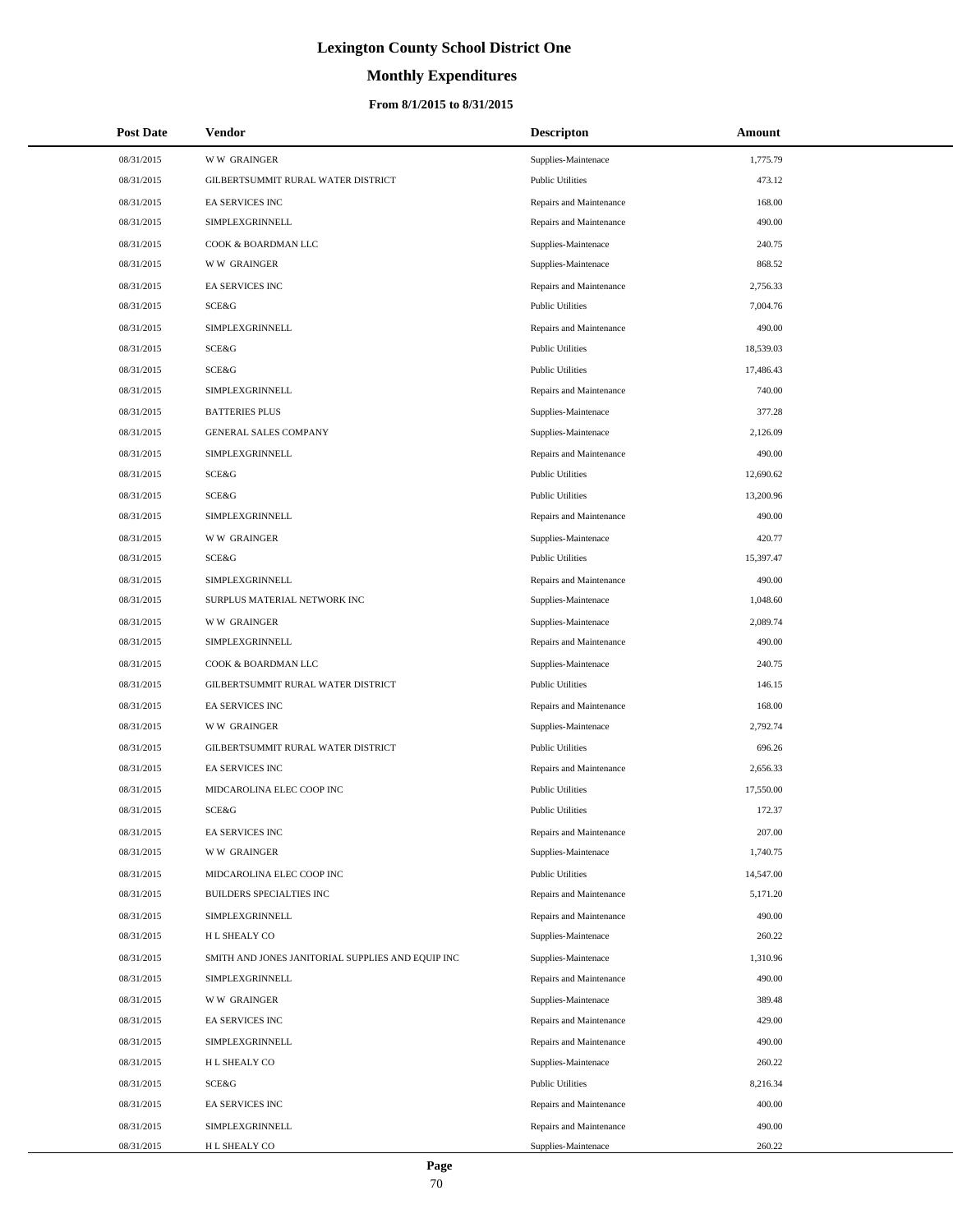# **Monthly Expenditures**

## **From 8/1/2015 to 8/31/2015**

| <b>Post Date</b> | Vendor                                            | <b>Descripton</b>       | Amount    |  |
|------------------|---------------------------------------------------|-------------------------|-----------|--|
| 08/31/2015       | <b>WW GRAINGER</b>                                | Supplies-Maintenace     | 1,775.79  |  |
| 08/31/2015       | GILBERTSUMMIT RURAL WATER DISTRICT                | <b>Public Utilities</b> | 473.12    |  |
| 08/31/2015       | EA SERVICES INC                                   | Repairs and Maintenance | 168.00    |  |
| 08/31/2015       | <b>SIMPLEXGRINNELL</b>                            | Repairs and Maintenance | 490.00    |  |
| 08/31/2015       | COOK & BOARDMAN LLC                               | Supplies-Maintenace     | 240.75    |  |
| 08/31/2015       | <b>WW GRAINGER</b>                                | Supplies-Maintenace     | 868.52    |  |
| 08/31/2015       | EA SERVICES INC                                   | Repairs and Maintenance | 2,756.33  |  |
| 08/31/2015       | SCE&G                                             | <b>Public Utilities</b> | 7,004.76  |  |
| 08/31/2015       | SIMPLEXGRINNELL                                   | Repairs and Maintenance | 490.00    |  |
| 08/31/2015       | SCE&G                                             | <b>Public Utilities</b> | 18,539.03 |  |
| 08/31/2015       | SCE&G                                             | <b>Public Utilities</b> | 17,486.43 |  |
| 08/31/2015       | SIMPLEXGRINNELL                                   | Repairs and Maintenance | 740.00    |  |
| 08/31/2015       | <b>BATTERIES PLUS</b>                             | Supplies-Maintenace     | 377.28    |  |
| 08/31/2015       | <b>GENERAL SALES COMPANY</b>                      | Supplies-Maintenace     | 2,126.09  |  |
| 08/31/2015       | SIMPLEXGRINNELL                                   | Repairs and Maintenance | 490.00    |  |
| 08/31/2015       | SCE&G                                             | <b>Public Utilities</b> | 12,690.62 |  |
| 08/31/2015       | SCE&G                                             | <b>Public Utilities</b> | 13,200.96 |  |
| 08/31/2015       | SIMPLEXGRINNELL                                   | Repairs and Maintenance | 490.00    |  |
| 08/31/2015       | <b>WW GRAINGER</b>                                | Supplies-Maintenace     | 420.77    |  |
| 08/31/2015       | SCE&G                                             | <b>Public Utilities</b> | 15,397.47 |  |
| 08/31/2015       | SIMPLEXGRINNELL                                   | Repairs and Maintenance | 490.00    |  |
| 08/31/2015       | SURPLUS MATERIAL NETWORK INC                      | Supplies-Maintenace     | 1,048.60  |  |
| 08/31/2015       | <b>WW GRAINGER</b>                                | Supplies-Maintenace     | 2,089.74  |  |
| 08/31/2015       | SIMPLEXGRINNELL                                   | Repairs and Maintenance | 490.00    |  |
| 08/31/2015       | COOK & BOARDMAN LLC                               | Supplies-Maintenace     | 240.75    |  |
| 08/31/2015       | GILBERTSUMMIT RURAL WATER DISTRICT                | <b>Public Utilities</b> | 146.15    |  |
| 08/31/2015       | EA SERVICES INC                                   | Repairs and Maintenance | 168.00    |  |
| 08/31/2015       | <b>WW GRAINGER</b>                                | Supplies-Maintenace     | 2,792.74  |  |
| 08/31/2015       | GILBERTSUMMIT RURAL WATER DISTRICT                | <b>Public Utilities</b> | 696.26    |  |
| 08/31/2015       | EA SERVICES INC                                   | Repairs and Maintenance | 2,656.33  |  |
| 08/31/2015       | MIDCAROLINA ELEC COOP INC                         | <b>Public Utilities</b> | 17,550.00 |  |
| 08/31/2015       | SCE&G                                             | <b>Public Utilities</b> | 172.37    |  |
| 08/31/2015       | <b>EA SERVICES INC</b>                            | Repairs and Maintenance | 207.00    |  |
| 08/31/2015       | <b>WW GRAINGER</b>                                | Supplies-Maintenace     | 1,740.75  |  |
| 08/31/2015       | MIDCAROLINA ELEC COOP INC                         | <b>Public Utilities</b> | 14,547.00 |  |
| 08/31/2015       | BUILDERS SPECIALTIES INC                          | Repairs and Maintenance | 5,171.20  |  |
| 08/31/2015       | SIMPLEXGRINNELL                                   | Repairs and Maintenance | 490.00    |  |
| 08/31/2015       | H L SHEALY CO                                     | Supplies-Maintenace     | 260.22    |  |
| 08/31/2015       | SMITH AND JONES JANITORIAL SUPPLIES AND EQUIP INC | Supplies-Maintenace     | 1,310.96  |  |
| 08/31/2015       | SIMPLEXGRINNELL                                   | Repairs and Maintenance | 490.00    |  |
| 08/31/2015       | <b>WW GRAINGER</b>                                | Supplies-Maintenace     | 389.48    |  |
| 08/31/2015       | EA SERVICES INC                                   | Repairs and Maintenance | 429.00    |  |
| 08/31/2015       | SIMPLEXGRINNELL                                   | Repairs and Maintenance | 490.00    |  |
| 08/31/2015       | H L SHEALY CO                                     | Supplies-Maintenace     | 260.22    |  |
| 08/31/2015       | SCE&G                                             | <b>Public Utilities</b> | 8,216.34  |  |
| 08/31/2015       | EA SERVICES INC                                   | Repairs and Maintenance | 400.00    |  |
| 08/31/2015       | SIMPLEXGRINNELL                                   | Repairs and Maintenance | 490.00    |  |
| 08/31/2015       | H L SHEALY CO                                     | Supplies-Maintenace     | 260.22    |  |

 $\overline{a}$ 

70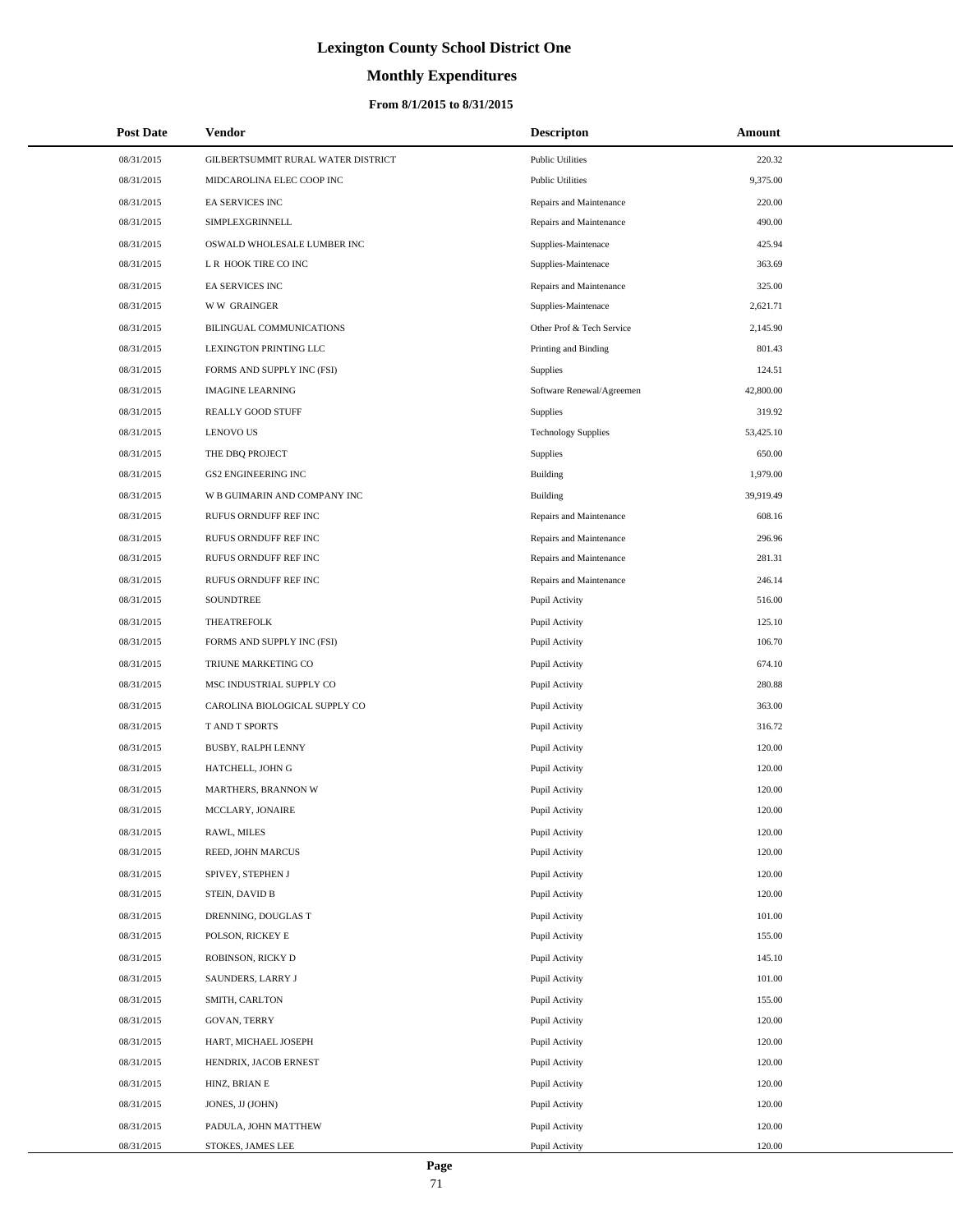# **Monthly Expenditures**

## **From 8/1/2015 to 8/31/2015**

| <b>Post Date</b> | Vendor                             | <b>Descripton</b>          | Amount    |
|------------------|------------------------------------|----------------------------|-----------|
| 08/31/2015       | GILBERTSUMMIT RURAL WATER DISTRICT | <b>Public Utilities</b>    | 220.32    |
| 08/31/2015       | MIDCAROLINA ELEC COOP INC          | <b>Public Utilities</b>    | 9,375.00  |
| 08/31/2015       | EA SERVICES INC                    | Repairs and Maintenance    | 220.00    |
| 08/31/2015       | SIMPLEXGRINNELL                    | Repairs and Maintenance    | 490.00    |
| 08/31/2015       | OSWALD WHOLESALE LUMBER INC        | Supplies-Maintenace        | 425.94    |
| 08/31/2015       | L R HOOK TIRE CO INC               | Supplies-Maintenace        | 363.69    |
| 08/31/2015       | EA SERVICES INC                    | Repairs and Maintenance    | 325.00    |
| 08/31/2015       | <b>WW GRAINGER</b>                 | Supplies-Maintenace        | 2,621.71  |
| 08/31/2015       | BILINGUAL COMMUNICATIONS           | Other Prof & Tech Service  | 2,145.90  |
| 08/31/2015       | LEXINGTON PRINTING LLC             | Printing and Binding       | 801.43    |
| 08/31/2015       | FORMS AND SUPPLY INC (FSI)         | Supplies                   | 124.51    |
| 08/31/2015       | <b>IMAGINE LEARNING</b>            | Software Renewal/Agreemen  | 42,800.00 |
| 08/31/2015       | REALLY GOOD STUFF                  | Supplies                   | 319.92    |
| 08/31/2015       | <b>LENOVO US</b>                   | <b>Technology Supplies</b> | 53,425.10 |
| 08/31/2015       | THE DBQ PROJECT                    | Supplies                   | 650.00    |
| 08/31/2015       | <b>GS2 ENGINEERING INC</b>         | Building                   | 1,979.00  |
| 08/31/2015       | W B GUIMARIN AND COMPANY INC       | <b>Building</b>            | 39,919.49 |
| 08/31/2015       | RUFUS ORNDUFF REF INC              | Repairs and Maintenance    | 608.16    |
| 08/31/2015       | RUFUS ORNDUFF REF INC              | Repairs and Maintenance    | 296.96    |
| 08/31/2015       | RUFUS ORNDUFF REF INC              | Repairs and Maintenance    | 281.31    |
| 08/31/2015       | RUFUS ORNDUFF REF INC              | Repairs and Maintenance    | 246.14    |
| 08/31/2015       | SOUNDTREE                          | Pupil Activity             | 516.00    |
| 08/31/2015       | THEATREFOLK                        | Pupil Activity             | 125.10    |
| 08/31/2015       | FORMS AND SUPPLY INC (FSI)         | Pupil Activity             | 106.70    |
| 08/31/2015       | TRIUNE MARKETING CO                | Pupil Activity             | 674.10    |
| 08/31/2015       | MSC INDUSTRIAL SUPPLY CO           | Pupil Activity             | 280.88    |
| 08/31/2015       | CAROLINA BIOLOGICAL SUPPLY CO      | Pupil Activity             | 363.00    |
| 08/31/2015       | T AND T SPORTS                     | Pupil Activity             | 316.72    |
| 08/31/2015       | <b>BUSBY, RALPH LENNY</b>          | Pupil Activity             | 120.00    |
| 08/31/2015       | HATCHELL, JOHN G                   | Pupil Activity             | 120.00    |
| 08/31/2015       | MARTHERS, BRANNON W                | Pupil Activity             | 120.00    |
| 08/31/2015       | MCCLARY, JONAIRE                   | Pupil Activity             | 120.00    |
| 08/31/2015       | RAWL, MILES                        | Pupil Activity             | 120.00    |
| 08/31/2015       | REED, JOHN MARCUS                  | Pupil Activity             | 120.00    |
| 08/31/2015       | SPIVEY, STEPHEN J                  | Pupil Activity             | 120.00    |
| 08/31/2015       | STEIN, DAVID B                     | Pupil Activity             | 120.00    |
| 08/31/2015       | DRENNING, DOUGLAS T                | Pupil Activity             | 101.00    |
| 08/31/2015       | POLSON, RICKEY E                   | Pupil Activity             | 155.00    |
| 08/31/2015       | ROBINSON, RICKY D                  | Pupil Activity             | 145.10    |
| 08/31/2015       | SAUNDERS, LARRY J                  | Pupil Activity             | 101.00    |
| 08/31/2015       | SMITH, CARLTON                     | Pupil Activity             | 155.00    |
| 08/31/2015       | GOVAN, TERRY                       | Pupil Activity             | 120.00    |
| 08/31/2015       | HART, MICHAEL JOSEPH               | Pupil Activity             | 120.00    |
| 08/31/2015       | HENDRIX, JACOB ERNEST              | Pupil Activity             | 120.00    |
| 08/31/2015       | HINZ, BRIAN E                      | Pupil Activity             | 120.00    |
| 08/31/2015       | JONES, JJ (JOHN)                   | Pupil Activity             | 120.00    |
| 08/31/2015       | PADULA, JOHN MATTHEW               | Pupil Activity             | 120.00    |
| 08/31/2015       | STOKES, JAMES LEE                  | Pupil Activity             | 120.00    |